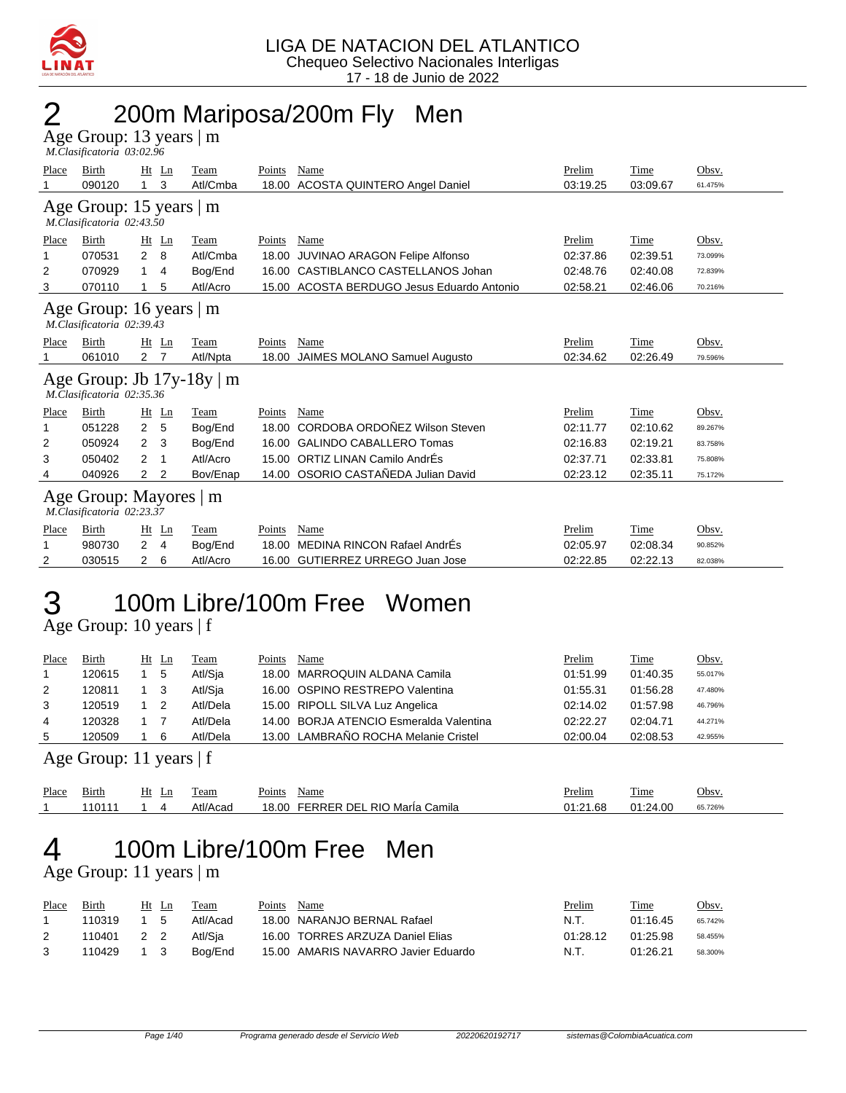

## 2 200m Mariposa/200m Fly Men

Age Group: 13 years | m  *M.Clasificatoria 03:02.96* 

| Place                     | Birth                         | Ht<br>Ln            | Team                           | Points        | Name                                       | Prelim   | Time        | Obsv.   |  |  |  |  |  |
|---------------------------|-------------------------------|---------------------|--------------------------------|---------------|--------------------------------------------|----------|-------------|---------|--|--|--|--|--|
|                           | 090120                        | 3<br>1              | Atl/Cmba                       | 18.00         | ACOSTA QUINTERO Angel Daniel               | 03:19.25 | 03:09.67    | 61.475% |  |  |  |  |  |
| Age Group: 15 years $ m $ |                               |                     |                                |               |                                            |          |             |         |  |  |  |  |  |
| M.Clasificatoria 02:43.50 |                               |                     |                                |               |                                            |          |             |         |  |  |  |  |  |
| Place                     | Birth                         | Ht Ln               | Team                           | Points        | Name                                       | Prelim   | Time        | Obsv.   |  |  |  |  |  |
|                           | 070531                        | 2<br>8              | Atl/Cmba                       | 18.00         | JUVINAO ARAGON Felipe Alfonso              | 02:37.86 | 02:39.51    | 73.099% |  |  |  |  |  |
| 2                         | 070929                        | 1<br>4              | Bog/End                        | 16.00         | CASTIBLANCO CASTELLANOS Johan              | 02:48.76 | 02:40.08    | 72.839% |  |  |  |  |  |
| 3                         | 070110                        | 5                   | Atl/Acro                       |               | 15.00 ACOSTA BERDUGO Jesus Eduardo Antonio | 02:58.21 | 02:46.06    | 70.216% |  |  |  |  |  |
|                           | Age Group: 16 years $\vert$ m |                     |                                |               |                                            |          |             |         |  |  |  |  |  |
|                           | M.Clasificatoria 02:39.43     |                     |                                |               |                                            |          |             |         |  |  |  |  |  |
| Place                     | Birth                         | $Ht$ Ln             | Team                           | <b>Points</b> | <b>Name</b>                                | Prelim   | <b>Time</b> | Obsv.   |  |  |  |  |  |
|                           | 061010                        | 2<br>7              | Atl/Npta                       | 18.00         | <b>JAIMES MOLANO Samuel Augusto</b>        | 02:34.62 | 02:26.49    | 79.596% |  |  |  |  |  |
|                           |                               |                     | Age Group: Jb $17y-18y \mid m$ |               |                                            |          |             |         |  |  |  |  |  |
|                           | M.Clasificatoria 02:35.36     |                     |                                |               |                                            |          |             |         |  |  |  |  |  |
| Place                     | Birth                         | Ht<br>Ln            | Team                           | Points        | Name                                       | Prelim   | Time        | Obsv.   |  |  |  |  |  |
|                           | 051228                        | $\overline{2}$<br>5 | Bog/End                        | 18.00         | CORDOBA ORDOÑEZ Wilson Steven              | 02:11.77 | 02:10.62    | 89.267% |  |  |  |  |  |
| 2                         | 050924                        | 3<br>2              | Bog/End                        | 16.00         | <b>GALINDO CABALLERO Tomas</b>             | 02:16.83 | 02:19.21    | 83.758% |  |  |  |  |  |
| 3                         | 050402                        | 2<br>1              | Atl/Acro                       |               | 15.00 ORTIZ LINAN Camilo AndrÉs            | 02:37.71 | 02:33.81    | 75.808% |  |  |  |  |  |
| 4                         | 040926                        | 2<br>2              | Bov/Enap                       |               | 14.00 OSORIO CASTAÑEDA Julian David        | 02:23.12 | 02:35.11    | 75.172% |  |  |  |  |  |
|                           |                               |                     | Age Group: Mayores   m         |               |                                            |          |             |         |  |  |  |  |  |
|                           | M.Clasificatoria 02:23.37     |                     |                                |               |                                            |          |             |         |  |  |  |  |  |
| Place                     | Birth                         | Ht<br>Ln            | Team                           | Points        | Name                                       | Prelim   | Time        | Obsv.   |  |  |  |  |  |
|                           |                               |                     |                                |               |                                            |          |             |         |  |  |  |  |  |
|                           | 980730                        | 2<br>$\overline{4}$ | Bog/End                        | 18.00         | MEDINA RINCON Rafael AndrÉs                | 02:05.97 | 02:08.34    | 90.852% |  |  |  |  |  |

# 3 100m Libre/100m Free Women

Age Group: 10 years | f

| Place | Birth  | Ht Ln |    | Team     | Points | Name                                    | Prelim   | Time     | <u>Obsv.</u> |
|-------|--------|-------|----|----------|--------|-----------------------------------------|----------|----------|--------------|
|       | 120615 |       | 5  | Atl/Sia  |        | 18.00 MARROQUIN ALDANA Camila           | 01:51.99 | 01:40.35 | 55.017%      |
| 2     | 120811 |       |    | Atl/Sja  |        | 16.00 OSPINO RESTREPO Valentina         | 01:55.31 | 01:56.28 | 47.480%      |
| 3     | 120519 |       |    | Atl/Dela |        | 15.00 RIPOLL SILVA Luz Angelica         | 02:14.02 | 01:57.98 | 46.796%      |
| 4     | 120328 |       |    | Atl/Dela |        | 14.00 BORJA ATENCIO Esmeralda Valentina | 02:22.27 | 02:04.71 | 44.271%      |
| 5     | 120509 |       | -6 | Atl/Dela |        | 13.00 LAMBRAÑO ROCHA Melanie Cristel    | 02:00.04 | 02:08.53 | 42.955%      |

Age Group: 11 years | f

| Place | $-$ .<br>Birth | H١<br>-- | eam                     | $\sim$<br>Name<br>Points                       | <b>Prelim</b>                         | m.<br><u>11me</u> | <b>Jbsv</b> |
|-------|----------------|----------|-------------------------|------------------------------------------------|---------------------------------------|-------------------|-------------|
|       | 1011           |          | Atl/ $\prime$<br>./Acac | FERRER<br>. RIO Marla<br>DEI<br>8.00<br>Camila | $\sim$ $\sim$ $\sim$<br>1.68<br>01:21 | 01:24.00          | 65.726%     |

## 4 100m Libre/100m Free Men

Age Group: 11 years | m

| Place | Birth  |             | Ht Ln | Team     | Points | Name                                | <u>Prelim</u> | Time     | Obsv.   |
|-------|--------|-------------|-------|----------|--------|-------------------------------------|---------------|----------|---------|
|       | 110319 |             | - 5   | Atl/Acad |        | 18.00 NARANJO BERNAL Rafael         | N.T.          | 01:16.45 | 65.742% |
|       | 110401 | 2 2         |       | Atl/Sia  |        | 16.00 TORRES ARZUZA Daniel Elias    | 01:28.12      | 01:25.98 | 58.455% |
|       | 110429 | $1 \quad 3$ |       | Boa/End  |        | 15.00 AMARIS NAVARRO Javier Eduardo | N.T.          | 01:26.21 | 58.300% |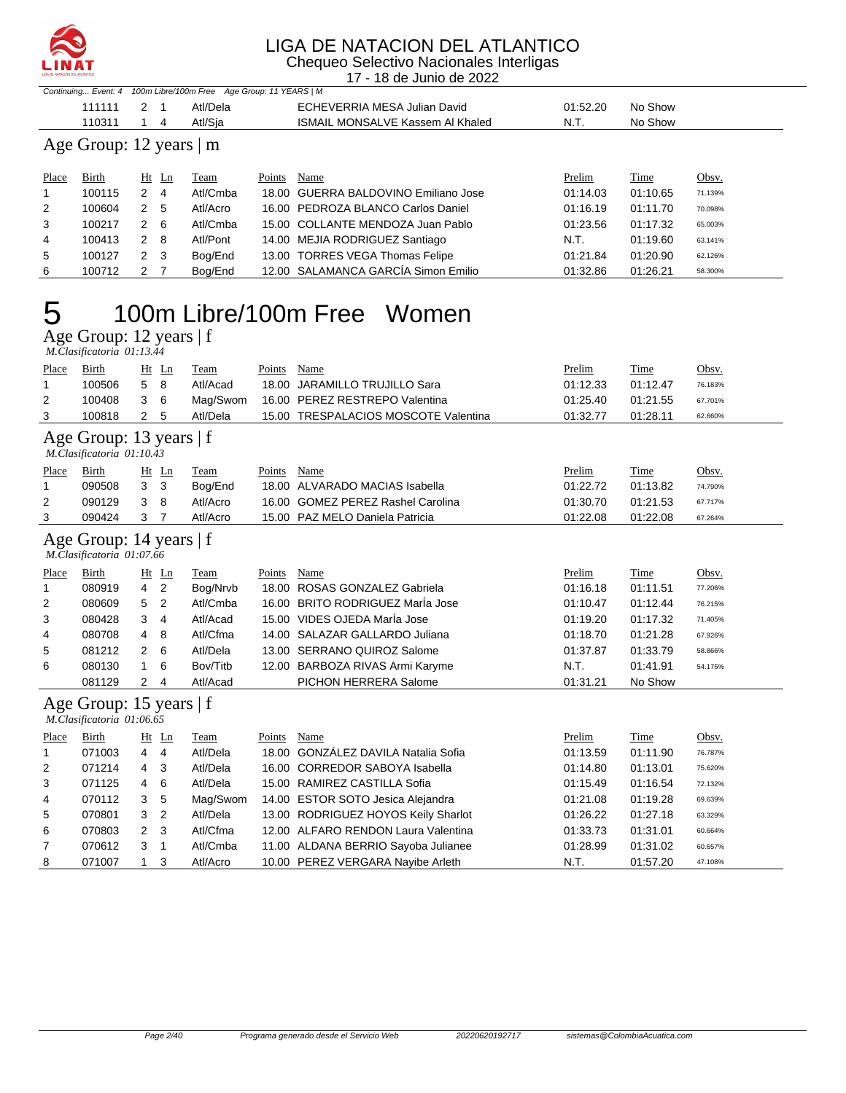

Chequeo Selectivo Nacionales Interligas 17 - 18 de Junio de 2022

|                                                                  |                              |              |                  | . .<br>TU UU UUTIIU UU LULL                            |                    |                  |                  |  |  |  |  |  |
|------------------------------------------------------------------|------------------------------|--------------|------------------|--------------------------------------------------------|--------------------|------------------|------------------|--|--|--|--|--|
| Continuing Event: 4 100m Libre/100m Free Age Group: 11 YEARS   M |                              |              |                  |                                                        |                    |                  |                  |  |  |  |  |  |
|                                                                  | 111111                       | 2 1          | Atl/Dela         | ECHEVERRIA MESA Julian David                           | 01:52.20           | No Show          |                  |  |  |  |  |  |
|                                                                  | 110311                       | - 4          | Atl/Sia          | <b>ISMAIL MONSALVE Kassem AI Khaled</b>                | N.T.               | No Show          |                  |  |  |  |  |  |
|                                                                  | Age Group: 12 years $\mid$ m |              |                  |                                                        |                    |                  |                  |  |  |  |  |  |
| Place                                                            | <b>Birth</b><br>100115       | Ht Ln<br>2 4 | Team<br>Atl/Cmba | Name<br>Points<br>18.00 GUERRA BALDOVINO Emiliano Jose | Prelim<br>01:14.03 | Time<br>01:10.65 | Obsv.<br>71.139% |  |  |  |  |  |

| -6 | 100712  | 2 7 | Bog/End  | 12.00 SALAMANCA GARCÍA Simon Emilio  | 01:32.86 | 01:26.21 | 58.300% |
|----|---------|-----|----------|--------------------------------------|----------|----------|---------|
| 5  | 100127  | 2 3 | Bog/End  | 13.00 TORRES VEGA Thomas Felipe      | 01:21.84 | 01:20.90 | 62.126% |
| 4  | 100413  | 2 8 | Atl/Pont | 14.00 MEJIA RODRIGUEZ Santiago       | N.T.     | 01:19.60 | 63.141% |
| 3  | 100217  | 2 6 | Atl/Cmba | 15.00 COLLANTE MENDOZA Juan Pablo    | 01:23.56 | 01:17.32 | 65.003% |
| 2  | 100604  | 2 5 | Atl/Acro | 16.00 PEDROZA BLANCO Carlos Daniel   | 01:16.19 | 01:11.70 | 70.098% |
|    | כו דטטו | Z 4 | Ati/Umba | 18.00 GUERRA BALDOVINO EMIIIANO JOSE | UI:14.U3 | UT:TU.65 | 71.139% |

## 5 100m Libre/100m Free Women

Age Group: 12 years | f

|              | M.Clasificatoria 01:13.44 |     |       |          |        |                                      |               |             |         |  |  |  |
|--------------|---------------------------|-----|-------|----------|--------|--------------------------------------|---------------|-------------|---------|--|--|--|
| <b>Place</b> | Birth                     |     | Ht Ln | Team     | Points | Name                                 | <b>Prelim</b> | <u>Time</u> | Obsv.   |  |  |  |
|              | 100506                    | 5 8 |       | Atl/Acad |        | 18.00 JARAMILLO TRUJILLO Sara        | 01:12.33      | 01:12.47    | 76.183% |  |  |  |
| 2            | 100408                    | 36  |       | Maɑ/Swom |        | 16.00 PEREZ RESTREPO Valentina       | 01:25.40      | 01:21.55    | 67.701% |  |  |  |
| 3            | 100818                    | 2 5 |       | Atl/Dela |        | 15.00 TRESPALACIOS MOSCOTE Valentina | 01:32.77      | 01:28.11    | 62.660% |  |  |  |
|              |                           |     |       |          |        |                                      |               |             |         |  |  |  |

#### Age Group: 13 years | f

|       | M.Clasificatoria 01:10.43                                                                                                  |                |                |          |        |                                   |          |          |         |  |  |
|-------|----------------------------------------------------------------------------------------------------------------------------|----------------|----------------|----------|--------|-----------------------------------|----------|----------|---------|--|--|
| Place | Birth                                                                                                                      |                | $Ht$ Ln        | Team     | Points | Name                              | Prelim   | Time     | Obsv.   |  |  |
|       | 090508                                                                                                                     | 3 <sub>3</sub> |                | Bog/End  |        | 18.00 ALVARADO MACIAS Isabella    | 01:22.72 | 01:13.82 | 74.790% |  |  |
| 2     | 090129                                                                                                                     | 3              | -8             | Atl/Acro |        | 16.00 GOMEZ PEREZ Rashel Carolina | 01:30.70 | 01:21.53 | 67.717% |  |  |
| 3     | 090424                                                                                                                     | 3 7            |                | Atl/Acro |        | 15.00 PAZ MELO Daniela Patricia   | 01:22.08 | 01:22.08 | 67.264% |  |  |
| Place | Age Group: 14 years $ f $<br>M.Clasificatoria 01:07.66<br>Birth<br>Name<br>Prelim<br>Time<br>Obsv.<br>Ht<br>Points<br>Team |                |                |          |        |                                   |          |          |         |  |  |
| -1    | 080919                                                                                                                     | $4\quad 2$     | Ln             | Bog/Nrvb |        | 18.00 ROSAS GONZALEZ Gabriela     | 01:16.18 | 01:11.51 | 77.206% |  |  |
| 2     | 080609                                                                                                                     | 5              | $\overline{2}$ | Atl/Cmba |        | 16.00 BRITO RODRIGUEZ María Jose  | 01:10.47 | 01:12.44 | 76.215% |  |  |
| 3     | 080428                                                                                                                     | 3              | 4              | Atl/Acad |        | 15.00 VIDES OJEDA MarÍa Jose      | 01:19.20 | 01:17.32 | 71.405% |  |  |
| 4     | 080708                                                                                                                     | 4              | 8              | Atl/Cfma |        | 14.00 SALAZAR GALLARDO Juliana    | 01:18.70 | 01:21.28 | 67.926% |  |  |

5 081212 2 6 Atl/Dela 13.00 SERRANO QUIROZ Salome 01:37.87 01:33.79 58.866% 6 080130 1 6 Bov/Titb 12.00 BARBOZA RIVAS Armi Karyme N.T. 01:41.91 54.175% 081129 2 4 Atl/Acad PICHON HERRERA Salome 01:31.21 No Show

Age Group: 15 years | f

| M.Clasificatoria 01:06.65 |              |                     |          |        |                                     |          |          |         |  |  |  |
|---------------------------|--------------|---------------------|----------|--------|-------------------------------------|----------|----------|---------|--|--|--|
| Place                     | <b>Birth</b> | $Ht$ Ln             | Team     | Points | Name                                | Prelim   | Time     | Obsv.   |  |  |  |
|                           | 071003       | 4 4                 | Atl/Dela |        | 18.00 GONZALEZ DAVILA Natalia Sofia | 01:13.59 | 01:11.90 | 76.787% |  |  |  |
| 2                         | 071214       | - 3<br>4            | Atl/Dela |        | 16.00 CORREDOR SABOYA Isabella      | 01:14.80 | 01:13.01 | 75.620% |  |  |  |
| 3                         | 071125       | -6<br>4             | Atl/Dela |        | 15.00 RAMIREZ CASTILLA Sofia        | 01:15.49 | 01:16.54 | 72.132% |  |  |  |
| $\overline{4}$            | 070112       | 3<br>- 5            | Mag/Swom |        | 14.00 ESTOR SOTO Jesica Alejandra   | 01:21.08 | 01:19.28 | 69.639% |  |  |  |
| 5                         | 070801       | 3 <sub>2</sub>      | Atl/Dela |        | 13.00 RODRIGUEZ HOYOS Keily Sharlot | 01:26.22 | 01:27.18 | 63.329% |  |  |  |
| 6                         | 070803       | $2 \quad 3$         | Atl/Cfma |        | 12.00 ALFARO RENDON Laura Valentina | 01:33.73 | 01:31.01 | 60.664% |  |  |  |
| 7                         | 070612       | 3<br>$\overline{1}$ | Atl/Cmba |        | 11.00 ALDANA BERRIO Sayoba Julianee | 01:28.99 | 01:31.02 | 60.657% |  |  |  |
| 8                         | 071007       | - 3                 | Atl/Acro |        | 10.00 PEREZ VERGARA Nayibe Arleth   | N.T.     | 01:57.20 | 47.108% |  |  |  |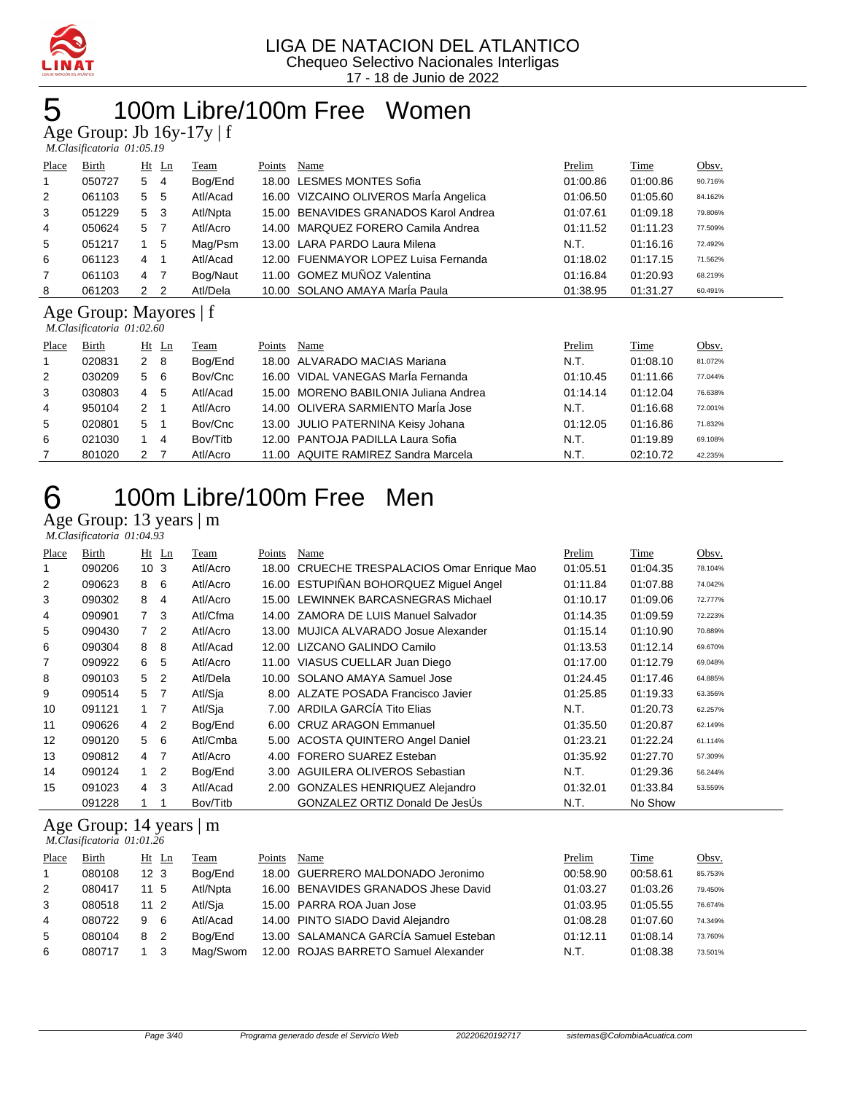

#### 100m Libre/100m Free Women

Age Group: Jb 16y-17y | f

| Place          | <b>Birth</b> |   | $Ht$ Ln        | <b>Team</b> | Points | Name                                   | Prelim   | <b>Time</b> | Obsv.   |
|----------------|--------------|---|----------------|-------------|--------|----------------------------------------|----------|-------------|---------|
| $\overline{1}$ | 050727       | 5 | $\overline{4}$ | Bog/End     |        | 18.00 LESMES MONTES Sofia              | 01:00.86 | 01:00.86    | 90.716% |
| 2              | 061103       | 5 | - 5            | Atl/Acad    |        | 16.00 VIZCAINO OLIVEROS MarÍa Angelica | 01:06.50 | 01:05.60    | 84.162% |
| 3              | 051229       | 5 | - 3            | Atl/Npta    |        | 15.00 BENAVIDES GRANADOS Karol Andrea  | 01:07.61 | 01:09.18    | 79.806% |
| $\overline{4}$ | 050624       | 5 |                | Atl/Acro    |        | 14.00 MARQUEZ FORERO Camila Andrea     | 01:11.52 | 01:11.23    | 77.509% |
| 5              | 051217       |   | -5             | Mag/Psm     |        | 13.00 LARA PARDO Laura Milena          | N.T.     | 01:16.16    | 72.492% |
| 6              | 061123       | 4 | -1             | Atl/Acad    |        | 12.00 FUENMAYOR LOPEZ Luisa Fernanda   | 01:18.02 | 01:17.15    | 71.562% |
| $\overline{7}$ | 061103       | 4 | - 7            | Bog/Naut    |        | 11.00 GOMEZ MUÑOZ Valentina            | 01:16.84 | 01:20.93    | 68.219% |
| 8              | 061203       | 2 | $\overline{2}$ | Atl/Dela    |        | 10.00 SOLANO AMAYA MarÍa Paula         | 01:38.95 | 01:31.27    | 60.491% |

#### Age Group: Mayores | f

 *M.Clasificatoria 01:02.60* 

|                | <i>M.Clasylcatoria</i> 01.02.00 |                |             |        |                                       |          |             |         |  |  |  |  |
|----------------|---------------------------------|----------------|-------------|--------|---------------------------------------|----------|-------------|---------|--|--|--|--|
| Place          | <b>Birth</b>                    | $Ht$ Ln        | <b>Team</b> | Points | Name                                  | Prelim   | <b>Time</b> | Obsv.   |  |  |  |  |
| $\mathbf{1}$   | 020831                          | $2 \quad 8$    | Bog/End     |        | 18.00 ALVARADO MACIAS Mariana         | N.T.     | 01:08.10    | 81.072% |  |  |  |  |
| 2              | 030209                          | 5 6            | Bov/Cnc     |        | 16.00 VIDAL VANEGAS MarÍa Fernanda    | 01:10.45 | 01:11.66    | 77.044% |  |  |  |  |
| 3              | 030803                          | -5<br>4        | Atl/Acad    |        | 15.00 MORENO BABILONIA Juliana Andrea | 01:14.14 | 01:12.04    | 76.638% |  |  |  |  |
| $\overline{4}$ | 950104                          | $2 \quad 1$    | Atl/Acro    |        | 14.00 OLIVERA SARMIENTO María Jose    | N.T.     | 01:16.68    | 72.001% |  |  |  |  |
| 5              | 020801                          | 5 <sub>1</sub> | Bov/Cnc     |        | 13.00 JULIO PATERNINA Keisy Johana    | 01:12.05 | 01:16.86    | 71.832% |  |  |  |  |
| 6              | 021030                          | 1 4            | Bov/Titb    |        | 12.00 PANTOJA PADILLA Laura Sofia     | N.T.     | 01:19.89    | 69.108% |  |  |  |  |
|                | 801020                          | 2 7            | Atl/Acro    |        | 11.00 AQUITE RAMIREZ Sandra Marcela   | N.T.     | 02:10.72    | 42.235% |  |  |  |  |

## 100m Libre/100m Free Men

Age Group: 13 years | m

|       | M.Clasificatoria 01:04.93 |                 |     |          |        |                                             |          |          |         |
|-------|---------------------------|-----------------|-----|----------|--------|---------------------------------------------|----------|----------|---------|
| Place | Birth                     | $Ht$ Ln         |     | Team     | Points | Name                                        | Prelim   | Time     | Obsv.   |
|       | 090206                    | 10 <sub>3</sub> |     | Atl/Acro |        | 18.00 CRUECHE TRESPALACIOS Omar Enrique Mao | 01:05.51 | 01:04.35 | 78.104% |
| 2     | 090623                    | 8               | - 6 | Atl/Acro |        | 16.00 ESTUPIÑAN BOHORQUEZ Miguel Angel      | 01:11.84 | 01:07.88 | 74.042% |
| 3     | 090302                    | 8               | 4   | Atl/Acro |        | 15.00 LEWINNEK BARCASNEGRAS Michael         | 01:10.17 | 01:09.06 | 72.777% |
| 4     | 090901                    | $7^{\circ}$     | -3  | Atl/Cfma |        | 14.00 ZAMORA DE LUIS Manuel Salvador        | 01:14.35 | 01:09.59 | 72.223% |
| 5     | 090430                    | $\overline{7}$  | 2   | Atl/Acro |        | 13.00 MUJICA ALVARADO Josue Alexander       | 01:15.14 | 01:10.90 | 70.889% |
| 6     | 090304                    | 8               | -8  | Atl/Acad |        | 12.00 LIZCANO GALINDO Camilo                | 01:13.53 | 01:12.14 | 69.670% |
| 7     | 090922                    | 6               | 5   | Atl/Acro |        | 11.00 VIASUS CUELLAR Juan Diego             | 01:17.00 | 01:12.79 | 69.048% |
| 8     | 090103                    | 5 <sub>2</sub>  |     | Atl/Dela |        | 10.00 SOLANO AMAYA Samuel Jose              | 01:24.45 | 01:17.46 | 64.885% |
| 9     | 090514                    | 5 7             |     | Atl/Sja  |        | 8.00 ALZATE POSADA Francisco Javier         | 01:25.85 | 01:19.33 | 63.356% |
| 10    | 091121                    | $1 \quad$       |     | Atl/Sja  |        | 7.00 ARDILA GARCÍA Tito Elias               | N.T.     | 01:20.73 | 62.257% |
| 11    | 090626                    | 4               | 2   | Bog/End  |        | 6.00 CRUZ ARAGON Emmanuel                   | 01:35.50 | 01:20.87 | 62.149% |

| 6  | 090304 | 8 | -8                         | Atl/Acad | 12.00 LIZCANO GALINDO Camilo        | 01:13.53 | 01:12.14 | 69.670% |
|----|--------|---|----------------------------|----------|-------------------------------------|----------|----------|---------|
| 7  | 090922 | 6 | 5                          | Atl/Acro | 11.00 VIASUS CUELLAR Juan Diego     | 01:17.00 | 01:12.79 | 69.048% |
| 8  | 090103 | 5 | $\overline{2}$             | Atl/Dela | 10.00 SOLANO AMAYA Samuel Jose      | 01:24.45 | 01:17.46 | 64.885% |
| 9  | 090514 | 5 | $\overline{7}$             | Atl/Sja  | 8.00 ALZATE POSADA Francisco Javier | 01:25.85 | 01:19.33 | 63.356% |
| 10 | 091121 |   | $\overline{7}$             | Atl/Sja  | 7.00 ARDILA GARCÍA Tito Elias       | N.T.     | 01:20.73 | 62.257% |
| 11 | 090626 | 4 | $\overline{2}$             | Bog/End  | 6.00 CRUZ ARAGON Emmanuel           | 01:35.50 | 01:20.87 | 62.149% |
| 12 | 090120 | 5 | - 6                        | Atl/Cmba | 5.00 ACOSTA QUINTERO Angel Daniel   | 01:23.21 | 01:22.24 | 61.114% |
| 13 | 090812 | 4 | $\overline{7}$             | Atl/Acro | 4.00 FORERO SUAREZ Esteban          | 01:35.92 | 01:27.70 | 57.309% |
| 14 | 090124 |   | $\overline{\phantom{a}}^2$ | Bog/End  | 3.00 AGUILERA OLIVEROS Sebastian    | N.T.     | 01:29.36 | 56.244% |
| 15 | 091023 | 4 | -3                         | Atl/Acad | 2.00 GONZALES HENRIQUEZ Alejandro   | 01:32.01 | 01:33.84 | 53.559% |
|    | 091228 |   |                            | Bov/Titb | GONZALEZ ORTIZ Donald De JesÚs      | N.T.     | No Show  |         |

#### Age Group: 14 years | m  *M.Clasificatoria 01:01.26*

| Place | <b>Birth</b> | $Ht$ Ln         |                | <b>feam</b> | Points | Name                                  | Prelim   | Time     | Obsv.   |
|-------|--------------|-----------------|----------------|-------------|--------|---------------------------------------|----------|----------|---------|
|       | 080108       | 12 <sub>3</sub> |                | Bog/End     |        | 18.00 GUERRERO MALDONADO Jeronimo     | 00:58.90 | 00:58.61 | 85.753% |
| 2     | 080417       | 11 5            |                | Atl/Npta    |        | 16.00 BENAVIDES GRANADOS Jhese David  | 01:03.27 | 01:03.26 | 79.450% |
| 3     | 080518       | $11^{2}$        |                | Atl/Sja     |        | 15.00 PARRA ROA Juan Jose             | 01:03.95 | 01:05.55 | 76.674% |
| 4     | 080722       | 9.              | -6             | Atl/Acad    |        | 14.00 PINTO SIADO David Alejandro     | 01:08.28 | 01:07.60 | 74.349% |
| 5     | 080104       | 8               | $\overline{2}$ | Boa/End     |        | 13.00 SALAMANCA GARCÍA Samuel Esteban | 01:12.11 | 01:08.14 | 73.760% |
| 6     | 080717       |                 |                | Mag/Swom    |        | 12.00 ROJAS BARRETO Samuel Alexander  | N.T.     | 01:08.38 | 73.501% |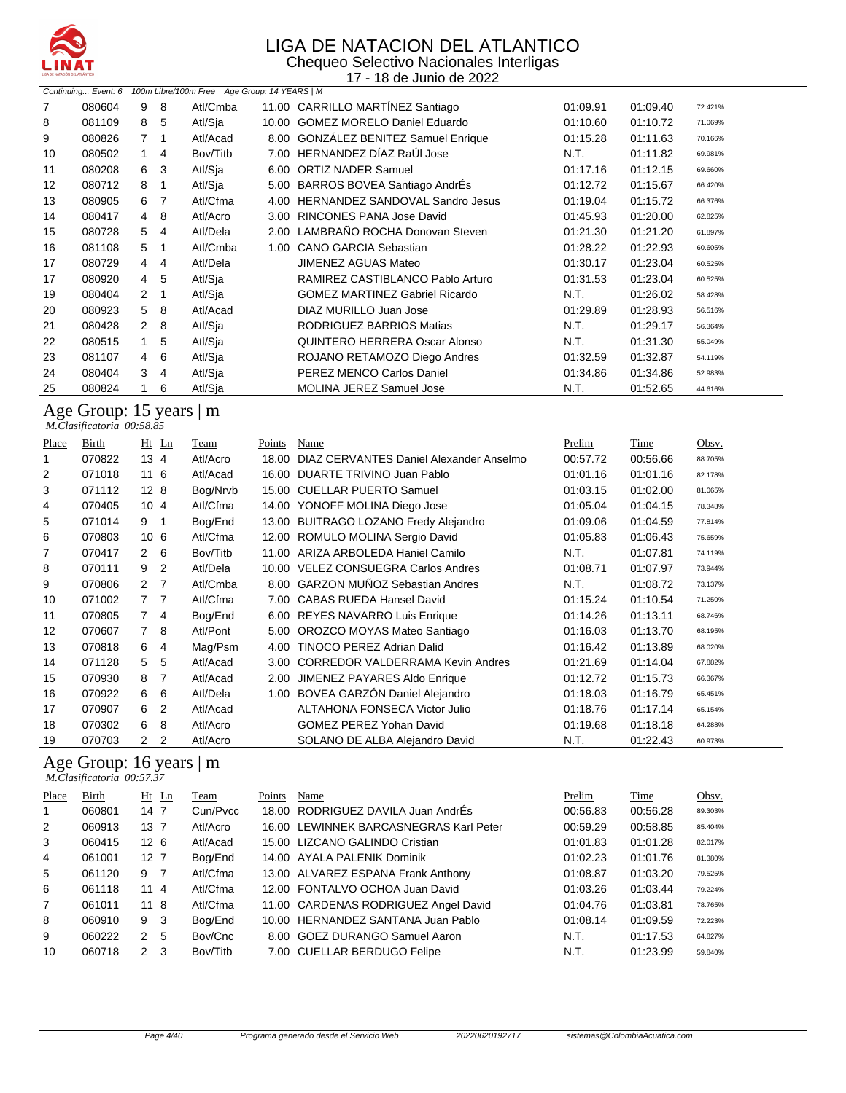

#### LIGA DE NATACION DEL ATLANTICO Chequeo Selectivo Nacionales Interligas

17 - 18 de Junio de 2022

|    | Continuing Event: 6 |                |                | 100m Libre/100m Free Age Group: 14 YEARS   M |      |                                       |          |          |         |
|----|---------------------|----------------|----------------|----------------------------------------------|------|---------------------------------------|----------|----------|---------|
| 7  | 080604              | 9              | 8              | Atl/Cmba                                     |      | 11.00 CARRILLO MARTÍNEZ Santiago      | 01:09.91 | 01:09.40 | 72.421% |
| 8  | 081109              | 8              | 5              | Atl/Sia                                      |      | 10.00 GOMEZ MORELO Daniel Eduardo     | 01:10.60 | 01:10.72 | 71.069% |
| 9  | 080826              |                | 7 <sub>1</sub> | Atl/Acad                                     |      | 8.00 GONZÁLEZ BENITEZ Samuel Enrique  | 01:15.28 | 01:11.63 | 70.166% |
| 10 | 080502              |                | $1 \quad 4$    | Bov/Titb                                     |      | 7.00 HERNANDEZ DÍAZ RaÚI Jose         | N.T.     | 01:11.82 | 69.981% |
| 11 | 080208              | 6              | -3             | Atl/Sia                                      |      | 6.00 ORTIZ NADER Samuel               | 01:17.16 | 01:12.15 | 69.660% |
| 12 | 080712              | 8              | -1             | Atl/Sja                                      |      | 5.00 BARROS BOVEA Santiago AndrÉs     | 01:12.72 | 01:15.67 | 66.420% |
| 13 | 080905              | 6              | 7              | Atl/Cfma                                     |      | 4.00 HERNANDEZ SANDOVAL Sandro Jesus  | 01:19.04 | 01:15.72 | 66.376% |
| 14 | 080417              | 4              | 8              | Atl/Acro                                     |      | 3.00 RINCONES PANA Jose David         | 01:45.93 | 01:20.00 | 62.825% |
| 15 | 080728              | 5.             | $\overline{4}$ | Atl/Dela                                     |      | 2.00 LAMBRAÑO ROCHA Donovan Steven    | 01:21.30 | 01:21.20 | 61.897% |
| 16 | 081108              | 5              | -1             | Atl/Cmba                                     | 1.00 | <b>CANO GARCIA Sebastian</b>          | 01:28.22 | 01:22.93 | 60.605% |
| 17 | 080729              | $\overline{4}$ | 4              | Atl/Dela                                     |      | <b>JIMENEZ AGUAS Mateo</b>            | 01:30.17 | 01:23.04 | 60.525% |
| 17 | 080920              | 4              | 5              | Atl/Sja                                      |      | RAMIREZ CASTIBLANCO Pablo Arturo      | 01:31.53 | 01:23.04 | 60.525% |
| 19 | 080404              | 2              | -1             | Atl/Sja                                      |      | <b>GOMEZ MARTINEZ Gabriel Ricardo</b> | N.T.     | 01:26.02 | 58.428% |
| 20 | 080923              | 5              | 8              | Atl/Acad                                     |      | DIAZ MURILLO Juan Jose                | 01:29.89 | 01:28.93 | 56.516% |
| 21 | 080428              | 2              | 8              | Atl/Sja                                      |      | RODRIGUEZ BARRIOS Matias              | N.T.     | 01:29.17 | 56.364% |
| 22 | 080515              |                | 5              | Atl/Sja                                      |      | QUINTERO HERRERA Oscar Alonso         | N.T.     | 01:31.30 | 55.049% |
| 23 | 081107              | $\overline{4}$ | 6              | Atl/Sia                                      |      | ROJANO RETAMOZO Diego Andres          | 01:32.59 | 01:32.87 | 54.119% |
| 24 | 080404              | 3              | 4              | Atl/Sja                                      |      | PEREZ MENCO Carlos Daniel             | 01:34.86 | 01:34.86 | 52.983% |
| 25 | 080824              |                | 6              | Atl/Sja                                      |      | <b>MOLINA JEREZ Samuel Jose</b>       | N.T.     | 01:52.65 | 44.616% |

Age Group: 15 years | m  *M.Clasificatoria 00:58.85* 

| Place | Birth  | $Ht$ Ln                       | Team     | Points | Name                                    | Prelim   | Time     | Obsv.   |
|-------|--------|-------------------------------|----------|--------|-----------------------------------------|----------|----------|---------|
|       | 070822 | 13 4                          | Atl/Acro | 18.00  | DIAZ CERVANTES Daniel Alexander Anselmo | 00:57.72 | 00:56.66 | 88.705% |
| 2     | 071018 | 11 6                          | Atl/Acad | 16.00  | DUARTE TRIVINO Juan Pablo               | 01:01.16 | 01:01.16 | 82.178% |
| 3     | 071112 | 128                           | Bog/Nrvb |        | 15.00 CUELLAR PUERTO Samuel             | 01:03.15 | 01:02.00 | 81.065% |
| 4     | 070405 | 104                           | Atl/Cfma | 14.00  | YONOFF MOLINA Diego Jose                | 01:05.04 | 01:04.15 | 78.348% |
| 5     | 071014 | 9<br>-1                       | Bog/End  | 13.00  | <b>BUITRAGO LOZANO Fredy Alejandro</b>  | 01:09.06 | 01:04.59 | 77.814% |
| 6     | 070803 | 10 <sub>6</sub>               | Atl/Cfma |        | 12.00 ROMULO MOLINA Sergio David        | 01:05.83 | 01:06.43 | 75.659% |
| 7     | 070417 | 2 6                           | Bov/Titb |        | 11.00 ARIZA ARBOLEDA Haniel Camilo      | N.T.     | 01:07.81 | 74.119% |
| 8     | 070111 | 9<br>2                        | Atl/Dela | 10.00  | <b>VELEZ CONSUEGRA Carlos Andres</b>    | 01:08.71 | 01:07.97 | 73.944% |
| 9     | 070806 | $\mathbf{2}^{\circ}$<br>7     | Atl/Cmba |        | 8.00 GARZON MUÑOZ Sebastian Andres      | N.T.     | 01:08.72 | 73.137% |
| 10    | 071002 | $7^{\circ}$<br>$\overline{7}$ | Atl/Cfma |        | 7.00 CABAS RUEDA Hansel David           | 01:15.24 | 01:10.54 | 71.250% |
| 11    | 070805 | $7^{\circ}$<br>-4             | Bog/End  |        | 6.00 REYES NAVARRO Luis Enrique         | 01:14.26 | 01:13.11 | 68.746% |
| 12    | 070607 | $7^{\circ}$<br>-8             | Atl/Pont | 5.00   | OROZCO MOYAS Mateo Santiago             | 01:16.03 | 01:13.70 | 68.195% |
| 13    | 070818 | 6<br>4                        | Mag/Psm  | 4.00   | TINOCO PEREZ Adrian Dalid               | 01:16.42 | 01:13.89 | 68.020% |
| 14    | 071128 | 5<br>5                        | Atl/Acad | 3.00   | <b>CORREDOR VALDERRAMA Kevin Andres</b> | 01:21.69 | 01:14.04 | 67.882% |
| 15    | 070930 | 8<br>7                        | Atl/Acad | 2.00   | JIMENEZ PAYARES Aldo Enrique            | 01:12.72 | 01:15.73 | 66.367% |
| 16    | 070922 | 6<br>6                        | Atl/Dela | 1.00   | BOVEA GARZÓN Daniel Alejandro           | 01:18.03 | 01:16.79 | 65.451% |
| 17    | 070907 | 6<br>2                        | Atl/Acad |        | <b>ALTAHONA FONSECA Victor Julio</b>    | 01:18.76 | 01:17.14 | 65.154% |
| 18    | 070302 | 6<br>8                        | Atl/Acro |        | <b>GOMEZ PEREZ Yohan David</b>          | 01:19.68 | 01:18.18 | 64.288% |
| 19    | 070703 | 2<br>2                        | Atl/Acro |        | SOLANO DE ALBA Alejandro David          | N.T.     | 01:22.43 | 60.973% |

#### Age Group: 16 years | m

 *M.Clasificatoria 00:57.37* 

| <b>Place</b>   | Birth  |                 | $Ht$ Ln | Team     | Points | Name                                   | Prelim   | Time     | Obsv.   |
|----------------|--------|-----------------|---------|----------|--------|----------------------------------------|----------|----------|---------|
| 1              | 060801 | 147             |         | Cun/Pycc |        | 18.00 RODRIGUEZ DAVILA Juan AndrÉs     | 00:56.83 | 00:56.28 | 89.303% |
| 2              | 060913 | $13 \t7$        |         | Atl/Acro |        | 16.00 LEWINNEK BARCASNEGRAS Karl Peter | 00:59.29 | 00:58.85 | 85.404% |
| 3              | 060415 | 12 <sub>6</sub> |         | Atl/Acad |        | 15.00 LIZCANO GALINDO Cristian         | 01:01.83 | 01:01.28 | 82.017% |
| 4              | 061001 | 12 7            |         | Bog/End  |        | 14.00 AYALA PALENIK Dominik            | 01:02.23 | 01:01.76 | 81.380% |
| 5              | 061120 | 9               | 7       | Atl/Cfma |        | 13.00 ALVAREZ ESPANA Frank Anthony     | 01:08.87 | 01:03.20 | 79.525% |
| 6              | 061118 | 114             |         | Atl/Cfma |        | 12.00 FONTALVO OCHOA Juan David        | 01:03.26 | 01:03.44 | 79.224% |
| $\overline{7}$ | 061011 | 118             |         | Atl/Cfma |        | 11.00 CARDENAS RODRIGUEZ Angel David   | 01:04.76 | 01:03.81 | 78.765% |
| 8              | 060910 | 9 3             |         | Bog/End  |        | 10.00 HERNANDEZ SANTANA Juan Pablo     | 01:08.14 | 01:09.59 | 72.223% |
| 9              | 060222 | 2               | 5       | Bov/Cnc  |        | 8.00 GOEZ DURANGO Samuel Aaron         | N.T.     | 01:17.53 | 64.827% |
| 10             | 060718 | $\mathcal{P}$   | 3       | Bov/Titb |        | 7.00 CUELLAR BERDUGO Felipe            | N.T.     | 01:23.99 | 59.840% |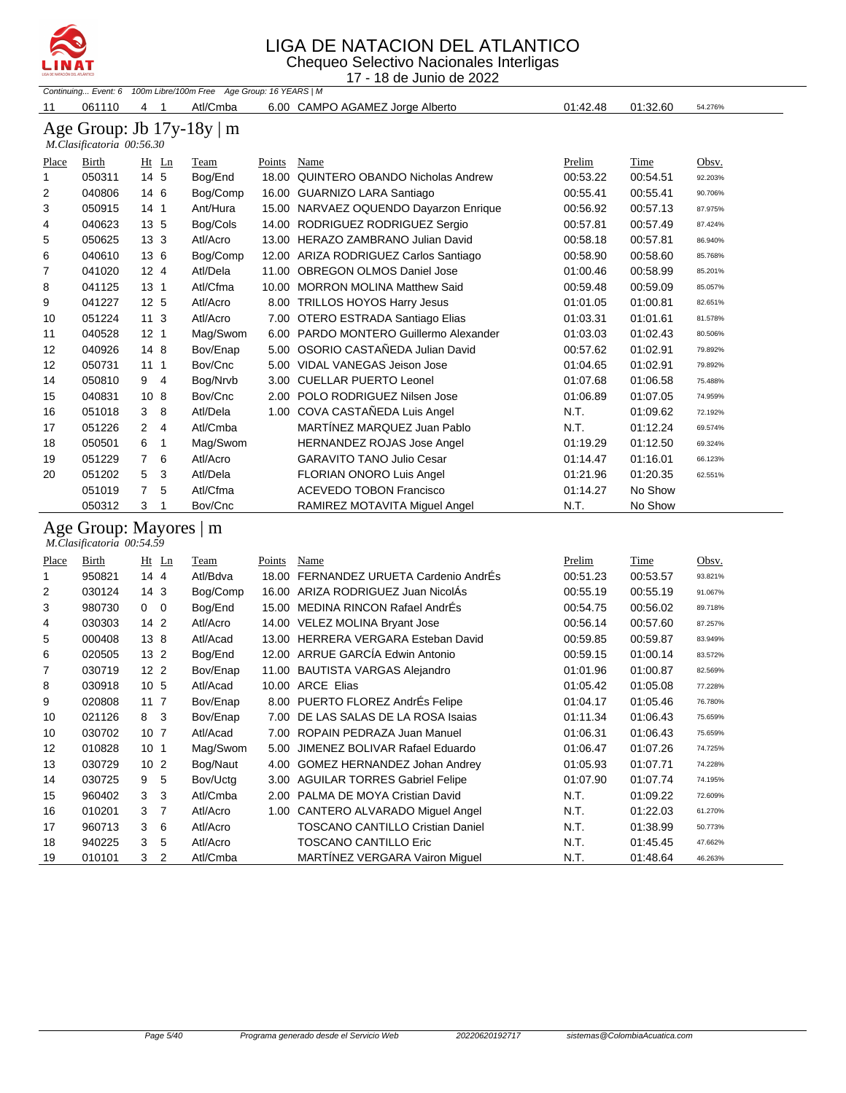

Chequeo Selectivo Nacionales Interligas 17 - 18 de Junio de 2022

|                |                           |                        | Continuing Event: 6 100m Libre/100m Free Age Group: 16 YEARS   M |        |                                         |          |             |         |
|----------------|---------------------------|------------------------|------------------------------------------------------------------|--------|-----------------------------------------|----------|-------------|---------|
| 11             | 061110                    | 4<br>-1                | Atl/Cmba                                                         |        | 6.00 CAMPO AGAMEZ Jorge Alberto         | 01:42.48 | 01:32.60    | 54.276% |
|                | M.Clasificatoria 00:56.30 |                        | Age Group: Jb $17y-18y \mid m$                                   |        |                                         |          |             |         |
| Place          | Birth                     | $Ht$ Ln                | <b>Team</b>                                                      | Points | Name                                    | Prelim   | <b>Time</b> | Obsv.   |
| 1              | 050311                    | 14 5                   | Bog/End                                                          |        | 18.00 QUINTERO OBANDO Nicholas Andrew   | 00:53.22 | 00:54.51    | 92.203% |
| $\overline{2}$ | 040806                    | 14 6                   | Bog/Comp                                                         |        | 16.00 GUARNIZO LARA Santiago            | 00:55.41 | 00:55.41    | 90.706% |
| 3              | 050915                    | 14 <sub>1</sub>        | Ant/Hura                                                         |        | 15.00 NARVAEZ OQUENDO Dayarzon Enrique  | 00:56.92 | 00:57.13    | 87.975% |
| 4              | 040623                    | 13 5                   | Bog/Cols                                                         |        | 14.00 RODRIGUEZ RODRIGUEZ Sergio        | 00:57.81 | 00:57.49    | 87.424% |
| 5              | 050625                    | 13 <sub>3</sub>        | Atl/Acro                                                         |        | 13.00 HERAZO ZAMBRANO Julian David      | 00:58.18 | 00:57.81    | 86.940% |
| 6              | 040610                    | 13 6                   | Bog/Comp                                                         |        | 12.00 ARIZA RODRIGUEZ Carlos Santiago   | 00:58.90 | 00:58.60    | 85.768% |
| 7              | 041020                    | 12 <sub>4</sub>        | Atl/Dela                                                         |        | 11.00 OBREGON OLMOS Daniel Jose         | 01:00.46 | 00:58.99    | 85.201% |
| 8              | 041125                    | 13 <sub>1</sub>        | Atl/Cfma                                                         |        | 10.00 MORRON MOLINA Matthew Said        | 00:59.48 | 00:59.09    | 85.057% |
| 9              | 041227                    | 12 <sub>5</sub>        | Atl/Acro                                                         |        | 8.00 TRILLOS HOYOS Harry Jesus          | 01:01.05 | 01:00.81    | 82.651% |
| 10             | 051224                    | 11 <sub>3</sub>        | Atl/Acro                                                         |        | 7.00 OTERO ESTRADA Santiago Elias       | 01:03.31 | 01:01.61    | 81.578% |
| 11             | 040528                    | 12 <sub>1</sub>        | Mag/Swom                                                         |        | 6.00 PARDO MONTERO Guillermo Alexander  | 01:03.03 | 01:02.43    | 80.506% |
| 12             | 040926                    | 14 8                   | Bov/Enap                                                         |        | 5.00 OSORIO CASTAÑEDA Julian David      | 00:57.62 | 01:02.91    | 79.892% |
| 12             | 050731                    | 111                    | Bov/Cnc                                                          |        | 5.00 VIDAL VANEGAS Jeison Jose          | 01:04.65 | 01:02.91    | 79.892% |
| 14             | 050810                    | 9 4                    | Bog/Nrvb                                                         |        | 3.00 CUELLAR PUERTO Leonel              | 01:07.68 | 01:06.58    | 75.488% |
| 15             | 040831                    | 10 <sub>8</sub>        | Bov/Cnc                                                          |        | 2.00 POLO RODRIGUEZ Nilsen Jose         | 01:06.89 | 01:07.05    | 74.959% |
| 16             | 051018                    | 3<br>8                 | Atl/Dela                                                         |        | 1.00 COVA CASTAÑEDA Luis Angel          | N.T.     | 01:09.62    | 72.192% |
| 17             | 051226                    | $\overline{2}$<br>4    | Atl/Cmba                                                         |        | MARTÍNEZ MARQUEZ Juan Pablo             | N.T.     | 01:12.24    | 69.574% |
| 18             | 050501                    | 6<br>1                 | Mag/Swom                                                         |        | <b>HERNANDEZ ROJAS Jose Angel</b>       | 01:19.29 | 01:12.50    | 69.324% |
| 19             | 051229                    | $\overline{7}$<br>6    | Atl/Acro                                                         |        | <b>GARAVITO TANO Julio Cesar</b>        | 01:14.47 | 01:16.01    | 66.123% |
| 20             | 051202                    | 5<br>3                 | Atl/Dela                                                         |        | FLORIAN ONORO Luis Angel                | 01:21.96 | 01:20.35    | 62.551% |
|                | 051019                    | $\overline{7}$<br>5    | Atl/Cfma                                                         |        | <b>ACEVEDO TOBON Francisco</b>          | 01:14.27 | No Show     |         |
|                | 050312                    | 3<br>1                 | Bov/Cnc                                                          |        | RAMIREZ MOTAVITA Miguel Angel           | N.T.     | No Show     |         |
|                | M.Clasificatoria 00:54.59 | Age Group: Mayores   m |                                                                  |        |                                         |          |             |         |
| Place          | Birth                     | $Ht$ Ln                | <b>Team</b>                                                      | Points | Name                                    | Prelim   | Time        | Obsv.   |
| 1              | 950821                    | 14 4                   | Atl/Bdva                                                         |        | 18.00 FERNANDEZ URUETA Cardenio AndrEs  | 00:51.23 | 00:53.57    | 93.821% |
| 2              | 030124                    | 14 <sub>3</sub>        | Bog/Comp                                                         |        | 16.00 ARIZA RODRIGUEZ Juan NicolÁs      | 00:55.19 | 00:55.19    | 91.067% |
| 3              | 980730                    | $0\quad 0$             | Bog/End                                                          |        | 15.00 MEDINA RINCON Rafael AndrÉs       | 00:54.75 | 00:56.02    | 89.718% |
| 4              | 030303                    | 142                    | Atl/Acro                                                         |        | 14.00 VELEZ MOLINA Bryant Jose          | 00:56.14 | 00:57.60    | 87.257% |
| 5              | 000408                    | 13 8                   | Atl/Acad                                                         |        | 13.00 HERRERA VERGARA Esteban David     | 00:59.85 | 00:59.87    | 83.949% |
| 6              | 020505                    | 13 <sub>2</sub>        | Bog/End                                                          |        | 12.00 ARRUE GARCÍA Edwin Antonio        | 00:59.15 | 01:00.14    | 83.572% |
| 7              | 030719                    | 12 <sub>2</sub>        | Bov/Enap                                                         |        | 11.00 BAUTISTA VARGAS Alejandro         | 01:01.96 | 01:00.87    | 82.569% |
| 8              | 030918                    | 10 5                   | Atl/Acad                                                         |        | 10.00 ARCE Elias                        | 01:05.42 | 01:05.08    | 77.228% |
| 9              | 020808                    | 11 <sub>7</sub>        | Bov/Enap                                                         |        | 8.00 PUERTO FLOREZ AndrÉs Felipe        | 01:04.17 | 01:05.46    | 76.780% |
| 10             | 021126                    | 8<br>$\mathbf{3}$      | Bov/Enap                                                         |        | 7.00 DE LAS SALAS DE LA ROSA Isaias     | 01:11.34 | 01:06.43    | 75.659% |
| 10             | 030702                    | 10 <sub>7</sub>        | Atl/Acad                                                         |        | 7.00 ROPAIN PEDRAZA Juan Manuel         | 01:06.31 | 01:06.43    | 75.659% |
| 12             | 010828                    | 10 <sub>1</sub>        | Mag/Swom                                                         |        | 5.00 JIMENEZ BOLIVAR Rafael Eduardo     | 01:06.47 | 01:07.26    | 74.725% |
| 13             | 030729                    | 10 <sub>2</sub>        | Bog/Naut                                                         |        | 4.00 GOMEZ HERNANDEZ Johan Andrey       | 01:05.93 | 01:07.71    | 74.228% |
| 14             | 030725                    | 5<br>9                 | Bov/Uctg                                                         |        | 3.00 AGUILAR TORRES Gabriel Felipe      | 01:07.90 | 01:07.74    | 74.195% |
| 15             | 960402                    | 3<br>3                 | Atl/Cmba                                                         |        | 2.00 PALMA DE MOYA Cristian David       | N.T.     | 01:09.22    | 72.609% |
| 16             | 010201                    | 7<br>3                 | Atl/Acro                                                         |        | 1.00 CANTERO ALVARADO Miguel Angel      | N.T.     | 01:22.03    | 61.270% |
| 17             | 960713                    | 3<br>6                 | Atl/Acro                                                         |        | <b>TOSCANO CANTILLO Cristian Daniel</b> | N.T.     | 01:38.99    | 50.773% |
| 18             | 940225                    | 3<br>5                 | Atl/Acro                                                         |        | TOSCANO CANTILLO Eric                   | N.T.     | 01:45.45    | 47.662% |
| 19             | 010101                    | 3<br>2                 | Atl/Cmba                                                         |        | MARTÍNEZ VERGARA Vairon Miguel          | N.T.     | 01:48.64    | 46.263% |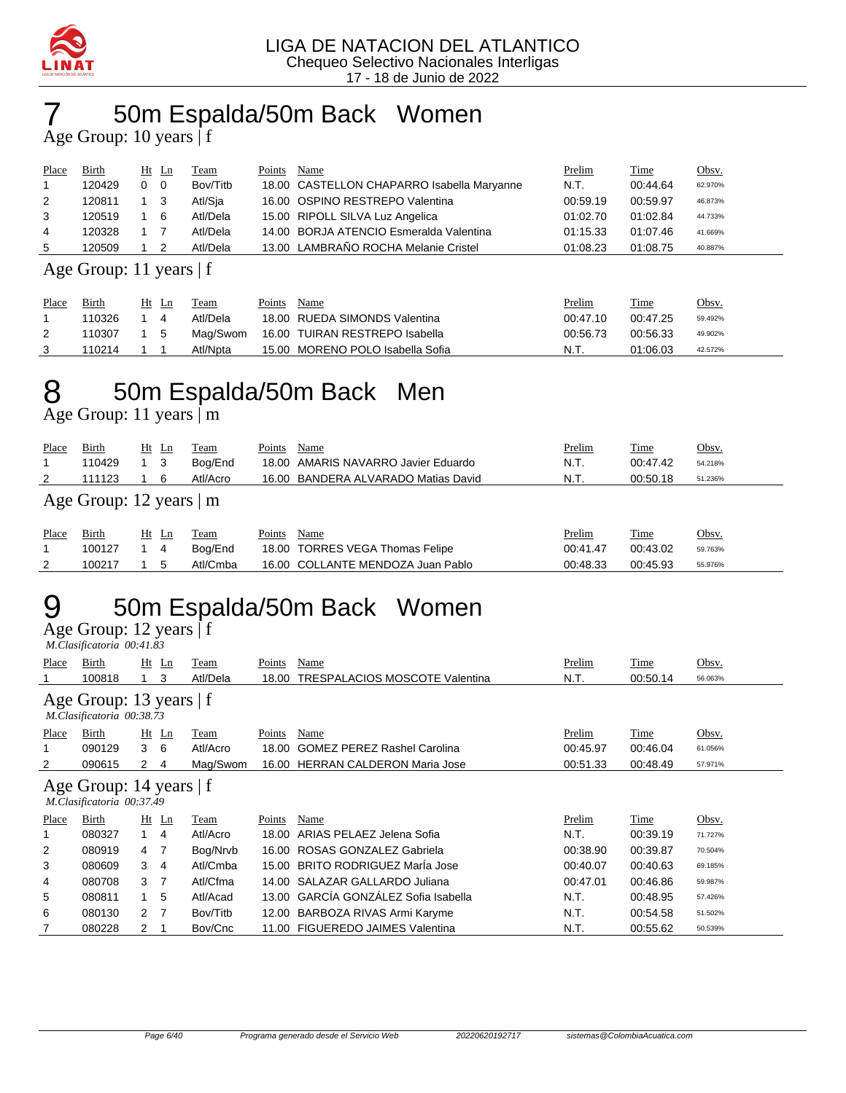

## 7 50m Espalda/50m Back Women

Age Group: 10 years | f

| Place          | Birth  |   | $Ht$ Ln | Team     | Points | Name                                       | Prelim   | Time     | <u>Obsv.</u> |
|----------------|--------|---|---------|----------|--------|--------------------------------------------|----------|----------|--------------|
|                | 120429 | 0 | - 0     | Bov/Titb |        | 18.00 CASTELLON CHAPARRO Isabella Maryanne | N.T.     | 00:44.64 | 62.970%      |
| 2              | 120811 |   | - 3     | Atl/Sja  |        | 16.00 OSPINO RESTREPO Valentina            | 00:59.19 | 00:59.97 | 46.873%      |
| 3              | 120519 |   | - 6     | Atl/Dela |        | 15.00 RIPOLL SILVA Luz Angelica            | 01:02.70 | 01:02.84 | 44.733%      |
| $\overline{4}$ | 120328 |   |         | Atl/Dela |        | 14.00 BORJA ATENCIO Esmeralda Valentina    | 01:15.33 | 01:07.46 | 41.669%      |
| 5              | 120509 |   |         | Atl/Dela |        | 13.00 LAMBRAÑO ROCHA Melanie Cristel       | 01:08.23 | 01:08.75 | 40.887%      |

Age Group: 11 years | f

| Place | Birth  |           | Ht Ln | Team     | Points | Name                             | <u>Prelim</u> | Time     | Obsv.   |
|-------|--------|-----------|-------|----------|--------|----------------------------------|---------------|----------|---------|
|       | 110326 |           |       | Atl/Dela |        | 18.00 RUEDA SIMONDS Valentina    | 00:47.10      | 00:47.25 | 59.492% |
|       | 110307 | $1\quad5$ |       | Maɑ/Swom |        | 16.00 TUIRAN RESTREPO Isabella   | 00:56.73      | 00:56.33 | 49.902% |
|       | 110214 |           |       | Atl/Npta |        | 15.00 MORENO POLO Isabella Sofia | N.T.          | 01:06.03 | 42.572% |

## 8 50m Espalda/50m Back Men

Age Group: 11 years | m

| Place<br>2 | Birth<br>110429<br>111123     | $Ht$ Ln | - 3<br>6 | Team<br>Bog/End<br>Atl/Acro | Points | Name<br>18.00 AMARIS NAVARRO Javier Eduardo<br>16.00 BANDERA ALVARADO Matias David | Prelim<br>N.T.<br>N.T. | Time<br>00:47.42<br>00:50.18 | Obsv.<br>54.218%<br>51.236% |  |  |  |  |
|------------|-------------------------------|---------|----------|-----------------------------|--------|------------------------------------------------------------------------------------|------------------------|------------------------------|-----------------------------|--|--|--|--|
|            | Age Group: 12 years $\vert$ m |         |          |                             |        |                                                                                    |                        |                              |                             |  |  |  |  |
| Place      | Birth<br>100127               | Ht Ln   | 4        | Team<br>Bog/End             | Points | Name<br>18.00 TORRES VEGA Thomas Felipe                                            | Prelim<br>00:41.47     | Time<br>00:43.02             | Obsv.<br>59.763%            |  |  |  |  |
| 2          | 100217                        |         | 5        | Atl/Cmba                    |        | 16.00 COLLANTE MENDOZA Juan Pablo                                                  | 00:48.33               | 00:45.93                     | 55.976%                     |  |  |  |  |

## 9 50m Espalda/50m Back Women

Age Group: 12 years | f

|       | M.Clasificatoria 00:41.83                            |                      |         |          |        |                                       |               |             |         |  |  |  |
|-------|------------------------------------------------------|----------------------|---------|----------|--------|---------------------------------------|---------------|-------------|---------|--|--|--|
| Place | Birth                                                |                      | $Ht$ Ln | Team     | Points | Name                                  | <u>Prelim</u> | <b>Time</b> | Obsv.   |  |  |  |
|       | 100818                                               |                      | 3       | Atl/Dela | 18.00  | <b>TRESPALACIOS MOSCOTE Valentina</b> | N.T.          | 00:50.14    | 56.063% |  |  |  |
|       | Age Group: 13 years   f<br>M.Clasificatoria 00:38.73 |                      |         |          |        |                                       |               |             |         |  |  |  |
| Place | Birth                                                |                      | $Ht$ Ln | Team     | Points | Name                                  | Prelim        | Time        | Obsv.   |  |  |  |
|       | 090129                                               | 3                    | 6       | Atl/Acro | 18.00  | <b>GOMEZ PEREZ Rashel Carolina</b>    | 00:45.97      | 00:46.04    | 61.056% |  |  |  |
| 2     | 090615                                               | $\mathbf{2}^{\circ}$ | 4       | Mag/Swom | 16.00  | <b>HERRAN CALDERON Maria Jose</b>     | 00:51.33      | 00:48.49    | 57.971% |  |  |  |
|       | Age Group: 14 years   f<br>M.Clasificatoria 00:37.49 |                      |         |          |        |                                       |               |             |         |  |  |  |
| Place | Birth                                                |                      | $Ht$ Ln | Team     | Points | Name                                  | Prelim        | Time        | Obsv.   |  |  |  |
| 1     | 080327                                               | 1                    | 4       | Atl/Acro | 18.00  | ARIAS PELAEZ Jelena Sofia             | N.T.          | 00:39.19    | 71.727% |  |  |  |
| 2     | 080919                                               | 4                    | 7       | Bog/Nrvb | 16.00  | ROSAS GONZALEZ Gabriela               | 00:38.90      | 00:39.87    | 70.504% |  |  |  |
| 3     | 080609                                               | 3                    | 4       | Atl/Cmba | 15.00  | <b>BRITO RODRIGUEZ Maria Jose</b>     | 00:40.07      | 00:40.63    | 69.185% |  |  |  |
| 4     | 080708                                               | 3                    | -7      | Atl/Cfma | 14.00  | SALAZAR GALLARDO Juliana              | 00:47.01      | 00:46.86    | 59.987% |  |  |  |
| 5     | 080811                                               |                      | 5       | Atl/Acad | 13.00  | GARCÍA GONZÁLEZ Sofia Isabella        | N.T.          | 00:48.95    | 57.426% |  |  |  |
| 6     | 080130                                               | $\mathcal{P}$        | 7       | Bov/Titb | 12.00  | BARBOZA RIVAS Armi Karyme             | N.T.          | 00:54.58    | 51.502% |  |  |  |
| 7     | 080228                                               | 2                    |         | Bov/Cnc  | 11.00  | <b>FIGUEREDO JAIMES Valentina</b>     | N.T.          | 00:55.62    | 50.539% |  |  |  |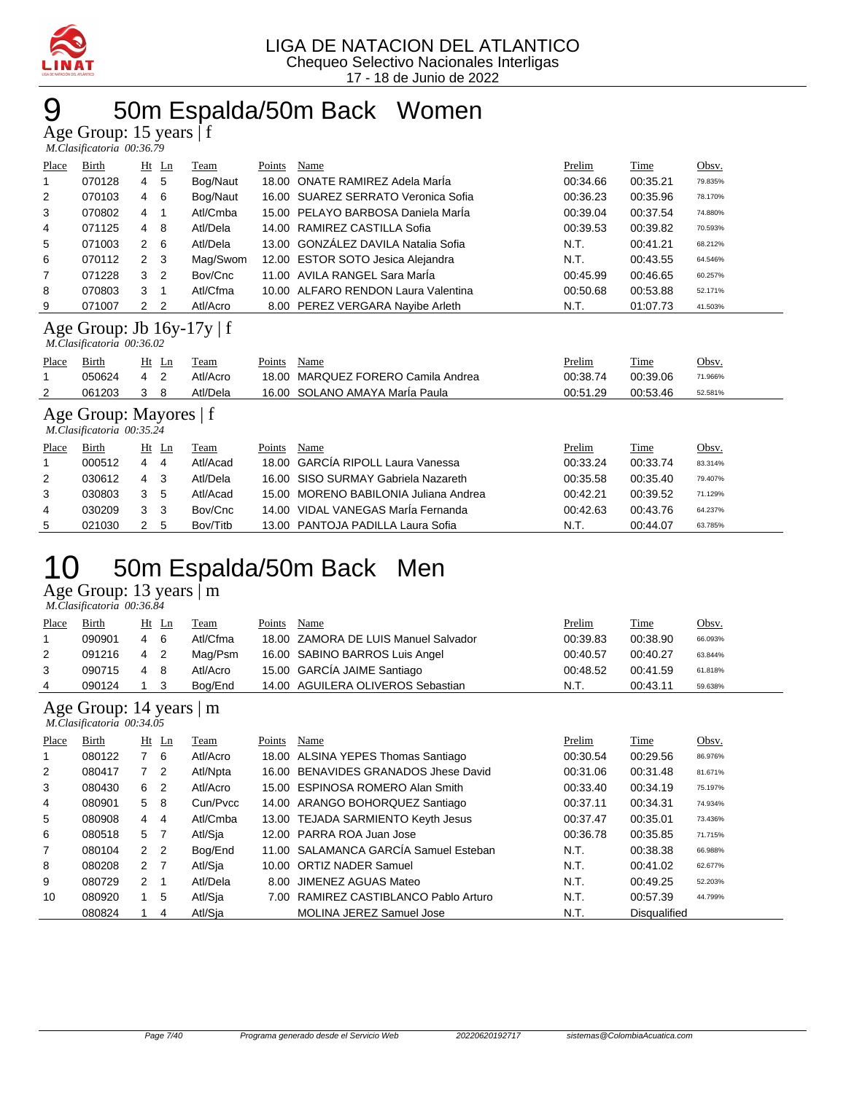

### 50m Espalda/50m Back Women

Age Group: 15 years | f

|                | M.Clasificatoria 00:36.79 |             |                |          |        |                                     |          |             |         |  |  |  |
|----------------|---------------------------|-------------|----------------|----------|--------|-------------------------------------|----------|-------------|---------|--|--|--|
| Place          | Birth                     |             | $Ht$ Ln        | Team     | Points | Name                                | Prelim   | <b>Time</b> | Obsv.   |  |  |  |
| 1              | 070128                    | $4\quad 5$  |                | Bog/Naut |        | 18.00 ONATE RAMIREZ Adela Maria     | 00:34.66 | 00:35.21    | 79.835% |  |  |  |
| 2              | 070103                    | 4           | - 6            | Bog/Naut |        | 16.00 SUAREZ SERRATO Veronica Sofia | 00:36.23 | 00:35.96    | 78.170% |  |  |  |
| 3              | 070802                    | 4           |                | Atl/Cmba |        | 15.00 PELAYO BARBOSA Daniela Maria  | 00:39.04 | 00:37.54    | 74.880% |  |  |  |
| $\overline{4}$ | 071125                    | 4           | - 8            | Atl/Dela |        | 14.00 RAMIREZ CASTILLA Sofia        | 00:39.53 | 00:39.82    | 70.593% |  |  |  |
| 5              | 071003                    | $2\quad 6$  |                | Atl/Dela |        | 13.00 GONZÁLEZ DAVILA Natalia Sofia | N.T.     | 00:41.21    | 68.212% |  |  |  |
| 6              | 070112                    | $2 \quad 3$ |                | Mag/Swom |        | 12.00 ESTOR SOTO Jesica Alejandra   | N.T.     | 00:43.55    | 64.546% |  |  |  |
| 7              | 071228                    | 3           | $\overline{2}$ | Bov/Cnc  |        | 11.00 AVILA RANGEL Sara Maria       | 00:45.99 | 00:46.65    | 60.257% |  |  |  |
| 8              | 070803                    | 3           |                | Atl/Cfma |        | 10.00 ALFARO RENDON Laura Valentina | 00:50.68 | 00:53.88    | 52.171% |  |  |  |
| 9              | 071007                    | 2 2         |                | Atl/Acro |        | 8.00 PEREZ VERGARA Nayibe Arleth    | N.T.     | 01:07.73    | 41.503% |  |  |  |

#### Age Group: Jb 16y-17y | f

|       | M.Clasificatoria 00:36.02 |    |       |          |        |                                    |               |             |         |  |  |  |  |  |
|-------|---------------------------|----|-------|----------|--------|------------------------------------|---------------|-------------|---------|--|--|--|--|--|
| Place | <b>Birth</b>              |    | Ht Ln | Team     | Points | Name                               | <u>Prelim</u> | <b>Time</b> | Obsv.   |  |  |  |  |  |
|       | 050624                    | 42 |       | Atl/Acro |        | 18.00 MARQUEZ FORERO Camila Andrea | 00:38.74      | 00:39.06    | 71.966% |  |  |  |  |  |
|       | 061203                    | 38 |       | Atl/Dela |        | 16.00 SOLANO AMAYA MarÍa Paula     | 00:51.29      | 00:53.46    | 52.581% |  |  |  |  |  |
|       |                           |    |       |          |        |                                    |               |             |         |  |  |  |  |  |

#### Age Group: Mayores | f  *M.Clasificatoria 00:35.24*

|       | $\ldots$ . Only a received by $\sim$ |   |       |          |        |                                       |          |          |         |  |  |  |  |
|-------|--------------------------------------|---|-------|----------|--------|---------------------------------------|----------|----------|---------|--|--|--|--|
| Place | Birth                                |   | Ht Ln | Team     | Points | Name                                  | Prelim   | Time     | Obsv.   |  |  |  |  |
|       | 000512                               | 4 | 4     | Atl/Acad |        | 18.00 GARCIA RIPOLL Laura Vanessa     | 00:33.24 | 00:33.74 | 83.314% |  |  |  |  |
| 2     | 030612                               | 4 | 3     | Atl/Dela |        | 16.00 SISO SURMAY Gabriela Nazareth   | 00:35.58 | 00:35.40 | 79.407% |  |  |  |  |
| 3     | 030803                               | 3 | -5    | Atl/Acad |        | 15.00 MORENO BABILONIA Juliana Andrea | 00:42.21 | 00:39.52 | 71.129% |  |  |  |  |
| 4     | 030209                               |   | -3    | Bov/Cnc  |        | 14.00 VIDAL VANEGAS MarÍa Fernanda    | 00:42.63 | 00:43.76 | 64.237% |  |  |  |  |
| 5     | 021030                               |   | 5     | Bov/Titb |        | 13.00 PANTOJA PADILLA Laura Sofia     | N.T.     | 00:44.07 | 63.785% |  |  |  |  |

### 50m Espalda/50m Back Men

Age Group: 13 years | m

| M.Clasificatoria 00:36.84 |  |
|---------------------------|--|
|                           |  |

| Place | Birth  |     | Ht Ln | Team     | Points | Name                                 | Prelim   | Time     | Obsv.   |
|-------|--------|-----|-------|----------|--------|--------------------------------------|----------|----------|---------|
|       | 090901 | 4   | - 6   | Atl/Cfma |        | 18.00 ZAMORA DE LUIS Manuel Salvador | 00:39.83 | 00:38.90 | 66.093% |
| 2     | 091216 | 4 2 |       | Mag/Psm  |        | 16.00 SABINO BARROS Luis Angel       | 00:40.57 | 00:40.27 | 63.844% |
| 3     | 090715 | 4   | - 8   | Atl/Acro |        | 15.00 GARCÍA JAIME Santiago          | 00:48.52 | 00:41.59 | 61.818% |
| 4     | 090124 |     |       | Bog/End  |        | 14.00 AGUILERA OLIVEROS Sebastian    | N.T.     | 00:43.11 | 59.638% |

#### Age Group: 14 years | m

|                | M.Clasificatoria 00:34.05 |                |                |          |        |                                       |          |                     |         |  |  |  |  |
|----------------|---------------------------|----------------|----------------|----------|--------|---------------------------------------|----------|---------------------|---------|--|--|--|--|
| Place          | Birth                     |                | $Ht$ Ln        | Team     | Points | Name                                  | Prelim   | Time                | Obsv.   |  |  |  |  |
|                | 080122                    |                | - 6            | Atl/Acro |        | 18.00 ALSINA YEPES Thomas Santiago    | 00:30.54 | 00:29.56            | 86.976% |  |  |  |  |
| $\overline{2}$ | 080417                    | $7^{\circ}$    | $\overline{2}$ | Atl/Npta |        | 16.00 BENAVIDES GRANADOS Jhese David  | 00:31.06 | 00:31.48            | 81.671% |  |  |  |  |
| 3              | 080430                    | 6              | $\overline{2}$ | Atl/Acro |        | 15.00 ESPINOSA ROMERO Alan Smith      | 00:33.40 | 00:34.19            | 75.197% |  |  |  |  |
| 4              | 080901                    | 5 8            |                | Cun/Pycc |        | 14.00 ARANGO BOHORQUEZ Santiago       | 00:37.11 | 00:34.31            | 74.934% |  |  |  |  |
| 5              | 080908                    | 4              | $\overline{4}$ | Atl/Cmba |        | 13.00 TEJADA SARMIENTO Keyth Jesus    | 00:37.47 | 00:35.01            | 73.436% |  |  |  |  |
| 6              | 080518                    | 5 7            |                | Atl/Sia  |        | 12.00 PARRA ROA Juan Jose             | 00:36.78 | 00:35.85            | 71.715% |  |  |  |  |
| $\overline{7}$ | 080104                    | 2 <sub>2</sub> |                | Bog/End  |        | 11.00 SALAMANCA GARCÍA Samuel Esteban | N.T.     | 00:38.38            | 66.988% |  |  |  |  |
| 8              | 080208                    | 2 <sub>7</sub> |                | Atl/Sja  |        | 10.00 ORTIZ NADER Samuel              | N.T.     | 00:41.02            | 62.677% |  |  |  |  |
| 9              | 080729                    | $\overline{2}$ |                | Atl/Dela | 8.00   | JIMENEZ AGUAS Mateo                   | N.T.     | 00:49.25            | 52.203% |  |  |  |  |
| 10             | 080920                    |                | 5              | Atl/Sja  | 7.00   | RAMIREZ CASTIBLANCO Pablo Arturo      | N.T.     | 00:57.39            | 44.799% |  |  |  |  |
|                | 080824                    |                | 4              | Atl/Sia  |        | <b>MOLINA JEREZ Samuel Jose</b>       | N.T.     | <b>Disqualified</b> |         |  |  |  |  |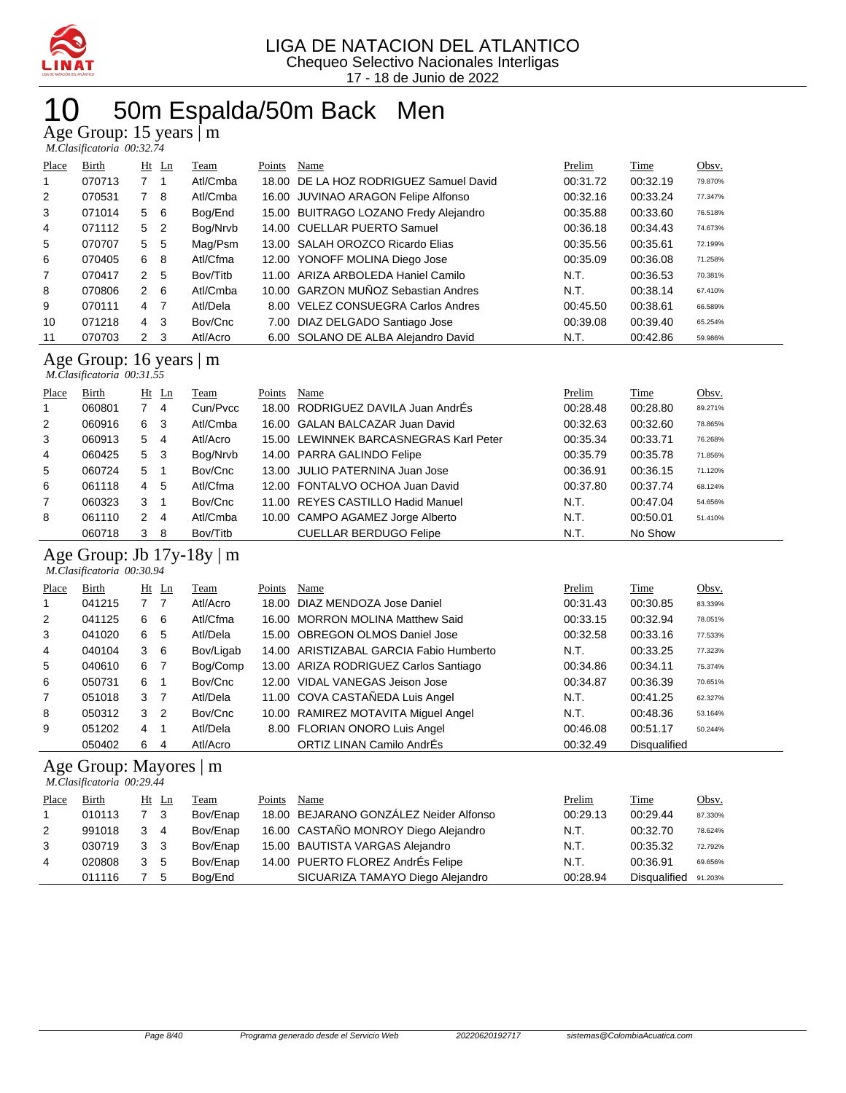

## 50m Espalda/50m Back Men

Age Group: 15 years | m

|  | M.Clasificatoria 00:32.74 |
|--|---------------------------|

| Place | Birth  |                | $Ht$ Ln        | Team     | Points | Name                                   | Prelim   | Time     | Obsv.   |
|-------|--------|----------------|----------------|----------|--------|----------------------------------------|----------|----------|---------|
| 1     | 070713 |                |                | Atl/Cmba |        | 18.00 DE LA HOZ RODRIGUEZ Samuel David | 00:31.72 | 00:32.19 | 79.870% |
| 2     | 070531 |                | -8             | Atl/Cmba |        | 16.00 JUVINAO ARAGON Felipe Alfonso    | 00:32.16 | 00:33.24 | 77.347% |
| 3     | 071014 | 5              | - 6            | Bog/End  |        | 15.00 BUITRAGO LOZANO Fredy Alejandro  | 00:35.88 | 00:33.60 | 76.518% |
| 4     | 071112 | 5              | $\overline{2}$ | Bog/Nrvb |        | 14.00 CUELLAR PUERTO Samuel            | 00:36.18 | 00:34.43 | 74.673% |
| 5     | 070707 | 5              | 5              | Mag/Psm  |        | 13.00 SALAH OROZCO Ricardo Elias       | 00:35.56 | 00:35.61 | 72.199% |
| 6     | 070405 | 6              | -8             | Atl/Cfma |        | 12.00 YONOFF MOLINA Diego Jose         | 00:35.09 | 00:36.08 | 71.258% |
| 7     | 070417 | $\overline{2}$ | 5              | Bov/Titb |        | 11.00 ARIZA ARBOLEDA Haniel Camilo     | N.T.     | 00:36.53 | 70.381% |
| 8     | 070806 | 2              | - 6            | Atl/Cmba |        | 10.00 GARZON MUÑOZ Sebastian Andres    | N.T.     | 00:38.14 | 67.410% |
| 9     | 070111 | $\overline{4}$ | 7              | Atl/Dela |        | 8.00 VELEZ CONSUEGRA Carlos Andres     | 00:45.50 | 00:38.61 | 66.589% |
| 10    | 071218 | $\overline{4}$ | -3             | Bov/Cnc  |        | 7.00 DIAZ DELGADO Santiago Jose        | 00:39.08 | 00:39.40 | 65.254% |
| 11    | 070703 | $\mathbf{2}$   | -3             | Atl/Acro |        | 6.00 SOLANO DE ALBA Alejandro David    | N.T.     | 00:42.86 | 59.986% |

#### Age Group: 16 years | m

| Place          | Birth  |   | $Ht$ Ln | Team     | Points | Name                                   | Prelim   | Time     | Obsv.   |
|----------------|--------|---|---------|----------|--------|----------------------------------------|----------|----------|---------|
| 1              | 060801 |   | 4       | Cun/Pvcc |        | 18.00 RODRIGUEZ DAVILA Juan AndrÉs     | 00:28.48 | 00:28.80 | 89.271% |
| 2              | 060916 | 6 | 3       | Atl/Cmba |        | 16.00 GALAN BALCAZAR Juan David        | 00:32.63 | 00:32.60 | 78.865% |
| 3              | 060913 | 5 | -4      | Atl/Acro |        | 15.00 LEWINNEK BARCASNEGRAS Karl Peter | 00:35.34 | 00:33.71 | 76.268% |
| $\overline{4}$ | 060425 | 5 | - 3     | Bog/Nrvb |        | 14.00 PARRA GALINDO Felipe             | 00:35.79 | 00:35.78 | 71.856% |
| 5              | 060724 | 5 |         | Bov/Cnc  |        | 13.00 JULIO PATERNINA Juan Jose        | 00:36.91 | 00:36.15 | 71.120% |
| 6              | 061118 | 4 | 5       | Atl/Cfma |        | 12.00 FONTALVO OCHOA Juan David        | 00:37.80 | 00:37.74 | 68.124% |
| 7              | 060323 | 3 |         | Bov/Cnc  |        | 11.00 REYES CASTILLO Hadid Manuel      | N.T.     | 00:47.04 | 54.656% |
| 8              | 061110 | 2 | 4       | Atl/Cmba |        | 10.00 CAMPO AGAMEZ Jorge Alberto       | N.T.     | 00:50.01 | 51.410% |
|                | 060718 | 3 | 8       | Bov/Titb |        | <b>CUELLAR BERDUGO Felipe</b>          | N.T.     | No Show  |         |

#### Age Group: Jb 17y-18y | m

|                | M.Clasificatoria 00:30.94 |                |                |           |        |                                         |          |                     |         |  |  |  |  |
|----------------|---------------------------|----------------|----------------|-----------|--------|-----------------------------------------|----------|---------------------|---------|--|--|--|--|
| Place          | Birth                     |                | $Ht$ Ln        | Team      | Points | Name                                    | Prelim   | <b>Time</b>         | Obsv.   |  |  |  |  |
| 1              | 041215                    | 7 <sub>7</sub> |                | Atl/Acro  |        | 18.00 DIAZ MENDOZA Jose Daniel          | 00:31.43 | 00:30.85            | 83.339% |  |  |  |  |
| 2              | 041125                    | 6              | 6              | Atl/Cfma  |        | 16.00 MORRON MOLINA Matthew Said        | 00:33.15 | 00:32.94            | 78.051% |  |  |  |  |
| 3              | 041020                    | 6              | 5              | Atl/Dela  |        | 15.00 OBREGON OLMOS Daniel Jose         | 00:32.58 | 00:33.16            | 77.533% |  |  |  |  |
| 4              | 040104                    | 3              | - 6            | Bov/Ligab |        | 14.00 ARISTIZABAL GARCIA Fabio Humberto | N.T.     | 00:33.25            | 77.323% |  |  |  |  |
| 5              | 040610                    | 6              | $\overline{7}$ | Bog/Comp  |        | 13.00 ARIZA RODRIGUEZ Carlos Santiago   | 00:34.86 | 00:34.11            | 75.374% |  |  |  |  |
| 6              | 050731                    | 6              |                | Bov/Cnc   |        | 12.00 VIDAL VANEGAS Jeison Jose         | 00:34.87 | 00:36.39            | 70.651% |  |  |  |  |
| $\overline{7}$ | 051018                    | 3              | $\overline{7}$ | Atl/Dela  |        | 11.00 COVA CASTAÑEDA Luis Angel         | N.T.     | 00:41.25            | 62.327% |  |  |  |  |
| 8              | 050312                    | 3              | $\overline{2}$ | Bov/Cnc   |        | 10.00 RAMIREZ MOTAVITA Miquel Angel     | N.T.     | 00:48.36            | 53.164% |  |  |  |  |
| 9              | 051202                    | 4              |                | Atl/Dela  |        | 8.00 FLORIAN ONORO Luis Angel           | 00:46.08 | 00:51.17            | 50.244% |  |  |  |  |
|                | 050402                    | 6              | 4              | Atl/Acro  |        | ORTIZ LINAN Camilo AndrÉs               | 00:32.49 | <b>Disqualified</b> |         |  |  |  |  |

#### Age Group: Mayores | m

 *M.Clasificatoria 00:29.44* 

| Place          | <b>Birth</b> | $Ht$ Ln    | <b>Team</b> | Points | Name                                   | <u>Prelim</u> | <b>Time</b>  | Obsv.   |
|----------------|--------------|------------|-------------|--------|----------------------------------------|---------------|--------------|---------|
|                | 010113       | 3          | Bov/Enap    |        | 18.00 BEJARANO GONZÁLEZ Neider Alfonso | 00:29.13      | 00:29.44     | 87.330% |
| $\overline{2}$ | 991018       | 3 4        | Bov/Enap    |        | 16.00 CASTAÑO MONROY Diego Alejandro   | N.T.          | 00:32.70     | 78.624% |
| 3              | 030719       | 3 3        | Bov/Enap    |        | 15.00 BAUTISTA VARGAS Alejandro        | N.T.          | 00:35.32     | 72.792% |
| 4              | 020808       | $3\quad 5$ | Bov/Enap    |        | 14.00 PUERTO FLOREZ AndrÉs Felipe      | N.T.          | 00:36.91     | 69.656% |
|                | 011116       | -5         | Bog/End     |        | SICUARIZA TAMAYO Diego Alejandro       | 00:28.94      | Disgualified | 91.203% |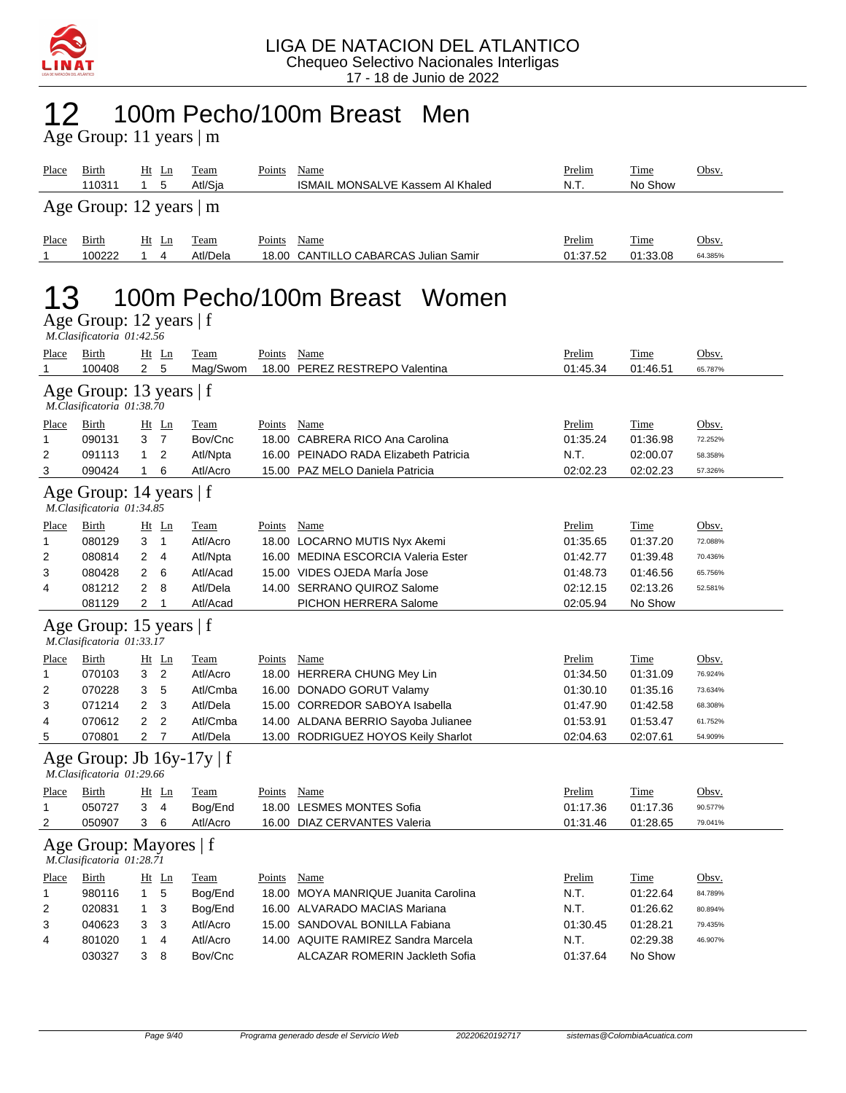

#### 100m Pecho/100m Breast Men 12 100m Pec<br>Age Group: 11 years | m

| Place                                                | Birth<br>110311                                      | $Ht$ Ln<br>$\mathbf{1}$<br>5     | <b>Team</b><br>Atl/Sja         | Points        | Name<br><b>ISMAIL MONSALVE Kassem AI Khaled</b>                       | Prelim<br>N.T.            | Time<br>No Show         | Obsv.            |  |  |  |  |
|------------------------------------------------------|------------------------------------------------------|----------------------------------|--------------------------------|---------------|-----------------------------------------------------------------------|---------------------------|-------------------------|------------------|--|--|--|--|
|                                                      | Age Group: 12 years   m                              |                                  |                                |               |                                                                       |                           |                         |                  |  |  |  |  |
| Place<br>1                                           | Birth<br>100222                                      | $Ht$ Ln<br>$\mathbf{1}$<br>4     | Team<br>Atl/Dela               | Points        | Name<br>18.00 CANTILLO CABARCAS Julian Samir                          | Prelim<br>01:37.52        | Time<br>01:33.08        | Obsv.<br>64.385% |  |  |  |  |
| 100m Pecho/100m Breast Women                         |                                                      |                                  |                                |               |                                                                       |                           |                         |                  |  |  |  |  |
| Age Group: 12 years   f<br>M.Clasificatoria 01:42.56 |                                                      |                                  |                                |               |                                                                       |                           |                         |                  |  |  |  |  |
| <b>Place</b><br>1                                    | <b>Birth</b><br>100408                               | $Ht$ Ln<br>5<br>$\mathbf{2}$     | <b>Team</b><br>Mag/Swom        | <b>Points</b> | <b>Name</b><br>18.00 PEREZ RESTREPO Valentina                         | <b>Prelim</b><br>01:45.34 | <b>Time</b><br>01:46.51 | Obsv.<br>65.787% |  |  |  |  |
|                                                      | Age Group: 13 years $ f $                            |                                  |                                |               |                                                                       |                           |                         |                  |  |  |  |  |
|                                                      | M.Clasificatoria 01:38.70                            |                                  |                                |               |                                                                       |                           |                         |                  |  |  |  |  |
| Place                                                | Birth                                                | $Ht$ Ln                          | <b>Team</b>                    | <b>Points</b> | Name                                                                  | Prelim                    | <b>Time</b>             | Obsv.            |  |  |  |  |
| 1                                                    | 090131                                               | 3 <sub>7</sub>                   | Bov/Cnc                        |               | 18.00 CABRERA RICO Ana Carolina                                       | 01:35.24                  | 01:36.98                | 72.252%          |  |  |  |  |
| 2                                                    | 091113                                               | 2<br>$\mathbf{1}$                | Atl/Npta                       |               | 16.00 PEINADO RADA Elizabeth Patricia                                 | N.T.                      | 02:00.07                | 58.358%          |  |  |  |  |
| 3                                                    | 090424                                               | 6<br>1                           | Atl/Acro                       |               | 15.00 PAZ MELO Daniela Patricia                                       | 02:02.23                  | 02:02.23                | 57.326%          |  |  |  |  |
| Age Group: 14 years   f<br>M.Clasificatoria 01:34.85 |                                                      |                                  |                                |               |                                                                       |                           |                         |                  |  |  |  |  |
| Place                                                | Birth                                                | $Ht$ Ln                          | Team                           | Points        | Name                                                                  | Prelim                    | Time                    | Obsv.            |  |  |  |  |
| 1                                                    | 080129                                               | 3<br>$\overline{1}$              | Atl/Acro                       |               | 18.00 LOCARNO MUTIS Nyx Akemi                                         | 01:35.65                  | 01:37.20                | 72.088%          |  |  |  |  |
| 2                                                    | 080814                                               | $\overline{2}$<br>$\overline{4}$ | Atl/Npta                       |               | 16.00 MEDINA ESCORCIA Valeria Ester                                   | 01:42.77                  | 01:39.48                | 70.436%          |  |  |  |  |
| 3                                                    | 080428                                               | 6<br>2                           | Atl/Acad                       |               | 15.00 VIDES OJEDA Marla Jose                                          | 01:48.73                  | 01:46.56                | 65.756%          |  |  |  |  |
| 4                                                    | 081212                                               | $\overline{2}$<br>8              | Atl/Dela                       |               | 14.00 SERRANO QUIROZ Salome                                           | 02:12.15                  | 02:13.26                | 52.581%          |  |  |  |  |
|                                                      | 081129                                               | 2<br>$\mathbf 1$                 | Atl/Acad                       |               | PICHON HERRERA Salome                                                 | 02:05.94                  | No Show                 |                  |  |  |  |  |
|                                                      | Age Group: 15 years   f<br>M.Clasificatoria 01:33.17 |                                  |                                |               |                                                                       |                           |                         |                  |  |  |  |  |
| <b>Place</b>                                         | Birth                                                | $Ht$ Ln                          | Team                           | Points        | Name                                                                  | Prelim                    | Time                    | Obsv.            |  |  |  |  |
| 1                                                    | 070103                                               | 3<br>$\overline{2}$              | Atl/Acro                       |               | 18.00 HERRERA CHUNG Mey Lin                                           | 01:34.50                  | 01:31.09                | 76.924%          |  |  |  |  |
| 2                                                    | 070228                                               | 5<br>3                           | Atl/Cmba                       |               | 16.00 DONADO GORUT Valamy                                             | 01:30.10                  | 01:35.16                | 73.634%          |  |  |  |  |
| 3                                                    | 071214                                               | $\overline{2}$<br>3              | Atl/Dela                       |               | 15.00 CORREDOR SABOYA Isabella                                        | 01:47.90                  | 01:42.58                | 68.308%          |  |  |  |  |
| 4                                                    | 070612                                               | $\overline{2}$<br>2              | Atl/Cmba                       |               | 14.00 ALDANA BERRIO Sayoba Julianee                                   | 01:53.91                  | 01:53.47                | 61.752%          |  |  |  |  |
| 5                                                    | 070801                                               | 2 7                              | Atl/Dela                       |               | 13.00 RODRIGUEZ HOYOS Keily Sharlot                                   | 02:04.63                  | 02:07.61                | 54.909%          |  |  |  |  |
|                                                      | M.Clasificatoria 01:29.66                            |                                  | Age Group: Jb $16y-17y \mid f$ |               |                                                                       |                           |                         |                  |  |  |  |  |
| <b>Place</b>                                         | <b>Birth</b>                                         | $Ht$ Ln                          | <b>Team</b>                    | Points        | <b>Name</b>                                                           | Prelim                    | <b>Time</b>             | Obsv.            |  |  |  |  |
| 1                                                    | 050727                                               | 3<br>4                           | Bog/End                        |               | 18.00 LESMES MONTES Sofia                                             | 01:17.36                  | 01:17.36                | 90.577%          |  |  |  |  |
| 2                                                    | 050907                                               | 3<br>6                           | Atl/Acro                       |               | 16.00 DIAZ CERVANTES Valeria                                          | 01:31.46                  | 01:28.65                | 79.041%          |  |  |  |  |
|                                                      | Age Group: Mayores   f                               |                                  |                                |               |                                                                       |                           |                         |                  |  |  |  |  |
|                                                      | M.Clasificatoria 01:28.71                            |                                  |                                |               |                                                                       |                           |                         |                  |  |  |  |  |
| Place                                                | Birth                                                | Ht Ln                            | <b>Team</b>                    | Points        | Name                                                                  | Prelim                    | <b>Time</b>             | Obsv.            |  |  |  |  |
| $\mathbf{1}$                                         | 980116                                               | 5<br>$\mathbf{1}$                | Bog/End                        |               | 18.00 MOYA MANRIQUE Juanita Carolina                                  | N.T.                      | 01:22.64                | 84.789%          |  |  |  |  |
| 2                                                    | 020831                                               | 3<br>$\mathbf{1}$                | Bog/End                        |               | 16.00 ALVARADO MACIAS Mariana                                         | N.T.                      | 01:26.62                | 80.894%          |  |  |  |  |
| 3                                                    | 040623                                               | 3<br>3                           | Atl/Acro                       |               | 15.00 SANDOVAL BONILLA Fabiana<br>14.00 AQUITE RAMIREZ Sandra Marcela | 01:30.45                  | 01:28.21                | 79.435%          |  |  |  |  |
| 4                                                    | 801020                                               | $\mathbf{1}$<br>4                | Atl/Acro                       |               |                                                                       | N.T.                      | 02:29.38                | 46.907%          |  |  |  |  |
|                                                      | 030327                                               | 3<br>8                           | Bov/Cnc                        |               | <b>ALCAZAR ROMERIN Jackleth Sofia</b>                                 | 01:37.64                  | No Show                 |                  |  |  |  |  |
|                                                      |                                                      |                                  |                                |               |                                                                       |                           |                         |                  |  |  |  |  |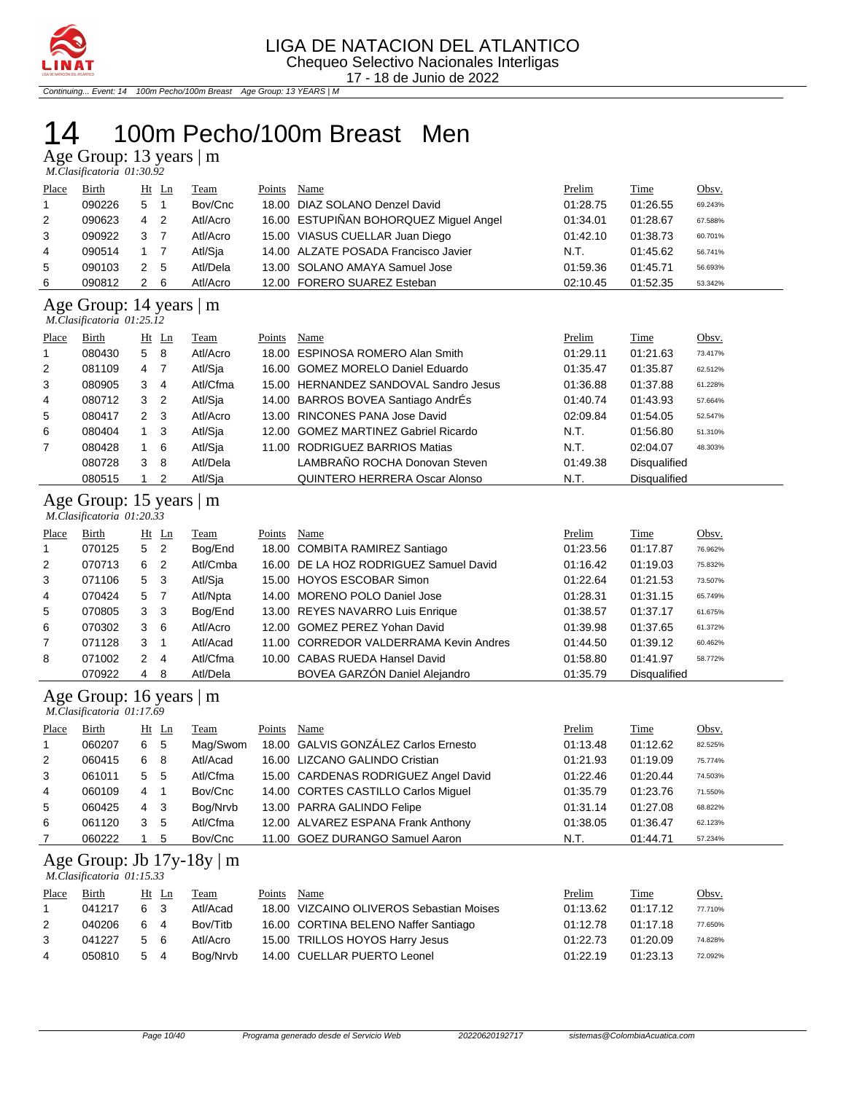

Continuing... Event: 14 100m Pecho/100m Breast Age Group: 13 YEARS | M

## 100m Pecho/100m Breast Men

Age Group: 13 years | m

|       | M.Clasificatoria 01:30.92 |   |       |          |        |                                        |          |          |         |  |
|-------|---------------------------|---|-------|----------|--------|----------------------------------------|----------|----------|---------|--|
| Place | Birth                     |   | Ht Ln | Team     | Points | Name                                   | Prelim   | Time     | Obsv.   |  |
|       | 090226                    | 5 |       | Bov/Cnc  |        | 18.00 DIAZ SOLANO Denzel David         | 01:28.75 | 01:26.55 | 69.243% |  |
| 2     | 090623                    | 4 | -2    | Atl/Acro |        | 16.00 ESTUPIÑAN BOHORQUEZ Miguel Angel | 01:34.01 | 01:28.67 | 67.588% |  |
| 3     | 090922                    | 3 |       | Atl/Acro |        | 15.00 VIASUS CUELLAR Juan Diego        | 01:42.10 | 01:38.73 | 60.701% |  |
| 4     | 090514                    |   |       | Atl/Sja  |        | 14.00 ALZATE POSADA Francisco Javier   | N.T.     | 01:45.62 | 56.741% |  |
| 5     | 090103                    | 2 | - 5   | Atl/Dela |        | 13.00 SOLANO AMAYA Samuel Jose         | 01:59.36 | 01:45.71 | 56.693% |  |
| 6     | 090812                    | 2 | -6    | Atl/Acro |        | 12.00 FORERO SUAREZ Esteban            | 02:10.45 | 01:52.35 | 53.342% |  |

#### Age Group: 14 years | m  *M.Clasificatoria 01:25.12*

| Place          | Birth  |              | $Ht$ Ln        | <b>Team</b> | Points | Name                                  | Prelim   | <b>Time</b>         | Obsv.   |
|----------------|--------|--------------|----------------|-------------|--------|---------------------------------------|----------|---------------------|---------|
|                | 080430 | 5            | -8             | Atl/Acro    |        | 18.00 ESPINOSA ROMERO Alan Smith      | 01:29.11 | 01:21.63            | 73.417% |
| 2              | 081109 | 4            | -7             | Atl/Sja     |        | 16.00 GOMEZ MORELO Daniel Eduardo     | 01:35.47 | 01:35.87            | 62.512% |
| 3              | 080905 | 3            | -4             | Atl/Cfma    |        | 15.00 HERNANDEZ SANDOVAL Sandro Jesus | 01:36.88 | 01:37.88            | 61.228% |
| 4              | 080712 | 3            | $\overline{2}$ | Atl/Sja     |        | 14.00 BARROS BOVEA Santiago AndrÉs    | 01:40.74 | 01:43.93            | 57.664% |
| 5              | 080417 | $\mathbf{2}$ | - 3            | Atl/Acro    |        | 13.00 RINCONES PANA Jose David        | 02:09.84 | 01:54.05            | 52.547% |
| 6              | 080404 |              | -3             | Atl/Sia     |        | 12.00 GOMEZ MARTINEZ Gabriel Ricardo  | N.T.     | 01:56.80            | 51.310% |
| $\overline{7}$ | 080428 |              | - 6            | Atl/Sia     |        | 11.00 RODRIGUEZ BARRIOS Matias        | N.T.     | 02:04.07            | 48.303% |
|                | 080728 | 3            | 8              | Atl/Dela    |        | LAMBRAÑO ROCHA Donovan Steven         | 01:49.38 | <b>Disqualified</b> |         |
|                | 080515 |              | 2              | Atl/Sia     |        | QUINTERO HERRERA Oscar Alonso         | N.T.     | <b>Disqualified</b> |         |

#### Age Group: 15 years | m

|                | M.Clasificatoria 01:20.33 |   |                |          |        |                                        |          |                     |         |
|----------------|---------------------------|---|----------------|----------|--------|----------------------------------------|----------|---------------------|---------|
| Place          | Birth                     |   | $Ht$ Ln        | Team     | Points | Name                                   | Prelim   | Time                | Obsv.   |
|                | 070125                    | 5 | $\overline{2}$ | Bog/End  |        | 18.00 COMBITA RAMIREZ Santiago         | 01:23.56 | 01:17.87            | 76.962% |
| 2              | 070713                    | 6 | -2             | Atl/Cmba |        | 16.00 DE LA HOZ RODRIGUEZ Samuel David | 01:16.42 | 01:19.03            | 75.832% |
| 3              | 071106                    | 5 | -3             | Atl/Sja  |        | 15.00 HOYOS ESCOBAR Simon              | 01:22.64 | 01:21.53            | 73.507% |
| $\overline{4}$ | 070424                    |   | 5 7            | Atl/Npta |        | 14.00 MORENO POLO Daniel Jose          | 01:28.31 | 01:31.15            | 65.749% |
| 5              | 070805                    | 3 | - 3            | Bog/End  |        | 13.00 REYES NAVARRO Luis Enrique       | 01:38.57 | 01:37.17            | 61.675% |
| 6              | 070302                    | 3 | - 6            | Atl/Acro |        | 12.00 GOMEZ PEREZ Yohan David          | 01:39.98 | 01:37.65            | 61.372% |
| $\overline{7}$ | 071128                    | 3 |                | Atl/Acad |        | 11.00 CORREDOR VALDERRAMA Kevin Andres | 01:44.50 | 01:39.12            | 60.462% |
| 8              | 071002                    | 2 | 4              | Atl/Cfma |        | 10.00 CABAS RUEDA Hansel David         | 01:58.80 | 01:41.97            | 58.772% |
|                | 070922                    | 4 | -8             | Atl/Dela |        | BOVEA GARZÓN Daniel Alejandro          | 01:35.79 | <b>Disqualified</b> |         |

#### Age Group: 16 years | m

|              | M.Clasificatoria 01:17.69 |                |         |          |        |                                      |          |          |         |
|--------------|---------------------------|----------------|---------|----------|--------|--------------------------------------|----------|----------|---------|
| Place        | Birth                     |                | $Ht$ Ln | Team     | Points | Name                                 | Prelim   | Time     | Obsv.   |
| $\mathbf{1}$ | 060207                    | 6 5            |         | Mag/Swom |        | 18.00 GALVIS GONZÁLEZ Carlos Ernesto | 01:13.48 | 01:12.62 | 82.525% |
| 2            | 060415                    | 6 8            |         | Atl/Acad |        | 16.00 LIZCANO GALINDO Cristian       | 01:21.93 | 01:19.09 | 75.774% |
| 3            | 061011                    | 5 <sub>5</sub> |         | Atl/Cfma |        | 15.00 CARDENAS RODRIGUEZ Angel David | 01:22.46 | 01:20.44 | 74.503% |
| 4            | 060109                    | 4 1            |         | Bov/Cnc  |        | 14.00 CORTES CASTILLO Carlos Miquel  | 01:35.79 | 01:23.76 | 71.550% |
| 5            | 060425                    | 4 3            |         | Bog/Nrvb |        | 13.00 PARRA GALINDO Felipe           | 01:31.14 | 01:27.08 | 68.822% |
| 6            | 061120                    | 3 <sub>5</sub> |         | Atl/Cfma |        | 12.00 ALVAREZ ESPANA Frank Anthony   | 01:38.05 | 01:36.47 | 62.123% |
| 7            | 060222                    |                | 5       | Bov/Cnc  |        | 11.00 GOEZ DURANGO Samuel Aaron      | N.T.     | 01:44.71 | 57.234% |

#### Age Group: Jb 17y-18y | m

 *M.Clasificatoria 01:15.33* 

| Place          | Birth  |     | Ht Ln | Team     | Points | Name                                     | Prelim   | Time     | Obsv.   |
|----------------|--------|-----|-------|----------|--------|------------------------------------------|----------|----------|---------|
|                | 041217 | 6 3 |       | Atl/Acad |        | 18.00 VIZCAINO OLIVEROS Sebastian Moises | 01:13.62 | 01:17.12 | 77.710% |
| 2              | 040206 | 64  |       | Bov/Titb |        | 16.00 CORTINA BELENO Naffer Santiago     | 01:12.78 | 01:17.18 | 77.650% |
| 3              | 041227 | 5 6 |       | Atl/Acro |        | 15.00 TRILLOS HOYOS Harry Jesus          | 01:22.73 | 01:20.09 | 74.828% |
| $\overline{4}$ | 050810 | 5 4 |       | Bog/Nrvb |        | 14.00 CUELLAR PUERTO Leonel              | 01:22.19 | 01:23.13 | 72.092% |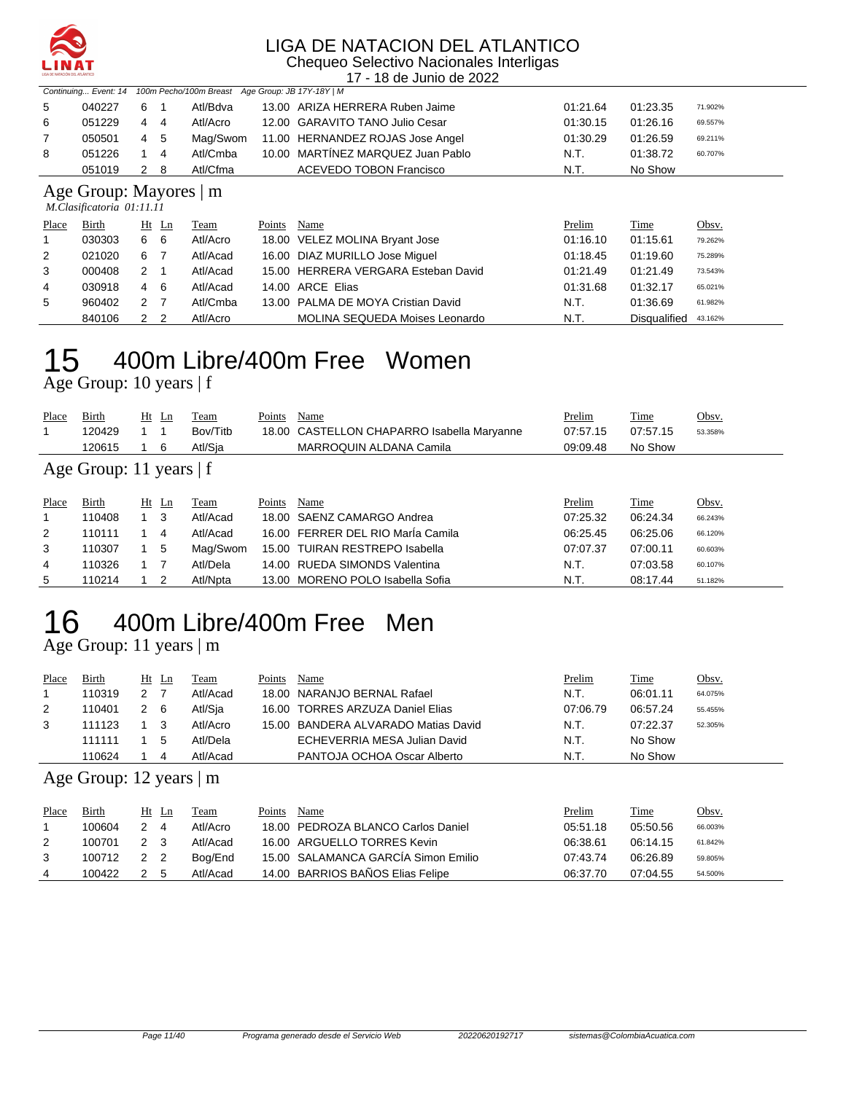

Chequeo Selectivo Nacionales Interligas 17 - 18 de Junio de 2022

|   |                           |     |             | Continuing Event: 14 100m Pecho/100m Breast Age Group: JB 17Y-18Y   M |  |                                   |          |          |         |  |
|---|---------------------------|-----|-------------|-----------------------------------------------------------------------|--|-----------------------------------|----------|----------|---------|--|
| 5 | 040227                    | 6   |             | Atl/Bdva                                                              |  | 13.00 ARIZA HERRERA Ruben Jaime   | 01:21.64 | 01:23.35 | 71.902% |  |
| 6 | 051229                    | 4   | -4          | Atl/Acro                                                              |  | 12.00 GARAVITO TANO Julio Cesar   | 01:30.15 | 01:26.16 | 69.557% |  |
| 7 | 050501                    |     | 4 5         | Mag/Swom                                                              |  | 11.00 HERNANDEZ ROJAS Jose Angel  | 01:30.29 | 01:26.59 | 69.211% |  |
| 8 | 051226                    |     | $1 \quad 4$ | Atl/Cmba                                                              |  | 10.00 MARTÍNEZ MARQUEZ Juan Pablo | N.T.     | 01:38.72 | 60.707% |  |
|   | 051019                    | 2 8 |             | Atl/Cfma                                                              |  | <b>ACEVEDO TOBON Francisco</b>    | N.T.     | No Show  |         |  |
|   | Age Group: Mayores   m    |     |             |                                                                       |  |                                   |          |          |         |  |
|   | M.Clasificatoria 01:11.11 |     |             |                                                                       |  |                                   |          |          |         |  |

|                | $1.1.1$ $0.0000$ $0.0000$ $0.0000$ $0.0000$ $0.0000$ $0.0000$ |               |                |          |        |                                     |          |              |         |
|----------------|---------------------------------------------------------------|---------------|----------------|----------|--------|-------------------------------------|----------|--------------|---------|
| Place          | Birth                                                         |               | Ht Ln          | Team     | Points | Name                                | Prelim   | Time         | Obsv.   |
|                | 030303                                                        | 6             | - 6            | Atl/Acro |        | 18.00 VELEZ MOLINA Bryant Jose      | 01:16.10 | 01:15.61     | 79.262% |
| 2              | 021020                                                        | 6             |                | Atl/Acad |        | 16.00 DIAZ MURILLO Jose Miquel      | 01:18.45 | 01:19.60     | 75.289% |
| 3              | 000408                                                        | 2 1           |                | Atl/Acad |        | 15.00 HERRERA VERGARA Esteban David | 01:21.49 | 01:21.49     | 73.543% |
| $\overline{4}$ | 030918                                                        | 4             | - 6            | Atl/Acad |        | 14.00 ARCE Elias                    | 01:31.68 | 01:32.17     | 65.021% |
| 5              | 960402                                                        | $\mathcal{P}$ |                | Atl/Cmba |        | 13.00 PALMA DE MOYA Cristian David  | N.T.     | 01:36.69     | 61.982% |
|                | 840106                                                        | $\mathcal{P}$ | $\overline{2}$ | Atl/Acro |        | MOLINA SEQUEDA Moises Leonardo      | N.T.     | Disqualified | 43.162% |

## 400m Libre/400m Free Women

Age Group: 10 years | f

| Place | <b>Birth</b>           |  | $Ht$ Ln | Team     | Points | Name                                       | <u>Prelim</u> | <b>Time</b> | Obsv.   |
|-------|------------------------|--|---------|----------|--------|--------------------------------------------|---------------|-------------|---------|
|       | 120429                 |  |         | Bov/Titb |        | 18.00 CASTELLON CHAPARRO Isabella Maryanne | 07:57.15      | 07:57.15    | 53.358% |
|       | 120615                 |  |         | Atl/Sia  |        | MARROQUIN ALDANA Camila                    | 09:09.48      | No Show     |         |
|       | Age Group: 11 years If |  |         |          |        |                                            |               |             |         |

#### Age Group: 11 years | f

| Place | Birth  | Ht Ln |    | Team     | Points | Name                              | Prelim   | <u>Time</u> | <u>Obsv.</u> |
|-------|--------|-------|----|----------|--------|-----------------------------------|----------|-------------|--------------|
|       | 110408 |       |    | Atl/Acad |        | 18.00 SAENZ CAMARGO Andrea        | 07:25.32 | 06:24.34    | 66.243%      |
| 2     | 110111 |       | 4  | Atl/Acad |        | 16.00 FERRER DEL RIO María Camila | 06:25.45 | 06:25.06    | 66.120%      |
| 3     | 110307 |       | -5 | Mag/Swom |        | 15.00 TUIRAN RESTREPO Isabella    | 07:07.37 | 07:00.11    | 60.603%      |
| 4     | 110326 |       |    | Atl/Dela |        | 14.00 RUEDA SIMONDS Valentina     | N.T.     | 07:03.58    | 60.107%      |
| 5     | 110214 |       |    | Atl/Npta |        | 13.00 MORENO POLO Isabella Sofia  | N.T.     | 08:17.44    | 51.182%      |

# 400m Libre/400m Free Men

Age Group: 11 years | m

| Place | Birth  | Ht | Ln | Team     | Points | Name                                | Prelim   | Time     | <u>Obsv.</u> |
|-------|--------|----|----|----------|--------|-------------------------------------|----------|----------|--------------|
|       | 110319 |    |    | Atl/Acad |        | 18.00 NARANJO BERNAL Rafael         | N.T.     | 06:01.11 | 64.075%      |
| 2     | 110401 |    | -6 | Atl/Sja  |        | 16.00 TORRES ARZUZA Daniel Elias    | 07:06.79 | 06:57.24 | 55.455%      |
| 3     | 111123 |    |    | Atl/Acro |        | 15.00 BANDERA ALVARADO Matias David | N.T.     | 07:22.37 | 52.305%      |
|       | 111111 |    |    | Atl/Dela |        | ECHEVERRIA MESA Julian David        | N.T.     | No Show  |              |
|       | 110624 |    | 4  | Atl/Acad |        | PANTOJA OCHOA Oscar Alberto         | N.T.     | No Show  |              |

Age Group: 12 years | m

| Place | Birth  |               | Ht Ln | Team     | Points | Name                                | Prelim   | Time     | <u>Obsv.</u> |
|-------|--------|---------------|-------|----------|--------|-------------------------------------|----------|----------|--------------|
|       | 100604 | $\mathcal{P}$ | -4    | Atl/Acro |        | 18.00 PEDROZA BLANCO Carlos Daniel  | 05:51.18 | 05:50.56 | 66.003%      |
| 2     | 100701 | 2 3           |       | Atl/Acad |        | 16.00 ARGUELLO TORRES Kevin         | 06:38.61 | 06:14.15 | 61.842%      |
| 3     | 100712 | 2 2           |       | Boa/End  |        | 15.00 SALAMANCA GARCÍA Simon Emilio | 07:43.74 | 06:26.89 | 59.805%      |
|       | 100422 | 2 5           |       | Atl/Acad |        | 14.00 BARRIOS BAÑOS Elias Felipe    | 06:37.70 | 07:04.55 | 54.500%      |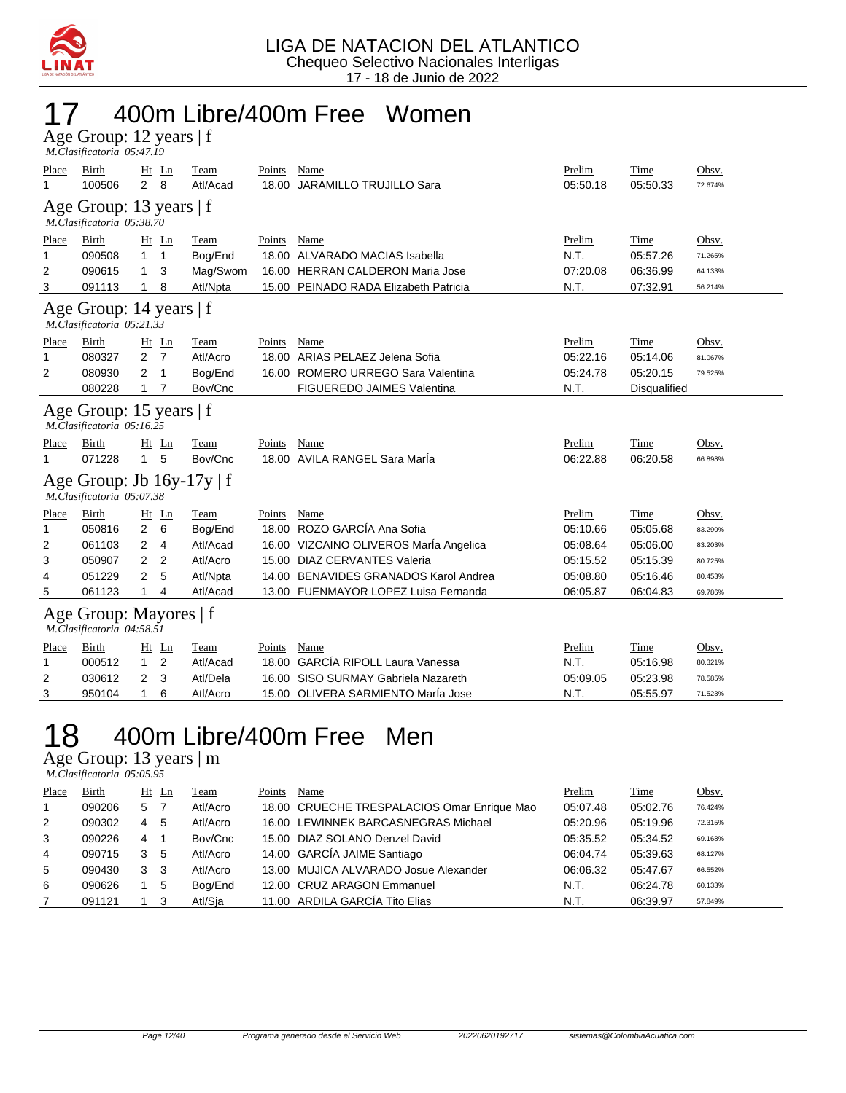

## 17 400m Libre/400m Free Women

| Age Group: 12 years   f   |  |
|---------------------------|--|
| M.Clasificatoria 05:47.19 |  |

| Place                                                  | Birth<br>100506                                        | Ht Ln<br>$\overline{2}$ | 8              | Team<br>Atl/Acad | Points<br>18.00 | Name<br>JARAMILLO TRUJILLO Sara        | Prelim<br>05:50.18 | Time<br>05:50.33 | Obsv.<br>72.674% |  |  |
|--------------------------------------------------------|--------------------------------------------------------|-------------------------|----------------|------------------|-----------------|----------------------------------------|--------------------|------------------|------------------|--|--|
|                                                        | Age Group: 13 years   f<br>M.Clasificatoria 05:38.70   |                         |                |                  |                 |                                        |                    |                  |                  |  |  |
| Place                                                  | Birth                                                  | Ht Ln                   |                | Team             | Points          | Name                                   | Prelim             | Time             | Obsv.            |  |  |
| 1                                                      | 090508                                                 | 1.                      | $\mathbf{1}$   | Bog/End          | 18.00           | ALVARADO MACIAS Isabella               | N.T.               | 05:57.26         | 71.265%          |  |  |
| 2                                                      | 090615                                                 | 1                       | 3              | Mag/Swom         | 16.00           | <b>HERRAN CALDERON Maria Jose</b>      | 07:20.08           | 06:36.99         | 64.133%          |  |  |
| 3                                                      | 091113                                                 | 1.                      | 8              | Atl/Npta         |                 | 15.00 PEINADO RADA Elizabeth Patricia  | N.T.               | 07:32.91         | 56.214%          |  |  |
| Age Group: 14 years   f<br>M.Clasificatoria 05:21.33   |                                                        |                         |                |                  |                 |                                        |                    |                  |                  |  |  |
| Place                                                  | Birth                                                  |                         | Ht Ln          | Team             | Points          | Name                                   | Prelim             | Time             | Obsv.            |  |  |
| 1                                                      | 080327                                                 | 2                       | 7              | Atl/Acro         | 18.00           | ARIAS PELAEZ Jelena Sofia              | 05:22.16           | 05:14.06         | 81.067%          |  |  |
| 2                                                      | 080930                                                 | 2                       | $\mathbf{1}$   | Bog/End          | 16.00           | ROMERO URREGO Sara Valentina           | 05:24.78           | 05:20.15         | 79.525%          |  |  |
|                                                        | 080228                                                 | 1                       | 7              | Bov/Cnc          |                 | FIGUEREDO JAIMES Valentina             | N.T.               | Disqualified     |                  |  |  |
| Age Group: 15 years $ f $<br>M.Clasificatoria 05:16.25 |                                                        |                         |                |                  |                 |                                        |                    |                  |                  |  |  |
| Place                                                  | Birth                                                  |                         | $Ht$ Ln        | Team             | Points          | Name                                   | Prelim             | Time             | Obsv.            |  |  |
|                                                        | 071228                                                 | 1.                      | 5              | Bov/Cnc          |                 | 18.00 AVILA RANGEL Sara Maria          | 06:22.88           | 06:20.58         | 66.898%          |  |  |
|                                                        | Age Group: Jb 16y-17y   f<br>M.Clasificatoria 05:07.38 |                         |                |                  |                 |                                        |                    |                  |                  |  |  |
| Place                                                  | Birth                                                  | Ht Ln                   |                | Team             | Points          | Name                                   | Prelim             | Time             | Obsv.            |  |  |
| 1                                                      | 050816                                                 | $\overline{2}$          | 6              | Bog/End          |                 | 18.00 ROZO GARCÍA Ana Sofia            | 05:10.66           | 05:05.68         | 83.290%          |  |  |
| 2                                                      | 061103                                                 | 2                       | 4              | Atl/Acad         |                 | 16.00 VIZCAINO OLIVEROS MarÍa Angelica | 05:08.64           | 05:06.00         | 83.203%          |  |  |
| 3                                                      | 050907                                                 | 2                       | $\overline{2}$ | Atl/Acro         | 15.00           | <b>DIAZ CERVANTES Valeria</b>          | 05:15.52           | 05:15.39         | 80.725%          |  |  |
| 4                                                      | 051229                                                 | 2                       | 5              | Atl/Npta         | 14.00           | BENAVIDES GRANADOS Karol Andrea        | 05:08.80           | 05:16.46         | 80.453%          |  |  |
| 5                                                      | 061123                                                 | 1                       | 4              | Atl/Acad         |                 | 13.00 FUENMAYOR LOPEZ Luisa Fernanda   | 06:05.87           | 06:04.83         | 69.786%          |  |  |
|                                                        | Age Group: Mayores   f<br>M.Clasificatoria 04:58.51    |                         |                |                  |                 |                                        |                    |                  |                  |  |  |
| Place                                                  | Birth                                                  |                         | $Ht$ Ln        | Team             | Points          | Name                                   | Prelim             | Time             | Obsv.            |  |  |
| 1                                                      | 000512                                                 | 1.                      | 2              | Atl/Acad         | 18.00           | <b>GARCÍA RIPOLL Laura Vanessa</b>     | N.T.               | 05:16.98         | 80.321%          |  |  |
| 2                                                      | 030612                                                 | 2                       | 3              | Atl/Dela         | 16.00           | SISO SURMAY Gabriela Nazareth          | 05:09.05           | 05:23.98         | 78.585%          |  |  |
| 3                                                      |                                                        |                         |                |                  |                 |                                        |                    |                  |                  |  |  |

### 18 400m Libre/400m Free Men

Age Group: 13 years | m  *M.Clasificatoria 05:05.95* 

| Place | Birth  |   | Ht Ln | Team     | Points | Name                                        | Prelim   | Time     | Obsv.   |
|-------|--------|---|-------|----------|--------|---------------------------------------------|----------|----------|---------|
|       | 090206 | 5 |       | Atl/Acro |        | 18.00 CRUECHE TRESPALACIOS Omar Enrique Mao | 05:07.48 | 05:02.76 | 76.424% |
| 2     | 090302 | 4 | -5    | Atl/Acro |        | 16.00 LEWINNEK BARCASNEGRAS Michael         | 05:20.96 | 05:19.96 | 72.315% |
| 3     | 090226 | 4 |       | Bov/Cnc  |        | 15.00 DIAZ SOLANO Denzel David              | 05:35.52 | 05:34.52 | 69.168% |
| 4     | 090715 | 3 | -5    | Atl/Acro |        | 14.00 GARCÍA JAIME Santiago                 | 06:04.74 | 05:39.63 | 68.127% |
| 5     | 090430 | 3 | -3    | Atl/Acro |        | 13.00 MUJICA ALVARADO Josue Alexander       | 06:06.32 | 05:47.67 | 66.552% |
| 6     | 090626 |   | -5    | Bog/End  |        | 12.00 CRUZ ARAGON Emmanuel                  | N.T.     | 06:24.78 | 60.133% |
|       | 091121 |   | - 3   | Atl/Sja  |        | 11.00 ARDILA GARCÍA Tito Elias              | N.T.     | 06:39.97 | 57.849% |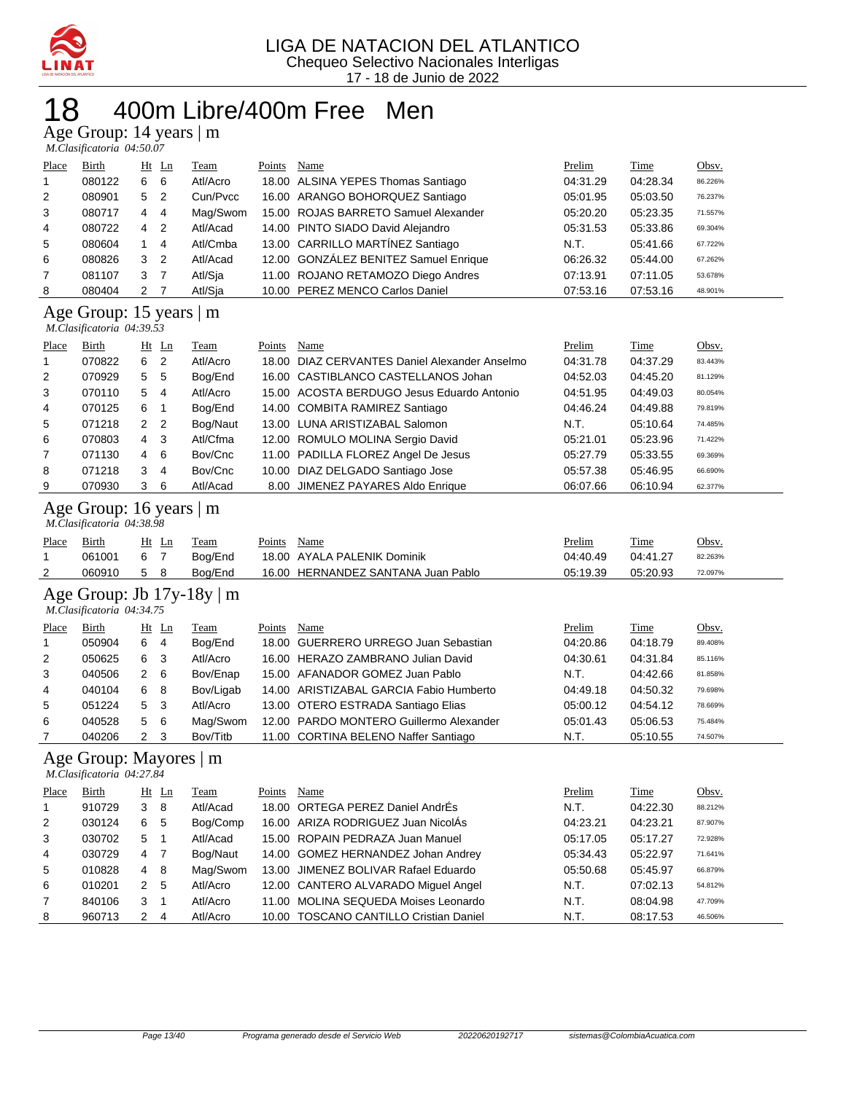

#### 400m Libre/400m Free Men

Age Group: 14 years | m

| M.Clasificatoria 04:50.07 |  |
|---------------------------|--|

| Place          | Birth  |   | $Ht$ Ln        | Team     | Points | Name                                  | Prelim   | <b>Time</b> | Obsv.   |
|----------------|--------|---|----------------|----------|--------|---------------------------------------|----------|-------------|---------|
| $\overline{1}$ | 080122 | 6 | - 6            | Atl/Acro |        | 18.00 ALSINA YEPES Thomas Santiago    | 04:31.29 | 04:28.34    | 86.226% |
| 2              | 080901 | 5 | $\overline{2}$ | Cun/Pvcc |        | 16.00 ARANGO BOHORQUEZ Santiago       | 05:01.95 | 05:03.50    | 76.237% |
| 3              | 080717 | 4 | -4             | Mag/Swom |        | 15.00 ROJAS BARRETO Samuel Alexander  | 05:20.20 | 05:23.35    | 71.557% |
| $\overline{4}$ | 080722 | 4 | -2             | Atl/Acad |        | 14.00 PINTO SIADO David Alejandro     | 05:31.53 | 05:33.86    | 69.304% |
| 5              | 080604 |   | $\overline{4}$ | Atl/Cmba |        | 13.00 CARRILLO MARTÍNEZ Santiago      | N.T.     | 05:41.66    | 67.722% |
| 6              | 080826 | 3 | $\overline{2}$ | Atl/Acad |        | 12.00 GONZÁLEZ BENITEZ Samuel Enrique | 06:26.32 | 05:44.00    | 67.262% |
| 7              | 081107 | 3 |                | Atl/Sja  |        | 11.00 ROJANO RETAMOZO Diego Andres    | 07:13.91 | 07:11.05    | 53.678% |
| 8              | 080404 | 2 |                | Atl/Sja  |        | 10.00 PEREZ MENCO Carlos Daniel       | 07:53.16 | 07:53.16    | 48.901% |

#### Age Group: 15 years | m

 *M.Clasificatoria 04:39.53* 

|                | M.Clasificatoria 04:39.53 |                |                |          |        |                                               |          |          |         |
|----------------|---------------------------|----------------|----------------|----------|--------|-----------------------------------------------|----------|----------|---------|
| Place          | Birth                     |                | $Ht$ Ln        | Team     | Points | Name                                          | Prelim   | Time     | Obsv.   |
| 1              | 070822                    | 6              | -2             | Atl/Acro |        | 18.00 DIAZ CERVANTES Daniel Alexander Anselmo | 04:31.78 | 04:37.29 | 83.443% |
| 2              | 070929                    | 5              | - 5            | Bog/End  |        | 16.00 CASTIBLANCO CASTELLANOS Johan           | 04:52.03 | 04:45.20 | 81.129% |
| 3              | 070110                    | 5              | -4             | Atl/Acro |        | 15.00 ACOSTA BERDUGO Jesus Eduardo Antonio    | 04:51.95 | 04:49.03 | 80.054% |
| $\overline{4}$ | 070125                    | 6              | $\overline{1}$ | Bog/End  |        | 14.00 COMBITA RAMIREZ Santiago                | 04:46.24 | 04:49.88 | 79.819% |
| 5              | 071218                    | 2 <sub>2</sub> |                | Bog/Naut |        | 13.00 LUNA ARISTIZABAL Salomon                | N.T.     | 05:10.64 | 74.485% |
| 6              | 070803                    | 4              | -3             | Atl/Cfma |        | 12.00 ROMULO MOLINA Sergio David              | 05:21.01 | 05:23.96 | 71.422% |
| $\overline{7}$ | 071130                    | 4              | - 6            | Bov/Cnc  |        | 11.00 PADILLA FLOREZ Angel De Jesus           | 05:27.79 | 05:33.55 | 69.369% |
| 8              | 071218                    | 3              | $\overline{4}$ | Bov/Cnc  |        | 10.00 DIAZ DELGADO Santiago Jose              | 05:57.38 | 05:46.95 | 66.690% |
| 9              | 070930                    | 3              | - 6            | Atl/Acad |        | 8.00 JIMENEZ PAYARES Aldo Enrique             | 06:07.66 | 06:10.94 | 62.377% |

#### Age Group: 16 years | m  *M.Clasificatoria 04:38.98*

| Place | Birth  | Ht          | Ln | Team    | Points | Name                               | Prelim<br>$\sim$ $\sim$ $\sim$ $\sim$ | Time     | <u>Obsv.</u> |
|-------|--------|-------------|----|---------|--------|------------------------------------|---------------------------------------|----------|--------------|
|       | 061001 | 6           |    | Boa/End |        | 18.00 AYALA PALENIK Dominik        | 04:40.49                              | 04:41.27 | 82.263%      |
| 2     | 060910 | $5^{\circ}$ |    | Boa/End |        | 16.00 HERNANDEZ SANTANA Juan Pablo | 05:19.39                              | 05:20.93 | 72.097%      |

#### Age Group: Jb 17y-18y | m

|                | M.Clasificatoria 04:34.75 |             |         |             |        |                                         |          |             |         |  |  |  |
|----------------|---------------------------|-------------|---------|-------------|--------|-----------------------------------------|----------|-------------|---------|--|--|--|
| Place          | Birth                     |             | $Ht$ Ln | <b>Team</b> | Points | Name                                    | Prelim   | <b>Time</b> | Obsy.   |  |  |  |
| $\overline{1}$ | 050904                    | 6           | -4      | Bog/End     |        | 18.00 GUERRERO URREGO Juan Sebastian    | 04:20.86 | 04:18.79    | 89.408% |  |  |  |
| 2              | 050625                    | 6           | -3      | Atl/Acro    |        | 16.00 HERAZO ZAMBRANO Julian David      | 04:30.61 | 04:31.84    | 85.116% |  |  |  |
| 3              | 040506                    | $2 \quad 6$ |         | Bov/Enap    |        | 15.00 AFANADOR GOMEZ Juan Pablo         | N.T.     | 04:42.66    | 81.858% |  |  |  |
| 4              | 040104                    | 6           | - 8     | Bov/Ligab   |        | 14.00 ARISTIZABAL GARCIA Fabio Humberto | 04:49.18 | 04:50.32    | 79.698% |  |  |  |
| 5              | 051224                    | 5           | - 3     | Atl/Acro    |        | 13.00 OTERO ESTRADA Santiago Elias      | 05:00.12 | 04:54.12    | 78.669% |  |  |  |
| 6              | 040528                    | 5           | - 6     | Mag/Swom    |        | 12.00 PARDO MONTERO Guillermo Alexander | 05:01.43 | 05:06.53    | 75.484% |  |  |  |
|                | 040206                    | $2 \quad 3$ |         | Bov/Titb    |        | 11.00 CORTINA BELENO Naffer Santiago    | N.T.     | 05:10.55    | 74.507% |  |  |  |

#### Age Group: Mayores | m

 *M.Clasificatoria 04:27.84* 

| Place | Birth  |                | $Ht$ Ln | Team     | Points | Name                                   | Prelim   | Time     | Obsv.   |
|-------|--------|----------------|---------|----------|--------|----------------------------------------|----------|----------|---------|
|       | 910729 | 3              | - 8     | Atl/Acad |        | 18.00 ORTEGA PEREZ Daniel AndrÉs       | N.T.     | 04:22.30 | 88.212% |
| 2     | 030124 | 6              | -5      | Bog/Comp |        | 16.00 ARIZA RODRIGUEZ Juan NicolÁs     | 04:23.21 | 04:23.21 | 87.907% |
| 3     | 030702 | 5              |         | Atl/Acad |        | 15.00 ROPAIN PEDRAZA Juan Manuel       | 05:17.05 | 05:17.27 | 72.928% |
| 4     | 030729 | 4              | -7      | Bog/Naut |        | 14.00 GOMEZ HERNANDEZ Johan Andrey     | 05:34.43 | 05:22.97 | 71.641% |
| 5     | 010828 | 4              | - 8     | Mag/Swom |        | 13.00 JIMENEZ BOLIVAR Rafael Eduardo   | 05:50.68 | 05:45.97 | 66.879% |
| 6     | 010201 | $\overline{2}$ | - 5     | Atl/Acro |        | 12.00 CANTERO ALVARADO Miguel Angel    | N.T.     | 07:02.13 | 54.812% |
|       | 840106 | 3              |         | Atl/Acro |        | 11.00 MOLINA SEQUEDA Moises Leonardo   | N.T.     | 08:04.98 | 47.709% |
| 8     | 960713 | 2              | 4       | Atl/Acro |        | 10.00 TOSCANO CANTILLO Cristian Daniel | N.T.     | 08:17.53 | 46.506% |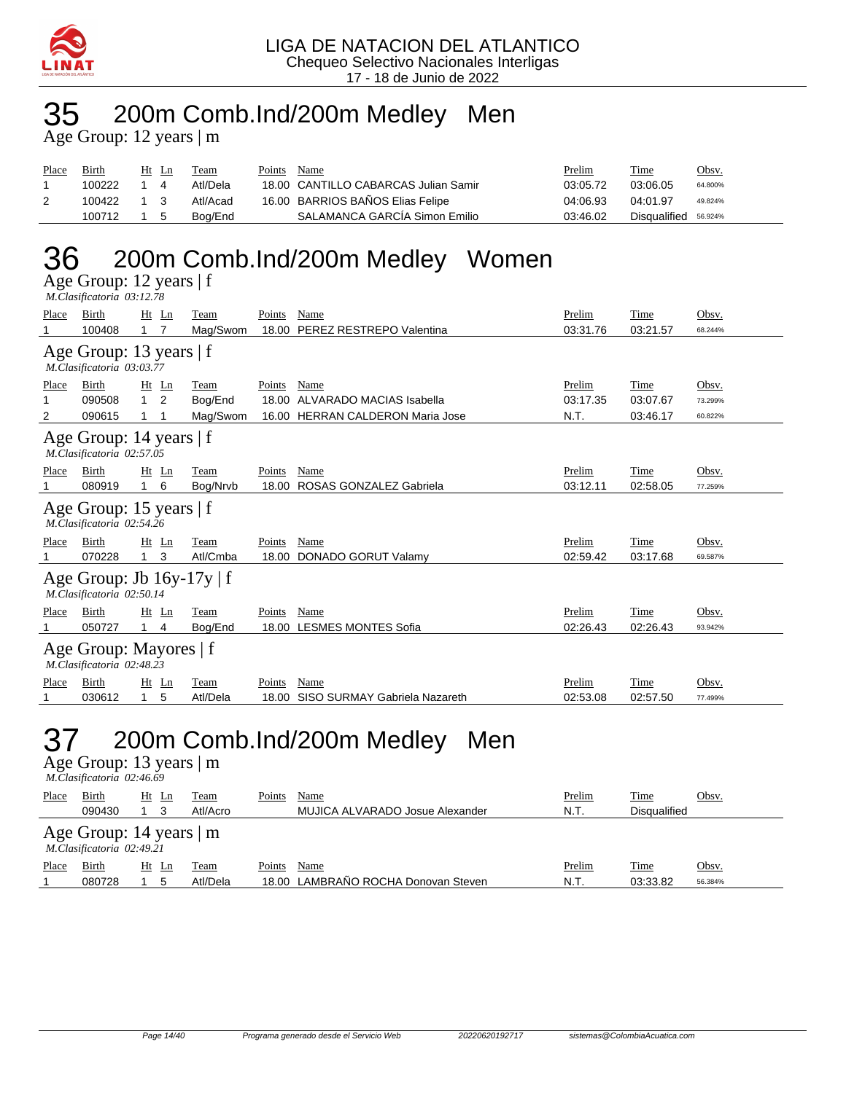

### 35 200m Comb.Ind/200m Medley Men

Age Group: 12 years | m

| Place | Birth  | Ht | Ln  | Team     | Points | Name                                 | Prelim   | <b>Time</b>  | <u>Obsv.</u> |
|-------|--------|----|-----|----------|--------|--------------------------------------|----------|--------------|--------------|
|       | 100222 |    |     | Atl/Dela |        | 18.00 CANTILLO CABARCAS Julian Samir | 03:05.72 | 03:06.05     | 64.800%      |
|       | 100422 |    |     | Atl/Acad |        | 16.00 BARRIOS BAÑOS Elias Felipe     | 04:06.93 | 04:01.97     | 49.824%      |
|       | 100712 |    | - 5 | Boa/End  |        | SALAMANCA GARCÍA Simon Emilio        | 03:46.02 | Disgualified | 56.924%      |

### 36 200m Comb.Ind/200m Medley Women

Age Group: 12 years | f  *M.Clasificatoria 03:12.78* 

| Place | Birth                                                       |              | $Ht$ Ln        | Team     | Points | Name                              | Prelim   | Time     | Obsv.   |
|-------|-------------------------------------------------------------|--------------|----------------|----------|--------|-----------------------------------|----------|----------|---------|
| 1     | 100408                                                      | $1 \quad 7$  |                | Mag/Swom |        | 18.00 PEREZ RESTREPO Valentina    | 03:31.76 | 03:21.57 | 68.244% |
|       | Age Group: 13 years   f<br>M.Clasificatoria 03:03.77        |              |                |          |        |                                   |          |          |         |
| Place | Birth                                                       |              | $Ht$ Ln        | Team     | Points | Name                              | Prelim   | Time     | Obsv.   |
| 1     | 090508                                                      | $\mathbf{1}$ | $\overline{2}$ | Bog/End  |        | 18.00 ALVARADO MACIAS Isabella    | 03:17.35 | 03:07.67 | 73.299% |
| 2     | 090615                                                      | 1            |                | Mag/Swom | 16.00  | <b>HERRAN CALDERON Maria Jose</b> | N.T.     | 03:46.17 | 60.822% |
|       | Age Group: 14 years   f<br>M.Clasificatoria 02:57.05        |              |                |          |        |                                   |          |          |         |
| Place | Birth                                                       |              | $Ht$ Ln        | Team     | Points | Name                              | Prelim   | Time     | Obsv.   |
| 1     | 080919                                                      |              | 6              | Bog/Nrvb | 18.00  | ROSAS GONZALEZ Gabriela           | 03:12.11 | 02:58.05 | 77.259% |
|       | Age Group: 15 years   f<br>M.Clasificatoria 02:54.26        |              |                |          |        |                                   |          |          |         |
| Place | Birth                                                       |              | $Ht$ Ln        | Team     | Points | Name                              | Prelim   | Time     | Obsv.   |
| 1     | 070228                                                      |              | 3              | Atl/Cmba | 18.00  | <b>DONADO GORUT Valamy</b>        | 02:59.42 | 03:17.68 | 69.587% |
|       | Age Group: Jb $16y-17y \mid f$<br>M.Clasificatoria 02:50.14 |              |                |          |        |                                   |          |          |         |
| Place | Birth                                                       |              | Ht Ln          | Team     | Points | Name                              | Prelim   | Time     | Obsv.   |
| 1     | 050727                                                      |              | 4              | Bog/End  | 18.00  | <b>LESMES MONTES Sofia</b>        | 02:26.43 | 02:26.43 | 93.942% |
|       | Age Group: Mayores   f<br>M.Clasificatoria 02:48.23         |              |                |          |        |                                   |          |          |         |
| Place | Birth                                                       |              | $Ht$ Ln        | Team     | Points | Name                              | Prelim   | Time     | Obsv.   |
| 1     | 030612                                                      | $\mathbf{1}$ | 5              | Atl/Dela | 18.00  | SISO SURMAY Gabriela Nazareth     | 02:53.08 | 02:57.50 | 77.499% |
|       |                                                             |              |                |          |        |                                   |          |          |         |

### 37 200m Comb.Ind/200m Medley Men

Age Group: 13 years | m  *M.Clasificatoria 02:46.69* 

| Place | Birth                                                  | Ht      | Ln | Team     | Points | Name                                | Prelim | <b>Time</b>         | Obsv.   |  |  |
|-------|--------------------------------------------------------|---------|----|----------|--------|-------------------------------------|--------|---------------------|---------|--|--|
|       | 090430                                                 |         |    | Atl/Acro |        | MUJICA ALVARADO Josue Alexander     | N.T.   | <b>Disqualified</b> |         |  |  |
|       | Age Group: 14 years $ m $<br>M.Clasificatoria 02:49.21 |         |    |          |        |                                     |        |                     |         |  |  |
| Place | Birth                                                  | $Ht$ Ln |    | Team     | Points | Name                                | Prelim | <u>Time</u>         | Obsv.   |  |  |
|       | 080728                                                 |         | 5  | Atl/Dela |        | 18.00 LAMBRAÑO ROCHA Donovan Steven | N.T.   | 03:33.82            | 56.384% |  |  |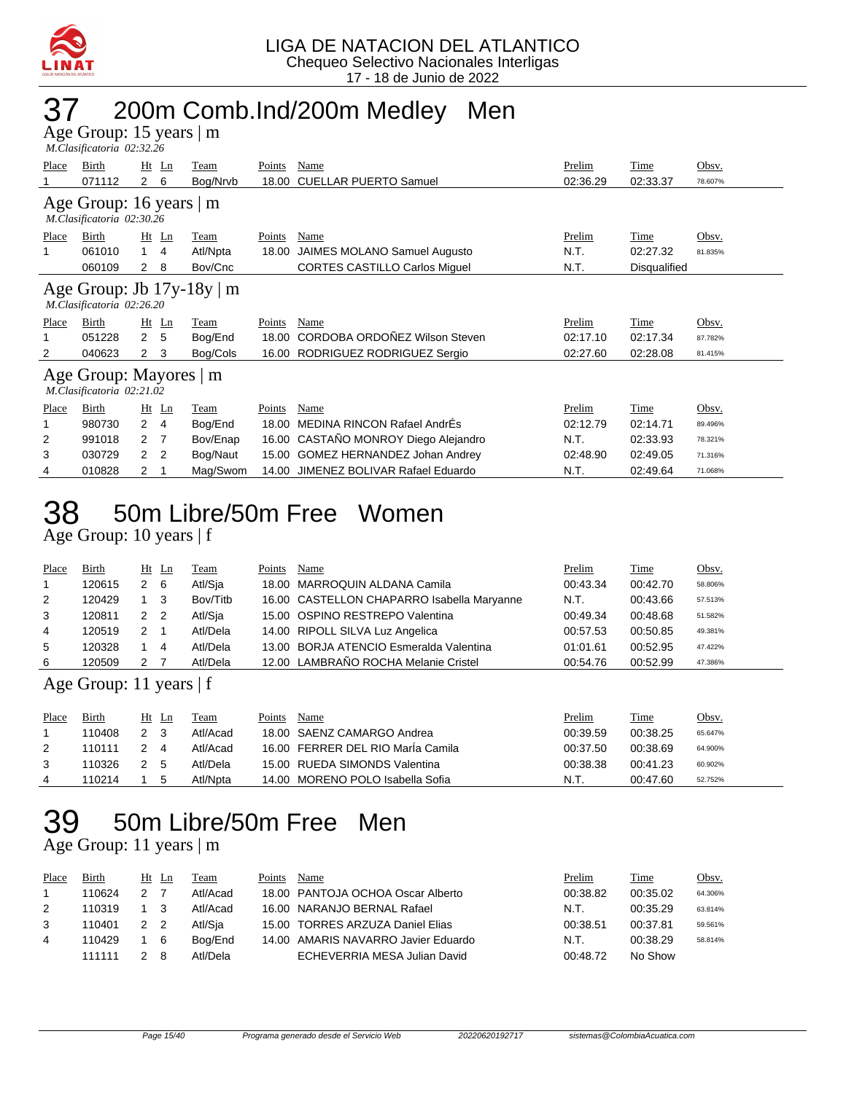

### 37 200m Comb.Ind/200m Medley Men

Age Group: 15 years | m  *M.Clasificatoria 02:32.26* 

| Place        | Birth                                                       | $Ht$ Ln        |    | Team        | Points | Name                                 | Prelim   | Time         | Obsv.   |  |  |  |  |
|--------------|-------------------------------------------------------------|----------------|----|-------------|--------|--------------------------------------|----------|--------------|---------|--|--|--|--|
|              | 071112                                                      | $\mathbf{2}$   | 6  | Bog/Nrvb    | 18.00  | <b>CUELLAR PUERTO Samuel</b>         | 02:36.29 | 02:33.37     | 78.607% |  |  |  |  |
|              | Age Group: 16 years   m<br>M.Clasificatoria 02:30.26        |                |    |             |        |                                      |          |              |         |  |  |  |  |
| <b>Place</b> | Birth                                                       | $Ht$ Ln        |    | <b>Team</b> | Points | Name                                 | Prelim   | Time         | Obsv.   |  |  |  |  |
|              | 061010                                                      |                | 4  | Atl/Npta    | 18.00  | JAIMES MOLANO Samuel Augusto         | N.T.     | 02:27.32     | 81.835% |  |  |  |  |
|              | 060109                                                      | $\mathbf{2}$   | 8  | Bov/Cnc     |        | <b>CORTES CASTILLO Carlos Miquel</b> | N.T.     | Disqualified |         |  |  |  |  |
|              | Age Group: Jb $17y-18y \mid m$<br>M.Clasificatoria 02:26.20 |                |    |             |        |                                      |          |              |         |  |  |  |  |
| Place        | Birth                                                       | $Ht$ Ln        |    | Team        | Points | Name                                 | Prelim   | Time         | Obsv.   |  |  |  |  |
|              | 051228                                                      | $\mathbf{2}$   | -5 | Bog/End     | 18.00  | CORDOBA ORDOÑEZ Wilson Steven        | 02:17.10 | 02:17.34     | 87.782% |  |  |  |  |
| 2            | 040623                                                      | $\mathbf{2}$   | 3  | Bog/Cols    |        | 16.00 RODRIGUEZ RODRIGUEZ Sergio     | 02:27.60 | 02:28.08     | 81.415% |  |  |  |  |
|              | Age Group: Mayores   m<br>M.Clasificatoria 02:21.02         |                |    |             |        |                                      |          |              |         |  |  |  |  |
| Place        | Birth                                                       | $Ht$ Ln        |    | Team        | Points | Name                                 | Prelim   | Time         | Obsv.   |  |  |  |  |
|              | 980730                                                      | $\overline{2}$ | 4  | Bog/End     | 18.00  | MEDINA RINCON Rafael AndrÉs          | 02:12.79 | 02:14.71     | 89.496% |  |  |  |  |
| 2            | 991018                                                      | 2 7            |    | Bov/Enap    |        | 16.00 CASTAÑO MONROY Diego Alejandro | N.T.     | 02:33.93     | 78.321% |  |  |  |  |
| 3            | 030729                                                      | 2              | 2  | Bog/Naut    |        | 15.00 GOMEZ HERNANDEZ Johan Andrey   | 02:48.90 | 02:49.05     | 71.316% |  |  |  |  |

## 38 50m Libre/50m Free Women

Age Group: 10 years | f

| Place | Birth  | Ht Ln |    | <b>Team</b> | Points | Name                                       | Prelim   | Time     | Obsv.   |
|-------|--------|-------|----|-------------|--------|--------------------------------------------|----------|----------|---------|
|       | 120615 | 2     | -6 | Atl/Sja     |        | 18.00 MARROQUIN ALDANA Camila              | 00:43.34 | 00:42.70 | 58.806% |
| 2     | 120429 |       | -3 | Bov/Titb    |        | 16.00 CASTELLON CHAPARRO Isabella Maryanne | N.T.     | 00:43.66 | 57.513% |
| 3     | 120811 | 2 2   |    | Atl/Sja     |        | 15.00 OSPINO RESTREPO Valentina            | 00:49.34 | 00:48.68 | 51.582% |
| 4     | 120519 |       |    | Atl/Dela    |        | 14.00 RIPOLL SILVA Luz Angelica            | 00:57.53 | 00:50.85 | 49.381% |
| 5     | 120328 |       | 4  | Atl/Dela    |        | 13.00 BORJA ATENCIO Esmeralda Valentina    | 01:01.61 | 00:52.95 | 47.422% |
| 6     | 120509 |       |    | Atl/Dela    |        | 12.00 LAMBRAÑO ROCHA Melanie Cristel       | 00:54.76 | 00:52.99 | 47.386% |

4 010828 2 1 Mag/Swom 14.00 JIMENEZ BOLIVAR Rafael Eduardo N.T. 02:49.64 71.068%

#### Age Group: 11 years | f

| Place | Birth  | Ht  | Ln | Team     | Points | Name                              | <u>Prelim</u> | Time     | Obsv.   |
|-------|--------|-----|----|----------|--------|-----------------------------------|---------------|----------|---------|
|       | 110408 | 2   |    | Atl/Acad |        | 18.00 SAENZ CAMARGO Andrea        | 00:39.59      | 00:38.25 | 65.647% |
| 2     | 110111 |     | 4  | Atl/Acad |        | 16.00 FERRER DEL RIO María Camila | 00:37.50      | 00:38.69 | 64.900% |
| 3     | 110326 | 2 5 |    | Atl/Dela |        | 15.00 RUEDA SIMONDS Valentina     | 00:38.38      | 00:41.23 | 60.902% |
| 4     | 110214 |     |    | Atl/Npta |        | 14.00 MORENO POLO Isabella Sofia  | N.T.          | 00:47.60 | 52.752% |

## 39 50m Libre/50m Free Men

Age Group: 11 years | m

| Place | Birth  |                | Ht Ln | Team     | Points | Name                                | Prelim   | Time     | Obsv.   |
|-------|--------|----------------|-------|----------|--------|-------------------------------------|----------|----------|---------|
|       | 110624 | 2 <sub>7</sub> |       | Atl/Acad |        | 18.00 PANTOJA OCHOA Oscar Alberto   | 00:38.82 | 00:35.02 | 64.306% |
| 2     | 110319 |                |       | Atl/Acad |        | 16.00 NARANJO BERNAL Rafael         | N.T.     | 00:35.29 | 63.814% |
| 3     | 110401 | 2 2            |       | Atl/Sia  |        | 15.00 TORRES ARZUZA Daniel Elias    | 00:38.51 | 00:37.81 | 59.561% |
| 4     | 110429 |                | 6     | Boa/End  |        | 14.00 AMARIS NAVARRO Javier Eduardo | N.T.     | 00:38.29 | 58.814% |
|       | 111111 |                |       | Atl/Dela |        | ECHEVERRIA MESA Julian David        | 00:48.72 | No Show  |         |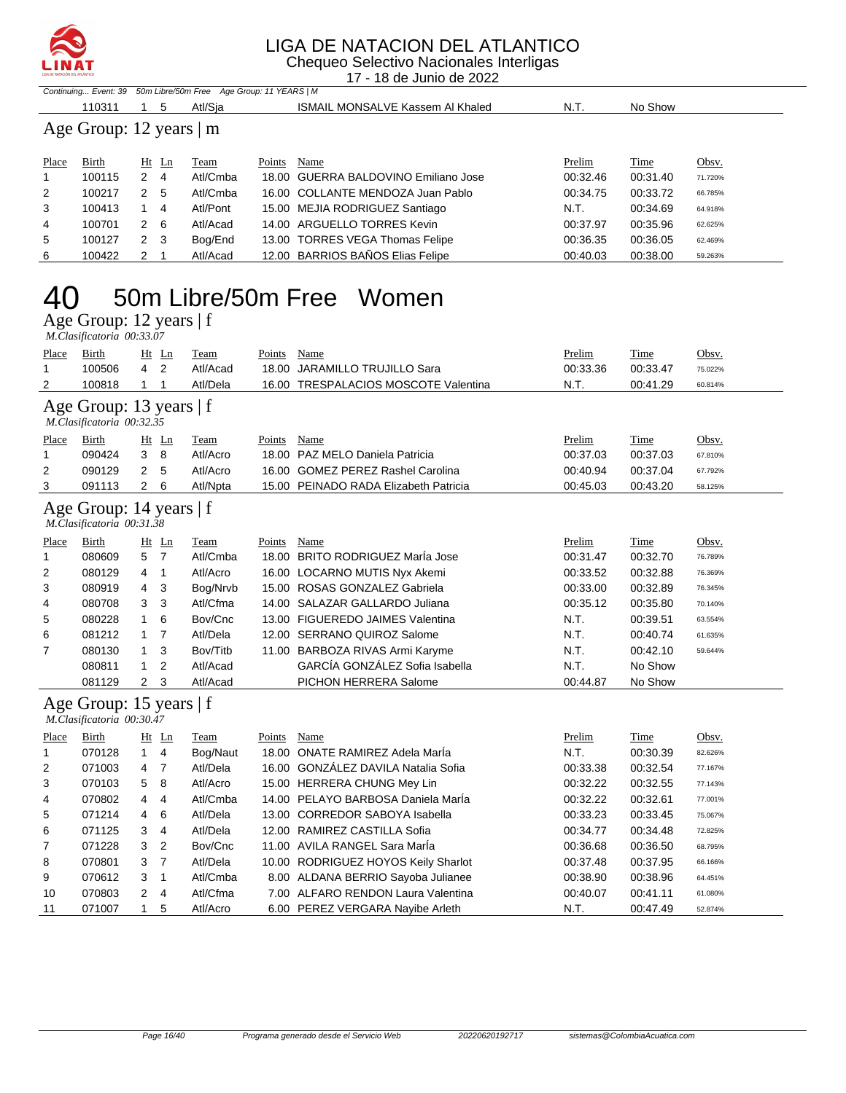

Chequeo Selectivo Nacionales Interligas 17 - 18 de Junio de 2022

|       |                         |     |       | Continuing Event: 39 50m Libre/50m Free Age Group: 11 YEARS   M |        |                                         |          |          |         |  |  |  |
|-------|-------------------------|-----|-------|-----------------------------------------------------------------|--------|-----------------------------------------|----------|----------|---------|--|--|--|
|       | 110311                  |     | 5     | Atl/Sia                                                         |        | <b>ISMAIL MONSALVE Kassem AI Khaled</b> | N.T.     | No Show  |         |  |  |  |
|       | Age Group: 12 years   m |     |       |                                                                 |        |                                         |          |          |         |  |  |  |
| Place | Birth                   |     | Ht Ln | Team                                                            | Points | Name                                    | Prelim   | Time     | Obsv.   |  |  |  |
|       | 100115                  | 2 4 |       | Atl/Cmba                                                        |        | 18.00 GUERRA BALDOVINO Emiliano Jose    | 00:32.46 | 00:31.40 | 71.720% |  |  |  |
| 2     | 100217                  |     | 2 5   | Atl/Cmba                                                        |        | 16.00 COLLANTE MENDOZA Juan Pablo       | 00:34.75 | 00:33.72 | 66.785% |  |  |  |
| 3     | 100413                  |     | 4     | Atl/Pont                                                        |        | 15.00 MEJIA RODRIGUEZ Santiago          | N.T.     | 00:34.69 | 64.918% |  |  |  |
| 4     | 100701                  |     | 2 6   | Atl/Acad                                                        |        | 14.00 ARGUELLO TORRES Kevin             | 00:37.97 | 00:35.96 | 62.625% |  |  |  |

 100127 2 3 Bog/End 13.00 TORRES VEGA Thomas Felipe 00:36.35 00:36.05 62.469% 100422 2 1 Atl/Acad 12.00 BARRIOS BAÑOS Elias Felipe 00:40.03 00:38.00 59.263%

### 50m Libre/50m Free Women

Age Group: 12 years | f

|                 | M.Clasificatoria 00:33.07                            |              |                              |                                     |               |                                                                               |                            |                              |                             |
|-----------------|------------------------------------------------------|--------------|------------------------------|-------------------------------------|---------------|-------------------------------------------------------------------------------|----------------------------|------------------------------|-----------------------------|
| Place<br>1<br>2 | Birth<br>100506<br>100818                            | 4<br>1       | Ht Ln<br>$\overline{2}$<br>1 | <b>Team</b><br>Atl/Acad<br>Atl/Dela | Points        | Name<br>18.00 JARAMILLO TRUJILLO Sara<br>16.00 TRESPALACIOS MOSCOTE Valentina | Prelim<br>00:33.36<br>N.T. | Time<br>00:33.47<br>00:41.29 | Obsv.<br>75.022%<br>60.814% |
|                 | Age Group: 13 years   f<br>M.Clasificatoria 00:32.35 |              |                              |                                     |               |                                                                               |                            |                              |                             |
| Place           | <b>Birth</b>                                         |              | Ht Ln                        | Team                                | <b>Points</b> | <b>Name</b>                                                                   | Prelim                     | Time                         | Obsv.                       |
| 1               | 090424                                               | 3            | 8                            | Atl/Acro                            |               | 18.00 PAZ MELO Daniela Patricia                                               | 00:37.03                   | 00:37.03                     | 67.810%                     |
| 2               | 090129                                               | 2            | 5                            | Atl/Acro                            |               | 16.00 GOMEZ PEREZ Rashel Carolina                                             | 00:40.94                   | 00:37.04                     | 67.792%                     |
| 3               | 091113                                               | 2            | 6                            | Atl/Npta                            |               | 15.00 PEINADO RADA Elizabeth Patricia                                         | 00:45.03                   | 00:43.20                     | 58.125%                     |
|                 | Age Group: 14 years   f<br>M.Clasificatoria 00:31.38 |              |                              |                                     |               |                                                                               |                            |                              |                             |
| Place           | Birth                                                |              | $Ht$ Ln                      | Team                                | Points        | Name                                                                          | Prelim                     | Time                         | Obsv.                       |
| 1               | 080609                                               | 5            | $\overline{7}$               | Atl/Cmba                            |               | 18.00 BRITO RODRIGUEZ MarÍa Jose                                              | 00:31.47                   | 00:32.70                     | 76.789%                     |
| 2               | 080129                                               | 4            | 1                            | Atl/Acro                            |               | 16.00 LOCARNO MUTIS Nyx Akemi                                                 | 00:33.52                   | 00:32.88                     | 76.369%                     |
| 3               | 080919                                               | 4            | 3                            | Bog/Nrvb                            |               | 15.00 ROSAS GONZALEZ Gabriela                                                 | 00:33.00                   | 00:32.89                     | 76.345%                     |
| 4               | 080708                                               | 3            | 3                            | Atl/Cfma                            |               | 14.00 SALAZAR GALLARDO Juliana                                                | 00:35.12                   | 00:35.80                     | 70.140%                     |
| 5               | 080228                                               | 1            | 6                            | Bov/Cnc                             |               | 13.00 FIGUEREDO JAIMES Valentina                                              | N.T.                       | 00:39.51                     | 63.554%                     |
| 6               | 081212                                               | 1            | 7                            | Atl/Dela                            |               | 12.00 SERRANO QUIROZ Salome                                                   | N.T.                       | 00:40.74                     | 61.635%                     |
| 7               | 080130                                               | 1            | 3                            | Bov/Titb                            |               | 11.00 BARBOZA RIVAS Armi Karyme                                               | N.T.                       | 00:42.10                     | 59.644%                     |
|                 | 080811                                               | 1            | $\overline{2}$               | Atl/Acad                            |               | GARCÍA GONZÁLEZ Sofia Isabella                                                | N.T.                       | No Show                      |                             |
|                 | 081129                                               | 2            | 3                            | Atl/Acad                            |               | PICHON HERRERA Salome                                                         | 00:44.87                   | No Show                      |                             |
|                 | Age Group: 15 years   f<br>M.Clasificatoria 00:30.47 |              |                              |                                     |               |                                                                               |                            |                              |                             |
| Place           | Birth                                                |              | $Ht$ Ln                      | Team                                | Points        | Name                                                                          | Prelim                     | Time                         | Obsv.                       |
| 1               | 070128                                               | $\mathbf{1}$ | 4                            | Bog/Naut                            |               | 18.00 ONATE RAMIREZ Adela MarÍa                                               | N.T.                       | 00:30.39                     | 82.626%                     |
| 2               | 071003                                               | 4            | 7                            | Atl/Dela                            |               | 16.00 GONZÁLEZ DAVILA Natalia Sofia                                           | 00:33.38                   | 00:32.54                     | 77.167%                     |
| 3               | 070103                                               | 5            | 8                            | Atl/Acro                            |               | 15.00 HERRERA CHUNG Mey Lin                                                   | 00:32.22                   | 00:32.55                     | 77.143%                     |
| 4               | 070802                                               | 4            | 4                            | Atl/Cmba                            |               | 14.00 PELAYO BARBOSA Daniela MarÍa                                            | 00:32.22                   | 00:32.61                     | 77.001%                     |
| 5               | 071214                                               | 4            | 6                            | Atl/Dela                            |               | 13.00 CORREDOR SABOYA Isabella                                                | 00:33.23                   | 00:33.45                     | 75.067%                     |
| 6               | 071125                                               | 3            | $\overline{4}$               | Atl/Dela                            |               | 12.00 RAMIREZ CASTILLA Sofia                                                  | 00:34.77                   | 00:34.48                     | 72.825%                     |
| 7               | 071228                                               | 3            | $\overline{2}$               | Bov/Cnc                             |               | 11.00 AVILA RANGEL Sara MarÍa                                                 | 00:36.68                   | 00:36.50                     | 68.795%                     |
| 8               | 070801                                               | 3            | $\overline{7}$               | Atl/Dela                            |               | 10.00 RODRIGUEZ HOYOS Keily Sharlot                                           | 00:37.48                   | 00:37.95                     | 66.166%                     |
| 9               | 070612                                               | 3            | 1                            | Atl/Cmba                            |               | 8.00 ALDANA BERRIO Sayoba Julianee                                            | 00:38.90                   | 00:38.96                     | 64.451%                     |
| 10              | 070803                                               | 2            | $\overline{4}$               | Atl/Cfma                            |               | 7.00 ALFARO RENDON Laura Valentina                                            | 00:40.07                   | 00:41.11                     | 61.080%                     |

071007 1 5 Atl/Acro 6.00 PEREZ VERGARA Nayibe Arleth N.T. 00:47.49 52.874%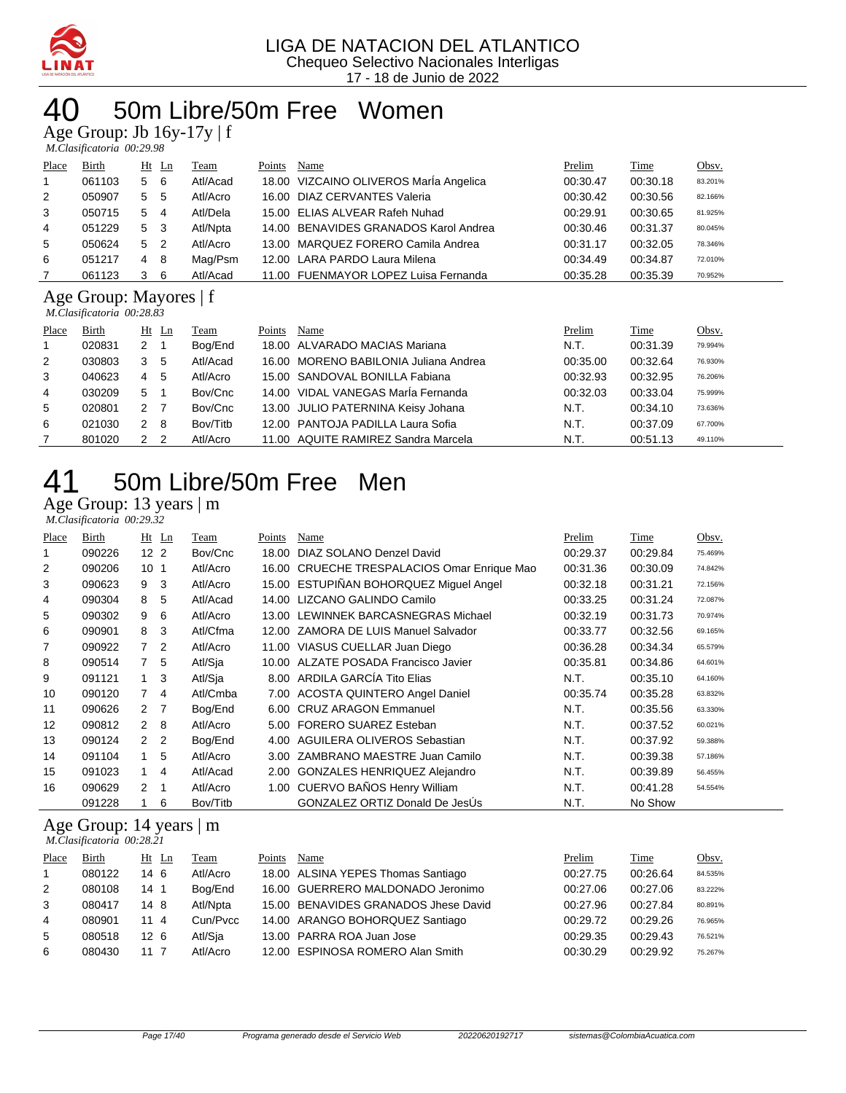

### 50m Libre/50m Free Women

Age Group: Jb 16y-17y | f

|                | M.Clasificatoria 00:29.98 |  |                |          |        |                                        |          |          |         |  |  |  |
|----------------|---------------------------|--|----------------|----------|--------|----------------------------------------|----------|----------|---------|--|--|--|
| Place          | Birth                     |  | $Ht$ Ln        | Team     | Points | Name                                   | Prelim   | Time     | Obsv.   |  |  |  |
| $\mathbf{1}$   | 061103                    |  | 5 6            | Atl/Acad |        | 18.00 VIZCAINO OLIVEROS María Angelica | 00:30.47 | 00:30.18 | 83.201% |  |  |  |
| 2              | 050907                    |  | 5 <sub>5</sub> | Atl/Acro |        | 16.00 DIAZ CERVANTES Valeria           | 00:30.42 | 00:30.56 | 82.166% |  |  |  |
| 3              | 050715                    |  | $5\quad 4$     | Atl/Dela |        | 15.00 ELIAS ALVEAR Rafeh Nuhad         | 00:29.91 | 00:30.65 | 81.925% |  |  |  |
| $\overline{4}$ | 051229                    |  | 5 <sub>3</sub> | Atl/Npta |        | 14.00 BENAVIDES GRANADOS Karol Andrea  | 00:30.46 | 00:31.37 | 80.045% |  |  |  |
| 5              | 050624                    |  | 5 <sub>2</sub> | Atl/Acro |        | 13.00 MARQUEZ FORERO Camila Andrea     | 00:31.17 | 00:32.05 | 78.346% |  |  |  |
| 6              | 051217                    |  | 4 8            | Mag/Psm  |        | 12.00 LARA PARDO Laura Milena          | 00:34.49 | 00:34.87 | 72.010% |  |  |  |
|                | 061123                    |  | 36             | Atl/Acad |        | 11.00 FUENMAYOR LOPEZ Luisa Fernanda   | 00:35.28 | 00:35.39 | 70.952% |  |  |  |
|                |                           |  |                |          |        |                                        |          |          |         |  |  |  |

#### Age Group: Mayores | f  *M.Clasificatoria 00:28.83*

| Place          | Birth  |               | Ht Ln | Team     | Points | Name                                  | Prelim   | Time     | Obsv.   |
|----------------|--------|---------------|-------|----------|--------|---------------------------------------|----------|----------|---------|
|                | 020831 | 2             |       | Bog/End  |        | 18.00 ALVARADO MACIAS Mariana         | N.T.     | 00:31.39 | 79.994% |
| 2              | 030803 | 3             | -5    | Atl/Acad |        | 16.00 MORENO BABILONIA Juliana Andrea | 00:35.00 | 00:32.64 | 76.930% |
| 3              | 040623 | 4             | -5    | Atl/Acro |        | 15.00 SANDOVAL BONILLA Fabiana        | 00:32.93 | 00:32.95 | 76.206% |
| $\overline{4}$ | 030209 | 5             |       | Bov/Cnc  |        | 14.00 VIDAL VANEGAS MarÍa Fernanda    | 00:32.03 | 00:33.04 | 75.999% |
| 5              | 020801 | 2 7           |       | Bov/Cnc  |        | 13.00 JULIO PATERNINA Keisy Johana    | N.T.     | 00:34.10 | 73.636% |
| 6              | 021030 | $\mathcal{P}$ | - 8   | Bov/Titb |        | 12.00 PANTOJA PADILLA Laura Sofia     | N.T.     | 00:37.09 | 67.700% |
|                | 801020 |               | - 2   | Atl/Acro |        | 11.00 AQUITE RAMIREZ Sandra Marcela   | N.T.     | 00:51.13 | 49.110% |

## 50m Libre/50m Free Men

#### Age Group: 13 years | m

|       | M.Clasificatoria 00:29.32 |                 |                |          |        |                                             |          |             |         |  |  |  |
|-------|---------------------------|-----------------|----------------|----------|--------|---------------------------------------------|----------|-------------|---------|--|--|--|
| Place | Birth                     |                 | $Ht$ Ln        | Team     | Points | <b>Name</b>                                 | Prelim   | <b>Time</b> | Obsv.   |  |  |  |
|       | 090226                    | 12 <sub>2</sub> |                | Bov/Cnc  | 18.00  | DIAZ SOLANO Denzel David                    | 00:29.37 | 00:29.84    | 75.469% |  |  |  |
| 2     | 090206                    | 10 <sub>1</sub> |                | Atl/Acro |        | 16.00 CRUECHE TRESPALACIOS Omar Enrique Mao | 00:31.36 | 00:30.09    | 74.842% |  |  |  |
| 3     | 090623                    | 9               | 3              | Atl/Acro |        | 15.00 ESTUPIÑAN BOHORQUEZ Miguel Angel      | 00:32.18 | 00:31.21    | 72.156% |  |  |  |
| 4     | 090304                    | 8               | 5              | Atl/Acad |        | 14.00 LIZCANO GALINDO Camilo                | 00:33.25 | 00:31.24    | 72.087% |  |  |  |
| 5     | 090302                    | 9               | 6              | Atl/Acro |        | 13.00 LEWINNEK BARCASNEGRAS Michael         | 00:32.19 | 00:31.73    | 70.974% |  |  |  |
| 6     | 090901                    | 8               | 3              | Atl/Cfma |        | 12.00 ZAMORA DE LUIS Manuel Salvador        | 00:33.77 | 00:32.56    | 69.165% |  |  |  |
| 7     | 090922                    | 7               | 2              | Atl/Acro |        | 11.00 VIASUS CUELLAR Juan Diego             | 00:36.28 | 00:34.34    | 65.579% |  |  |  |
| 8     | 090514                    | $7^{\circ}$     | 5              | Atl/Sja  |        | 10.00 ALZATE POSADA Francisco Javier        | 00:35.81 | 00:34.86    | 64.601% |  |  |  |
| 9     | 091121                    | 1               | 3              | Atl/Sja  |        | 8.00 ARDILA GARCIA Tito Elias               | N.T.     | 00:35.10    | 64.160% |  |  |  |
| 10    | 090120                    | $\overline{7}$  | $\overline{4}$ | Atl/Cmba |        | 7.00 ACOSTA QUINTERO Angel Daniel           | 00:35.74 | 00:35.28    | 63.832% |  |  |  |
| 11    | 090626                    | $\mathbf{2}$    | - 7            | Bog/End  | 6.00   | <b>CRUZ ARAGON Emmanuel</b>                 | N.T.     | 00:35.56    | 63.330% |  |  |  |
| 12    | 090812                    | $2 \quad 8$     |                | Atl/Acro |        | 5.00 FORERO SUAREZ Esteban                  | N.T.     | 00:37.52    | 60.021% |  |  |  |
| 13    | 090124                    | 2 <sub>2</sub>  |                | Bog/End  |        | 4.00 AGUILERA OLIVEROS Sebastian            | N.T.     | 00:37.92    | 59.388% |  |  |  |
| 14    | 091104                    | 1               | 5              | Atl/Acro |        | 3.00 ZAMBRANO MAESTRE Juan Camilo           | N.T.     | 00:39.38    | 57.186% |  |  |  |
| 15    | 091023                    | 1               | 4              | Atl/Acad | 2.00   | <b>GONZALES HENRIQUEZ Alejandro</b>         | N.T.     | 00:39.89    | 56.455% |  |  |  |
| 16    | 090629                    | $\overline{2}$  | $\overline{1}$ | Atl/Acro |        | 1.00 CUERVO BAÑOS Henry William             | N.T.     | 00:41.28    | 54.554% |  |  |  |
|       | 091228                    | 1.              | 6              | Bov/Titb |        | <b>GONZALEZ ORTIZ Donald De JesUs</b>       | N.T.     | No Show     |         |  |  |  |

#### Age Group: 14 years | m  *M.Clasificatoria 00:28.21*

| Place          | <b>Birth</b> | $Ht$ Ln         | Team     | Points | Name                                 | Prelim   | Time     | Obsv.   |
|----------------|--------------|-----------------|----------|--------|--------------------------------------|----------|----------|---------|
|                | 080122       | 14 6            | Atl/Acro |        | 18.00 ALSINA YEPES Thomas Santiago   | 00:27.75 | 00:26.64 | 84.535% |
| 2              | 080108       | 14 1            | Bog/End  |        | 16.00 GUERRERO MALDONADO Jeronimo    | 00:27.06 | 00:27.06 | 83.222% |
| 3              | 080417       | 14 8            | Atl/Npta |        | 15.00 BENAVIDES GRANADOS Jhese David | 00:27.96 | 00:27.84 | 80.891% |
| $\overline{4}$ | 080901       | 11 4            | Cun/Pvcc |        | 14.00 ARANGO BOHORQUEZ Santiago      | 00:29.72 | 00:29.26 | 76.965% |
| 5              | 080518       | 12 <sub>6</sub> | Atl/Sja  |        | 13.00 PARRA ROA Juan Jose            | 00:29.35 | 00:29.43 | 76.521% |
| 6              | 080430       | 11 7            | Atl/Acro |        | 12.00 ESPINOSA ROMERO Alan Smith     | 00:30.29 | 00:29.92 | 75.267% |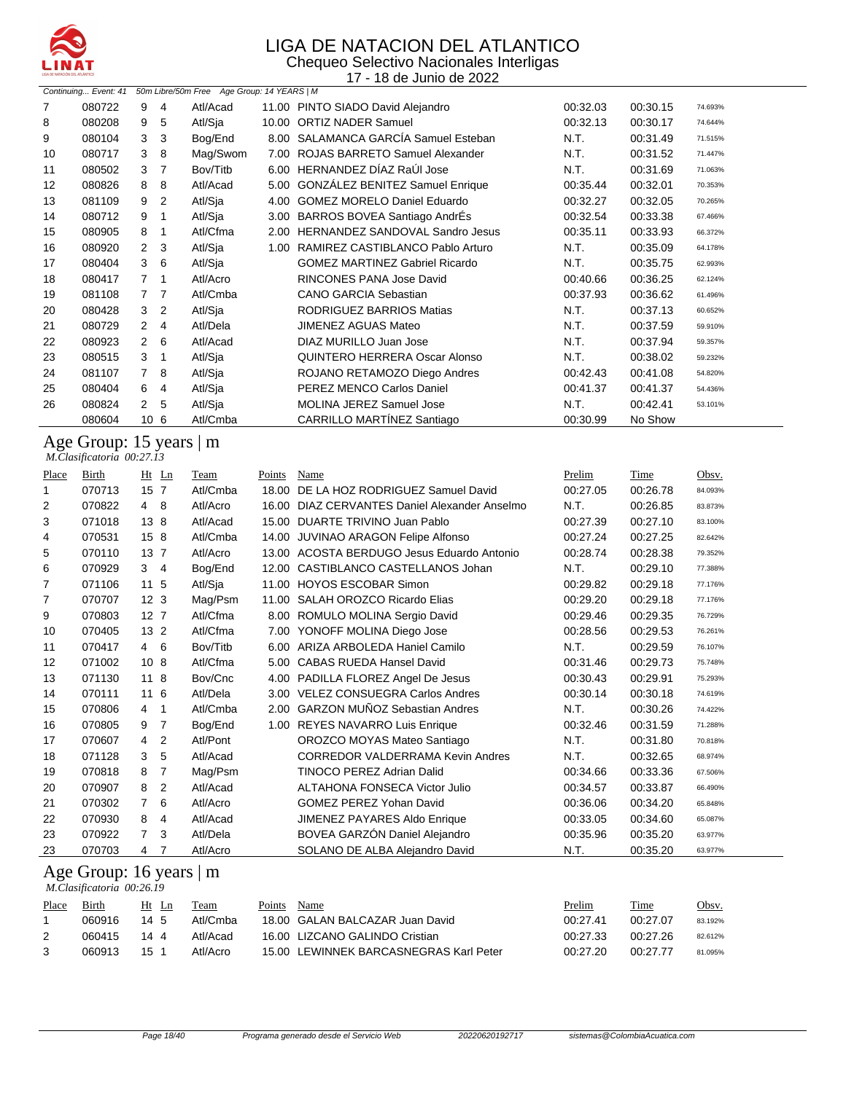

#### LIGA DE NATACION DEL ATLANTICO Chequeo Selectivo Nacionales Interligas

17 - 18 de Junio de 2022

| 9<br>Atl/Acad<br>11.00 PINTO SIADO David Alejandro<br>7<br>080722<br>4<br>00:32.03<br>00:30.15<br>74.693%<br>Atl/Sja<br>10.00 ORTIZ NADER Samuel<br>00:32.13<br>8<br>080208<br>9<br>5<br>00:30.17<br>74.644%<br>8.00 SALAMANCA GARCÍA Samuel Esteban<br>9<br>3<br>Bog/End<br>N.T.<br>080104<br>3<br>00:31.49<br>71.515% |  |
|-------------------------------------------------------------------------------------------------------------------------------------------------------------------------------------------------------------------------------------------------------------------------------------------------------------------------|--|
|                                                                                                                                                                                                                                                                                                                         |  |
|                                                                                                                                                                                                                                                                                                                         |  |
|                                                                                                                                                                                                                                                                                                                         |  |
| ROJAS BARRETO Samuel Alexander<br>Mag/Swom<br>N.T.<br>080717<br>3<br>8<br>7.00<br>00:31.52<br>10<br>71.447%                                                                                                                                                                                                             |  |
| HERNANDEZ DÍAZ RaÚI Jose<br>Bov/Titb<br>N.T.<br>080502<br>3<br>6.00<br>00:31.69<br>11<br>7<br>71.063%                                                                                                                                                                                                                   |  |
| 5.00 GONZALEZ BENITEZ Samuel Enrique<br>12<br>080826<br>8<br>Atl/Acad<br>00:35.44<br>8<br>00:32.01<br>70.353%                                                                                                                                                                                                           |  |
| <b>GOMEZ MORELO Daniel Eduardo</b><br>9<br>2<br>Atl/Sja<br>13<br>081109<br>4.00<br>00:32.27<br>00:32.05<br>70.265%                                                                                                                                                                                                      |  |
| 3.00 BARROS BOVEA Santiago AndrÉs<br>Atl/Sja<br>080712<br>9<br>00:32.54<br>00:33.38<br>14<br>1<br>67.466%                                                                                                                                                                                                               |  |
| Atl/Cfma<br>HERNANDEZ SANDOVAL Sandro Jesus<br>15<br>080905<br>8<br>2.00<br>00:35.11<br>00:33.93<br>66.372%                                                                                                                                                                                                             |  |
| Atl/Sja<br>RAMIREZ CASTIBLANCO Pablo Arturo<br>N.T.<br>16<br>080920<br>$\overline{2}$<br>3<br>1.00<br>00:35.09<br>64.178%                                                                                                                                                                                               |  |
| 3<br>6<br>Atl/Sja<br><b>GOMEZ MARTINEZ Gabriel Ricardo</b><br>N.T.<br>17<br>080404<br>00:35.75<br>62.993%                                                                                                                                                                                                               |  |
| RINCONES PANA Jose David<br>080417<br>$\overline{7}$<br>Atl/Acro<br>00:40.66<br>00:36.25<br>18<br>1<br>62.124%                                                                                                                                                                                                          |  |
| Atl/Cmba<br><b>CANO GARCIA Sebastian</b><br>19<br>081108<br>00:37.93<br>00:36.62<br>77<br>61.496%                                                                                                                                                                                                                       |  |
| Atl/Sja<br>RODRIGUEZ BARRIOS Matias<br>N.T.<br>3<br>$\overline{2}$<br>00:37.13<br>20<br>080428<br>60.652%                                                                                                                                                                                                               |  |
| Atl/Dela<br>N.T.<br><b>JIMENEZ AGUAS Mateo</b><br>21<br>080729<br>2<br>00:37.59<br>4<br>59.910%                                                                                                                                                                                                                         |  |
| Atl/Acad<br>DIAZ MURILLO Juan Jose<br>N.T.<br>22<br>080923<br>$\mathbf{2}$<br>6<br>00:37.94<br>59.357%                                                                                                                                                                                                                  |  |
| QUINTERO HERRERA Oscar Alonso<br>N.T.<br>080515<br>3<br>Atl/Sja<br>00:38.02<br>23<br>1<br>59.232%                                                                                                                                                                                                                       |  |
| ROJANO RETAMOZO Diego Andres<br>081107<br>7<br>-8<br>Atl/Sja<br>00:42.43<br>00:41.08<br>24<br>54.820%                                                                                                                                                                                                                   |  |
| PEREZ MENCO Carlos Daniel<br>Atl/Sja<br>00:41.37<br>25<br>080404<br>6<br>00:41.37<br>4<br>54.436%                                                                                                                                                                                                                       |  |
| Atl/Sja<br>MOLINA JEREZ Samuel Jose<br>26<br>080824<br>$\mathbf{2}$<br>5<br>N.T.<br>00:42.41<br>53.101%                                                                                                                                                                                                                 |  |
| CARRILLO MARTÍNEZ Santiago<br>Atl/Cmba<br>No Show<br>10 <sub>6</sub><br>080604<br>00:30.99                                                                                                                                                                                                                              |  |

#### Age Group: 15 years | m

 *M.Clasificatoria 00:27.13* 

| Place | <b>Birth</b> | Ht Ln           |                | Team     | Points | Name                                       | Prelim   | Time     | Obsv.   |
|-------|--------------|-----------------|----------------|----------|--------|--------------------------------------------|----------|----------|---------|
| 1     | 070713       | 15 7            |                | Atl/Cmba | 18.00  | DE LA HOZ RODRIGUEZ Samuel David           | 00:27.05 | 00:26.78 | 84.093% |
| 2     | 070822       | 4 8             |                | Atl/Acro | 16.00  | DIAZ CERVANTES Daniel Alexander Anselmo    | N.T.     | 00:26.85 | 83.873% |
| 3     | 071018       | 13 8            |                | Atl/Acad | 15.00  | DUARTE TRIVINO Juan Pablo                  | 00:27.39 | 00:27.10 | 83.100% |
| 4     | 070531       | 15 8            |                | Atl/Cmba | 14.00  | JUVINAO ARAGON Felipe Alfonso              | 00:27.24 | 00:27.25 | 82.642% |
| 5     | 070110       | 13 <sub>7</sub> |                | Atl/Acro |        | 13.00 ACOSTA BERDUGO Jesus Eduardo Antonio | 00:28.74 | 00:28.38 | 79.352% |
| 6     | 070929       | 3               | $\overline{4}$ | Bog/End  | 12.00  | CASTIBLANCO CASTELLANOS Johan              | N.T.     | 00:29.10 | 77.388% |
| 7     | 071106       | 11 <sub>5</sub> |                | Atl/Sja  | 11.00  | <b>HOYOS ESCOBAR Simon</b>                 | 00:29.82 | 00:29.18 | 77.176% |
| 7     | 070707       | 12 <sub>3</sub> |                | Mag/Psm  | 11.00  | SALAH OROZCO Ricardo Elias                 | 00:29.20 | 00:29.18 | 77.176% |
| 9     | 070803       | 12 <sub>7</sub> |                | Atl/Cfma | 8.00   | ROMULO MOLINA Sergio David                 | 00:29.46 | 00:29.35 | 76.729% |
| 10    | 070405       | 13 <sub>2</sub> |                | Atl/Cfma |        | 7.00 YONOFF MOLINA Diego Jose              | 00:28.56 | 00:29.53 | 76.261% |
| 11    | 070417       | $4\quad 6$      |                | Bov/Titb |        | 6.00 ARIZA ARBOLEDA Haniel Camilo          | N.T.     | 00:29.59 | 76.107% |
| 12    | 071002       | 10 <sub>8</sub> |                | Atl/Cfma |        | 5.00 CABAS RUEDA Hansel David              | 00:31.46 | 00:29.73 | 75.748% |
| 13    | 071130       | $11 \quad 8$    |                | Bov/Cnc  |        | 4.00 PADILLA FLOREZ Angel De Jesus         | 00:30.43 | 00:29.91 | 75.293% |
| 14    | 070111       | 116             |                | Atl/Dela |        | 3.00 VELEZ CONSUEGRA Carlos Andres         | 00:30.14 | 00:30.18 | 74.619% |
| 15    | 070806       | 4               | 1              | Atl/Cmba | 2.00   | <b>GARZON MUÑOZ Sebastian Andres</b>       | N.T.     | 00:30.26 | 74.422% |
| 16    | 070805       | 9               | $\overline{7}$ | Bog/End  |        | 1.00 REYES NAVARRO Luis Enrique            | 00:32.46 | 00:31.59 | 71.288% |
| 17    | 070607       | 4               | 2              | Atl/Pont |        | OROZCO MOYAS Mateo Santiago                | N.T.     | 00:31.80 | 70.818% |
| 18    | 071128       | 3               | 5              | Atl/Acad |        | <b>CORREDOR VALDERRAMA Kevin Andres</b>    | N.T.     | 00:32.65 | 68.974% |
| 19    | 070818       | 8               | $\overline{7}$ | Mag/Psm  |        | TINOCO PEREZ Adrian Dalid                  | 00:34.66 | 00:33.36 | 67.506% |
| 20    | 070907       | 8               | 2              | Atl/Acad |        | <b>ALTAHONA FONSECA Victor Julio</b>       | 00:34.57 | 00:33.87 | 66.490% |
| 21    | 070302       | $\overline{7}$  | 6              | Atl/Acro |        | <b>GOMEZ PEREZ Yohan David</b>             | 00:36.06 | 00:34.20 | 65.848% |
| 22    | 070930       | 8               | 4              | Atl/Acad |        | JIMENEZ PAYARES Aldo Enrique               | 00:33.05 | 00:34.60 | 65.087% |
| 23    | 070922       | 7               | 3              | Atl/Dela |        | BOVEA GARZÓN Daniel Alejandro              | 00:35.96 | 00:35.20 | 63.977% |
| 23    | 070703       | 4 7             |                | Atl/Acro |        | SOLANO DE ALBA Alejandro David             | N.T.     | 00:35.20 | 63.977% |

#### Age Group: 16 years | m  *M.Clasificatoria 00:26.19*

| Place | Birth  | Ht Ln | Team     | Points | Name                                   | Prelim   | Time     | Obsv.   |
|-------|--------|-------|----------|--------|----------------------------------------|----------|----------|---------|
|       | 060916 | 14 5  | Atl/Cmba |        | 18.00 GALAN BALCAZAR Juan David        | 00:27.41 | 00:27.07 | 83.192% |
|       | 060415 | 1444  | Atl/Acad |        | 16.00 LIZCANO GALINDO Cristian         | 00:27.33 | 00:27.26 | 82.612% |
|       | 060913 | 15    | Atl/Acro |        | 15.00 LEWINNEK BARCASNEGRAS Karl Peter | 00:27.20 | 00:27.77 | 81.095% |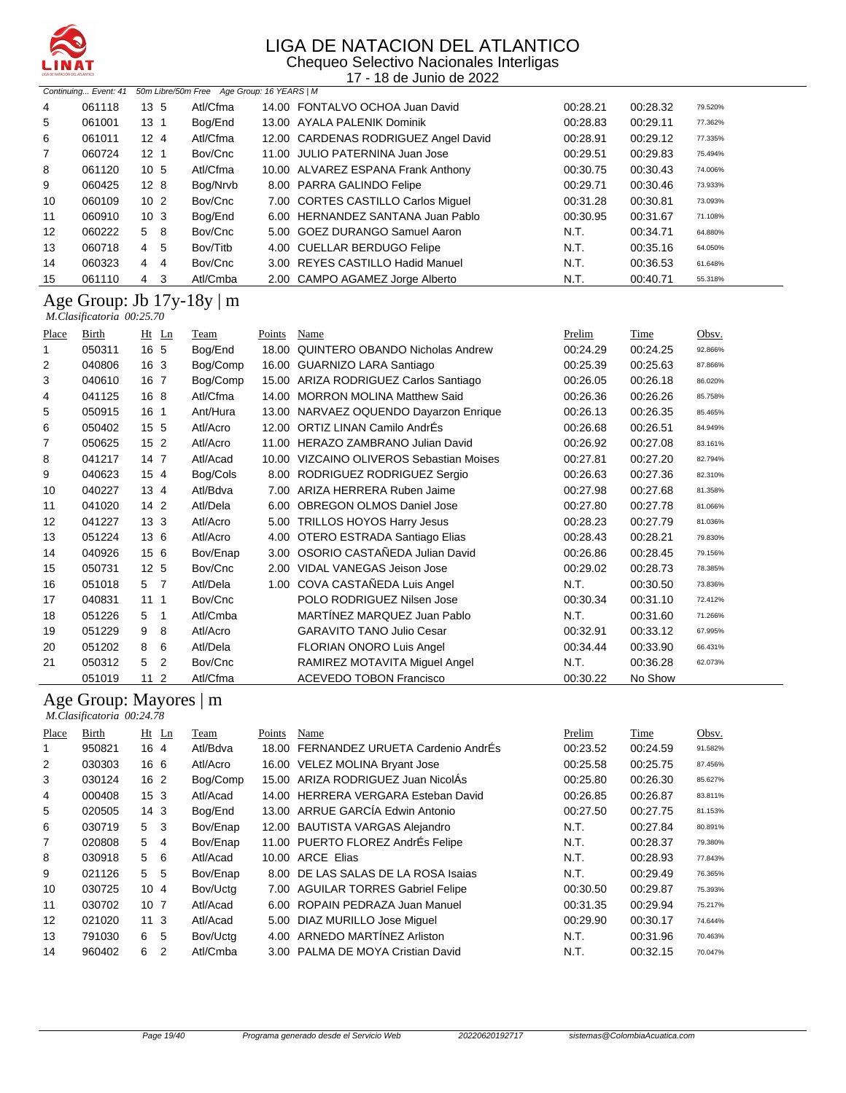

Chequeo Selectivo Nacionales Interligas 17 - 18 de Junio de 2022

|    | Continuing Event: 41 |                     | 50m Libre/50m Free Age Group: 16 YEARS   M |                                      |          |          |         |
|----|----------------------|---------------------|--------------------------------------------|--------------------------------------|----------|----------|---------|
| 4  | 061118               | 13 <sub>5</sub>     | Atl/Cfma                                   | 14.00 FONTALVO OCHOA Juan David      | 00:28.21 | 00:28.32 | 79.520% |
| 5  | 061001               | 13 <sub>1</sub>     | Bog/End                                    | 13.00 AYALA PALENIK Dominik          | 00:28.83 | 00:29.11 | 77.362% |
| 6  | 061011               | 12 <sub>4</sub>     | Atl/Cfma                                   | 12.00 CARDENAS RODRIGUEZ Angel David | 00:28.91 | 00:29.12 | 77.335% |
| 7  | 060724               | 12 <sub>1</sub>     | Bov/Cnc                                    | 11.00 JULIO PATERNINA Juan Jose      | 00:29.51 | 00:29.83 | 75.494% |
| 8  | 061120               | 10 <sub>5</sub>     | Atl/Cfma                                   | 10.00 ALVAREZ ESPANA Frank Anthony   | 00:30.75 | 00:30.43 | 74.006% |
| 9  | 060425               | 12 <sub>8</sub>     | Bog/Nrvb                                   | 8.00 PARRA GALINDO Felipe            | 00:29.71 | 00:30.46 | 73.933% |
| 10 | 060109               | 10 <sub>2</sub>     | Bov/Cnc                                    | 7.00 CORTES CASTILLO Carlos Miquel   | 00:31.28 | 00:30.81 | 73.093% |
| 11 | 060910               | 10 <sub>3</sub>     | Bog/End                                    | 6.00 HERNANDEZ SANTANA Juan Pablo    | 00:30.95 | 00:31.67 | 71.108% |
| 12 | 060222               | - 8<br>5            | Bov/Cnc                                    | 5.00 GOEZ DURANGO Samuel Aaron       | N.T.     | 00:34.71 | 64.880% |
| 13 | 060718               | 5<br>4              | Bov/Titb                                   | 4.00 CUELLAR BERDUGO Felipe          | N.T.     | 00:35.16 | 64.050% |
| 14 | 060323               | $\overline{4}$<br>4 | Bov/Cnc                                    | 3.00 REYES CASTILLO Hadid Manuel     | N.T.     | 00:36.53 | 61.648% |
| 15 | 061110               | 3<br>4              | Atl/Cmba                                   | 2.00 CAMPO AGAMEZ Jorge Alberto      | N.T.     | 00:40.71 | 55.318% |

#### Age Group: Jb 17y-18y | m  *M.Clasificatoria 00:25.70*

| Place | Birth  | Ht<br>Ln        | Team     | Points | Name                                     | Prelim   | Time     | Obsv.   |
|-------|--------|-----------------|----------|--------|------------------------------------------|----------|----------|---------|
|       | 050311 | 16 5            | Bog/End  | 18.00  | <b>QUINTERO OBANDO Nicholas Andrew</b>   | 00:24.29 | 00:24.25 | 92.866% |
| 2     | 040806 | 16 <sub>3</sub> | Bog/Comp | 16.00  | GUARNIZO LARA Santiago                   | 00:25.39 | 00:25.63 | 87.866% |
| 3     | 040610 | 16 7            | Bog/Comp | 15.00  | ARIZA RODRIGUEZ Carlos Santiago          | 00:26.05 | 00:26.18 | 86.020% |
| 4     | 041125 | 16 8            | Atl/Cfma | 14.00  | <b>MORRON MOLINA Matthew Said</b>        | 00:26.36 | 00:26.26 | 85.758% |
| 5     | 050915 | $16-1$          | Ant/Hura |        | 13.00 NARVAEZ OQUENDO Dayarzon Enrique   | 00:26.13 | 00:26.35 | 85.465% |
| 6     | 050402 | 15 5            | Atl/Acro | 12.00  | ORTIZ LINAN Camilo AndrÉs                | 00:26.68 | 00:26.51 | 84.949% |
| 7     | 050625 | 15 <sub>2</sub> | Atl/Acro | 11.00  | HERAZO ZAMBRANO Julian David             | 00:26.92 | 00:27.08 | 83.161% |
| 8     | 041217 | 14 7            | Atl/Acad |        | 10.00 VIZCAINO OLIVEROS Sebastian Moises | 00:27.81 | 00:27.20 | 82.794% |
| 9     | 040623 | 15 <sub>4</sub> | Bog/Cols | 8.00   | RODRIGUEZ RODRIGUEZ Sergio               | 00:26.63 | 00:27.36 | 82.310% |
| 10    | 040227 | $13 \; 4$       | Atl/Bdva | 7.00   | ARIZA HERRERA Ruben Jaime                | 00:27.98 | 00:27.68 | 81.358% |
| 11    | 041020 | $142$           | Atl/Dela | 6.00   | <b>OBREGON OLMOS Daniel Jose</b>         | 00:27.80 | 00:27.78 | 81.066% |
| 12    | 041227 | 13 <sub>3</sub> | Atl/Acro | 5.00   | <b>TRILLOS HOYOS Harry Jesus</b>         | 00:28.23 | 00:27.79 | 81.036% |
| 13    | 051224 | 13 6            | Atl/Acro |        | 4.00 OTERO ESTRADA Santiago Elias        | 00:28.43 | 00:28.21 | 79.830% |
| 14    | 040926 | 156             | Bov/Enap |        | 3.00 OSORIO CASTAÑEDA Julian David       | 00:26.86 | 00:28.45 | 79.156% |
| 15    | 050731 | 12 <sub>5</sub> | Bov/Cnc  | 2.00   | <b>VIDAL VANEGAS Jeison Jose</b>         | 00:29.02 | 00:28.73 | 78.385% |
| 16    | 051018 | 5 <sub>7</sub>  | Atl/Dela | 1.00   | COVA CASTAÑEDA Luis Angel                | N.T.     | 00:30.50 | 73.836% |
| 17    | 040831 | 1111            | Bov/Cnc  |        | POLO RODRIGUEZ Nilsen Jose               | 00:30.34 | 00:31.10 | 72.412% |
| 18    | 051226 | 5<br>-1         | Atl/Cmba |        | MARTÍNEZ MARQUEZ Juan Pablo              | N.T.     | 00:31.60 | 71.266% |
| 19    | 051229 | 9<br>8          | Atl/Acro |        | <b>GARAVITO TANO Julio Cesar</b>         | 00:32.91 | 00:33.12 | 67.995% |
| 20    | 051202 | 6<br>8          | Atl/Dela |        | FLORIAN ONORO Luis Angel                 | 00:34.44 | 00:33.90 | 66.431% |
| 21    | 050312 | 2<br>5          | Bov/Cnc  |        | RAMIREZ MOTAVITA Miquel Angel            | N.T.     | 00:36.28 | 62.073% |
|       | 051019 | 11 <sub>2</sub> | Atl/Cfma |        | <b>ACEVEDO TOBON Francisco</b>           | 00:30.22 | No Show  |         |

#### Age Group: Mayores | m

|                | M.Clasificatoria 00:24.78 |                 |                |          |        |                                     |          |          |         |
|----------------|---------------------------|-----------------|----------------|----------|--------|-------------------------------------|----------|----------|---------|
| Place          | Birth                     | Ht              | Ln             | Team     | Points | Name                                | Prelim   | Time     | Obsv.   |
| 1              | 950821                    | 16 4            |                | Atl/Bdva | 18.00  | FERNANDEZ URUETA Cardenio AndrEs    | 00:23.52 | 00:24.59 | 91.582% |
| 2              | 030303                    | 16 6            |                | Atl/Acro |        | 16.00 VELEZ MOLINA Bryant Jose      | 00:25.58 | 00:25.75 | 87.456% |
| 3              | 030124                    | 16 <sub>2</sub> |                | Bog/Comp | 15.00  | ARIZA RODRIGUEZ Juan NicolÁs        | 00:25.80 | 00:26.30 | 85.627% |
| 4              | 000408                    | 15 <sub>3</sub> |                | Atl/Acad | 14.00  | HERRERA VERGARA Esteban David       | 00:26.85 | 00:26.87 | 83.811% |
| 5              | 020505                    | 14 <sub>3</sub> |                | Bog/End  |        | 13.00 ARRUE GARCÍA Edwin Antonio    | 00:27.50 | 00:27.75 | 81.153% |
| 6              | 030719                    | 5               | 3              | Bov/Enap |        | 12.00 BAUTISTA VARGAS Alejandro     | N.T.     | 00:27.84 | 80.891% |
| $\overline{7}$ | 020808                    | 5               | $\overline{4}$ | Bov/Enap |        | 11.00 PUERTO FLOREZ AndrÉs Felipe   | N.T.     | 00:28.37 | 79.380% |
| 8              | 030918                    | 5               | 6              | Atl/Acad | 10.00  | <b>ARCE Elias</b>                   | N.T.     | 00:28.93 | 77.843% |
| 9              | 021126                    | 5               | 5              | Bov/Enap |        | 8.00 DE LAS SALAS DE LA ROSA Isaias | N.T.     | 00:29.49 | 76.365% |
| 10             | 030725                    | 10 <sub>4</sub> |                | Bov/Uctg |        | 7.00 AGUILAR TORRES Gabriel Felipe  | 00:30.50 | 00:29.87 | 75.393% |
| 11             | 030702                    | 10 <sub>7</sub> |                | Atl/Acad | 6.00   | ROPAIN PEDRAZA Juan Manuel          | 00:31.35 | 00:29.94 | 75.217% |
| 12             | 021020                    | 11 <sub>3</sub> |                | Atl/Acad |        | 5.00 DIAZ MURILLO Jose Miquel       | 00:29.90 | 00:30.17 | 74.644% |
| 13             | 791030                    | 6               | 5              | Bov/Uctg | 4.00   | ARNEDO MARTÍNEZ Arliston            | N.T.     | 00:31.96 | 70.463% |
| 14             | 960402                    | 6               | 2              | Atl/Cmba | 3.00   | PALMA DE MOYA Cristian David        | N.T.     | 00:32.15 | 70.047% |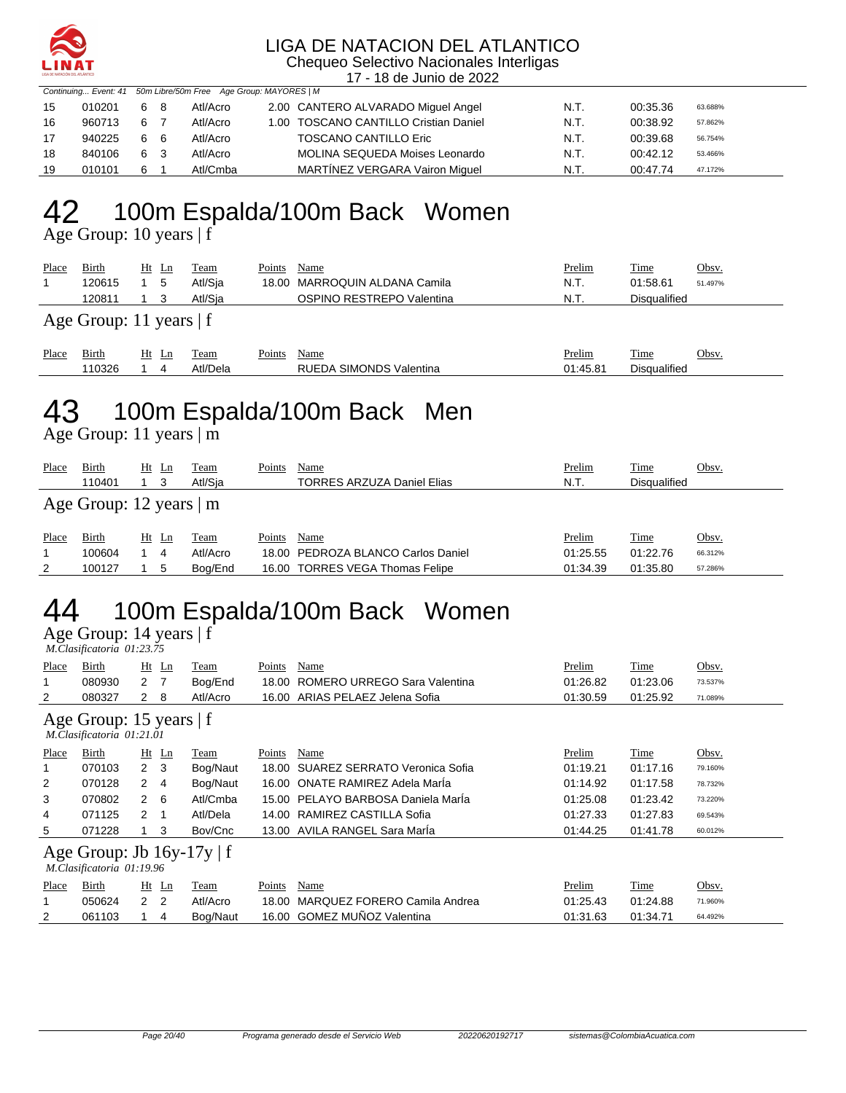

Chequeo Selectivo Nacionales Interligas 17 - 18 de Junio de 2022

|    | Continuing Event: 41 50m Libre/50m Free Age Group: MAYORES   M |  |          |  |                      |  |  |
|----|----------------------------------------------------------------|--|----------|--|----------------------|--|--|
| 15 | 010201 6 8                                                     |  | Atl/Acro |  | 2.00 CANTERO ALVARAI |  |  |

| 15 | 010201 | 68 | Atl/Acro | 2.00 CANTERO ALVARADO Miguel Angel    | N.T. | 00:35.36 | 63.688% |
|----|--------|----|----------|---------------------------------------|------|----------|---------|
| 16 | 960713 | 6  | Atl/Acro | 1.00 TOSCANO CANTILLO Cristian Daniel | N.T. | 00:38.92 | 57.862% |
| 17 | 940225 | 66 | Atl/Acro | <b>TOSCANO CANTILLO Eric</b>          | N.T. | 00:39.68 | 56.754% |
| 18 | 840106 | 63 | Atl/Acro | MOLINA SEQUEDA Moises Leonardo        | N.T. | 00:42.12 | 53.466% |
| 19 | 010101 | 6  | Atl/Cmba | MARTINEZ VERGARA Vairon Miguel        | N.T. | 00:47.74 | 47.172% |

#### 100m Espalda/100m Back Women Age Group: 10 years | f

| Place | Birth                     | Ht Ln |    | Team    | Points | Name                          | <u>Prelim</u> | <b>Time</b>  | Obsv.   |  |
|-------|---------------------------|-------|----|---------|--------|-------------------------------|---------------|--------------|---------|--|
|       | 120615                    |       | -5 | Atl/Sia |        | 18.00 MARROQUIN ALDANA Camila | N.T.          | 01:58.61     | 51.497% |  |
|       | 120811                    |       |    | Atl/Sia |        | OSPINO RESTREPO Valentina     | N.T.          | Disgualified |         |  |
|       | Age Group: 11 years $ f $ |       |    |         |        |                               |               |              |         |  |

| Place | -<br>31rth | <u>Ht</u><br>$\mathbf{L}$ | eam  | $\sim$<br>oints' | Name                                    | relim        | $\sim$<br><u>. ime</u>   | Obsv |
|-------|------------|---------------------------|------|------------------|-----------------------------------------|--------------|--------------------------|------|
|       | 10326      |                           | Jela |                  | RUE.<br>ONDS<br>зıм<br>™DA<br>Valentina | ነ1 45<br>. റ | $\cdots$<br>)isqualified |      |

## 43 100m Espalda/100m Back Men

Age Group: 11 years | m

| Place | <b>Birth</b><br>110401        | Ht | $\mathop{\rm Ln}$ | Team<br>Atl/Sia | Points | Name<br><b>TORRES ARZUZA Daniel Elias</b> | Prelim<br>N.T. | Time<br><b>Disqualified</b> | Obsv.   |  |  |
|-------|-------------------------------|----|-------------------|-----------------|--------|-------------------------------------------|----------------|-----------------------------|---------|--|--|
|       | Age Group: 12 years $\vert$ m |    |                   |                 |        |                                           |                |                             |         |  |  |
| Place | Birth                         | Ht | Ln                | Team            | Points | Name                                      | Prelim         | Time                        | Obsv.   |  |  |
|       | 100604                        |    | 4                 | Atl/Acro        |        | 18.00 PEDROZA BLANCO Carlos Daniel        | 01:25.55       | 01:22.76                    | 66.312% |  |  |
| 2     | 100127                        |    | ა                 | Bog/End         |        | 16.00 TORRES VEGA Thomas Felipe           | 01:34.39       | 01:35.80                    | 57.286% |  |  |

# 44 100m Espalda/100m Back Women

Age Group: 14 years | f  *M.Clasificatoria 01:23.75* 

| Place | Birth<br>080930                                             | 2 <sub>7</sub> | $Ht$ Ln | Team<br>Bog/End | Points<br>18.00 | Name<br>ROMERO URREGO Sara Valentina | Prelim<br>01:26.82 | Time<br>01:23.06 | Obsv.<br>73.537% |  |  |
|-------|-------------------------------------------------------------|----------------|---------|-----------------|-----------------|--------------------------------------|--------------------|------------------|------------------|--|--|
| 2     | 080327                                                      | $\mathbf{2}$   | -8      | Atl/Acro        |                 | 16.00 ARIAS PELAEZ Jelena Sofia      | 01:30.59           | 01:25.92         | 71.089%          |  |  |
|       | Age Group: 15 years $ f $<br>M.Clasificatoria 01:21.01      |                |         |                 |                 |                                      |                    |                  |                  |  |  |
| Place | Birth                                                       |                | $Ht$ Ln | Team            | Points          | Name                                 | Prelim             | <b>Time</b>      | Obsv.            |  |  |
|       | 070103                                                      | 2 <sub>3</sub> |         | Bog/Naut        | 18.00           | SUAREZ SERRATO Veronica Sofia        | 01:19.21           | 01:17.16         | 79.160%          |  |  |
| 2     | 070128                                                      | $\mathbf{2}$   | 4       | Bog/Naut        |                 | 16.00 ONATE RAMIREZ Adela Marla      | 01:14.92           | 01:17.58         | 78.732%          |  |  |
| 3     | 070802                                                      | $\overline{2}$ | - 6     | Atl/Cmba        | 15.00           | PELAYO BARBOSA Daniela Marla         | 01:25.08           | 01:23.42         | 73.220%          |  |  |
| 4     | 071125                                                      | $\overline{2}$ |         | Atl/Dela        | 14.00           | RAMIREZ CASTILLA Sofia               | 01:27.33           | 01:27.83         | 69.543%          |  |  |
| 5     | 071228                                                      |                | 3       | Bov/Cnc         |                 | 13.00 AVILA RANGEL Sara Maria        | 01:44.25           | 01:41.78         | 60.012%          |  |  |
|       | Age Group: Jb $16y-17y \mid f$<br>M.Clasificatoria 01:19.96 |                |         |                 |                 |                                      |                    |                  |                  |  |  |
| Place | Birth                                                       |                | $Ht$ Ln | Team            | Points          | Name                                 | Prelim             | Time             | Obsv.            |  |  |
|       | 050624                                                      | 2 <sub>2</sub> |         | Atl/Acro        | 18.00           | MARQUEZ FORERO Camila Andrea         | 01:25.43           | 01:24.88         | 71.960%          |  |  |
| 2     | 061103                                                      |                | 4       | Bog/Naut        |                 | 16.00 GOMEZ MUÑOZ Valentina          | 01:31.63           | 01:34.71         | 64.492%          |  |  |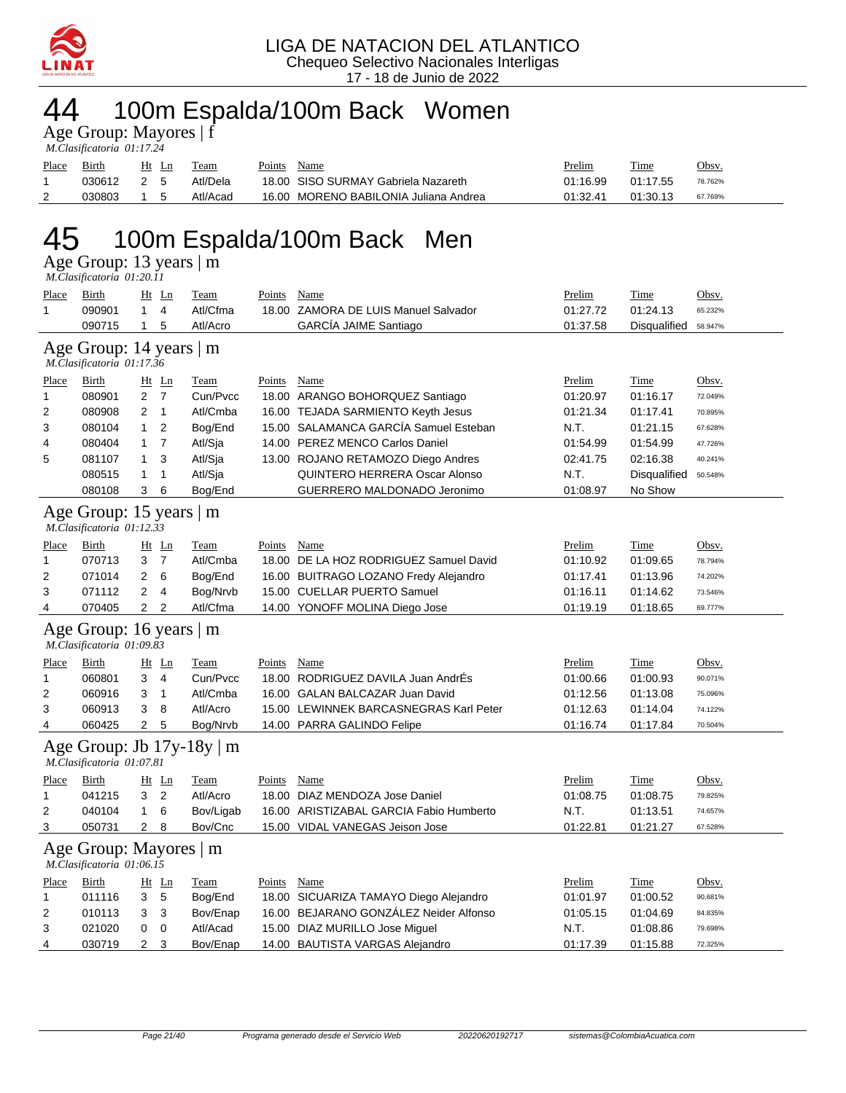

## 44 100m Espalda/100m Back Women

| Age Group: Mayores   f    |  |
|---------------------------|--|
| M.Clasificatoria 01:17.24 |  |

| Place | Birth      | Ht Ln          | Team     | Points | Name                                  | Prelim   | Time     | Obsv.   |
|-------|------------|----------------|----------|--------|---------------------------------------|----------|----------|---------|
|       | 030612 2 5 |                | Atl/Dela |        | 18.00 SISO SURMAY Gabriela Nazareth   | 01:16.99 | 01:17.55 | 78.762% |
| 2     | 030803     | 1 <sub>5</sub> | Atl/Acad |        | 16.00 MORENO BABILONIA Juliana Andrea | 01:32.41 | 01:30.13 | 67.769% |

## 45 100m Espalda/100m Back Men

Age Group: 13 years | m

 *M.Clasificatoria 01:20.11* 

| Place<br>$\mathbf{1}$ | <b>Birth</b><br>090901                               | $\mathbf{1}$        | $Ht$ Ln<br>$\overline{4}$ | <b>Team</b><br>Atl/Cfma        | Points | Name<br>18.00 ZAMORA DE LUIS Manuel Salvador | Prelim<br>01:27.72 | <b>Time</b><br>01:24.13 | Obsv.<br>65.232% |
|-----------------------|------------------------------------------------------|---------------------|---------------------------|--------------------------------|--------|----------------------------------------------|--------------------|-------------------------|------------------|
|                       | 090715                                               | $\mathbf{1}$        | 5                         | Atl/Acro                       |        | GARCÍA JAIME Santiago                        | 01:37.58           | <b>Disqualified</b>     | 58.947%          |
|                       |                                                      |                     |                           |                                |        |                                              |                    |                         |                  |
|                       | Age Group: 14 years   m<br>M.Clasificatoria 01:17.36 |                     |                           |                                |        |                                              |                    |                         |                  |
| Place                 | Birth                                                |                     | $Ht$ Ln                   | Team                           | Points | Name                                         | Prelim             | Time                    | Obsv.            |
| 1                     | 080901                                               | $\overline{2}$      | $\overline{7}$            | Cun/Pvcc                       |        | 18.00 ARANGO BOHORQUEZ Santiago              | 01:20.97           | 01:16.17                | 72.049%          |
| 2                     | 080908                                               | $\overline{2}$      | $\mathbf{1}$              | Atl/Cmba                       |        | 16.00 TEJADA SARMIENTO Keyth Jesus           | 01:21.34           | 01:17.41                | 70.895%          |
| 3                     | 080104                                               | $\mathbf{1}$        | $\overline{2}$            | Bog/End                        |        | 15.00 SALAMANCA GARCÍA Samuel Esteban        | N.T.               | 01:21.15                | 67.628%          |
| 4                     | 080404                                               | 1                   | $\overline{7}$            | Atl/Sja                        |        | 14.00 PEREZ MENCO Carlos Daniel              | 01:54.99           | 01:54.99                | 47.726%          |
| 5                     | 081107                                               | $\mathbf{1}$        | 3                         | Atl/Sja                        |        | 13.00 ROJANO RETAMOZO Diego Andres           | 02:41.75           | 02:16.38                | 40.241%          |
|                       | 080515                                               | 1                   | $\mathbf{1}$              | Atl/Sja                        |        | <b>QUINTERO HERRERA Oscar Alonso</b>         | N.T.               | Disqualified            | 50.548%          |
|                       | 080108                                               | 3                   | 6                         | Bog/End                        |        | GUERRERO MALDONADO Jeronimo                  | 01:08.97           | No Show                 |                  |
|                       | Age Group: 15 years   m<br>M.Clasificatoria 01:12.33 |                     |                           |                                |        |                                              |                    |                         |                  |
| <u>Place</u>          | <b>Birth</b>                                         |                     | $Ht$ Ln                   | <b>Team</b>                    | Points | Name                                         | Prelim             | Time                    | Obsv.            |
| 1                     | 070713                                               | 3 <sub>7</sub>      |                           | Atl/Cmba                       |        | 18.00 DE LA HOZ RODRIGUEZ Samuel David       | 01:10.92           | 01:09.65                | 78.794%          |
| 2                     | 071014                                               | $\overline{c}$      | 6                         | Bog/End                        |        | 16.00 BUITRAGO LOZANO Fredy Alejandro        | 01:17.41           | 01:13.96                | 74.202%          |
| 3                     | 071112                                               | 2                   | 4                         | Bog/Nrvb                       |        | 15.00 CUELLAR PUERTO Samuel                  | 01:16.11           | 01:14.62                | 73.546%          |
| 4                     | 070405                                               | $\overline{2}$      | $\overline{2}$            | Atl/Cfma                       |        | 14.00 YONOFF MOLINA Diego Jose               | 01:19.19           | 01:18.65                | 69.777%          |
|                       | Age Group: 16 years   m<br>M.Clasificatoria 01:09.83 |                     |                           |                                |        |                                              |                    |                         |                  |
| <b>Place</b>          | Birth                                                |                     | $Ht$ Ln                   | <b>Team</b>                    | Points | Name                                         | Prelim             | Time                    | Obsv.            |
| 1                     | 060801                                               | 3                   | 4                         | Cun/Pvcc                       |        | 18.00 RODRIGUEZ DAVILA Juan AndrÉs           | 01:00.66           | 01:00.93                | 90.071%          |
| 2                     | 060916                                               | 3                   | $\mathbf{1}$              | Atl/Cmba                       |        | 16.00 GALAN BALCAZAR Juan David              | 01:12.56           | 01:13.08                | 75.096%          |
| 3                     | 060913                                               | 3                   | 8                         | Atl/Acro                       |        | 15.00 LEWINNEK BARCASNEGRAS Karl Peter       | 01:12.63           | 01:14.04                | 74.122%          |
| 4                     | 060425                                               | $\overline{2}$      | 5                         | Bog/Nrvb                       |        | 14.00 PARRA GALINDO Felipe                   | 01:16.74           | 01:17.84                | 70.504%          |
|                       |                                                      |                     |                           |                                |        |                                              |                    |                         |                  |
|                       | M.Clasificatoria 01:07.81                            |                     |                           | Age Group: Jb $17y-18y \mid m$ |        |                                              |                    |                         |                  |
| <u>Place</u>          | Birth                                                |                     | $Ht$ Ln                   | <b>Team</b>                    | Points | Name                                         | Prelim             | <b>Time</b>             | Obsv.            |
| 1                     | 041215                                               | 3                   | $\overline{2}$            | Atl/Acro                       |        | 18.00 DIAZ MENDOZA Jose Daniel               | 01:08.75           | 01:08.75                | 79.825%          |
| 2                     |                                                      |                     |                           |                                |        | 16.00 ARISTIZABAL GARCIA Fabio Humberto      | N.T.               |                         | 74.657%          |
| 3                     | 040104<br>050731                                     | 1<br>$\overline{2}$ | 6<br>8                    | Bov/Ligab<br>Bov/Cnc           |        | 15.00 VIDAL VANEGAS Jeison Jose              | 01:22.81           | 01:13.51<br>01:21.27    | 67.528%          |
|                       | Age Group: Mayores   m<br>M.Clasificatoria 01:06.15  |                     |                           |                                |        |                                              |                    |                         |                  |
| <b>Place</b>          | <b>Birth</b>                                         |                     | $Ht$ Ln                   | <b>Team</b>                    | Points | Name                                         | Prelim             | Time                    | Obsv.            |
| 1                     | 011116                                               | 3                   | 5                         | Bog/End                        |        | 18.00 SICUARIZA TAMAYO Diego Alejandro       | 01:01.97           | 01:00.52                | 90.681%          |
| 2                     | 010113                                               | 3                   | 3                         | Bov/Enap                       |        | 16.00 BEJARANO GONZALEZ Neider Alfonso       | 01:05.15           | 01:04.69                | 84.835%          |
| 3                     | 021020                                               | 0                   | $\mathbf 0$               | Atl/Acad                       |        | 15.00 DIAZ MURILLO Jose Miguel               | N.T.               | 01:08.86                | 79.698%          |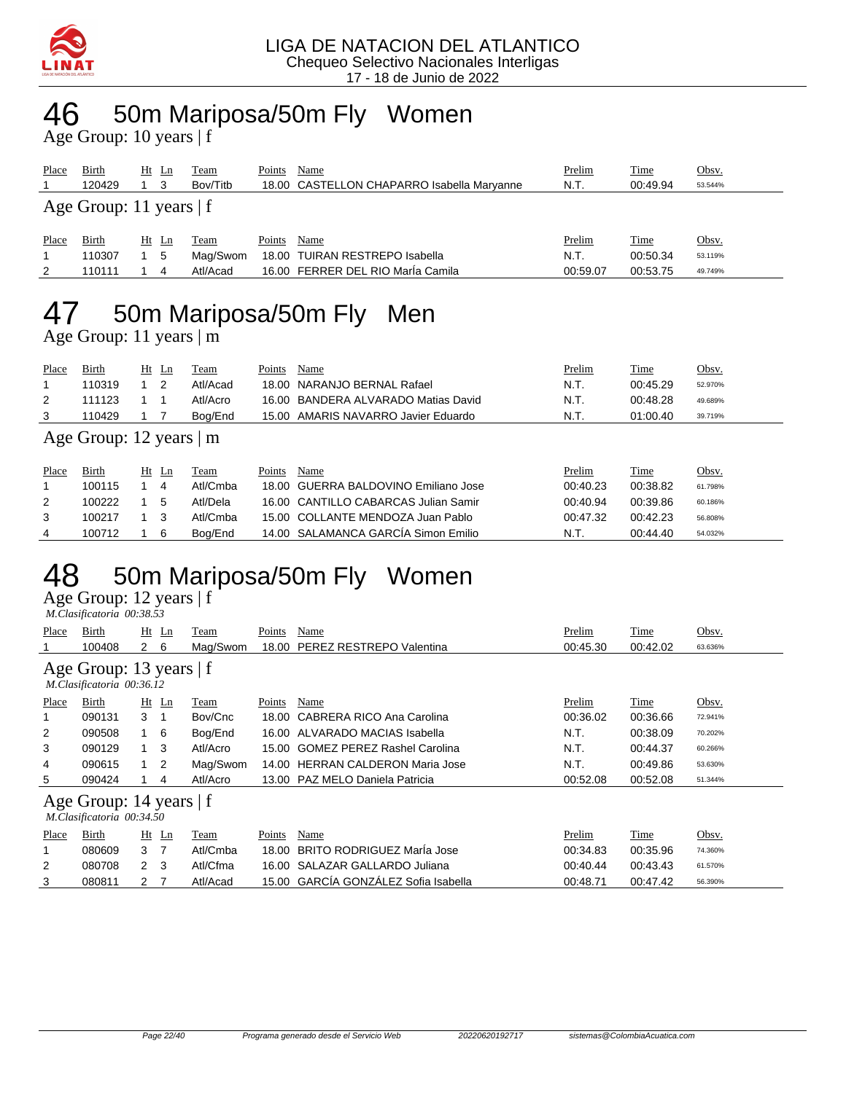

## 46 50m Mariposa/50m Fly Women

Age Group: 10 years | f

| Place                     | Birth<br>120429 | $Ht$ Ln | -3 | Team<br>Bov/Titb | Points | Name<br>18.00 CASTELLON CHAPARRO Isabella Marvanne | Prelim<br>N.T. | <u>Time</u><br>00:49.94 | Obsv.<br>53.544% |
|---------------------------|-----------------|---------|----|------------------|--------|----------------------------------------------------|----------------|-------------------------|------------------|
| Age Group: 11 years $ f $ |                 |         |    |                  |        |                                                    |                |                         |                  |
| Place                     | Birth           | $Ht$ Ln |    | Team             | Points | Name                                               | Prelim         | <u>Time</u>             | Obsv.            |
|                           | 110307          |         | 5  | Mag/Swom         |        | 18.00 TUIRAN RESTREPO Isabella                     | N.T.           | 00:50.34                | 53.119%          |
| 2                         | 110111          |         | 4  | Atl/Acad         |        | 16.00 FERRER DEL RIO María Camila                  | 00:59.07       | 00:53.75                | 49.749%          |
|                           |                 |         |    |                  |        |                                                    |                |                         |                  |

## 47 50m Mariposa/50m Fly Men

Age Group: 11 years | m

| Place | Birth  | Ht<br>Ln | Team     | Name<br>Points                      | <u>Prelim</u> | Time     | <u>Obsv.</u> |
|-------|--------|----------|----------|-------------------------------------|---------------|----------|--------------|
|       | 110319 |          | Atl/Acad | 18.00 NARANJO BERNAL Rafael         | N.T.          | 00:45.29 | 52.970%      |
|       | 111123 |          | Atl/Acro | 16.00 BANDERA ALVARADO Matias David | N.T.          | 00:48.28 | 49.689%      |
|       | 110429 |          | Bog/End  | 15.00 AMARIS NAVARRO Javier Eduardo | N.T.          | 01:00.40 | 39.719%      |
|       |        |          |          |                                     |               |          |              |

#### Age Group: 12 years | m

| Place | Birth  | Ht Ln | Team     | Points | Name                                 | Prelim   | <b>Time</b> | Obsv.   |
|-------|--------|-------|----------|--------|--------------------------------------|----------|-------------|---------|
|       | 100115 |       | Atl/Cmba |        | 18.00 GUERRA BALDOVINO Emiliano Jose | 00:40.23 | 00:38.82    | 61.798% |
|       | 100222 | 5     | Atl/Dela |        | 16.00 CANTILLO CABARCAS Julian Samir | 00:40.94 | 00:39.86    | 60.186% |
| 3     | 100217 | - 3   | Atl/Cmba |        | 15.00 COLLANTE MENDOZA Juan Pablo    | 00:47.32 | 00:42.23    | 56.808% |
|       | 100712 | -6    | Boa/End  |        | 14.00 SALAMANCA GARCÍA Simon Emilio  | N.T.     | 00:44.40    | 54.032% |

## 48 50m Mariposa/50m Fly Women

Age Group: 12 years | f  *M.Clasificatoria 00:38.53* 

| Place | Birth                                                  | Ht             | $\mathbf{L}$ n | Team     | Points | Name                                 | Prelim   | Time     | Obsv.   |
|-------|--------------------------------------------------------|----------------|----------------|----------|--------|--------------------------------------|----------|----------|---------|
|       | 100408                                                 | $2\quad 6$     |                | Mag/Swom | 18.00  | PEREZ RESTREPO Valentina             | 00:45.30 | 00:42.02 | 63.636% |
|       | Age Group: 13 years $ f $<br>M.Clasificatoria 00:36.12 |                |                |          |        |                                      |          |          |         |
| Place | Birth                                                  |                | Ht Ln          | Team     | Points | Name                                 | Prelim   | Time     | Obsv.   |
| 1     | 090131                                                 | 3 <sub>1</sub> |                | Bov/Cnc  | 18.00  | CABRERA RICO Ana Carolina            | 00:36.02 | 00:36.66 | 72.941% |
| 2     | 090508                                                 | 1 6            |                | Bog/End  |        | 16.00 ALVARADO MACIAS Isabella       | N.T.     | 00:38.09 | 70.202% |
| 3     | 090129                                                 | 1              | -3             | Atl/Acro | 15.00  | <b>GOMEZ PEREZ Rashel Carolina</b>   | N.T.     | 00:44.37 | 60.266% |
| 4     | 090615                                                 |                | 2              | Mag/Swom | 14.00  | <b>HERRAN CALDERON Maria Jose</b>    | N.T.     | 00:49.86 | 53.630% |
| 5     | 090424                                                 |                | 4              | Atl/Acro |        | 13.00 PAZ MELO Daniela Patricia      | 00:52.08 | 00:52.08 | 51.344% |
|       | Age Group: 14 years   f<br>M.Clasificatoria 00:34.50   |                |                |          |        |                                      |          |          |         |
| Place | Birth                                                  |                | $Ht$ Ln        | Team     | Points | Name                                 | Prelim   | Time     | Obsv.   |
| 1     | 080609                                                 | 3              | - 7            | Atl/Cmba | 18.00  | BRITO RODRIGUEZ MarÍa Jose           | 00:34.83 | 00:35.96 | 74.360% |
| 2     | 080708                                                 | 2 <sub>3</sub> |                | Atl/Cfma | 16.00  | SALAZAR GALLARDO Juliana             | 00:40.44 | 00:43.43 | 61.570% |
| 3     | 080811                                                 | 2              | $\overline{7}$ | Atl/Acad |        | 15.00 GARCÍA GONZÁLEZ Sofia Isabella | 00:48.71 | 00:47.42 | 56.390% |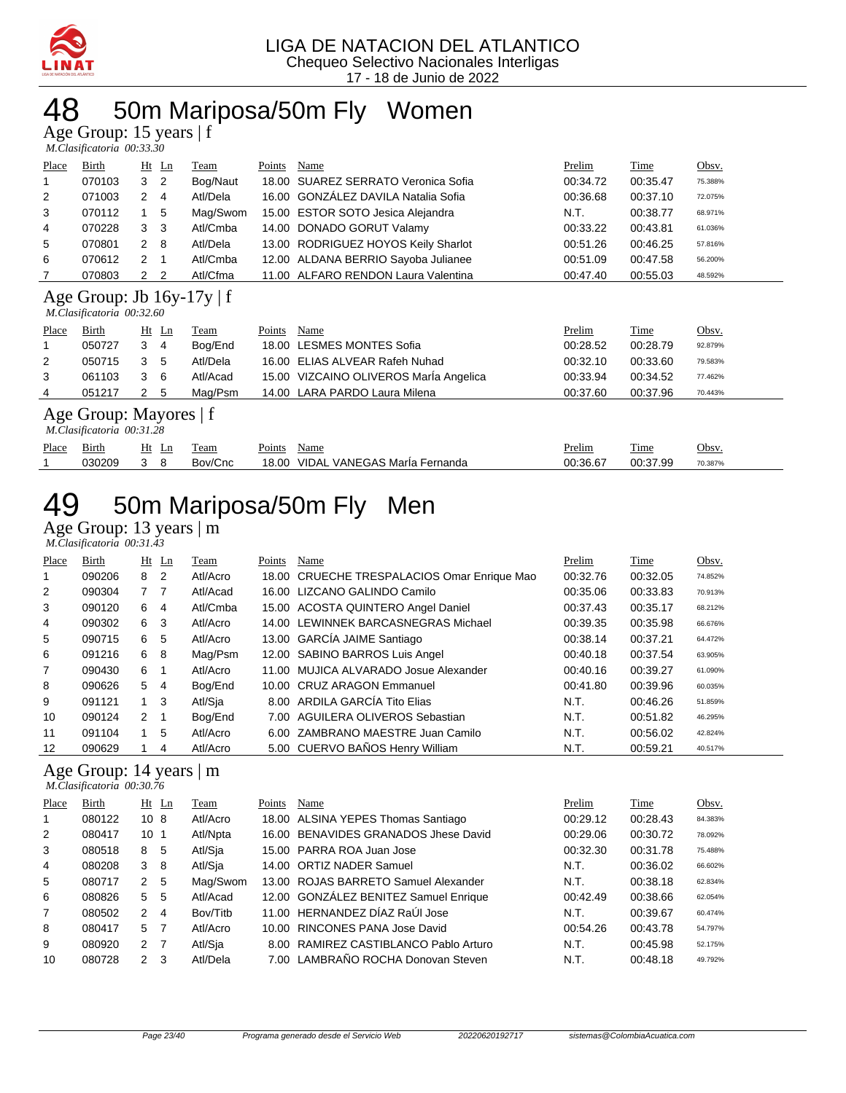

### 50m Mariposa/50m Fly Women

Age Group: 15 years | f

|              | M.Clasificatoria 00:33.30                                   |                |                |          |        |                                     |          |  |          |         |
|--------------|-------------------------------------------------------------|----------------|----------------|----------|--------|-------------------------------------|----------|--|----------|---------|
| <b>Place</b> | Birth                                                       |                | $Ht$ Ln        | Team     | Points | Name                                | Prelim   |  | Time     | Obsv.   |
| 1            | 070103                                                      |                | 3 <sub>2</sub> | Bog/Naut |        | 18.00 SUAREZ SERRATO Veronica Sofia | 00:34.72 |  | 00:35.47 | 75.388% |
| 2            | 071003                                                      | 2              | 4              | Atl/Dela |        | 16.00 GONZALEZ DAVILA Natalia Sofia | 00:36.68 |  | 00:37.10 | 72.075% |
| 3            | 070112                                                      | 1.             | 5              | Mag/Swom |        | 15.00 ESTOR SOTO Jesica Alejandra   | N.T.     |  | 00:38.77 | 68.971% |
| 4            | 070228                                                      | 3 <sub>3</sub> |                | Atl/Cmba |        | 14.00 DONADO GORUT Valamy           | 00:33.22 |  | 00:43.81 | 61.036% |
| -5           | 070801                                                      | $\mathcal{P}$  | 8              | Atl/Dela |        | 13.00 RODRIGUEZ HOYOS Keily Sharlot | 00:51.26 |  | 00:46.25 | 57.816% |
| 6            | 070612                                                      | $\mathcal{P}$  | 1              | Atl/Cmba |        | 12.00 ALDANA BERRIO Sayoba Julianee | 00:51.09 |  | 00:47.58 | 56.200% |
|              | 070803                                                      |                | 2 <sub>2</sub> | Atl/Cfma |        | 11.00 ALFARO RENDON Laura Valentina | 00:47.40 |  | 00:55.03 | 48.592% |
|              | Age Group: Jb $16y-17y \mid f$<br>M.Clasificatoria 00:32.60 |                |                |          |        |                                     |          |  |          |         |

Place Birth Ht Ln Team Points Name Prelim Prelim Time Obsv. 050727 3 4 Bog/End 18.00 LESMES MONTES Sofia 00:28.52 00:28.79 92.879% 050715 3 5 Atl/Dela 16.00 ELIAS ALVEAR Rafeh Nuhad 00:32.10 00:33.60 79.583% 061103 3 6 Atl/Acad 15.00 VIZCAINO OLIVEROS MarÍa Angelica 00:33.94 00:34.52 77.462% 051217 2 5 Mag/Psm 14.00 LARA PARDO Laura Milena 00:37.60 00:37.96 70.443%

Age Group: Mayores | f  *M.Clasificatoria 00:31.28* 

| Place | 31rth  | Ht<br>Ln | l'eam   | $\sim$ $\sim$<br>Name<br>Points |                           | <b>Prelim</b> | Time    | Obsv    |
|-------|--------|----------|---------|---------------------------------|---------------------------|---------------|---------|---------|
|       | 030209 |          | Bov/Cnc | VIDAI<br>18.00                  | VANEGAS Marla<br>Fernanda | 00:36.67      | 00.3799 | 70.387% |

## 50m Mariposa/50m Fly Men

Age Group: 13 years | m  *M.Clasificatoria 00:31.43* 

| Place | Birth  |                | $Ht$ Ln        | Team     | Points | Name                                        | Prelim   | Time     | Obsv.   |
|-------|--------|----------------|----------------|----------|--------|---------------------------------------------|----------|----------|---------|
|       | 090206 | 8              | $\overline{2}$ | Atl/Acro |        | 18.00 CRUECHE TRESPALACIOS Omar Enrique Mao | 00:32.76 | 00:32.05 | 74.852% |
| 2     | 090304 | 7 <sub>7</sub> |                | Atl/Acad |        | 16.00 LIZCANO GALINDO Camilo                | 00:35.06 | 00:33.83 | 70.913% |
| 3     | 090120 | 6              | 4              | Atl/Cmba |        | 15.00 ACOSTA QUINTERO Angel Daniel          | 00:37.43 | 00:35.17 | 68.212% |
| 4     | 090302 | 6              | 3              | Atl/Acro |        | 14.00 LEWINNEK BARCASNEGRAS Michael         | 00:39.35 | 00:35.98 | 66.676% |
| 5     | 090715 | 6              | 5              | Atl/Acro |        | 13.00 GARCIA JAIME Santiago                 | 00:38.14 | 00:37.21 | 64.472% |
| 6     | 091216 | 6              | - 8            | Mag/Psm  |        | 12.00 SABINO BARROS Luis Angel              | 00:40.18 | 00:37.54 | 63.905% |
| 7     | 090430 | 6              |                | Atl/Acro |        | 11.00 MUJICA ALVARADO Josue Alexander       | 00:40.16 | 00:39.27 | 61.090% |
| 8     | 090626 | 5              | -4             | Bog/End  |        | 10.00 CRUZ ARAGON Emmanuel                  | 00:41.80 | 00:39.96 | 60.035% |
| 9     | 091121 | $1 \quad 3$    |                | Atl/Sja  |        | 8.00 ARDILA GARCÍA Tito Elias               | N.T.     | 00:46.26 | 51.859% |
| 10    | 090124 | $2 \quad 1$    |                | Bog/End  |        | 7.00 AGUILERA OLIVEROS Sebastian            | N.T.     | 00:51.82 | 46.295% |
| 11    | 091104 | 1              | 5              | Atl/Acro |        | 6.00 ZAMBRANO MAESTRE Juan Camilo           | N.T.     | 00:56.02 | 42.824% |
| 12    | 090629 |                | 4              | Atl/Acro |        | 5.00 CUERVO BAÑOS Henry William             | N.T.     | 00:59.21 | 40.517% |

#### Age Group: 14 years | m

 *M.Clasificatoria 00:30.76* 

| Place | Birth  |                 | $Ht$ Ln        | Team     | Points | Name                                  | Prelim   | Time     | Obsv.   |
|-------|--------|-----------------|----------------|----------|--------|---------------------------------------|----------|----------|---------|
|       | 080122 | 10 <sub>8</sub> |                | Atl/Acro |        | 18.00 ALSINA YEPES Thomas Santiago    | 00:29.12 | 00:28.43 | 84.383% |
| 2     | 080417 | 10 <sub>1</sub> |                | Atl/Npta |        | 16.00 BENAVIDES GRANADOS Jhese David  | 00:29.06 | 00:30.72 | 78.092% |
| 3     | 080518 | 8               | -5             | Atl/Sja  |        | 15.00 PARRA ROA Juan Jose             | 00:32.30 | 00:31.78 | 75.488% |
| 4     | 080208 | 3               | -8             | Atl/Sja  |        | 14.00 ORTIZ NADER Samuel              | N.T.     | 00:36.02 | 66.602% |
| 5     | 080717 | 2               | -5             | Mag/Swom |        | 13.00 ROJAS BARRETO Samuel Alexander  | N.T.     | 00:38.18 | 62.834% |
| 6     | 080826 | 5               | 5              | Atl/Acad |        | 12.00 GONZÁLEZ BENITEZ Samuel Enrique | 00:42.49 | 00:38.66 | 62.054% |
| 7     | 080502 | $\mathcal{P}$   | 4              | Bov/Titb |        | 11.00 HERNANDEZ DÍAZ RaÚI Jose        | N.T.     | 00:39.67 | 60.474% |
| 8     | 080417 | 5               | $\overline{7}$ | Atl/Acro |        | 10.00 RINCONES PANA Jose David        | 00:54.26 | 00:43.78 | 54.797% |
| 9     | 080920 | 2 <sub>7</sub>  |                | Atl/Sja  | 8.00   | RAMIREZ CASTIBLANCO Pablo Arturo      | N.T.     | 00:45.98 | 52.175% |
| 10    | 080728 | $\mathcal{P}$   | 3              | Atl/Dela |        | 7.00 LAMBRAÑO ROCHA Donovan Steven    | N.T.     | 00:48.18 | 49.792% |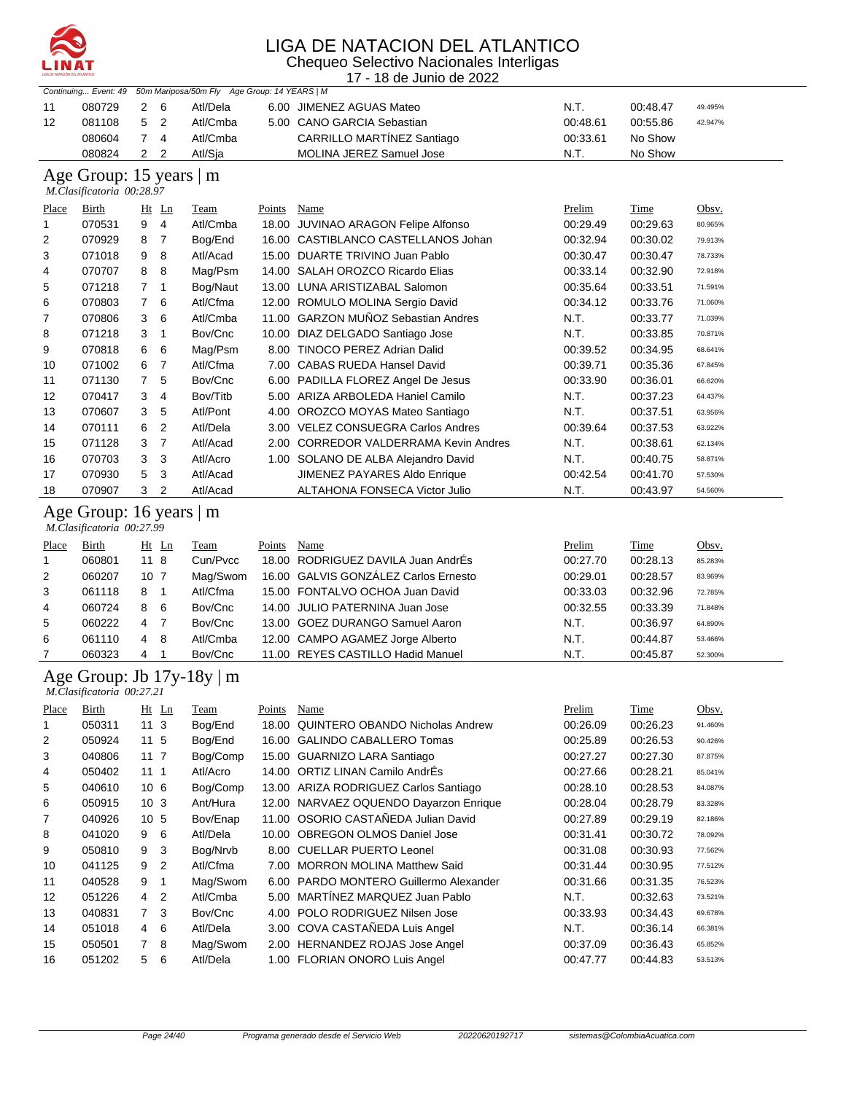

| INAT         |                           |                 |                |                                              |        | UL IVAIAVIUI ULLAAILU<br>Chequeo Selectivo Nacionales Interligas |                      |                      |                    |
|--------------|---------------------------|-----------------|----------------|----------------------------------------------|--------|------------------------------------------------------------------|----------------------|----------------------|--------------------|
|              |                           |                 |                |                                              |        | 17 - 18 de Junio de 2022                                         |                      |                      |                    |
|              | Continuing Event: 49      |                 |                | 50m Mariposa/50m Fly Age Group: 14 YEARS   M |        |                                                                  |                      |                      |                    |
| 11           | 080729                    | $\overline{c}$  | 6              | Atl/Dela                                     |        | 6.00 JIMENEZ AGUAS Mateo                                         | N.T.                 | 00:48.47             | 49.495%            |
| 12           | 081108                    | 5               | $\overline{2}$ | Atl/Cmba                                     |        | 5.00 CANO GARCIA Sebastian                                       | 00:48.61             | 00:55.86             | 42.947%            |
|              | 080604                    | $\overline{7}$  | 4              | Atl/Cmba                                     |        | CARRILLO MARTÍNEZ Santiago                                       | 00:33.61             | No Show              |                    |
|              | 080824                    | 2               | $\overline{2}$ | Atl/Sja                                      |        | MOLINA JEREZ Samuel Jose                                         | N.T.                 | No Show              |                    |
|              | Age Group: 15 years   m   |                 |                |                                              |        |                                                                  |                      |                      |                    |
|              | M.Clasificatoria 00:28.97 |                 |                |                                              |        |                                                                  |                      |                      |                    |
| <b>Place</b> | <b>Birth</b>              |                 | Ht Ln          | <b>Team</b>                                  | Points | <b>Name</b>                                                      | Prelim               | <b>Time</b>          | Obsv.              |
| 1            | 070531                    | 9               | $\overline{4}$ | Atl/Cmba                                     |        | 18.00 JUVINAO ARAGON Felipe Alfonso                              | 00:29.49             | 00:29.63             | 80.965%            |
| 2            | 070929                    | 8               | $\overline{7}$ | Bog/End                                      |        | 16.00 CASTIBLANCO CASTELLANOS Johan                              | 00:32.94             | 00:30.02             | 79.913%            |
| 3            | 071018                    | 9               | 8              | Atl/Acad                                     |        | 15.00 DUARTE TRIVINO Juan Pablo                                  | 00:30.47             | 00:30.47             | 78.733%            |
| 4            | 070707                    | 8               | 8              | Mag/Psm                                      |        | 14.00 SALAH OROZCO Ricardo Elias                                 | 00:33.14             | 00:32.90             | 72.918%            |
| 5            | 071218                    | $\overline{7}$  | $\mathbf{1}$   | Bog/Naut                                     |        | 13.00 LUNA ARISTIZABAL Salomon                                   | 00:35.64             | 00:33.51             | 71.591%            |
| 6            | 070803                    | $\overline{7}$  | 6              | Atl/Cfma                                     |        | 12.00 ROMULO MOLINA Sergio David                                 | 00:34.12             | 00:33.76             | 71.060%            |
| 7            | 070806                    | 3               | 6              | Atl/Cmba                                     |        | 11.00 GARZON MUÑOZ Sebastian Andres                              | N.T.                 | 00:33.77             | 71.039%            |
| 8            | 071218                    | 3               | 1              | Bov/Cnc                                      |        | 10.00 DIAZ DELGADO Santiago Jose                                 | N.T.                 | 00:33.85             | 70.871%            |
| 9            | 070818                    | 6               | 6              | Mag/Psm                                      |        | 8.00 TINOCO PEREZ Adrian Dalid                                   | 00:39.52             | 00:34.95             | 68.641%            |
| 10           | 071002                    | 6               | 7              | Atl/Cfma                                     |        | 7.00 CABAS RUEDA Hansel David                                    | 00:39.71             | 00:35.36             | 67.845%            |
| 11           | 071130                    | $\overline{7}$  | 5              | Bov/Cnc                                      |        | 6.00 PADILLA FLOREZ Angel De Jesus                               | 00:33.90             | 00:36.01             | 66.620%            |
| 12           | 070417                    | 3               | 4              | Bov/Titb                                     |        | 5.00 ARIZA ARBOLEDA Haniel Camilo                                | N.T.                 | 00:37.23             | 64.437%            |
| 13           | 070607                    | 3               | 5              | Atl/Pont                                     |        | 4.00 OROZCO MOYAS Mateo Santiago                                 | N.T.                 | 00:37.51             | 63.956%            |
| 14           | 070111                    | 6               | $\overline{c}$ | Atl/Dela                                     |        | 3.00 VELEZ CONSUEGRA Carlos Andres                               | 00:39.64             | 00:37.53             | 63.922%            |
| 15           | 071128                    | 3               | 7              | Atl/Acad                                     |        | 2.00 CORREDOR VALDERRAMA Kevin Andres                            | N.T.                 | 00:38.61             | 62.134%            |
| 16           | 070703                    | 3               | 3              | Atl/Acro                                     |        | 1.00 SOLANO DE ALBA Alejandro David                              | N.T.                 | 00:40.75             | 58.871%            |
| 17           | 070930                    | 5               | 3              | Atl/Acad                                     |        | JIMENEZ PAYARES Aldo Enrique                                     | 00:42.54             | 00:41.70             | 57.530%            |
| 18           | 070907                    | 3               | 2              | Atl/Acad                                     |        | ALTAHONA FONSECA Victor Julio                                    | N.T.                 | 00:43.97             | 54.560%            |
|              | Age Group: 16 years   m   |                 |                |                                              |        |                                                                  |                      |                      |                    |
|              | M.Clasificatoria 00:27.99 |                 |                |                                              |        |                                                                  |                      |                      |                    |
| <u>Place</u> | Birth                     |                 | $Ht$ Ln        | Team                                         | Points | Name                                                             | Prelim               | Time                 | Obsv.              |
| 1            | 060801                    | 118             |                | Cun/Pvcc                                     |        | 18.00 RODRIGUEZ DAVILA Juan AndrÉs                               | 00:27.70             | 00:28.13             | 85.283%            |
| 2            | 060207                    | 10 <sub>7</sub> |                | Mag/Swom                                     |        | 16.00 GALVIS GONZÁLEZ Carlos Ernesto                             | 00:29.01             | 00:28.57             | 83.969%            |
| 3            | 061118                    | 8               | $\mathbf{1}$   | Atl/Cfma                                     |        | 15.00 FONTALVO OCHOA Juan David                                  | 00:33.03             | 00:32.96             | 72.785%            |
| 4            | 060724                    | 8               | 6              | Bov/Cnc                                      |        | 14.00 JULIO PATERNINA Juan Jose                                  | 00:32.55             | 00:33.39             | 71.848%            |
| 5            | 060222                    | 4               | $\overline{7}$ | Bov/Cnc                                      |        | 13.00 GOEZ DURANGO Samuel Aaron                                  | N.T.                 | 00:36.97             | 64.890%            |
| 6            | 061110                    | 4               | 8              | Atl/Cmba                                     |        | 12.00 CAMPO AGAMEZ Jorge Alberto                                 | N.T.                 | 00:44.87             | 53.466%            |
| 7            | 060323                    | 4               | 1              | Bov/Cnc                                      |        | 11.00 REYES CASTILLO Hadid Manuel                                | N.T.                 | 00:45.87             | 52.300%            |
|              | M.Clasificatoria 00:27.21 |                 |                | Age Group: Jb 17y-18y   m                    |        |                                                                  |                      |                      |                    |
| <b>Place</b> | <b>Birth</b>              |                 | Ht Ln          | <b>Team</b>                                  | Points | Name                                                             | Prelim               | <b>Time</b>          | Obsv.              |
| 1            | 050311                    | 11 <sub>3</sub> |                | Bog/End                                      |        | 18.00 QUINTERO OBANDO Nicholas Andrew                            | 00:26.09             | 00:26.23             | 91.460%            |
| 2            | 050924                    | 11 <sub>5</sub> |                | Bog/End                                      |        | 16.00 GALINDO CABALLERO Tomas                                    | 00:25.89             | 00:26.53             | 90.426%            |
| 3            | 040806                    | 117             |                | Bog/Comp                                     |        | 15.00 GUARNIZO LARA Santiago                                     | 00:27.27             | 00:27.30             | 87.875%            |
| 4            | 050402                    | 111             |                | Atl/Acro                                     |        | 14.00 ORTIZ LINAN Camilo AndrÉs                                  | 00:27.66             | 00:28.21             | 85.041%            |
| 5            | 040610                    | 106             |                | Bog/Comp                                     |        | 13.00 ARIZA RODRIGUEZ Carlos Santiago                            | 00:28.10             | 00:28.53             | 84.087%            |
| 6            | 050915                    | 10 <sub>3</sub> |                | Ant/Hura                                     |        | 12.00 NARVAEZ OQUENDO Dayarzon Enrique                           | 00:28.04             | 00:28.79             | 83.328%            |
| 7            | 040926                    | 10 <sub>5</sub> |                | Bov/Enap                                     |        | 11.00 OSORIO CASTAÑEDA Julian David                              | 00:27.89             | 00:29.19             | 82.186%            |
| 8            | 041020                    | 9               | 6              | Atl/Dela                                     |        | 10.00 OBREGON OLMOS Daniel Jose                                  | 00:31.41             | 00:30.72             |                    |
|              | 050810                    |                 |                |                                              |        | 8.00 CUELLAR PUERTO Leonel                                       | 00:31.08             | 00:30.93             | 78.092%<br>77.562% |
| 9            |                           | 9               | 3              | Bog/Nrvb                                     |        |                                                                  |                      |                      |                    |
| 10           | 041125                    | 9               | $\overline{2}$ | Atl/Cfma                                     |        | 7.00 MORRON MOLINA Matthew Said<br>$ADDO$ $MOMTTPDO$ $O$ .       | 00:31.44<br>00.24.00 | 00:30.95<br>00.24.25 | 77.512%            |

| 3  | 040806 | 11 <sub>7</sub> |   | Bog/Comp | 15.00 GUARNIZO LARA Santiago           | 00:27.27 | 00:27.30 | 87.875% |
|----|--------|-----------------|---|----------|----------------------------------------|----------|----------|---------|
| 4  | 050402 | 1111            |   | Atl/Acro | 14.00 ORTIZ LINAN Camilo AndrÉs        | 00:27.66 | 00:28.21 | 85.041% |
| 5  | 040610 | 10 <sub>6</sub> |   | Bog/Comp | 13.00 ARIZA RODRIGUEZ Carlos Santiago  | 00:28.10 | 00:28.53 | 84.087% |
| 6  | 050915 | 10 <sub>3</sub> |   | Ant/Hura | 12.00 NARVAEZ OQUENDO Dayarzon Enrique | 00:28.04 | 00:28.79 | 83.328% |
| 7  | 040926 | 10 <sub>5</sub> |   | Bov/Enap | 11.00 OSORIO CASTAÑEDA Julian David    | 00:27.89 | 00:29.19 | 82.186% |
| 8  | 041020 | 9               | 6 | Atl/Dela | 10.00 OBREGON OLMOS Daniel Jose        | 00:31.41 | 00:30.72 | 78.092% |
| 9  | 050810 | 9 3             |   | Bog/Nrvb | 8.00 CUELLAR PUERTO Leonel             | 00:31.08 | 00:30.93 | 77.562% |
| 10 | 041125 | 9 <sub>2</sub>  |   | Atl/Cfma | 7.00 MORRON MOLINA Matthew Said        | 00:31.44 | 00:30.95 | 77.512% |
| 11 | 040528 | 9 1             |   | Mag/Swom | 6.00 PARDO MONTERO Guillermo Alexander | 00:31.66 | 00:31.35 | 76.523% |
| 12 | 051226 | $4\quad 2$      |   | Atl/Cmba | 5.00 MARTÍNEZ MARQUEZ Juan Pablo       | N.T.     | 00:32.63 | 73.521% |
| 13 | 040831 | 7 <sup>3</sup>  |   | Bov/Cnc  | 4.00 POLO RODRIGUEZ Nilsen Jose        | 00:33.93 | 00:34.43 | 69.678% |
| 14 | 051018 | 4               | 6 | Atl/Dela | 3.00 COVA CASTAÑEDA Luis Angel         | N.T.     | 00:36.14 | 66.381% |
| 15 | 050501 | $7^{\circ}$     | 8 | Mag/Swom | 2.00 HERNANDEZ ROJAS Jose Angel        | 00:37.09 | 00:36.43 | 65.852% |
| 16 | 051202 | 5               | 6 | Atl/Dela | 1.00 FLORIAN ONORO Luis Angel          | 00:47.77 | 00:44.83 | 53.513% |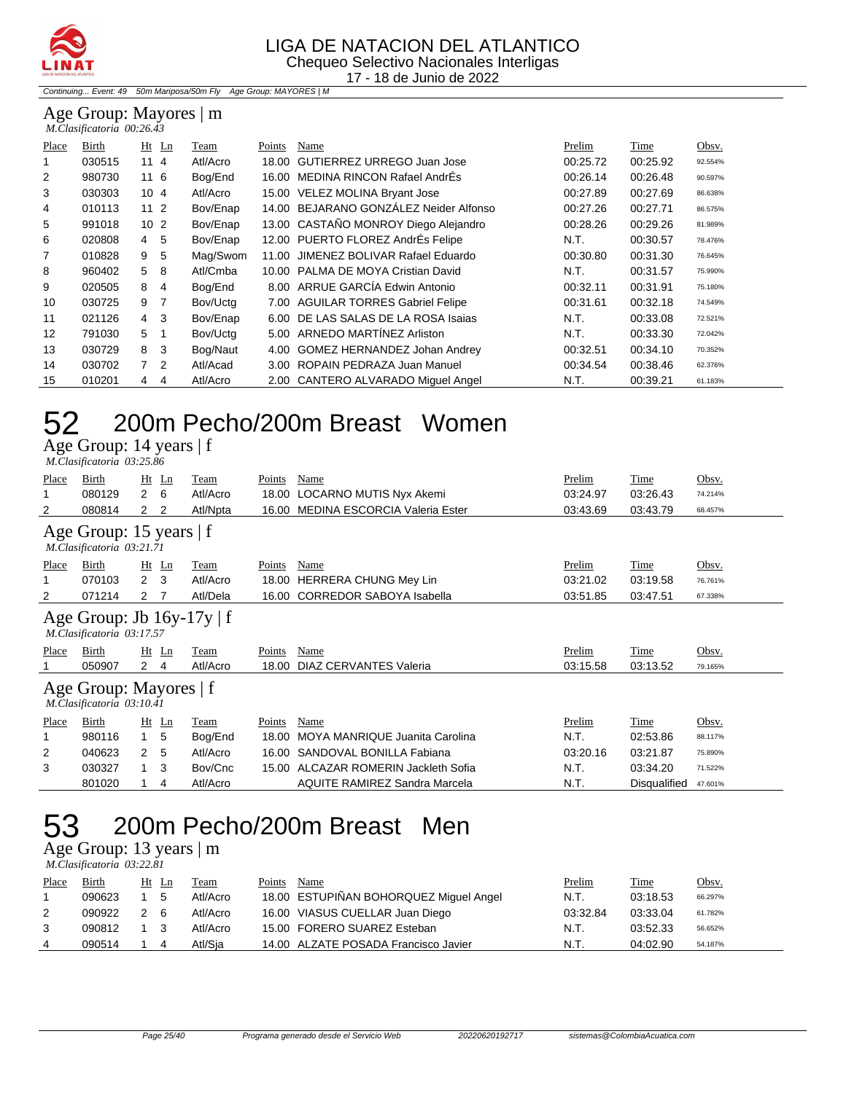

Continuing... Event: 49 50m Mariposa/50m Fly Age Group: MAYORES | M

#### Age Group: Mayores | m  *M.Clasificatoria 00:26.43*

| Place | Birth  |                 | $Ht$ Ln        | Team     | Points | Name                                   | Prelim   | Time     | Obsv.   |
|-------|--------|-----------------|----------------|----------|--------|----------------------------------------|----------|----------|---------|
|       | 030515 | 114             |                | Atl/Acro |        | 18.00 GUTIERREZ URREGO Juan Jose       | 00:25.72 | 00:25.92 | 92.554% |
| 2     | 980730 | 116             |                | Bog/End  |        | 16.00 MEDINA RINCON Rafael AndrÉs      | 00:26.14 | 00:26.48 | 90.597% |
| 3     | 030303 | 104             |                | Atl/Acro |        | 15.00 VELEZ MOLINA Bryant Jose         | 00:27.89 | 00:27.69 | 86.638% |
| 4     | 010113 | 11 <sub>2</sub> |                | Bov/Enap |        | 14.00 BEJARANO GONZÁLEZ Neider Alfonso | 00:27.26 | 00:27.71 | 86.575% |
| 5     | 991018 | 10 <sub>2</sub> |                | Bov/Enap |        | 13.00 CASTAÑO MONROY Diego Alejandro   | 00:28.26 | 00:29.26 | 81.989% |
| 6     | 020808 | 4               | -5             | Bov/Enap |        | 12.00 PUERTO FLOREZ AndrÉs Felipe      | N.T.     | 00:30.57 | 78.476% |
| 7     | 010828 | 9               | 5              | Mag/Swom | 11.00  | JIMENEZ BOLIVAR Rafael Eduardo         | 00:30.80 | 00:31.30 | 76.645% |
| 8     | 960402 | 5               | 8              | Atl/Cmba |        | 10.00 PALMA DE MOYA Cristian David     | N.T.     | 00:31.57 | 75.990% |
| 9     | 020505 | 8               | 4              | Bog/End  |        | 8.00 ARRUE GARCÍA Edwin Antonio        | 00:32.11 | 00:31.91 | 75.180% |
| 10    | 030725 | 9               | 7              | Bov/Uctg |        | 7.00 AGUILAR TORRES Gabriel Felipe     | 00:31.61 | 00:32.18 | 74.549% |
| 11    | 021126 | 4               | -3             | Bov/Enap |        | 6.00 DE LAS SALAS DE LA ROSA Isaias    | N.T.     | 00:33.08 | 72.521% |
| 12    | 791030 | 5               |                | Bov/Uctg |        | 5.00 ARNEDO MARTÍNEZ Arliston          | N.T.     | 00:33.30 | 72.042% |
| 13    | 030729 | 8               | -3             | Bog/Naut | 4.00   | <b>GOMEZ HERNANDEZ Johan Andrey</b>    | 00:32.51 | 00:34.10 | 70.352% |
| 14    | 030702 | $\overline{7}$  | $\overline{2}$ | Atl/Acad |        | 3.00 ROPAIN PEDRAZA Juan Manuel        | 00:34.54 | 00:38.46 | 62.376% |
| 15    | 010201 | 4               | 4              | Atl/Acro |        | 2.00 CANTERO ALVARADO Miguel Angel     | N.T.     | 00:39.21 | 61.183% |

#### 52 200m Pecho/200m Breast Women

Age Group: 14 years | f

| Birth<br>Prelim<br>Obsv.<br>$Ht$ Ln<br>Points<br>Name<br>Time<br>Place<br>Team<br>Atl/Acro<br>080129<br>$\mathbf{2}$<br>6<br>18.00<br>LOCARNO MUTIS Nyx Akemi<br>03:26.43<br>03:24.97<br>1<br>74.214%<br><b>MEDINA ESCORCIA Valeria Ester</b><br>080814<br>Atl/Npta<br>03:43.69<br>03:43.79<br>2<br>16.00<br>2<br>2<br>68.457%<br>Age Group: 15 years   f<br>M.Clasificatoria 03:21.71<br>Prelim<br>Time<br>Obsv.<br>Birth<br>$Ht$ Ln<br>Team<br>Name<br>Place<br>Points<br>$2 \quad 3$<br>Atl/Acro<br><b>HERRERA CHUNG Mey Lin</b><br>1<br>070103<br>03:21.02<br>18.00<br>03:19.58<br>76.761%<br><b>CORREDOR SABOYA Isabella</b><br>Atl/Dela<br>2<br>071214<br>03:51.85<br>03:47.51<br>$\mathbf{2}^{\circ}$<br>-7<br>16.00<br>67.338% | M.Clasificatoria 03:25.86 |  |  |  |  |  |  |  |  |
|----------------------------------------------------------------------------------------------------------------------------------------------------------------------------------------------------------------------------------------------------------------------------------------------------------------------------------------------------------------------------------------------------------------------------------------------------------------------------------------------------------------------------------------------------------------------------------------------------------------------------------------------------------------------------------------------------------------------------------------|---------------------------|--|--|--|--|--|--|--|--|
|                                                                                                                                                                                                                                                                                                                                                                                                                                                                                                                                                                                                                                                                                                                                        |                           |  |  |  |  |  |  |  |  |
|                                                                                                                                                                                                                                                                                                                                                                                                                                                                                                                                                                                                                                                                                                                                        |                           |  |  |  |  |  |  |  |  |
|                                                                                                                                                                                                                                                                                                                                                                                                                                                                                                                                                                                                                                                                                                                                        |                           |  |  |  |  |  |  |  |  |
|                                                                                                                                                                                                                                                                                                                                                                                                                                                                                                                                                                                                                                                                                                                                        |                           |  |  |  |  |  |  |  |  |
|                                                                                                                                                                                                                                                                                                                                                                                                                                                                                                                                                                                                                                                                                                                                        |                           |  |  |  |  |  |  |  |  |
|                                                                                                                                                                                                                                                                                                                                                                                                                                                                                                                                                                                                                                                                                                                                        |                           |  |  |  |  |  |  |  |  |
|                                                                                                                                                                                                                                                                                                                                                                                                                                                                                                                                                                                                                                                                                                                                        |                           |  |  |  |  |  |  |  |  |
|                                                                                                                                                                                                                                                                                                                                                                                                                                                                                                                                                                                                                                                                                                                                        |                           |  |  |  |  |  |  |  |  |
| Age Group: Jb $16y-17y \mid f$<br>M.Clasificatoria 03:17.57                                                                                                                                                                                                                                                                                                                                                                                                                                                                                                                                                                                                                                                                            |                           |  |  |  |  |  |  |  |  |
| Birth<br>$Ht$ Ln<br>Name<br>Prelim<br>Time<br>Obsv.<br>Team<br>Points<br>Place                                                                                                                                                                                                                                                                                                                                                                                                                                                                                                                                                                                                                                                         |                           |  |  |  |  |  |  |  |  |
| Atl/Acro<br>DIAZ CERVANTES Valeria<br>$\overline{2}$<br>18.00<br>03:15.58<br>050907<br>03:13.52<br>$\overline{4}$<br>79.165%                                                                                                                                                                                                                                                                                                                                                                                                                                                                                                                                                                                                           |                           |  |  |  |  |  |  |  |  |
| Age Group: Mayores   f<br>M.Clasificatoria 03:10.41                                                                                                                                                                                                                                                                                                                                                                                                                                                                                                                                                                                                                                                                                    |                           |  |  |  |  |  |  |  |  |
| Birth<br>Name<br>Prelim<br>Time<br>Obsv.<br>$Ht$ Ln<br>Points<br>Place<br>Team                                                                                                                                                                                                                                                                                                                                                                                                                                                                                                                                                                                                                                                         |                           |  |  |  |  |  |  |  |  |
| N.T.<br>MOYA MANRIQUE Juanita Carolina<br>5<br>980116<br>1.<br>Bog/End<br>18.00<br>02:53.86<br>1<br>88.117%                                                                                                                                                                                                                                                                                                                                                                                                                                                                                                                                                                                                                            |                           |  |  |  |  |  |  |  |  |
| SANDOVAL BONILLA Fabiana<br>2<br>040623<br>$\mathbf{2}$<br>Atl/Acro<br>03:20.16<br>03:21.87<br>-5<br>16.00<br>75.890%                                                                                                                                                                                                                                                                                                                                                                                                                                                                                                                                                                                                                  |                           |  |  |  |  |  |  |  |  |
| 15.00 ALCAZAR ROMERIN Jackleth Sofia<br>3<br>030327<br>Bov/Cnc<br>N.T.<br>3<br>03:34.20<br>$\mathbf{1}$<br>71.522%                                                                                                                                                                                                                                                                                                                                                                                                                                                                                                                                                                                                                     |                           |  |  |  |  |  |  |  |  |
| <b>AQUITE RAMIREZ Sandra Marcela</b><br>Atl/Acro<br>N.T.<br>801020<br>Disqualified<br>4<br>47.601%                                                                                                                                                                                                                                                                                                                                                                                                                                                                                                                                                                                                                                     |                           |  |  |  |  |  |  |  |  |

## 53 200m Pecho/200m Breast Men

Age Group: 13 years | m  *M.Clasificatoria 03:22.81* 

| Place | Birth  |     | Ht Ln | Team     | Points | Name                                   | Prelim   | Time     | Obsv.   |
|-------|--------|-----|-------|----------|--------|----------------------------------------|----------|----------|---------|
|       | 090623 |     | 5     | Atl/Acro |        | 18.00 ESTUPIÑAN BOHORQUEZ Miguel Angel | N.T.     | 03:18.53 | 66.297% |
| 2     | 090922 | 2 6 |       | Atl/Acro |        | 16.00 VIASUS CUELLAR Juan Diego        | 03:32.84 | 03:33.04 | 61.782% |
|       | 090812 |     |       | Atl/Acro |        | 15.00 FORERO SUAREZ Esteban            | N.T.     | 03:52.33 | 56.652% |
| 4     | 090514 |     | 4     | Atl/Sia  |        | 14.00 ALZATE POSADA Francisco Javier   | N.T.     | 04:02.90 | 54.187% |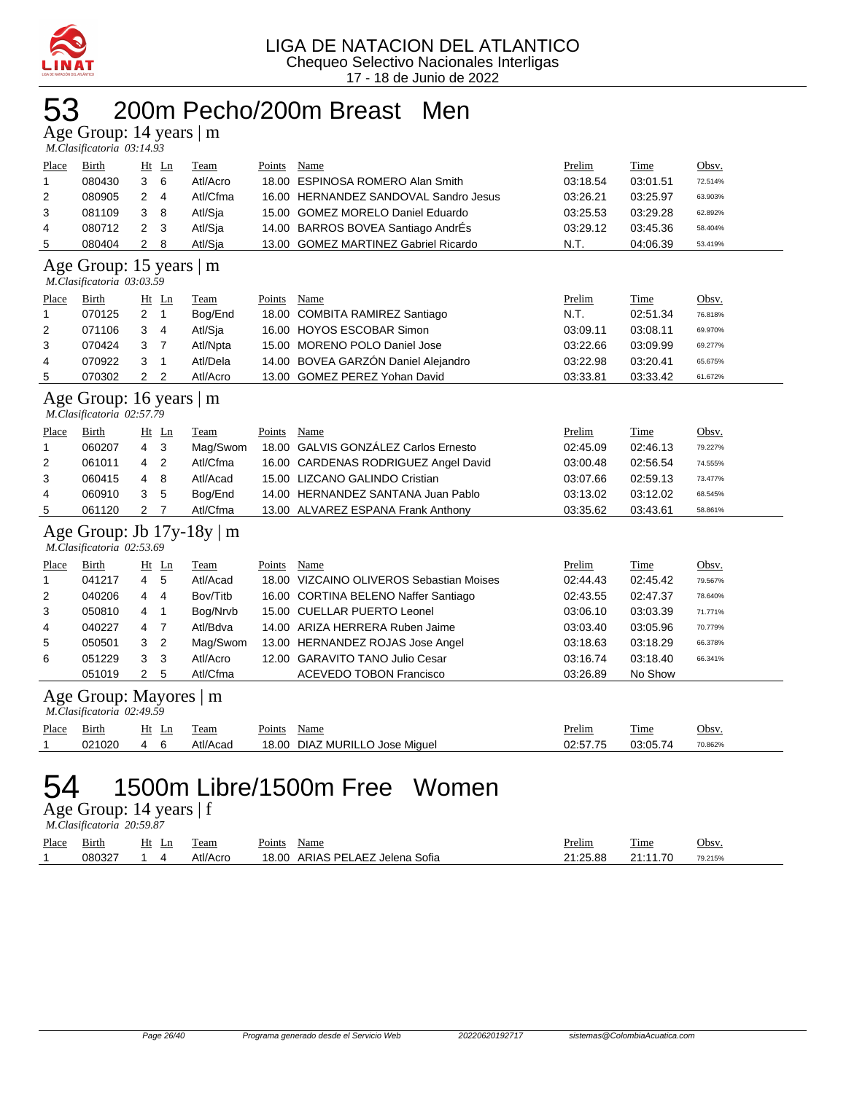

## 53 200m Pecho/200m Breast Men

Age Group: 14 years | m

|                                                      | M.Clasificatoria 03:14.93                                                                |                |                |                                |               |                                          |          |             |         |  |  |  |  |  |
|------------------------------------------------------|------------------------------------------------------------------------------------------|----------------|----------------|--------------------------------|---------------|------------------------------------------|----------|-------------|---------|--|--|--|--|--|
| Place                                                | Birth                                                                                    |                | $Ht$ Ln        | Team                           | Points        | Name                                     | Prelim   | Time        | Obsv.   |  |  |  |  |  |
| 1                                                    | 080430                                                                                   | 3              | 6              | Atl/Acro                       |               | 18.00 ESPINOSA ROMERO Alan Smith         | 03:18.54 | 03:01.51    | 72.514% |  |  |  |  |  |
| 2                                                    | 080905                                                                                   | 2              | $\overline{4}$ | Atl/Cfma                       |               | 16.00 HERNANDEZ SANDOVAL Sandro Jesus    | 03:26.21 | 03:25.97    | 63.903% |  |  |  |  |  |
| 3                                                    | 081109                                                                                   | 3              | 8              | Atl/Sja                        |               | 15.00 GOMEZ MORELO Daniel Eduardo        | 03:25.53 | 03:29.28    | 62.892% |  |  |  |  |  |
| 4                                                    | 080712                                                                                   | 2              | 3              | Atl/Sja                        |               | 14.00 BARROS BOVEA Santiago AndrÉs       | 03:29.12 | 03:45.36    | 58.404% |  |  |  |  |  |
| 5                                                    | 080404                                                                                   | 2              | 8              | Atl/Sja                        |               | 13.00 GOMEZ MARTINEZ Gabriel Ricardo     | N.T.     | 04:06.39    | 53.419% |  |  |  |  |  |
| Age Group: 15 years   m<br>M.Clasificatoria 03:03.59 |                                                                                          |                |                |                                |               |                                          |          |             |         |  |  |  |  |  |
| Place                                                | <b>Birth</b><br>Ht Ln<br>Team<br>Name<br>Prelim<br><b>Time</b><br>Obsv.<br><b>Points</b> |                |                |                                |               |                                          |          |             |         |  |  |  |  |  |
| 1                                                    | 070125                                                                                   | 2              | $\overline{1}$ | Bog/End                        |               | 18.00 COMBITA RAMIREZ Santiago           | N.T.     | 02:51.34    | 76.818% |  |  |  |  |  |
| 2                                                    | 071106                                                                                   | 3              | $\overline{4}$ | Atl/Sja                        |               | 16.00 HOYOS ESCOBAR Simon                | 03:09.11 | 03:08.11    | 69.970% |  |  |  |  |  |
| 3                                                    | 070424                                                                                   | 3              | 7              | Atl/Npta                       |               | 15.00 MORENO POLO Daniel Jose            | 03:22.66 | 03:09.99    | 69.277% |  |  |  |  |  |
| 4                                                    | 070922                                                                                   | 3              | $\mathbf{1}$   | Atl/Dela                       |               | 14.00 BOVEA GARZÓN Daniel Alejandro      | 03:22.98 | 03:20.41    | 65.675% |  |  |  |  |  |
| 5                                                    | 070302                                                                                   | $2^{\circ}$    | $\overline{2}$ | Atl/Acro                       |               | 13.00 GOMEZ PEREZ Yohan David            | 03:33.81 | 03:33.42    | 61.672% |  |  |  |  |  |
|                                                      | Age Group: 16 years   m<br>M.Clasificatoria 02:57.79                                     |                |                |                                |               |                                          |          |             |         |  |  |  |  |  |
| <b>Place</b>                                         | <b>Birth</b>                                                                             |                | $Ht$ Ln        | <b>Team</b>                    | <b>Points</b> | <b>Name</b>                              | Prelim   | <b>Time</b> | Obsv.   |  |  |  |  |  |
| 1                                                    | 060207                                                                                   | 4              | 3              | Mag/Swom                       |               | 18.00 GALVIS GONZÁLEZ Carlos Ernesto     | 02:45.09 | 02:46.13    | 79.227% |  |  |  |  |  |
| 2                                                    | 061011                                                                                   | 4              | $\overline{2}$ | Atl/Cfma                       |               | 16.00 CARDENAS RODRIGUEZ Angel David     | 03:00.48 | 02:56.54    | 74.555% |  |  |  |  |  |
| 3                                                    | 060415                                                                                   | 4              | 8              | Atl/Acad                       |               | 15.00 LIZCANO GALINDO Cristian           | 03:07.66 | 02:59.13    | 73.477% |  |  |  |  |  |
| 4                                                    | 060910                                                                                   | 3              | 5              | Bog/End                        |               | 14.00 HERNANDEZ SANTANA Juan Pablo       | 03:13.02 | 03:12.02    | 68.545% |  |  |  |  |  |
| 5                                                    | 061120                                                                                   | $\overline{2}$ | 7              | Atl/Cfma                       |               | 13.00 ALVAREZ ESPANA Frank Anthony       | 03:35.62 | 03:43.61    | 58.861% |  |  |  |  |  |
|                                                      | M.Clasificatoria 02:53.69                                                                |                |                | Age Group: Jb $17y-18y \mid m$ |               |                                          |          |             |         |  |  |  |  |  |
| <b>Place</b>                                         | <b>Birth</b>                                                                             |                | $Ht$ Ln        | <b>Team</b>                    | Points        | Name                                     | Prelim   | <b>Time</b> | Obsv.   |  |  |  |  |  |
| 1                                                    | 041217                                                                                   | 4              | 5              | Atl/Acad                       |               | 18.00 VIZCAINO OLIVEROS Sebastian Moises | 02:44.43 | 02:45.42    | 79.567% |  |  |  |  |  |
| 2                                                    | 040206                                                                                   | 4              | 4              | Bov/Titb                       |               | 16.00 CORTINA BELENO Naffer Santiago     | 02:43.55 | 02:47.37    | 78.640% |  |  |  |  |  |
| 3                                                    | 050810                                                                                   | 4              | 1              | Bog/Nrvb                       |               | 15.00 CUELLAR PUERTO Leonel              | 03:06.10 | 03:03.39    | 71.771% |  |  |  |  |  |
| 4                                                    | 040227                                                                                   | 4              | $\overline{7}$ | Atl/Bdva                       |               | 14.00 ARIZA HERRERA Ruben Jaime          | 03:03.40 | 03:05.96    | 70.779% |  |  |  |  |  |
| 5                                                    | 050501                                                                                   | 3              | 2              | Mag/Swom                       |               | 13.00 HERNANDEZ ROJAS Jose Angel         | 03:18.63 | 03:18.29    | 66.378% |  |  |  |  |  |
| 6                                                    | 051229                                                                                   | 3              | 3              | Atl/Acro                       |               | 12.00 GARAVITO TANO Julio Cesar          | 03:16.74 | 03:18.40    | 66.341% |  |  |  |  |  |
|                                                      | 051019                                                                                   | $\overline{2}$ | 5              | Atl/Cfma                       |               | <b>ACEVEDO TOBON Francisco</b>           | 03:26.89 | No Show     |         |  |  |  |  |  |
|                                                      | Age Group: Mayores   m<br>M.Clasificatoria 02:49.59                                      |                |                |                                |               |                                          |          |             |         |  |  |  |  |  |
| Place                                                | Birth                                                                                    |                | $Ht$ Ln        | Team                           | Points        | Name                                     | Prelim   | Time        | Obsv.   |  |  |  |  |  |
| 1                                                    | 021020                                                                                   | 4              | 6              | Atl/Acad                       |               | 18.00 DIAZ MURILLO Jose Miguel           | 02:57.75 | 03:05.74    | 70.862% |  |  |  |  |  |
|                                                      |                                                                                          |                |                |                                |               |                                          |          |             |         |  |  |  |  |  |

### 54 1500m Libre/1500m Free Women

Age Group: 14 years | f

|       | M.Clasificatoria 20:59.87 |       |  |          |             |                                 |          |          |         |  |  |  |
|-------|---------------------------|-------|--|----------|-------------|---------------------------------|----------|----------|---------|--|--|--|
| Place | Birth                     | Ht Ln |  | Team     | Points Name |                                 | Prelim   | Time     | Obsv.   |  |  |  |
|       | 080327                    | 14    |  | Atl/Acro |             | 18.00 ARIAS PELAEZ Jelena Sofia | 21:25.88 | 21:11.70 | 79.215% |  |  |  |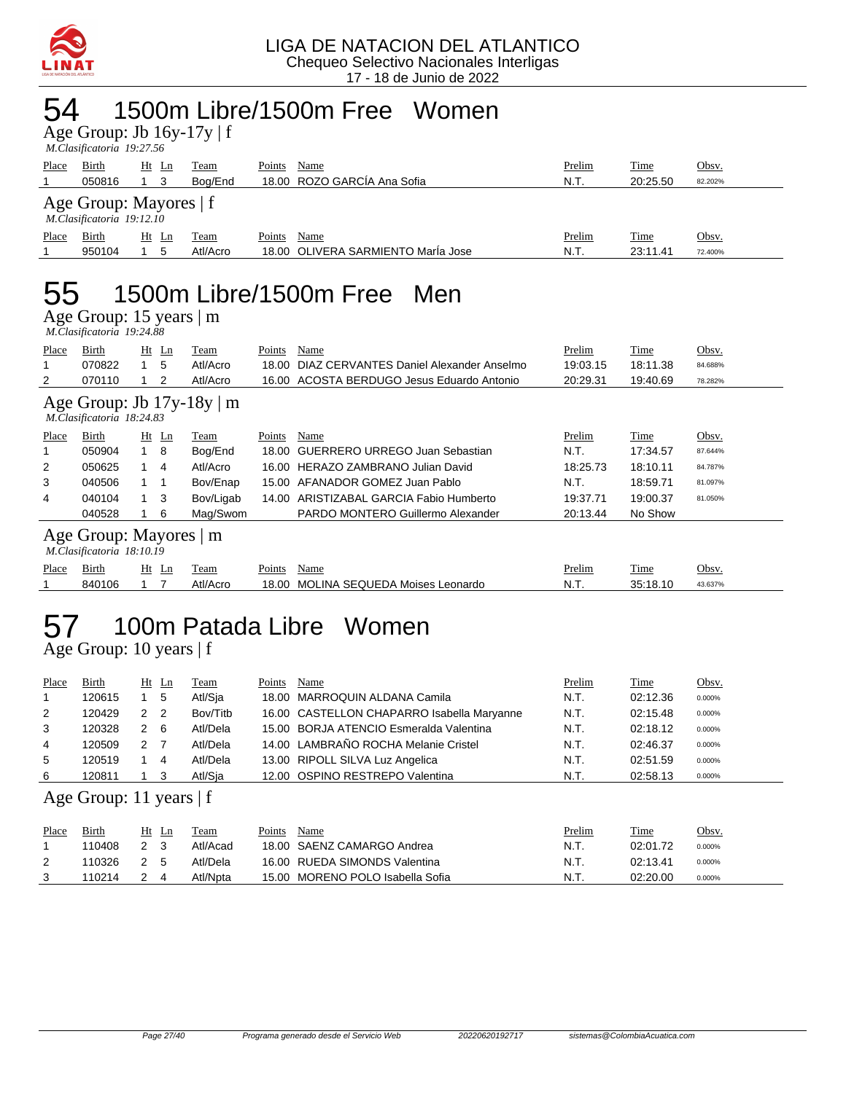

#### 54 1500m Libre/1500m Free Women

Age Group: Jb 16y-17y | f

|       | M.Clasificatoria 19:27.56                           |    |                |             |        |                                    |        |          |         |  |  |  |
|-------|-----------------------------------------------------|----|----------------|-------------|--------|------------------------------------|--------|----------|---------|--|--|--|
| Place | Birth                                               | Ht | Ln             | Team        | Points | Name                               | Prelim | Time     | Obsv.   |  |  |  |
|       | 050816                                              |    | -3             | Boa/End     |        | 18.00 ROZO GARCÍA Ana Sofia        | N.T.   | 20:25.50 | 82.202% |  |  |  |
|       | Age Group: Mayores   f<br>M.Clasificatoria 19:12.10 |    |                |             |        |                                    |        |          |         |  |  |  |
| Place | Birth                                               | Ht | $\mathbf{L}$ n | <u>Team</u> | Points | Name                               | Prelim | Time     | Obsv.   |  |  |  |
|       | 950104                                              |    | 5              | Atl/Acro    |        | 18.00 OLIVERA SARMIENTO María Jose | N.T.   | 23:11.41 | 72.400% |  |  |  |
|       |                                                     |    |                |             |        |                                    |        |          |         |  |  |  |

## 55 1500m Libre/1500m Free Men

Age Group: 15 years | m

|                                                             | M.Clasificatoria 19:24.88                           |                |                |           |        |                                            |          |          |         |  |  |
|-------------------------------------------------------------|-----------------------------------------------------|----------------|----------------|-----------|--------|--------------------------------------------|----------|----------|---------|--|--|
| Place                                                       | Birth                                               |                | $Ht$ Ln        | Team      | Points | Name                                       | Prelim   | Time     | Obsv.   |  |  |
|                                                             | 070822                                              | $\mathbf 1$    | 5              | Atl/Acro  | 18.00  | DIAZ CERVANTES Daniel Alexander Anselmo    | 19:03.15 | 18:11.38 | 84.688% |  |  |
| 2                                                           | 070110                                              |                | 2              | Atl/Acro  |        | 16.00 ACOSTA BERDUGO Jesus Eduardo Antonio | 20:29.31 | 19:40.69 | 78.282% |  |  |
| Age Group: Jb $17y-18y \mid m$<br>M.Clasificatoria 18:24.83 |                                                     |                |                |           |        |                                            |          |          |         |  |  |
| Place                                                       | Birth                                               |                | $Ht$ Ln        | Team      | Points | Name                                       | Prelim   | Time     | Obsv.   |  |  |
|                                                             | 050904                                              | 1 8            |                | Bog/End   | 18.00  | GUERRERO URREGO Juan Sebastian             | N.T.     | 17:34.57 | 87.644% |  |  |
| 2                                                           | 050625                                              | 1.             | $\overline{4}$ | Atl/Acro  | 16.00  | HERAZO ZAMBRANO Julian David               | 18:25.73 | 18:10.11 | 84.787% |  |  |
| 3                                                           | 040506                                              | $\overline{1}$ |                | Bov/Enap  | 15.00  | AFANADOR GOMEZ Juan Pablo                  | N.T.     | 18:59.71 | 81.097% |  |  |
| 4                                                           | 040104                                              |                | -3             | Bov/Ligab | 14.00  | ARISTIZABAL GARCIA Fabio Humberto          | 19:37.71 | 19:00.37 | 81.050% |  |  |
|                                                             | 040528                                              |                | 6              | Mag/Swom  |        | PARDO MONTERO Guillermo Alexander          | 20:13.44 | No Show  |         |  |  |
|                                                             | Age Group: Mayores   m<br>M.Clasificatoria 18:10.19 |                |                |           |        |                                            |          |          |         |  |  |
| Place                                                       | Birth                                               |                | $Ht$ Ln        | Team      | Points | Name                                       | Prelim   | Time     | Obsv.   |  |  |
|                                                             | 840106                                              |                |                | Atl/Acro  | 18.00  | <b>MOLINA SEQUEDA Moises Leonardo</b>      | N.T.     | 35:18.10 | 43.637% |  |  |
|                                                             |                                                     |                |                |           |        |                                            |          |          |         |  |  |

## 57 100m Patada Libre Women

Age Group: 10 years | f

| Place | Birth                     |                | $Ht$ Ln | Team     | Points | Name                                       | Prelim | Time        | Obsv.  |
|-------|---------------------------|----------------|---------|----------|--------|--------------------------------------------|--------|-------------|--------|
| 1     | 120615                    |                | 5       | Atl/Sia  |        | 18.00 MARROQUIN ALDANA Camila              | N.T.   | 02:12.36    | 0.000% |
| 2     | 120429                    | 2              | -2      | Bov/Titb |        | 16.00 CASTELLON CHAPARRO Isabella Maryanne | N.T.   | 02:15.48    | 0.000% |
| 3     | 120328                    | 2              | -6      | Atl/Dela |        | 15.00 BORJA ATENCIO Esmeralda Valentina    | N.T.   | 02:18.12    | 0.000% |
| 4     | 120509                    | 2 <sub>7</sub> |         | Atl/Dela |        | 14.00 LAMBRAÑO ROCHA Melanie Cristel       | N.T.   | 02:46.37    | 0.000% |
| 5     | 120519                    |                | 4       | Atl/Dela |        | 13.00 RIPOLL SILVA Luz Angelica            | N.T.   | 02:51.59    | 0.000% |
| 6     | 120811                    |                | 3       | Atl/Sia  |        | 12.00 OSPINO RESTREPO Valentina            | N.T.   | 02:58.13    | 0.000% |
|       | Age Group: 11 years $ f $ |                |         |          |        |                                            |        |             |        |
| Place | Birth                     |                | $Ht$ Ln | Team     | Points | Name                                       | Prelim | <b>Time</b> | Obsv.  |
|       | 110408                    | 2              | 3       | Atl/Acad |        | 18.00 SAENZ CAMARGO Andrea                 | N.T.   | 02:01.72    | 0.000% |

2 110326 2 5 Atl/Dela 16.00 RUEDA SIMONDS Valentina 1 10.11 N.T. 02:13.41 0.000% 3 110214 2 4 Atl/Npta 15.00 MORENO POLO Isabella Sofia N.T. 02:20.00 0.000%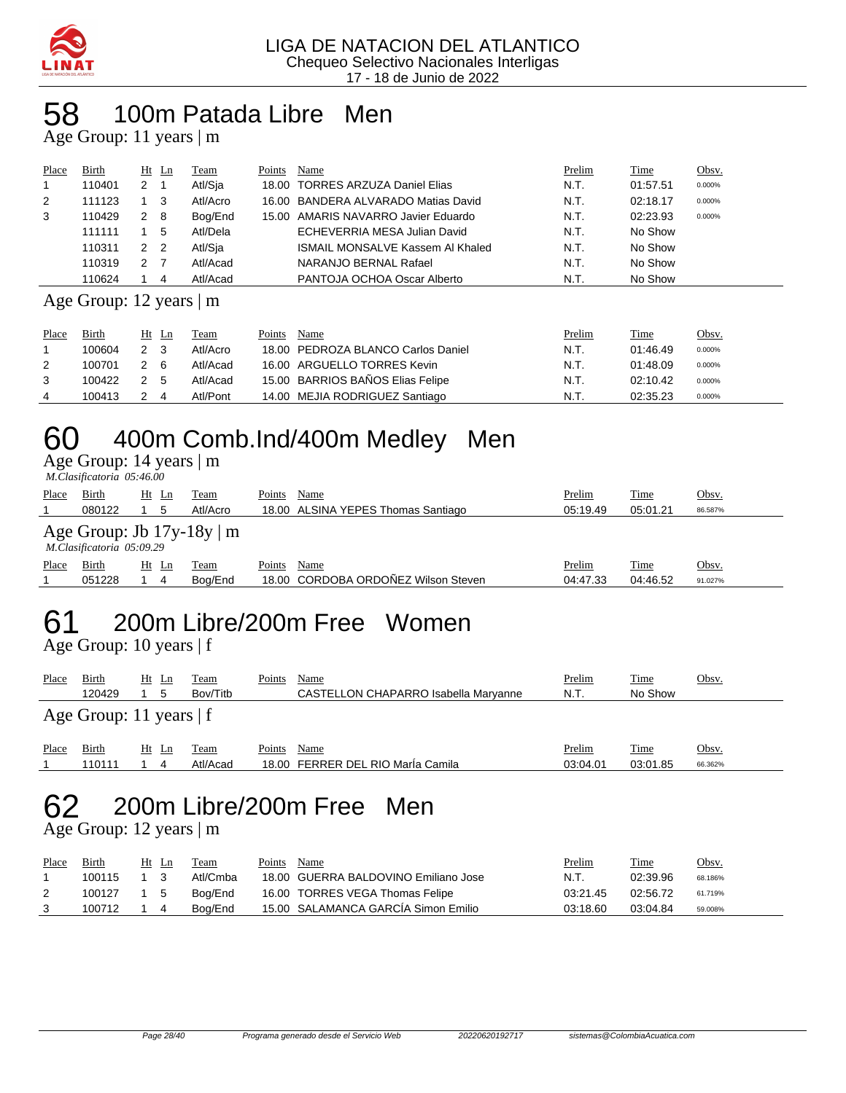

### 58 100m Patada Libre Men

Age Group: 11 years | m

| Place | Birth  |                | Ht Ln | Team     | Points | Name                                    | Prelim | Time     | Obsv.  |
|-------|--------|----------------|-------|----------|--------|-----------------------------------------|--------|----------|--------|
|       | 110401 | 2              |       | Atl/Sja  |        | 18.00 TORRES ARZUZA Daniel Elias        | N.T.   | 01:57.51 | 0.000% |
| 2     | 111123 |                | - 3   | Atl/Acro |        | 16.00 BANDERA ALVARADO Matias David     | N.T.   | 02:18.17 | 0.000% |
| 3     | 110429 | $2 \quad 8$    |       | Bog/End  |        | 15.00 AMARIS NAVARRO Javier Eduardo     | N.T.   | 02:23.93 | 0.000% |
|       | 111111 |                | 5     | Atl/Dela |        | ECHEVERRIA MESA Julian David            | N.T.   | No Show  |        |
|       | 110311 | 2 <sub>2</sub> |       | Atl/Sia  |        | <b>ISMAIL MONSALVE Kassem AI Khaled</b> | N.T.   | No Show  |        |
|       | 110319 | $\mathcal{P}$  |       | Atl/Acad |        | NARANJO BERNAL Rafael                   | N.T.   | No Show  |        |
|       | 110624 |                | 4     | Atl/Acad |        | PANTOJA OCHOA Oscar Alberto             | N.T    | No Show  |        |

#### Age Group: 12 years | m

| Place | Birth  | Ht Ln          | Team     | Points | Name                               | <u>Prelim</u> | <b>Time</b> | <u>Obsv.</u> |
|-------|--------|----------------|----------|--------|------------------------------------|---------------|-------------|--------------|
|       | 100604 |                | Atl/Acro |        | 18.00 PEDROZA BLANCO Carlos Daniel | N.T.          | 01:46.49    | 0.000%       |
| 2     | 100701 | 2 6            | Atl/Acad |        | 16.00 ARGUELLO TORRES Kevin        | N.T.          | 01:48.09    | 0.000%       |
|       | 100422 | 2 5            | Atl/Acad |        | 15.00 BARRIOS BAÑOS Elias Felipe   | N.T.          | 02:10.42    | 0.000%       |
| 4     | 100413 | $\overline{a}$ | Atl/Pont |        | 14.00 MEJIA RODRIGUEZ Santiago     | N.T.          | 02:35.23    | 0.000%       |

## 60 400m Comb.Ind/400m Medley Men

Age Group: 14 years | m  *M.Clasificatoria 05:46.00* 

| Place | <b>Birth</b>              | $Ht$ Ln | Team                                       | Name<br>Points<br>18.00 ALSINA YEPES Thomas Santiago | <b>Prelim</b><br>05:19.49 | <u>Time</u> | Obsv.<br>86.587% |
|-------|---------------------------|---------|--------------------------------------------|------------------------------------------------------|---------------------------|-------------|------------------|
|       | 080122                    | 5       | Atl/Acro<br>Age Group: Jb $17y-18y \mid m$ |                                                      |                           | 05:01.21    |                  |
|       | M.Clasificatoria 05:09.29 |         |                                            |                                                      |                           |             |                  |
| Place | Birth                     | Ht Ln   | Team                                       | Name<br>Points                                       | Prelim                    | <b>Time</b> | Obsv.            |
|       | 051228                    | 4       | Bog/End                                    | 18.00 CORDOBA ORDOÑEZ Wilson Steven                  | 04:47.33                  | 04:46.52    | 91.027%          |
|       |                           |         |                                            |                                                      |                           |             |                  |

# 61 200m Libre/200m Free Women

Age Group: 10 years | f

| Place | Birth<br>120429           | Ht Ln    | Team<br>Bov/Titb | Points | Name<br>CASTELLON CHAPARRO Isabella Maryanne | <b>Prelim</b><br>N.T. | <b>Time</b><br>No Show | Obsv. |  |  |  |  |
|-------|---------------------------|----------|------------------|--------|----------------------------------------------|-----------------------|------------------------|-------|--|--|--|--|
|       | Age Group: 11 years $ f $ |          |                  |        |                                              |                       |                        |       |  |  |  |  |
| Place | Birth                     | Ht<br>Ln | Team             | Points | Name                                         | Prelim                | <b>Time</b>            | Obsv. |  |  |  |  |

1 110111 1 4 Atl/Acad 18.00 FERRER DEL RIO MarÍa Camila 03:04.01 03:01.85 66.362%

## 62 200m Libre/200m Free Men

Age Group: 12 years | m

| Place | Birth      | Ht Ln | Team     | Points<br>Name                       | Prelim   | Time     | <u>Obsv.</u> |
|-------|------------|-------|----------|--------------------------------------|----------|----------|--------------|
|       | 100115 1 3 |       | Atl/Cmba | 18.00 GUERRA BALDOVINO Emiliano Jose | N.T.     | 02:39.96 | 68.186%      |
|       | 100127 1 5 |       | Boa/End  | 16.00 TORRES VEGA Thomas Felipe      | 03:21.45 | 02:56.72 | 61.719%      |
|       | 100712     | 14    | Boa/End  | 15.00 SALAMANCA GARCIA Simon Emilio  | 03:18.60 | 03:04.84 | 59.008%      |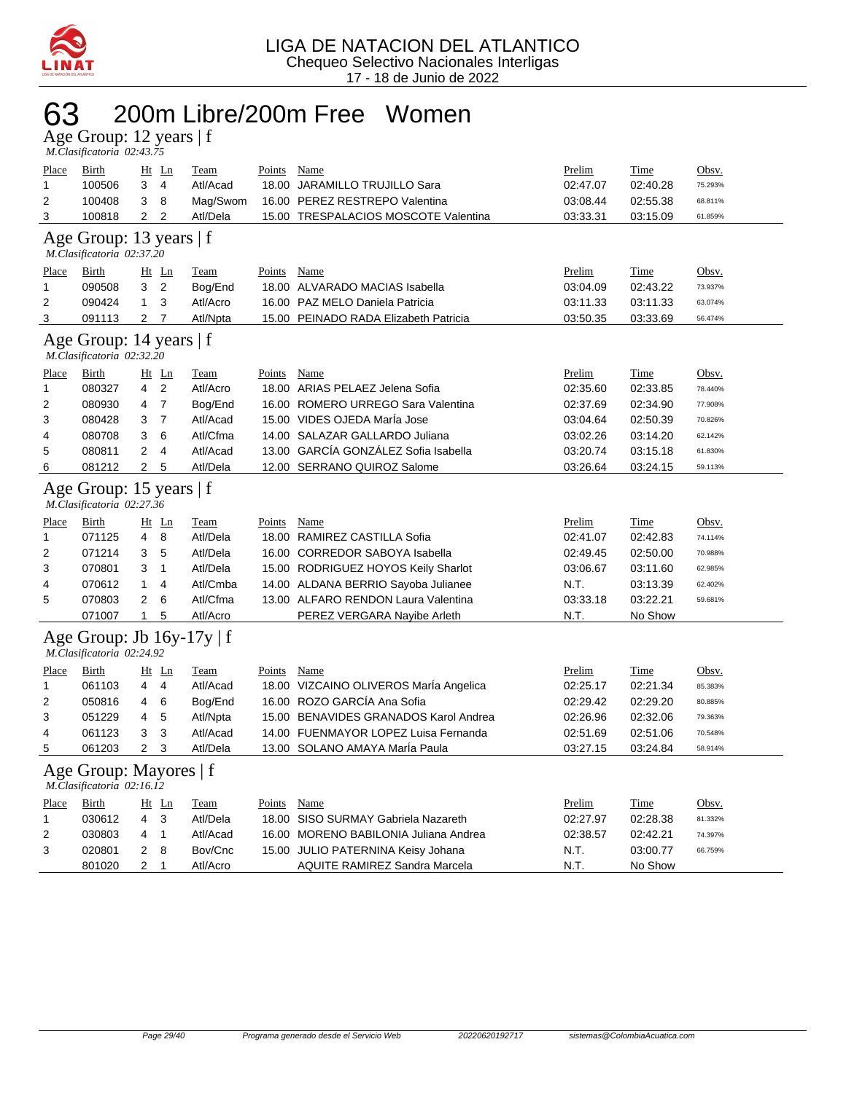

## 63 200m Libre/200m Free Women

Age Group: 12 years | f  *M.Clasificatoria 02:43.75* 

| Place        | <b>Birth</b>                                                |                         | <u>Ht</u> Ln   | Team        | Points        | Name                                   | Prelim   | Time        | Obsv.   |
|--------------|-------------------------------------------------------------|-------------------------|----------------|-------------|---------------|----------------------------------------|----------|-------------|---------|
| 1            | 100506                                                      | 3                       | 4              | Atl/Acad    | 18.00         | <b>JARAMILLO TRUJILLO Sara</b>         | 02:47.07 | 02:40.28    | 75.293% |
| 2            | 100408                                                      | 3                       | 8              | Mag/Swom    |               | 16.00 PEREZ RESTREPO Valentina         | 03:08.44 | 02:55.38    | 68.811% |
| 3            | 100818                                                      | 2                       | 2              | Atl/Dela    |               | 15.00 TRESPALACIOS MOSCOTE Valentina   | 03:33.31 | 03:15.09    | 61.859% |
|              | Age Group: 13 years   f<br>M.Clasificatoria 02:37.20        |                         |                |             |               |                                        |          |             |         |
| <u>Place</u> | <b>Birth</b>                                                |                         | $Ht$ Ln        | <b>Team</b> | <b>Points</b> | <b>Name</b>                            | Prelim   | <u>Time</u> | Obsv.   |
| 1            | 090508                                                      | 3                       | $\overline{2}$ | Bog/End     |               | 18.00 ALVARADO MACIAS Isabella         | 03:04.09 | 02:43.22    | 73.937% |
| 2            | 090424                                                      | 1                       | 3              | Atl/Acro    |               | 16.00 PAZ MELO Daniela Patricia        | 03:11.33 | 03:11.33    | 63.074% |
| 3            | 091113                                                      | $\overline{c}$          | 7              | Atl/Npta    |               | 15.00 PEINADO RADA Elizabeth Patricia  | 03:50.35 | 03:33.69    | 56.474% |
|              | Age Group: 14 years   f<br>M.Clasificatoria 02:32.20        |                         |                |             |               |                                        |          |             |         |
| Place        | Birth                                                       |                         | $Ht$ Ln        | Team        | Points        | Name                                   | Prelim   | Time        | Obsv.   |
| 1            | 080327                                                      | 4                       | 2              | Atl/Acro    |               | 18.00 ARIAS PELAEZ Jelena Sofia        | 02:35.60 | 02:33.85    | 78.440% |
| 2            | 080930                                                      | 4                       | $\overline{7}$ | Bog/End     |               | 16.00 ROMERO URREGO Sara Valentina     | 02:37.69 | 02:34.90    | 77.908% |
| 3            | 080428                                                      | 3                       | $\overline{7}$ | Atl/Acad    |               | 15.00 VIDES OJEDA Marla Jose           | 03:04.64 | 02:50.39    | 70.826% |
| 4            | 080708                                                      | 3                       | 6              | Atl/Cfma    |               | 14.00 SALAZAR GALLARDO Juliana         | 03:02.26 | 03:14.20    | 62.142% |
| 5            | 080811                                                      | $\overline{\mathbf{c}}$ | 4              | Atl/Acad    |               | 13.00 GARCÍA GONZÁLEZ Sofia Isabella   | 03:20.74 | 03:15.18    | 61.830% |
| 6            | 081212                                                      | $\overline{2}$          | 5              | Atl/Dela    |               | 12.00 SERRANO QUIROZ Salome            | 03:26.64 | 03:24.15    | 59.113% |
|              | Age Group: 15 years   f<br>M.Clasificatoria 02:27.36        |                         |                |             |               |                                        |          |             |         |
| Place        | <b>Birth</b>                                                |                         | $Ht$ Ln        | <b>Team</b> | <b>Points</b> | Name                                   | Prelim   | <b>Time</b> | Obsv.   |
| 1            | 071125                                                      | 4                       | 8              | Atl/Dela    |               | 18.00 RAMIREZ CASTILLA Sofia           | 02:41.07 | 02:42.83    | 74.114% |
| 2            | 071214                                                      | 3                       | 5              | Atl/Dela    |               | 16.00 CORREDOR SABOYA Isabella         | 02:49.45 | 02:50.00    | 70.988% |
| 3            | 070801                                                      | 3                       | 1              | Atl/Dela    |               | 15.00 RODRIGUEZ HOYOS Keily Sharlot    | 03:06.67 | 03:11.60    | 62.985% |
| 4            | 070612                                                      | 1                       | 4              | Atl/Cmba    |               | 14.00 ALDANA BERRIO Sayoba Julianee    | N.T.     | 03:13.39    | 62.402% |
| 5            | 070803                                                      | $\overline{2}$          | 6              | Atl/Cfma    |               | 13.00 ALFARO RENDON Laura Valentina    | 03:33.18 | 03:22.21    | 59.681% |
|              | 071007                                                      | $\mathbf{1}$            | 5              | Atl/Acro    |               | PEREZ VERGARA Nayibe Arleth            | N.T.     | No Show     |         |
|              | Age Group: Jb $16y-17y \mid f$<br>M.Clasificatoria 02:24.92 |                         |                |             |               |                                        |          |             |         |
| Place        | <b>Birth</b>                                                |                         | $Ht$ Ln        | <b>Team</b> | <b>Points</b> | <b>Name</b>                            | Prelim   | <u>Time</u> | Obsv.   |
| 1            | 061103                                                      | 4                       | $\overline{4}$ | Atl/Acad    |               | 18.00 VIZCAINO OLIVEROS María Angelica | 02:25.17 | 02:21.34    | 85.383% |
| 2            | 050816                                                      | 4                       | 6              | Bog/End     |               | 16.00 ROZO GARCÍA Ana Sofia            | 02:29.42 | 02:29.20    | 80.885% |
| 3            | 051229                                                      | 4                       | 5              | Atl/Npta    |               | 15.00 BENAVIDES GRANADOS Karol Andrea  | 02:26.96 | 02:32.06    | 79.363% |
| 4            | 061123                                                      | 3                       | 3              | Atl/Acad    |               | 14.00 FUENMAYOR LOPEZ Luisa Fernanda   | 02:51.69 | 02:51.06    | 70.548% |
| 5            | 061203                                                      | 2                       | 3              | Atl/Dela    |               | 13.00 SOLANO AMAYA Maria Paula         | 03:27.15 | 03:24.84    | 58.914% |
|              | Age Group: Mayores   f<br>M.Clasificatoria 02:16.12         |                         |                |             |               |                                        |          |             |         |
| <b>Place</b> | <b>Birth</b>                                                |                         | $Ht$ Ln        | <b>Team</b> | <u>Points</u> | <b>Name</b>                            | Prelim   | <u>Time</u> | Obsv.   |
| 1            | 030612                                                      | 4                       | 3              | Atl/Dela    | 18.00         | SISO SURMAY Gabriela Nazareth          | 02:27.97 | 02:28.38    | 81.332% |
| 2            | 030803                                                      | 4                       | $\mathbf{1}$   | Atl/Acad    |               | 16.00 MORENO BABILONIA Juliana Andrea  | 02:38.57 | 02:42.21    | 74.397% |
| 3            | 020801                                                      | $\overline{2}$          | 8              | Bov/Cnc     |               | 15.00 JULIO PATERNINA Keisy Johana     | N.T.     | 03:00.77    | 66.759% |
|              | 801020                                                      | 2                       | 1              | Atl/Acro    |               | AQUITE RAMIREZ Sandra Marcela          | N.T.     | No Show     |         |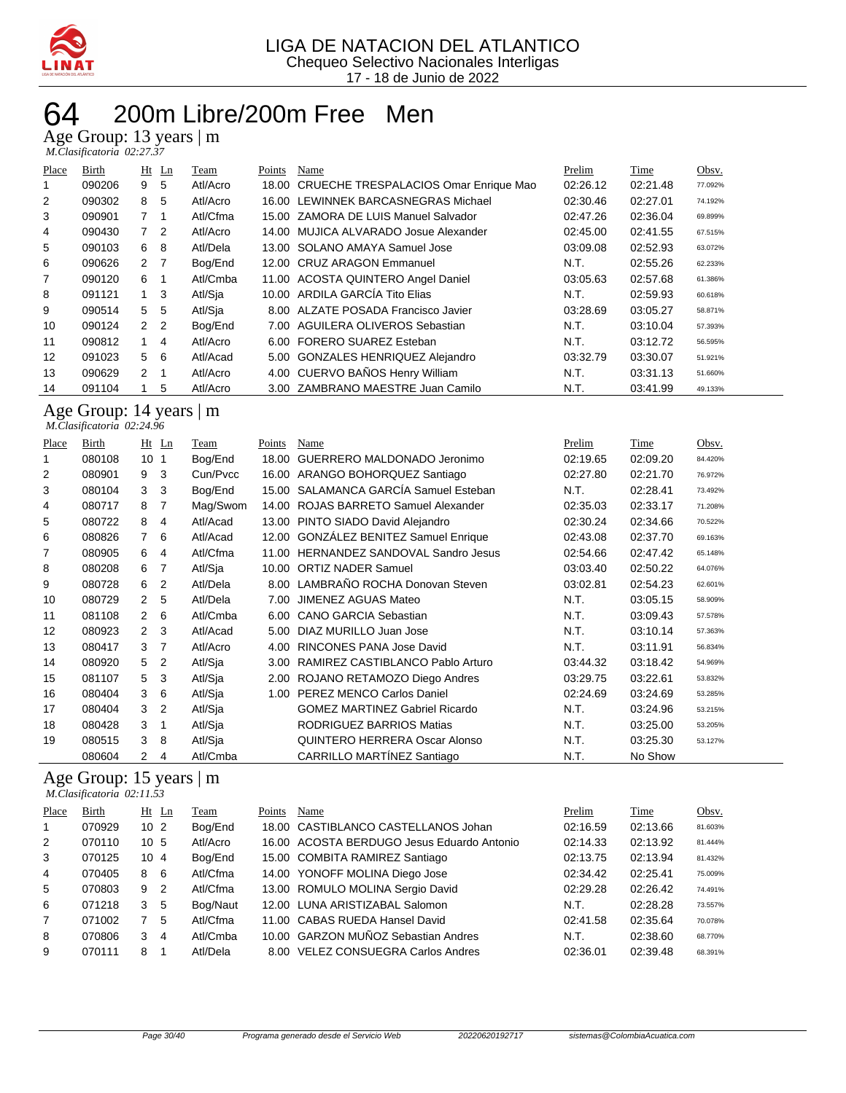

#### 200m Libre/200m Free Men

Age Group: 13 years | m

| M.Clasificatoria 02:27.37 |  |  |
|---------------------------|--|--|

| Place          | Birth  |                | $Ht$ Ln        | Team     | Points | Name                                        | Prelim   | Time     | Obsv.   |
|----------------|--------|----------------|----------------|----------|--------|---------------------------------------------|----------|----------|---------|
|                | 090206 | 9              | 5              | Atl/Acro |        | 18.00 CRUECHE TRESPALACIOS Omar Enrique Mao | 02:26.12 | 02:21.48 | 77.092% |
| $\overline{2}$ | 090302 | 8              | 5              | Atl/Acro |        | 16.00 LEWINNEK BARCASNEGRAS Michael         | 02:30.46 | 02:27.01 | 74.192% |
| 3              | 090901 | $\overline{7}$ |                | Atl/Cfma |        | 15.00 ZAMORA DE LUIS Manuel Salvador        | 02:47.26 | 02:36.04 | 69.899% |
| 4              | 090430 | 7 <sup>2</sup> |                | Atl/Acro |        | 14.00 MUJICA ALVARADO Josue Alexander       | 02:45.00 | 02:41.55 | 67.515% |
| 5              | 090103 | 6              | 8              | Atl/Dela |        | 13.00 SOLANO AMAYA Samuel Jose              | 03:09.08 | 02:52.93 | 63.072% |
| 6              | 090626 | $\overline{2}$ | $\overline{7}$ | Bog/End  |        | 12.00 CRUZ ARAGON Emmanuel                  | N.T.     | 02:55.26 | 62.233% |
| 7              | 090120 | 6              |                | Atl/Cmba |        | 11.00 ACOSTA QUINTERO Angel Daniel          | 03:05.63 | 02:57.68 | 61.386% |
| 8              | 091121 | 1              | -3             | Atl/Sia  |        | 10.00 ARDILA GARCÍA Tito Elias              | N.T.     | 02:59.93 | 60.618% |
| 9              | 090514 | 5              | 5              | Atl/Sia  |        | 8.00 ALZATE POSADA Francisco Javier         | 03:28.69 | 03:05.27 | 58.871% |
| 10             | 090124 | 2 <sub>2</sub> |                | Bog/End  |        | 7.00 AGUILERA OLIVEROS Sebastian            | N.T.     | 03:10.04 | 57.393% |
| 11             | 090812 | 1              | 4              | Atl/Acro |        | 6.00 FORERO SUAREZ Esteban                  | N.T.     | 03:12.72 | 56.595% |
| 12             | 091023 | 5              | - 6            | Atl/Acad |        | 5.00 GONZALES HENRIQUEZ Alejandro           | 03:32.79 | 03:30.07 | 51.921% |
| 13             | 090629 | 2              |                | Atl/Acro |        | 4.00 CUERVO BAÑOS Henry William             | N.T.     | 03:31.13 | 51.660% |
| 14             | 091104 |                | 5              | Atl/Acro |        | 3.00 ZAMBRANO MAESTRE Juan Camilo           | N.T.     | 03:41.99 | 49.133% |

Age Group: 14 years | m  *M.Clasificatoria 02:24.96* 

| Place          | Birth  |                 | $Ht$ Ln        | Team     | Points | Name                                  | Prelim   | Time     | Obsv.   |
|----------------|--------|-----------------|----------------|----------|--------|---------------------------------------|----------|----------|---------|
| 1              | 080108 | 10 <sub>1</sub> |                | Bog/End  | 18.00  | GUERRERO MALDONADO Jeronimo           | 02:19.65 | 02:09.20 | 84.420% |
| $\overline{2}$ | 080901 | 9               | 3              | Cun/Pvcc |        | 16.00 ARANGO BOHORQUEZ Santiago       | 02:27.80 | 02:21.70 | 76.972% |
| 3              | 080104 | 3               | 3              | Bog/End  |        | 15.00 SALAMANCA GARCÍA Samuel Esteban | N.T.     | 02:28.41 | 73.492% |
| 4              | 080717 | 8               | 7              | Mag/Swom | 14.00  | ROJAS BARRETO Samuel Alexander        | 02:35.03 | 02:33.17 | 71.208% |
| 5              | 080722 | 8               | 4              | Atl/Acad | 13.00  | PINTO SIADO David Alejandro           | 02:30.24 | 02:34.66 | 70.522% |
| 6              | 080826 | 7               | 6              | Atl/Acad |        | 12.00 GONZÁLEZ BENITEZ Samuel Enrique | 02:43.08 | 02:37.70 | 69.163% |
| 7              | 080905 | 6               | 4              | Atl/Cfma | 11.00  | HERNANDEZ SANDOVAL Sandro Jesus       | 02:54.66 | 02:47.42 | 65.148% |
| 8              | 080208 | 6               | 7              | Atl/Sja  | 10.00  | <b>ORTIZ NADER Samuel</b>             | 03:03.40 | 02:50.22 | 64.076% |
| 9              | 080728 | 6               | 2              | Atl/Dela |        | 8.00 LAMBRAÑO ROCHA Donovan Steven    | 03:02.81 | 02:54.23 | 62.601% |
| 10             | 080729 | 2               | 5              | Atl/Dela | 7.00   | JIMENEZ AGUAS Mateo                   | N.T.     | 03:05.15 | 58.909% |
| 11             | 081108 | $\overline{2}$  | 6              | Atl/Cmba | 6.00   | <b>CANO GARCIA Sebastian</b>          | N.T.     | 03:09.43 | 57.578% |
| 12             | 080923 | $\overline{2}$  | -3             | Atl/Acad | 5.00   | DIAZ MURILLO Juan Jose                | N.T.     | 03:10.14 | 57.363% |
| 13             | 080417 | 3               | $\overline{7}$ | Atl/Acro | 4.00   | <b>RINCONES PANA Jose David</b>       | N.T.     | 03:11.91 | 56.834% |
| 14             | 080920 | 5               | $\overline{2}$ | Atl/Sja  | 3.00   | RAMIREZ CASTIBLANCO Pablo Arturo      | 03:44.32 | 03:18.42 | 54.969% |
| 15             | 081107 | 5               | 3              | Atl/Sja  | 2.00   | ROJANO RETAMOZO Diego Andres          | 03:29.75 | 03:22.61 | 53.832% |
| 16             | 080404 | 3               | 6              | Atl/Sja  | 1.00   | PEREZ MENCO Carlos Daniel             | 02:24.69 | 03:24.69 | 53.285% |
| 17             | 080404 | 3               | $\overline{2}$ | Atl/Sja  |        | <b>GOMEZ MARTINEZ Gabriel Ricardo</b> | N.T.     | 03:24.96 | 53.215% |
| 18             | 080428 | 3               | 1              | Atl/Sja  |        | RODRIGUEZ BARRIOS Matias              | N.T.     | 03:25.00 | 53.205% |
| 19             | 080515 | 3               | 8              | Atl/Sja  |        | QUINTERO HERRERA Oscar Alonso         | N.T.     | 03:25.30 | 53.127% |
|                | 080604 | 2               | 4              | Atl/Cmba |        | <b>CARRILLO MARTÍNEZ Santiago</b>     | N.T.     | No Show  |         |

#### Age Group: 15 years | m  *M.Clasificatoria 02:11.53*

| Place | Birth  |                 | $Ht$ Ln | Team     | Points | Name                                       | Prelim   | Time     | Obsv.   |
|-------|--------|-----------------|---------|----------|--------|--------------------------------------------|----------|----------|---------|
| 1     | 070929 | 10 <sub>2</sub> |         | Bog/End  |        | 18.00 CASTIBLANCO CASTELLANOS Johan        | 02:16.59 | 02:13.66 | 81.603% |
| 2     | 070110 | 10 <sub>5</sub> |         | Atl/Acro |        | 16.00 ACOSTA BERDUGO Jesus Eduardo Antonio | 02:14.33 | 02:13.92 | 81.444% |
| 3     | 070125 | 104             |         | Bog/End  |        | 15.00 COMBITA RAMIREZ Santiago             | 02:13.75 | 02:13.94 | 81.432% |
| 4     | 070405 | 8               | -6      | Atl/Cfma |        | 14.00 YONOFF MOLINA Diego Jose             | 02:34.42 | 02:25.41 | 75.009% |
| 5     | 070803 | 9 <sub>2</sub>  |         | Atl/Cfma |        | 13.00 ROMULO MOLINA Sergio David           | 02:29.28 | 02:26.42 | 74.491% |
| 6     | 071218 | 3               | 5       | Bog/Naut |        | 12.00 LUNA ARISTIZABAL Salomon             | N.T.     | 02:28.28 | 73.557% |
| 7     | 071002 |                 | 5       | Atl/Cfma |        | 11.00 CABAS RUEDA Hansel David             | 02:41.58 | 02:35.64 | 70.078% |
| 8     | 070806 | 3               | 4       | Atl/Cmba |        | 10.00 GARZON MUÑOZ Sebastian Andres        | N.T.     | 02:38.60 | 68.770% |
| 9     | 070111 | 8               |         | Atl/Dela |        | 8.00 VELEZ CONSUEGRA Carlos Andres         | 02:36.01 | 02:39.48 | 68.391% |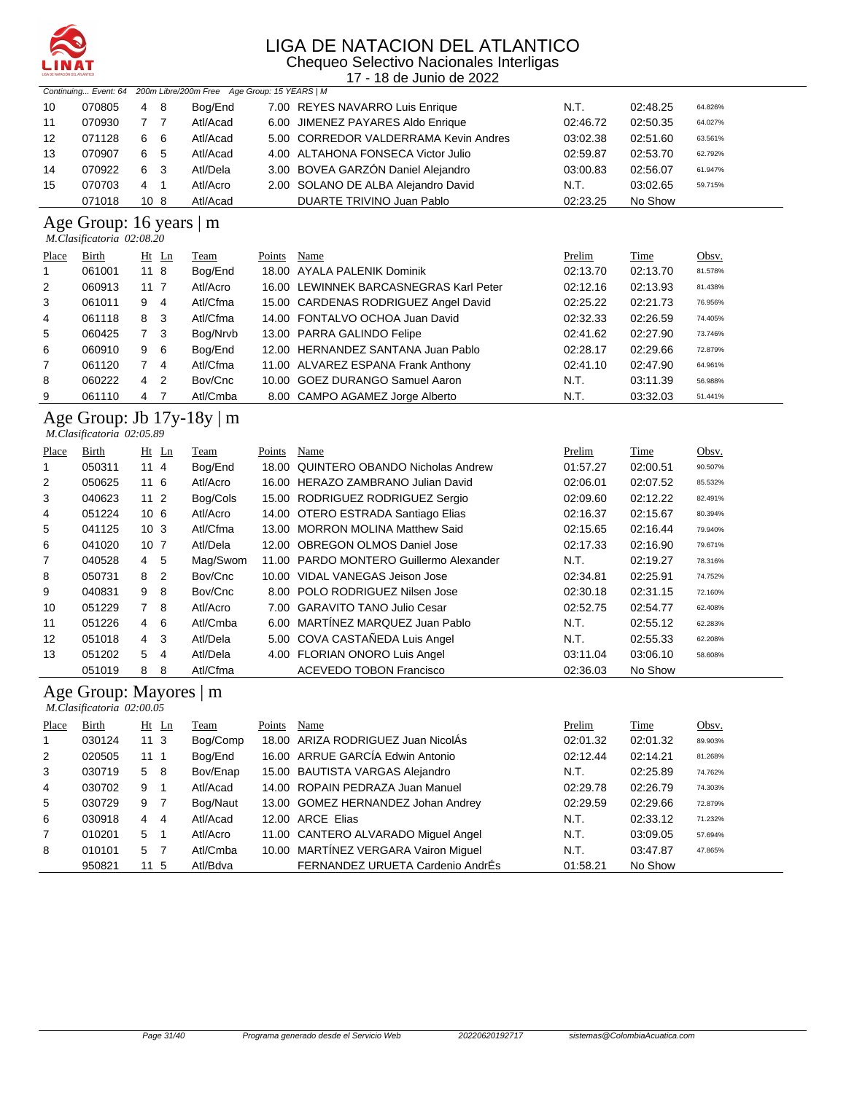

Chequeo Selectivo Nacionales Interligas 17 - 18 de Junio de 2022

|    |        |      |     | Continuing Event: 64 200m Libre/200m Free Age Group: 15 YEARS   M |                                       |          |          |         |
|----|--------|------|-----|-------------------------------------------------------------------|---------------------------------------|----------|----------|---------|
| 10 | 070805 | 4    | - 8 | Bog/End                                                           | 7.00 REYES NAVARRO Luis Enrique       | N.T.     | 02:48.25 | 64.826% |
| 11 | 070930 |      |     | Atl/Acad                                                          | 6.00 JIMENEZ PAYARES Aldo Enrique     | 02:46.72 | 02:50.35 | 64.027% |
| 12 | 071128 | 6    | -6  | Atl/Acad                                                          | 5.00 CORREDOR VALDERRAMA Kevin Andres | 03:02.38 | 02:51.60 | 63.561% |
| 13 | 070907 | 6    | -5  | Atl/Acad                                                          | 4.00 ALTAHONA FONSECA Victor Julio    | 02:59.87 | 02:53.70 | 62.792% |
| 14 | 070922 | 6    | -3  | Atl/Dela                                                          | 3.00 BOVEA GARZÓN Daniel Alejandro    | 03:00.83 | 02:56.07 | 61.947% |
| 15 | 070703 | 4    | -1  | Atl/Acro                                                          | 2.00 SOLANO DE ALBA Alejandro David   | N.T.     | 03:02.65 | 59.715% |
|    | 071018 | 10 8 |     | Atl/Acad                                                          | DUARTE TRIVINO Juan Pablo             | 02:23.25 | No Show  |         |

#### Age Group: 16 years | m

 *M.Clasificatoria 02:08.20* 

| Place          | <b>Birth</b> | $Ht$ Ln             | Team     | Points | Name                                   | Prelim   | <b>Time</b> | Obsv.   |
|----------------|--------------|---------------------|----------|--------|----------------------------------------|----------|-------------|---------|
|                | 061001       | 118                 | Bog/End  |        | 18.00 AYALA PALENIK Dominik            | 02:13.70 | 02:13.70    | 81.578% |
| 2              | 060913       | 11 7                | Atl/Acro |        | 16.00 LEWINNEK BARCASNEGRAS Karl Peter | 02:12.16 | 02:13.93    | 81.438% |
| 3              | 061011       | 9<br>4              | Atl/Cfma |        | 15.00 CARDENAS RODRIGUEZ Angel David   | 02:25.22 | 02:21.73    | 76.956% |
| $\overline{4}$ | 061118       | 8<br>-3             | Atl/Cfma |        | 14.00 FONTALVO OCHOA Juan David        | 02:32.33 | 02:26.59    | 74.405% |
| 5              | 060425       | 7 <sup>3</sup>      | Bog/Nrvb |        | 13.00 PARRA GALINDO Felipe             | 02:41.62 | 02:27.90    | 73.746% |
| 6              | 060910       | 9<br>- 6            | Bog/End  |        | 12.00 HERNANDEZ SANTANA Juan Pablo     | 02:28.17 | 02:29.66    | 72.879% |
| $\overline{7}$ | 061120       | -4                  | Atl/Cfma |        | 11.00 ALVAREZ ESPANA Frank Anthony     | 02:41.10 | 02:47.90    | 64.961% |
| 8              | 060222       | $\overline{2}$<br>4 | Bov/Cnc  |        | 10.00 GOEZ DURANGO Samuel Aaron        | N.T.     | 03:11.39    | 56.988% |
| 9              | 061110       | 4                   | Atl/Cmba |        | 8.00 CAMPO AGAMEZ Jorge Alberto        | N.T.     | 03:32.03    | 51.441% |

#### Age Group: Jb 17y-18y | m  *M.Clasificatoria 02:05.89*

| Place | Birth  |                 | $Ht$ Ln        | Team     | Points | Name                                    | Prelim   | Time     | Obsv.   |
|-------|--------|-----------------|----------------|----------|--------|-----------------------------------------|----------|----------|---------|
| 1     | 050311 | 11 4            |                | Bog/End  | 18.00  | QUINTERO OBANDO Nicholas Andrew         | 01:57.27 | 02:00.51 | 90.507% |
| 2     | 050625 | 116             |                | Atl/Acro |        | 16.00 HERAZO ZAMBRANO Julian David      | 02:06.01 | 02:07.52 | 85.532% |
| 3     | 040623 | $112$           |                | Bog/Cols |        | 15.00 RODRIGUEZ RODRIGUEZ Sergio        | 02:09.60 | 02:12.22 | 82.491% |
| 4     | 051224 | 10 <sub>6</sub> |                | Atl/Acro |        | 14.00 OTERO ESTRADA Santiago Elias      | 02:16.37 | 02:15.67 | 80.394% |
| 5     | 041125 | 10 <sub>3</sub> |                | Atl/Cfma |        | 13.00 MORRON MOLINA Matthew Said        | 02:15.65 | 02:16.44 | 79.940% |
| 6     | 041020 | 10 <sub>7</sub> |                | Atl/Dela |        | 12.00 OBREGON OLMOS Daniel Jose         | 02:17.33 | 02:16.90 | 79.671% |
| 7     | 040528 | 4               | 5              | Mag/Swom |        | 11.00 PARDO MONTERO Guillermo Alexander | N.T.     | 02:19.27 | 78.316% |
| 8     | 050731 | 8               | $\overline{2}$ | Bov/Cnc  |        | 10.00 VIDAL VANEGAS Jeison Jose         | 02:34.81 | 02:25.91 | 74.752% |
| 9     | 040831 | 9               | - 8            | Bov/Cnc  |        | 8.00 POLO RODRIGUEZ Nilsen Jose         | 02:30.18 | 02:31.15 | 72.160% |
| 10    | 051229 | 7 8             |                | Atl/Acro |        | 7.00 GARAVITO TANO Julio Cesar          | 02:52.75 | 02:54.77 | 62.408% |
| 11    | 051226 | 4               | 6              | Atl/Cmba |        | 6.00 MARTINEZ MARQUEZ Juan Pablo        | N.T.     | 02:55.12 | 62.283% |
| 12    | 051018 | 4               | 3              | Atl/Dela |        | 5.00 COVA CASTAÑEDA Luis Angel          | N.T.     | 02:55.33 | 62.208% |
| 13    | 051202 | 5               | 4              | Atl/Dela |        | 4.00 FLORIAN ONORO Luis Angel           | 03:11.04 | 03:06.10 | 58.608% |
|       | 051019 | 8               | 8              | Atl/Cfma |        | <b>ACEVEDO TOBON Francisco</b>          | 02:36.03 | No Show  |         |

#### Age Group: Mayores | m

|                | M.Clasificatoria 02:00.05 |                     |          |        |                                      |          |             |         |
|----------------|---------------------------|---------------------|----------|--------|--------------------------------------|----------|-------------|---------|
| Place          | Birth                     | $Ht$ Ln             | Team     | Points | Name                                 | Prelim   | <b>Time</b> | Obsv.   |
| $\mathbf{1}$   | 030124                    | 113                 | Bog/Comp |        | 18.00 ARIZA RODRIGUEZ Juan NicolÁs   | 02:01.32 | 02:01.32    | 89.903% |
| 2              | 020505                    | 11 1                | Bog/End  |        | 16.00 ARRUE GARCÍA Edwin Antonio     | 02:12.44 | 02:14.21    | 81.268% |
| 3              | 030719                    | 5 8                 | Bov/Enap |        | 15.00 BAUTISTA VARGAS Alejandro      | N.T.     | 02:25.89    | 74.762% |
| 4              | 030702                    | 9<br>$\overline{1}$ | Atl/Acad |        | 14.00 ROPAIN PEDRAZA Juan Manuel     | 02:29.78 | 02:26.79    | 74.303% |
| 5              | 030729                    | $\overline{7}$<br>9 | Bog/Naut |        | 13.00 GOMEZ HERNANDEZ Johan Andrey   | 02:29.59 | 02:29.66    | 72.879% |
| 6              | 030918                    | 4 4                 | Atl/Acad |        | 12.00 ARCE Elias                     | N.T.     | 02:33.12    | 71.232% |
| $\overline{7}$ | 010201                    | 5<br>$\overline{1}$ | Atl/Acro |        | 11.00 CANTERO ALVARADO Miguel Angel  | N.T.     | 03:09.05    | 57.694% |
| 8              | 010101                    | $\overline{7}$<br>5 | Atl/Cmba |        | 10.00 MARTÍNEZ VERGARA Vairon Miguel | N.T.     | 03:47.87    | 47.865% |
|                | 950821                    | 11 <sub>5</sub>     | Atl/Bdva |        | FERNANDEZ URUETA Cardenio AndrÉs     | 01:58.21 | No Show     |         |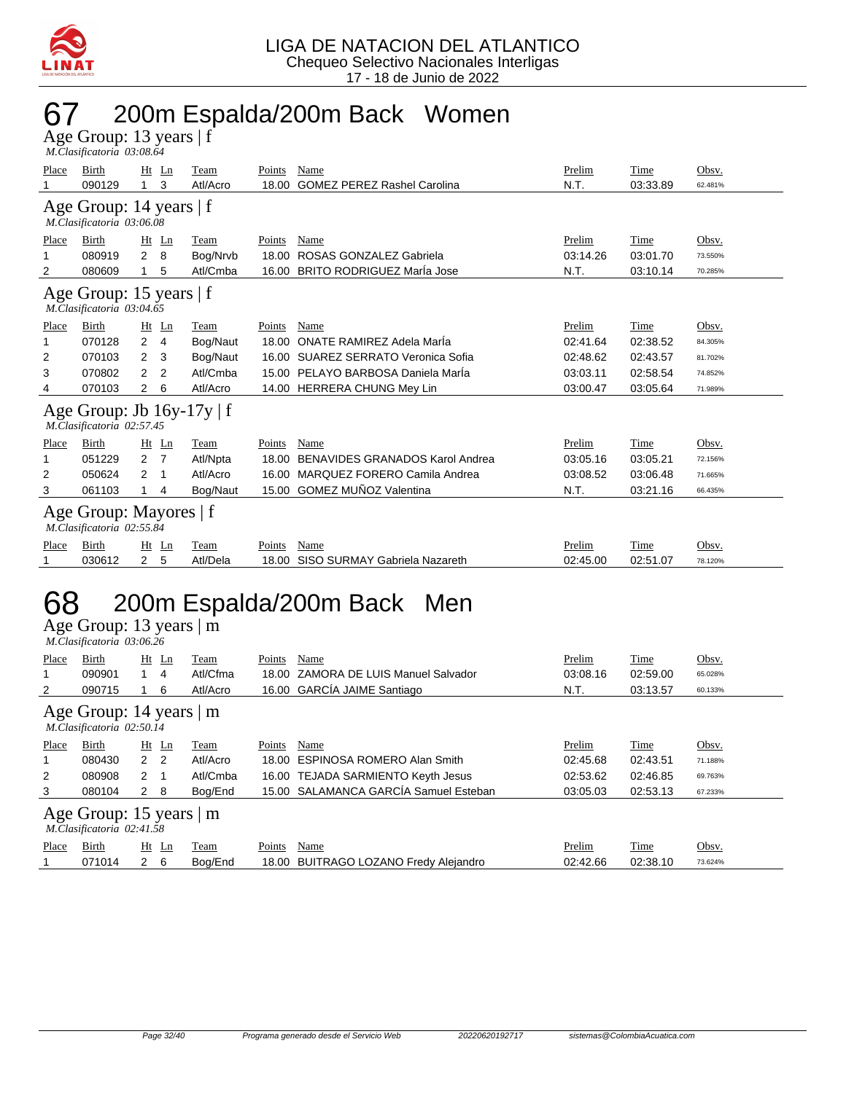

## 67 200m Espalda/200m Back Women

| Age Group: 13 years   f   |  |  |
|---------------------------|--|--|
| M.Clasificatoria 03:08.64 |  |  |

| Place | Birth<br>090129                                             |                | Ht Ln<br>3     | Team<br>Atl/Acro | Points<br>18.00 | Name<br><b>GOMEZ PEREZ Rashel Carolina</b> | Prelim<br>N.T. | Time<br>03:33.89 | Obsv.<br>62.481% |
|-------|-------------------------------------------------------------|----------------|----------------|------------------|-----------------|--------------------------------------------|----------------|------------------|------------------|
|       | Age Group: 14 years   f<br>M.Clasificatoria 03:06.08        |                |                |                  |                 |                                            |                |                  |                  |
| Place | Birth                                                       |                | $Ht$ Ln        | Team             | Points          | Name                                       | Prelim         | Time             | Obsv.            |
| 1     | 080919                                                      | 2              | 8              | Bog/Nrvb         | 18.00           | ROSAS GONZALEZ Gabriela                    | 03:14.26       | 03:01.70         | 73.550%          |
| 2     | 080609                                                      |                | 5              | Atl/Cmba         | 16.00           | <b>BRITO RODRIGUEZ MarÍa Jose</b>          | N.T.           | 03:10.14         | 70.285%          |
|       | Age Group: 15 years   f<br>M.Clasificatoria 03:04.65        |                |                |                  |                 |                                            |                |                  |                  |
| Place | Birth                                                       |                | $Ht$ Ln        | Team             | Points          | Name                                       | Prelim         | Time             | Obsv.            |
| 1     | 070128                                                      | $\overline{2}$ | 4              | Bog/Naut         | 18.00           | ONATE RAMIREZ Adela Marla                  | 02:41.64       | 02:38.52         | 84.305%          |
| 2     | 070103                                                      | 2              | 3              | Bog/Naut         |                 | 16.00 SUAREZ SERRATO Veronica Sofia        | 02:48.62       | 02:43.57         | 81.702%          |
| 3     | 070802                                                      | 2              | 2              | Atl/Cmba         |                 | 15.00 PELAYO BARBOSA Daniela Marla         | 03:03.11       | 02:58.54         | 74.852%          |
| 4     | 070103                                                      | 2              | 6              | Atl/Acro         |                 | 14.00 HERRERA CHUNG Mey Lin                | 03:00.47       | 03:05.64         | 71.989%          |
|       | Age Group: Jb $16y-17y \mid f$<br>M.Clasificatoria 02:57.45 |                |                |                  |                 |                                            |                |                  |                  |
| Place | Birth                                                       | Ht             | Ln             | Team             | Points          | Name                                       | Prelim         | Time             | Obsv.            |
| 1     | 051229                                                      | 2              | $\overline{7}$ | Atl/Npta         | 18.00           | <b>BENAVIDES GRANADOS Karol Andrea</b>     | 03:05.16       | 03:05.21         | 72.156%          |
| 2     | 050624                                                      | 2              | 1              | Atl/Acro         | 16.00           | MARQUEZ FORERO Camila Andrea               | 03:08.52       | 03:06.48         | 71.665%          |
| 3     | 061103                                                      |                | 4              | Bog/Naut         |                 | 15.00 GOMEZ MUÑOZ Valentina                | N.T.           | 03:21.16         | 66.435%          |
|       | Age Group: Mayores   f<br>M.Clasificatoria 02:55.84         |                |                |                  |                 |                                            |                |                  |                  |
| Place | Birth                                                       | Ht             | Ln             | Team             | Points          | Name                                       | Prelim         | Time             | Obsv.            |
| 1     | 030612                                                      | $\overline{2}$ | 5              | Atl/Dela         | 18.00           | SISO SURMAY Gabriela Nazareth              | 02:45.00       | 02:51.07         | 78.120%          |
|       |                                                             |                |                |                  |                 |                                            |                |                  |                  |

## 68 200m Espalda/200m Back Men

Age Group: 13 years | m

|       | M.Clasificatoria 03:06.26                              |                |          |        |                                       |          |          |         |
|-------|--------------------------------------------------------|----------------|----------|--------|---------------------------------------|----------|----------|---------|
| Place | Birth                                                  | $Ht$ Ln        | Team     | Points | Name                                  | Prelim   | Time     | Obsv.   |
|       | 090901                                                 | $1 \quad 4$    | Atl/Cfma | 18.00  | ZAMORA DE LUIS Manuel Salvador        | 03:08.16 | 02:59.00 | 65.028% |
| 2     | 090715                                                 | - 6            | Atl/Acro |        | 16.00 GARCÍA JAIME Santiago           | N.T.     | 03:13.57 | 60.133% |
|       | Age Group: 14 years   m<br>M.Clasificatoria 02:50.14   |                |          |        |                                       |          |          |         |
| Place | Birth                                                  | $Ht$ Ln        | Team     | Points | Name                                  | Prelim   | Time     | Obsv.   |
| 1     | 080430                                                 | 2 <sub>2</sub> | Atl/Acro |        | 18.00 ESPINOSA ROMERO Alan Smith      | 02:45.68 | 02:43.51 | 71.188% |
| 2     | 080908                                                 | 2              | Atl/Cmba |        | 16.00 TEJADA SARMIENTO Keyth Jesus    | 02:53.62 | 02:46.85 | 69.763% |
| 3     | 080104                                                 | $2 \quad 8$    | Bog/End  |        | 15.00 SALAMANCA GARCÍA Samuel Esteban | 03:05.03 | 02:53.13 | 67.233% |
|       | Age Group: 15 years $ m $<br>M.Clasificatoria 02:41.58 |                |          |        |                                       |          |          |         |
| Place | Birth                                                  | $Ht$ Ln        | Team     | Points | Name                                  | Prelim   | Time     | Obsv.   |
|       | 071014                                                 | $2\quad 6$     | Bog/End  |        | 18.00 BUITRAGO LOZANO Fredy Alejandro | 02:42.66 | 02:38.10 | 73.624% |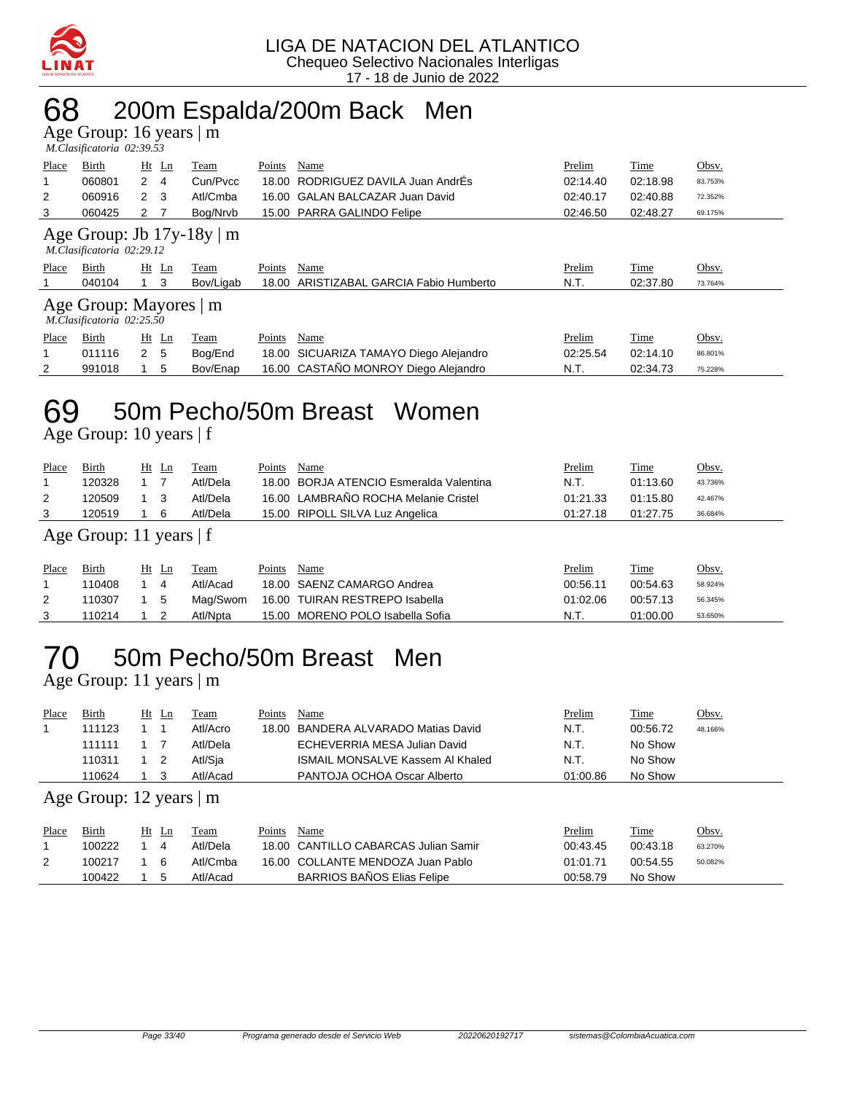

### 68 200m Espalda/200m Back Men

Age Group: 16 years | m

|       | M.Clasificatoria 02:39.53                           |                     |                                |        |                                   |          |             |         |
|-------|-----------------------------------------------------|---------------------|--------------------------------|--------|-----------------------------------|----------|-------------|---------|
| Place | Birth                                               | $Ht$ Ln             | Team                           | Points | Name                              | Prelim   | <b>Time</b> | Obsv.   |
| 1     | 060801                                              | 2<br>$\overline{4}$ | Cun/Pycc                       | 18.00  | RODRIGUEZ DAVILA Juan AndrÉs      | 02:14.40 | 02:18.98    | 83.753% |
| 2     | 060916                                              | $2 \quad 3$         | Atl/Cmba                       |        | 16.00 GALAN BALCAZAR Juan David   | 02:40.17 | 02:40.88    | 72.352% |
| 3     | 060425                                              | 2                   | Bog/Nrvb                       |        | 15.00 PARRA GALINDO Felipe        | 02:46.50 | 02:48.27    | 69.175% |
|       | M.Clasificatoria 02:29.12                           |                     | Age Group: Jb $17y-18y \mid m$ |        |                                   |          |             |         |
|       |                                                     |                     |                                |        |                                   |          |             |         |
| Place | Birth                                               | $Ht$ Ln             | Team                           | Points | Name                              | Prelim   | Time        | Obsv.   |
|       | 040104                                              | 3                   | Bov/Ligab                      | 18.00  | ARISTIZABAL GARCIA Fabio Humberto | N.T.     | 02:37.80    | 73.764% |
|       | Age Group: Mayores   m<br>M.Clasificatoria 02:25.50 |                     |                                |        |                                   |          |             |         |
| Place | Birth                                               | $Ht$ Ln             | Team                           | Points | Name                              | Prelim   | Time        | Obsv.   |
|       | 011116                                              | 2 <sub>5</sub>      | Bog/End                        | 18.00  | SICUARIZA TAMAYO Diego Alejandro  | 02:25.54 | 02:14.10    | 86.801% |

### 69 50m Pecho/50m Breast Women

Age Group: 10 years | f

| Place          | <b>Birth</b>              |  | $Ht$ Ln        | Team        | Points | Name                                 | Prelim   | Time     | Obsv.   |  |  |  |
|----------------|---------------------------|--|----------------|-------------|--------|--------------------------------------|----------|----------|---------|--|--|--|
| 1              | 120328                    |  | $\overline{7}$ | Atl/Dela    | 18.00  | BORJA ATENCIO Esmeralda Valentina    | N.T.     | 01:13.60 | 43.736% |  |  |  |
| $\overline{2}$ | 120509                    |  | - 3            | Atl/Dela    |        | 16.00 LAMBRAÑO ROCHA Melanie Cristel | 01:21.33 | 01:15.80 | 42.467% |  |  |  |
| 3              | 120519                    |  | 6              | Atl/Dela    |        | 15.00 RIPOLL SILVA Luz Angelica      | 01:27.18 | 01:27.75 | 36.684% |  |  |  |
|                | Age Group: 11 years $ f $ |  |                |             |        |                                      |          |          |         |  |  |  |
| Place          | Birth                     |  | $Ht$ Ln        | <b>Team</b> | Points | Name                                 | Prelim   | Time     | Obsv.   |  |  |  |
| 1              | 110408                    |  | 4              | Atl/Acad    |        | 18.00 SAENZ CAMARGO Andrea           | 00:56.11 | 00:54.63 | 58.924% |  |  |  |
| 2              | 110307                    |  | 5              | Mag/Swom    |        | 16.00 TUIRAN RESTREPO Isabella       | 01:02.06 | 00:57.13 | 56.345% |  |  |  |
| 3              | 110214                    |  | - 2            | Atl/Npta    |        | 15.00 MORENO POLO Isabella Sofia     | N.T.     | 01:00.00 | 53.650% |  |  |  |

## 70 50m Pecho/50m Breast Men

Age Group: 11 years | m

| Place | Birth                                    | Ht Ln |  | Team     | Points | Name                                | <b>Prelim</b> | <b>Time</b> | <u>Obsv.</u> |  |  |
|-------|------------------------------------------|-------|--|----------|--------|-------------------------------------|---------------|-------------|--------------|--|--|
|       | 111123                                   |       |  | Atl/Acro |        | 18.00 BANDERA ALVARADO Matias David | N.T.          | 00:56.72    | 48.166%      |  |  |
|       | 111111                                   |       |  | Atl/Dela |        | ECHEVERRIA MESA Julian David        | N.T.          | No Show     |              |  |  |
|       | 110311                                   |       |  | Atl/Sia  |        | ISMAIL MONSALVE Kassem AI Khaled    | N.T.          | No Show     |              |  |  |
|       | 110624                                   |       |  | Atl/Acad |        | PANTOJA OCHOA Oscar Alberto         | 01:00.86      | No Show     |              |  |  |
|       | $\Delta$ ge Group: 12 vears $\mathbb{R}$ |       |  |          |        |                                     |               |             |              |  |  |

Age Group: 12 years | m

| Place | Birth  | Ht | Ln  | Team     | Points | Name                                 | <b>Prelim</b> | Time     | <u>Obsv.</u> |
|-------|--------|----|-----|----------|--------|--------------------------------------|---------------|----------|--------------|
|       | 100222 |    |     | Atl/Dela |        | 18.00 CANTILLO CABARCAS Julian Samir | 00:43.45      | 00:43.18 | 63.270%      |
|       | 100217 |    | - 6 | Atl/Cmba |        | 16.00 COLLANTE MENDOZA Juan Pablo    | 01:01.71      | 00:54.55 | 50.082%      |
|       | 100422 |    | . 5 | Atl/Acad |        | <b>BARRIOS BAÑOS Elias Felipe</b>    | 00:58.79      | No Show  |              |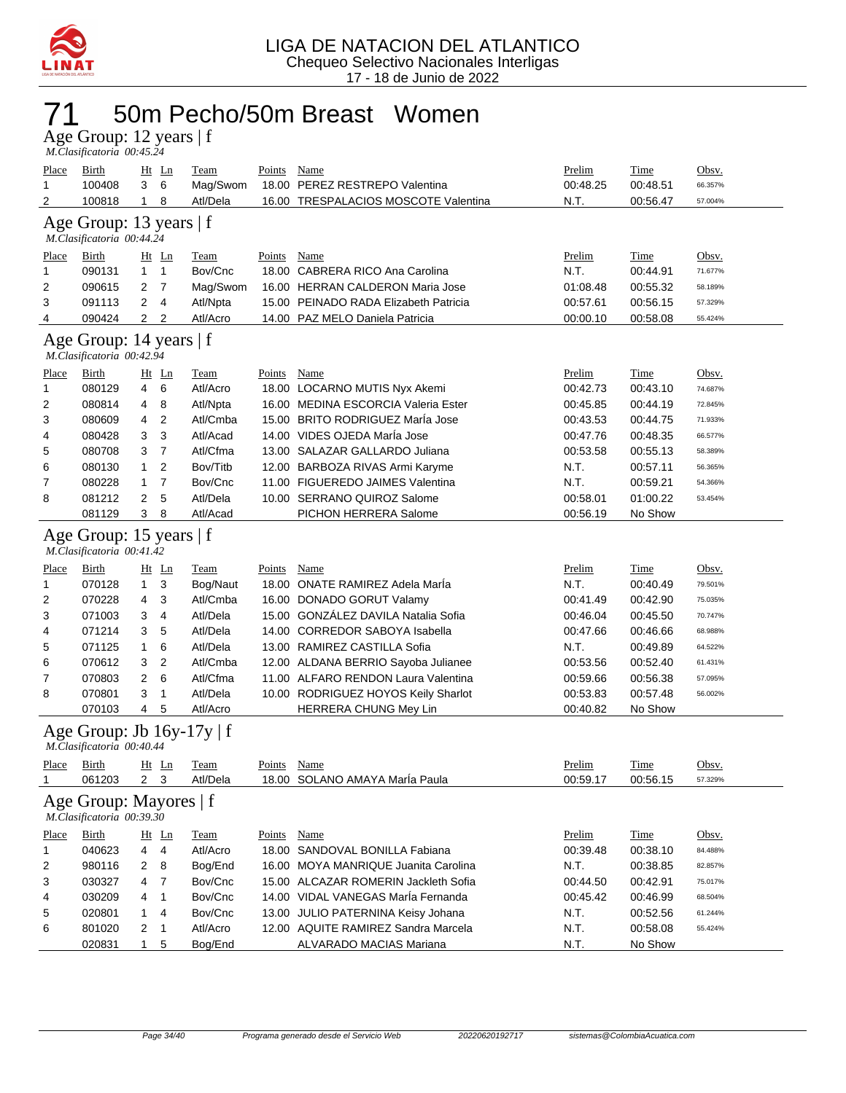

## 71 50m Pecho/50m Breast Women

Age Group: 12 years | f  *M.Clasificatoria 00:45.24* 

| Place<br>1   | <b>Birth</b><br>100408                                      | 3              | $Ht$ Ln<br>6   | <b>Team</b><br>Mag/Swom | <b>Points</b><br>18.00 | <b>Name</b><br>PEREZ RESTREPO Valentina | Prelim<br>00:48.25 | <b>Time</b><br>00:48.51 | Obsv.<br>66.357% |
|--------------|-------------------------------------------------------------|----------------|----------------|-------------------------|------------------------|-----------------------------------------|--------------------|-------------------------|------------------|
| 2            | 100818                                                      | 1              | 8              | Atl/Dela                | 16.00                  | TRESPALACIOS MOSCOTE Valentina          | N.T.               | 00:56.47                | 57.004%          |
|              | Age Group: 13 years   f<br>M.Clasificatoria 00:44.24        |                |                |                         |                        |                                         |                    |                         |                  |
| <u>Place</u> | <b>Birth</b>                                                |                | $Ht$ Ln        | <b>Team</b>             | <b>Points</b>          | <b>Name</b>                             | Prelim             | <b>Time</b>             | Obsv.            |
| $\mathbf{1}$ | 090131                                                      | $\mathbf{1}$   | $\mathbf{1}$   | Bov/Cnc                 |                        | 18.00 CABRERA RICO Ana Carolina         | N.T.               | 00:44.91                | 71.677%          |
| 2            | 090615                                                      | 2              | 7              | Mag/Swom                |                        | 16.00 HERRAN CALDERON Maria Jose        | 01:08.48           | 00:55.32                | 58.189%          |
| 3            | 091113                                                      | 2              | 4              | Atl/Npta                |                        | 15.00 PEINADO RADA Elizabeth Patricia   | 00:57.61           | 00:56.15                | 57.329%          |
| 4            | 090424                                                      | $\overline{2}$ | 2              | Atl/Acro                |                        | 14.00 PAZ MELO Daniela Patricia         | 00:00.10           | 00:58.08                | 55.424%          |
|              | Age Group: 14 years   f<br>M.Clasificatoria 00:42.94        |                |                |                         |                        |                                         |                    |                         |                  |
| <b>Place</b> | Birth                                                       |                | $Ht$ Ln        | <b>Team</b>             | Points                 | <b>Name</b>                             | Prelim             | <b>Time</b>             | Obsv.            |
| 1            | 080129                                                      | 4              | 6              | Atl/Acro                |                        | 18.00 LOCARNO MUTIS Nyx Akemi           | 00:42.73           | 00:43.10                | 74.687%          |
| 2            | 080814                                                      | 4              | 8              | Atl/Npta                |                        | 16.00 MEDINA ESCORCIA Valeria Ester     | 00:45.85           | 00:44.19                | 72.845%          |
| 3            | 080609                                                      | 4              | 2              | Atl/Cmba                |                        | 15.00 BRITO RODRIGUEZ Marla Jose        | 00:43.53           | 00:44.75                | 71.933%          |
| 4            | 080428                                                      | 3              | 3              | Atl/Acad                |                        | 14.00 VIDES OJEDA MarÍa Jose            | 00:47.76           | 00:48.35                | 66.577%          |
| 5            | 080708                                                      | 3              | $\overline{7}$ | Atl/Cfma                |                        | 13.00 SALAZAR GALLARDO Juliana          | 00:53.58           | 00:55.13                | 58.389%          |
| 6            | 080130                                                      | 1              | 2              | Bov/Titb                |                        | 12.00 BARBOZA RIVAS Armi Karyme         | N.T.               | 00:57.11                | 56.365%          |
| 7            | 080228                                                      | 1              | 7              | Bov/Cnc                 |                        | 11.00 FIGUEREDO JAIMES Valentina        | N.T.               | 00:59.21                | 54.366%          |
| 8            | 081212                                                      | 2              | 5              | Atl/Dela                |                        | 10.00 SERRANO QUIROZ Salome             | 00:58.01           | 01:00.22                | 53.454%          |
|              | 081129                                                      | 3              | 8              | Atl/Acad                |                        | PICHON HERRERA Salome                   | 00:56.19           | No Show                 |                  |
|              | Age Group: 15 years   f<br>M.Clasificatoria 00:41.42        |                |                |                         |                        |                                         |                    |                         |                  |
| Place        | <b>Birth</b>                                                |                | $Ht$ Ln        | <b>Team</b>             | Points                 | Name                                    | Prelim             | Time                    | Obsv.            |
| 1            | 070128                                                      | 1              | 3              | Bog/Naut                |                        | 18.00 ONATE RAMIREZ Adela Marla         | N.T.               | 00:40.49                | 79.501%          |
| 2            | 070228                                                      | 4              | 3              | Atl/Cmba                |                        | 16.00 DONADO GORUT Valamy               | 00:41.49           | 00:42.90                | 75.035%          |
| 3            | 071003                                                      | 3              | 4              | Atl/Dela                |                        | 15.00 GONZÁLEZ DAVILA Natalia Sofia     | 00:46.04           | 00:45.50                | 70.747%          |
| 4            | 071214                                                      | 3              | 5              | Atl/Dela                |                        | 14.00 CORREDOR SABOYA Isabella          | 00:47.66           | 00:46.66                | 68.988%          |
| 5            | 071125                                                      | 1              | 6              | Atl/Dela                |                        | 13.00 RAMIREZ CASTILLA Sofia            | N.T.               | 00:49.89                | 64.522%          |
| 6            | 070612                                                      | 3              | 2              | Atl/Cmba                |                        | 12.00 ALDANA BERRIO Sayoba Julianee     | 00:53.56           | 00:52.40                | 61.431%          |
| 7            | 070803                                                      | 2              | 6              | Atl/Cfma                |                        | 11.00 ALFARO RENDON Laura Valentina     | 00:59.66           | 00:56.38                | 57.095%          |
| 8            | 070801                                                      | 3              | 1              | Atl/Dela                |                        | 10.00 RODRIGUEZ HOYOS Keily Sharlot     | 00:53.83           | 00:57.48                | 56.002%          |
|              | 070103                                                      | 4              | 5              | Atl/Acro                |                        | HERRERA CHUNG Mey Lin                   | 00:40.82           | No Show                 |                  |
|              | Age Group: Jb $16y-17y \mid f$<br>M.Clasificatoria 00:40.44 |                |                |                         |                        |                                         |                    |                         |                  |
| <u>Place</u> | <b>Birth</b>                                                |                | $Ht$ Ln        | <b>Team</b>             | Points Name            |                                         | Prelim             | <b>Time</b>             | Obsv.            |
|              | 061203                                                      |                | $2 \quad 3$    | Atl/Dela                |                        | 18.00 SOLANO AMAYA MarÍa Paula          | 00:59.17           | 00:56.15                | 57.329%          |
|              | Age Group: Mayores   f<br>M.Clasificatoria 00:39.30         |                |                |                         |                        |                                         |                    |                         |                  |
| Place        | Birth                                                       |                | $Ht$ Ln        | <b>Team</b>             | <b>Points</b>          | Name                                    | Prelim             | <b>Time</b>             | Obsv.            |
| 1            | 040623                                                      | 4              | $\overline{4}$ | Atl/Acro                |                        | 18.00 SANDOVAL BONILLA Fabiana          | 00:39.48           | 00:38.10                | 84.488%          |
| 2            | 980116                                                      | 2              | 8              | Bog/End                 |                        | 16.00 MOYA MANRIQUE Juanita Carolina    | N.T.               | 00:38.85                | 82.857%          |
| 3            | 030327                                                      | 4              | $\overline{7}$ | Bov/Cnc                 |                        | 15.00 ALCAZAR ROMERIN Jackleth Sofia    | 00:44.50           | 00:42.91                | 75.017%          |
| 4            | 030209                                                      | 4              | 1              | Bov/Cnc                 |                        | 14.00 VIDAL VANEGAS MarÍa Fernanda      | 00:45.42           | 00:46.99                | 68.504%          |
| 5            | 020801                                                      | 1              | 4              | Bov/Cnc                 |                        | 13.00 JULIO PATERNINA Keisy Johana      | N.T.               | 00:52.56                | 61.244%          |
| 6            | 801020                                                      | 2              | 1              | Atl/Acro                |                        | 12.00 AQUITE RAMIREZ Sandra Marcela     | N.T.               | 00:58.08                | 55.424%          |
|              | 020831                                                      | 1              | 5              | Bog/End                 |                        | ALVARADO MACIAS Mariana                 | N.T.               | No Show                 |                  |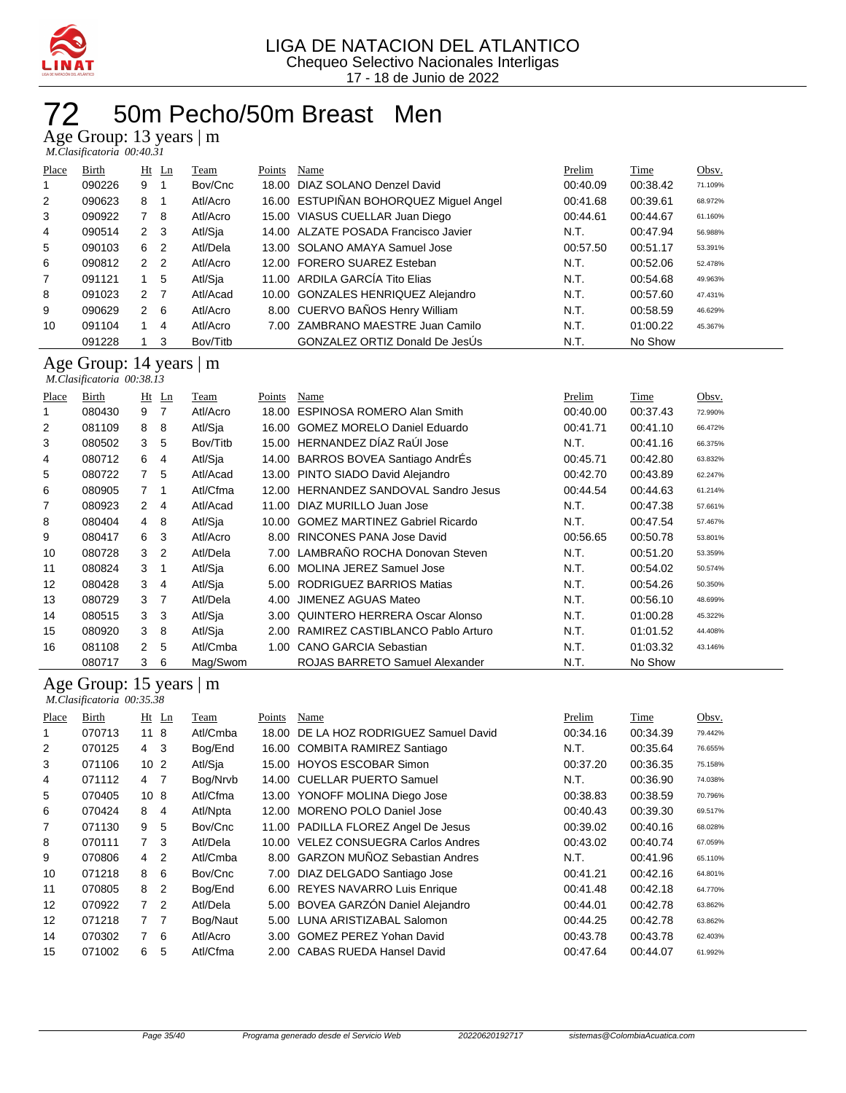

## 50m Pecho/50m Breast Men

Age Group: 13 years | m

 *M.Clasificatoria 00:40.31* 

| Place          | Birth  |                | <u>Ht Ln</u>   | Team     | Points | Name                                   | Prelim   | Time     | Obsv.   |
|----------------|--------|----------------|----------------|----------|--------|----------------------------------------|----------|----------|---------|
|                | 090226 | 9              |                | Bov/Cnc  |        | 18.00 DIAZ SOLANO Denzel David         | 00:40.09 | 00:38.42 | 71.109% |
| 2              | 090623 | 8              |                | Atl/Acro |        | 16.00 ESTUPIÑAN BOHORQUEZ Miguel Angel | 00:41.68 | 00:39.61 | 68.972% |
| 3              | 090922 | 7              | -8             | Atl/Acro |        | 15.00 VIASUS CUELLAR Juan Diego        | 00:44.61 | 00:44.67 | 61.160% |
| 4              | 090514 | 2 <sub>3</sub> |                | Atl/Sja  |        | 14.00 ALZATE POSADA Francisco Javier   | N.T.     | 00:47.94 | 56.988% |
| 5              | 090103 | 6              | 2              | Atl/Dela |        | 13.00 SOLANO AMAYA Samuel Jose         | 00:57.50 | 00:51.17 | 53.391% |
| 6              | 090812 | $\overline{2}$ | $\overline{2}$ | Atl/Acro |        | 12.00 FORERO SUAREZ Esteban            | N.T.     | 00:52.06 | 52.478% |
| $\overline{7}$ | 091121 |                | 5              | Atl/Sja  |        | 11.00 ARDILA GARCÍA Tito Elias         | N.T.     | 00:54.68 | 49.963% |
| 8              | 091023 | 2 <sub>7</sub> |                | Atl/Acad |        | 10.00 GONZALES HENRIQUEZ Alejandro     | N.T.     | 00:57.60 | 47.431% |
| 9              | 090629 | $\overline{2}$ | - 6            | Atl/Acro |        | 8.00 CUERVO BAÑOS Henry William        | N.T.     | 00:58.59 | 46.629% |
| 10             | 091104 |                | 4              | Atl/Acro |        | 7.00 ZAMBRANO MAESTRE Juan Camilo      | N.T.     | 01:00.22 | 45.367% |
|                | 091228 |                | 3              | Bov/Titb |        | <b>GONZALEZ ORTIZ Donald De JesUs</b>  | N.T.     | No Show  |         |

#### Age Group: 14 years | m  *M.Clasificatoria 00:38.13*

| Place | Birth  |                | $Ht$ Ln        | Team     | Points | Name                                  | Prelim   | Time     | Obsv.   |
|-------|--------|----------------|----------------|----------|--------|---------------------------------------|----------|----------|---------|
|       | 080430 | 9              | 7              | Atl/Acro | 18.00  | <b>ESPINOSA ROMERO Alan Smith</b>     | 00:40.00 | 00:37.43 | 72.990% |
| 2     | 081109 | 8              | 8              | Atl/Sia  | 16.00  | <b>GOMEZ MORELO Daniel Eduardo</b>    | 00:41.71 | 00:41.10 | 66.472% |
| 3     | 080502 | 3              | 5              | Bov/Titb |        | 15.00 HERNANDEZ DÍAZ RaÚI Jose        | N.T.     | 00:41.16 | 66.375% |
| 4     | 080712 | 6              | 4              | Atl/Sia  |        | 14.00 BARROS BOVEA Santiago AndrÉs    | 00:45.71 | 00:42.80 | 63.832% |
| 5     | 080722 | $\overline{7}$ | 5              | Atl/Acad |        | 13.00 PINTO SIADO David Alejandro     | 00:42.70 | 00:43.89 | 62.247% |
| 6     | 080905 | $\overline{7}$ | -1             | Atl/Cfma |        | 12.00 HERNANDEZ SANDOVAL Sandro Jesus | 00:44.54 | 00:44.63 | 61.214% |
| 7     | 080923 | 2              | 4              | Atl/Acad |        | 11.00 DIAZ MURILLO Juan Jose          | N.T.     | 00:47.38 | 57.661% |
| 8     | 080404 | 4              | 8              | Atl/Sia  |        | 10.00 GOMEZ MARTINEZ Gabriel Ricardo  | N.T.     | 00:47.54 | 57.467% |
| 9     | 080417 | 6              | 3              | Atl/Acro | 8.00   | RINCONES PANA Jose David              | 00:56.65 | 00:50.78 | 53.801% |
| 10    | 080728 | 3              | $\overline{2}$ | Atl/Dela |        | 7.00 LAMBRAÑO ROCHA Donovan Steven    | N.T.     | 00:51.20 | 53.359% |
| 11    | 080824 | 3              | -1             | Atl/Sia  | 6.00   | MOLINA JEREZ Samuel Jose              | N.T.     | 00:54.02 | 50.574% |
| 12    | 080428 | 3              | 4              | Atl/Sia  | 5.00   | RODRIGUEZ BARRIOS Matias              | N.T.     | 00:54.26 | 50.350% |
| 13    | 080729 | 3              | 7              | Atl/Dela | 4.00   | JIMENEZ AGUAS Mateo                   | N.T.     | 00:56.10 | 48.699% |
| 14    | 080515 | 3              | 3              | Atl/Sia  | 3.00   | QUINTERO HERRERA Oscar Alonso         | N.T.     | 01:00.28 | 45.322% |
| 15    | 080920 | 3              | 8              | Atl/Sja  | 2.00   | RAMIREZ CASTIBLANCO Pablo Arturo      | N.T.     | 01:01.52 | 44.408% |
| 16    | 081108 | $\mathbf{2}$   | 5              | Atl/Cmba | 1.00   | <b>CANO GARCIA Sebastian</b>          | N.T.     | 01:03.32 | 43.146% |
|       | 080717 | 3              | 6              | Mag/Swom |        | ROJAS BARRETO Samuel Alexander        | N.T.     | No Show  |         |

#### Age Group: 15 years | m

|       | M.Clasificatoria 00:35.38 |                 |                |          |        |                                     |          |          |         |  |  |  |  |
|-------|---------------------------|-----------------|----------------|----------|--------|-------------------------------------|----------|----------|---------|--|--|--|--|
| Place | Birth                     | $Ht$ Ln         |                | Team     | Points | Name                                | Prelim   | Time     | Obsv.   |  |  |  |  |
|       | 070713                    | 118             |                | Atl/Cmba | 18.00  | DE LA HOZ RODRIGUEZ Samuel David    | 00:34.16 | 00:34.39 | 79.442% |  |  |  |  |
| 2     | 070125                    | 4               | -3             | Bog/End  |        | 16.00 COMBITA RAMIREZ Santiago      | N.T.     | 00:35.64 | 76.655% |  |  |  |  |
| 3     | 071106                    | 10 <sub>2</sub> |                | Atl/Sja  |        | 15.00 HOYOS ESCOBAR Simon           | 00:37.20 | 00:36.35 | 75.158% |  |  |  |  |
| 4     | 071112                    | 4 7             |                | Bog/Nrvb |        | 14.00 CUELLAR PUERTO Samuel         | N.T.     | 00:36.90 | 74.038% |  |  |  |  |
| 5     | 070405                    | 10 <sub>8</sub> |                | Atl/Cfma |        | 13.00 YONOFF MOLINA Diego Jose      | 00:38.83 | 00:38.59 | 70.796% |  |  |  |  |
| 6     | 070424                    | 8               | $\overline{4}$ | Atl/Npta | 12.00  | <b>MORENO POLO Daniel Jose</b>      | 00:40.43 | 00:39.30 | 69.517% |  |  |  |  |
| 7     | 071130                    | 9               | 5              | Bov/Cnc  |        | 11.00 PADILLA FLOREZ Angel De Jesus | 00:39.02 | 00:40.16 | 68.028% |  |  |  |  |
| 8     | 070111                    | $7^{\circ}$     | 3              | Atl/Dela |        | 10.00 VELEZ CONSUEGRA Carlos Andres | 00:43.02 | 00:40.74 | 67.059% |  |  |  |  |
| 9     | 070806                    | 4               | 2              | Atl/Cmba |        | 8.00 GARZON MUÑOZ Sebastian Andres  | N.T.     | 00:41.96 | 65.110% |  |  |  |  |
| 10    | 071218                    | 8               | 6              | Bov/Cnc  | 7.00   | DIAZ DELGADO Santiago Jose          | 00:41.21 | 00:42.16 | 64.801% |  |  |  |  |
| 11    | 070805                    | 8               | 2              | Bog/End  |        | 6.00 REYES NAVARRO Luis Enrique     | 00:41.48 | 00:42.18 | 64.770% |  |  |  |  |
| 12    | 070922                    | $7^{\circ}$     | 2              | Atl/Dela |        | 5.00 BOVEA GARZÓN Daniel Alejandro  | 00:44.01 | 00:42.78 | 63.862% |  |  |  |  |
| 12    | 071218                    | 7 <sub>7</sub>  |                | Bog/Naut |        | 5.00 LUNA ARISTIZABAL Salomon       | 00:44.25 | 00:42.78 | 63.862% |  |  |  |  |
| 14    | 070302                    | $\overline{7}$  | 6              | Atl/Acro | 3.00   | <b>GOMEZ PEREZ Yohan David</b>      | 00:43.78 | 00:43.78 | 62.403% |  |  |  |  |
| 15    | 071002                    | 6               | 5              | Atl/Cfma |        | 2.00 CABAS RUEDA Hansel David       | 00:47.64 | 00:44.07 | 61.992% |  |  |  |  |
|       |                           |                 |                |          |        |                                     |          |          |         |  |  |  |  |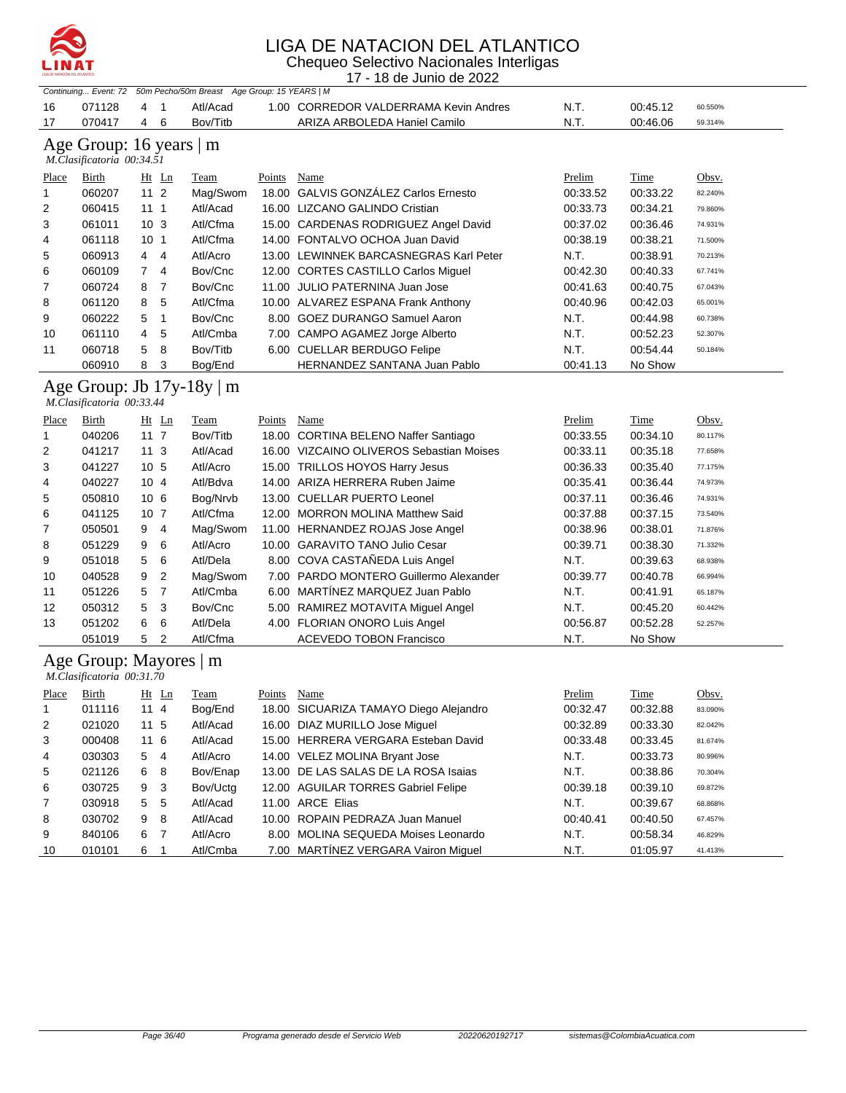

| Chequeo Selectivo Nacionales Interligas<br>LINAT<br>17 - 18 de Junio de 2022 |                                                      |                                  |                                              |        |                                          |          |          |         |
|------------------------------------------------------------------------------|------------------------------------------------------|----------------------------------|----------------------------------------------|--------|------------------------------------------|----------|----------|---------|
|                                                                              | Continuing Event: 72                                 |                                  | 50m Pecho/50m Breast Age Group: 15 YEARS   M |        |                                          |          |          |         |
| 16                                                                           | 071128                                               | 4<br>$\mathbf{1}$                | Atl/Acad                                     |        | 1.00 CORREDOR VALDERRAMA Kevin Andres    | N.T.     | 00:45.12 | 60.550% |
| 17                                                                           | 070417                                               | 4<br>6                           | Bov/Titb                                     |        | ARIZA ARBOLEDA Haniel Camilo             | N.T.     | 00:46.06 | 59.314% |
|                                                                              | Age Group: 16 years   m<br>M.Clasificatoria 00:34.51 |                                  |                                              |        |                                          |          |          |         |
| Place                                                                        | Birth                                                | Ht Ln                            | Team                                         | Points | Name                                     | Prelim   | Time     | Obsv.   |
| 1                                                                            | 060207                                               | $112$                            | Mag/Swom                                     |        | 18.00 GALVIS GONZÁLEZ Carlos Ernesto     | 00:33.52 | 00:33.22 | 82.240% |
| 2                                                                            | 060415                                               | 111                              | Atl/Acad                                     |        | 16.00 LIZCANO GALINDO Cristian           | 00:33.73 | 00:34.21 | 79.860% |
| 3                                                                            | 061011                                               | 10 <sub>3</sub>                  | Atl/Cfma                                     |        | 15.00 CARDENAS RODRIGUEZ Angel David     | 00:37.02 | 00:36.46 | 74.931% |
| 4                                                                            | 061118                                               | 10 <sub>1</sub>                  | Atl/Cfma                                     |        | 14.00 FONTALVO OCHOA Juan David          | 00:38.19 | 00:38.21 | 71.500% |
| 5                                                                            | 060913                                               | $\overline{4}$<br>4              | Atl/Acro                                     |        | 13.00 LEWINNEK BARCASNEGRAS Karl Peter   | N.T.     | 00:38.91 | 70.213% |
| 6                                                                            | 060109                                               | $\overline{7}$<br>$\overline{4}$ | Bov/Cnc                                      |        | 12.00 CORTES CASTILLO Carlos Miguel      | 00:42.30 | 00:40.33 | 67.741% |
| 7                                                                            | 060724                                               | 8<br>7                           | Bov/Cnc                                      |        | 11.00 JULIO PATERNINA Juan Jose          | 00:41.63 | 00:40.75 | 67.043% |
| 8                                                                            | 061120                                               | 5<br>8                           | Atl/Cfma                                     |        | 10.00 ALVAREZ ESPANA Frank Anthony       | 00:40.96 | 00:42.03 | 65.001% |
| 9                                                                            | 060222                                               | 1<br>5                           | Bov/Cnc                                      |        | 8.00 GOEZ DURANGO Samuel Aaron           | N.T.     | 00:44.98 | 60.738% |
| 10                                                                           | 061110                                               | 5<br>4                           | Atl/Cmba                                     |        | 7.00 CAMPO AGAMEZ Jorge Alberto          | N.T.     | 00:52.23 | 52.307% |
| 11                                                                           | 060718                                               | 5<br>8                           | Bov/Titb                                     |        | 6.00 CUELLAR BERDUGO Felipe              | N.T.     | 00:54.44 | 50.184% |
|                                                                              | 060910                                               | 8<br>3                           | Bog/End                                      |        | HERNANDEZ SANTANA Juan Pablo             | 00:41.13 | No Show  |         |
|                                                                              | M.Clasificatoria 00:33.44                            |                                  | Age Group: Jb 17y-18y   m                    |        |                                          |          |          |         |
| Place                                                                        | Birth                                                | Ht Ln                            | Team                                         | Points | Name                                     | Prelim   | Time     | Obsv.   |
| 1                                                                            | 040206                                               | 11 <sub>7</sub>                  | Bov/Titb                                     |        | 18.00 CORTINA BELENO Naffer Santiago     | 00:33.55 | 00:34.10 | 80.117% |
| 2                                                                            | 041217                                               | 11 <sub>3</sub>                  | Atl/Acad                                     |        | 16.00 VIZCAINO OLIVEROS Sebastian Moises | 00:33.11 | 00:35.18 | 77.658% |
| 3                                                                            | 041227                                               | 10 <sub>5</sub>                  | Atl/Acro                                     |        | 15.00 TRILLOS HOYOS Harry Jesus          | 00:36.33 | 00:35.40 | 77.175% |
| 4                                                                            | 040227                                               | 10 <sub>4</sub>                  | Atl/Bdva                                     |        | 14.00 ARIZA HERRERA Ruben Jaime          | 00:35.41 | 00:36.44 | 74.973% |
| 5                                                                            | 050810                                               | 10 <sub>6</sub>                  | Bog/Nrvb                                     |        | 13.00 CUELLAR PUERTO Leonel              | 00:37.11 | 00:36.46 | 74.931% |
| 6                                                                            | 041125                                               | 10 <sub>7</sub>                  | Atl/Cfma                                     |        | 12.00 MORRON MOLINA Matthew Said         | 00:37.88 | 00:37.15 | 73.540% |
| 7                                                                            | 050501                                               | $\overline{4}$<br>9              | Mag/Swom                                     |        | 11.00 HERNANDEZ ROJAS Jose Angel         | 00:38.96 | 00:38.01 | 71.876% |
| 8                                                                            | 051229                                               | 9<br>6                           | Atl/Acro                                     |        | 10.00 GARAVITO TANO Julio Cesar          | 00:39.71 | 00:38.30 | 71.332% |
| 9                                                                            | 051018                                               | 5<br>6                           | Atl/Dela                                     |        | 8.00 COVA CASTAÑEDA Luis Angel           | N.T.     | 00:39.63 | 68.938% |
| 10                                                                           | 040528                                               | 9<br>$\overline{2}$              | Mag/Swom                                     |        | 7.00 PARDO MONTERO Guillermo Alexander   | 00:39.77 | 00:40.78 | 66.994% |
| 11                                                                           | 051226                                               | 5<br>7                           | Atl/Cmba                                     |        | 6.00 MARTÍNEZ MARQUEZ Juan Pablo         | N.T.     | 00:41.91 | 65.187% |
| 12                                                                           | 050312                                               | 5<br>3                           | Bov/Cnc                                      |        | 5.00 RAMIREZ MOTAVITA Miguel Angel       | N.T.     | 00:45.20 | 60.442% |
| 13                                                                           | 051202                                               | 6<br>6                           | Atl/Dela                                     |        | 4.00 FLORIAN ONORO Luis Angel            | 00:56.87 | 00:52.28 | 52.257% |

#### Age Group: Mayores | m

|                | M.Clasificatoria 00:31.70 |                     |          |                                        |          |          |         |  |  |  |  |  |  |
|----------------|---------------------------|---------------------|----------|----------------------------------------|----------|----------|---------|--|--|--|--|--|--|
| Place          | Birth                     | $Ht$ Ln             | Team     | Name<br>Points                         | Prelim   | Time     | Obsv.   |  |  |  |  |  |  |
| $\mathbf{1}$   | 011116                    | 114                 | Bog/End  | 18.00 SICUARIZA TAMAYO Diego Alejandro | 00:32.47 | 00:32.88 | 83.090% |  |  |  |  |  |  |
| 2              | 021020                    | 11 5                | Atl/Acad | 16.00 DIAZ MURILLO Jose Miquel         | 00:32.89 | 00:33.30 | 82.042% |  |  |  |  |  |  |
| 3              | 000408                    | 11 6                | Atl/Acad | 15.00 HERRERA VERGARA Esteban David    | 00:33.48 | 00:33.45 | 81.674% |  |  |  |  |  |  |
| 4              | 030303                    | 5<br>$\overline{4}$ | Atl/Acro | 14.00 VELEZ MOLINA Bryant Jose         | N.T.     | 00:33.73 | 80.996% |  |  |  |  |  |  |
| 5              | 021126                    | - 8<br>6            | Bov/Enap | 13.00 DE LAS SALAS DE LA ROSA Isaias   | N.T.     | 00:38.86 | 70.304% |  |  |  |  |  |  |
| 6              | 030725                    | 9<br>- 3            | Bov/Uctg | 12.00 AGUILAR TORRES Gabriel Felipe    | 00:39.18 | 00:39.10 | 69.872% |  |  |  |  |  |  |
| $\overline{7}$ | 030918                    | -5<br>5             | Atl/Acad | 11.00 ARCE Elias                       | N.T.     | 00:39.67 | 68.868% |  |  |  |  |  |  |
| 8              | 030702                    | 9<br>-8             | Atl/Acad | 10.00 ROPAIN PEDRAZA Juan Manuel       | 00:40.41 | 00:40.50 | 67.457% |  |  |  |  |  |  |
| 9              | 840106                    | $\overline{7}$<br>6 | Atl/Acro | 8.00 MOLINA SEQUEDA Moises Leonardo    | N.T.     | 00:58.34 | 46.829% |  |  |  |  |  |  |
| 10             | 010101                    | 6                   | Atl/Cmba | 7.00 MARTINEZ VERGARA Vairon Miquel    | N.T.     | 01:05.97 | 41.413% |  |  |  |  |  |  |

051019 5 2 Atl/Cfma ACEVEDO TOBON Francisco N.T. No Show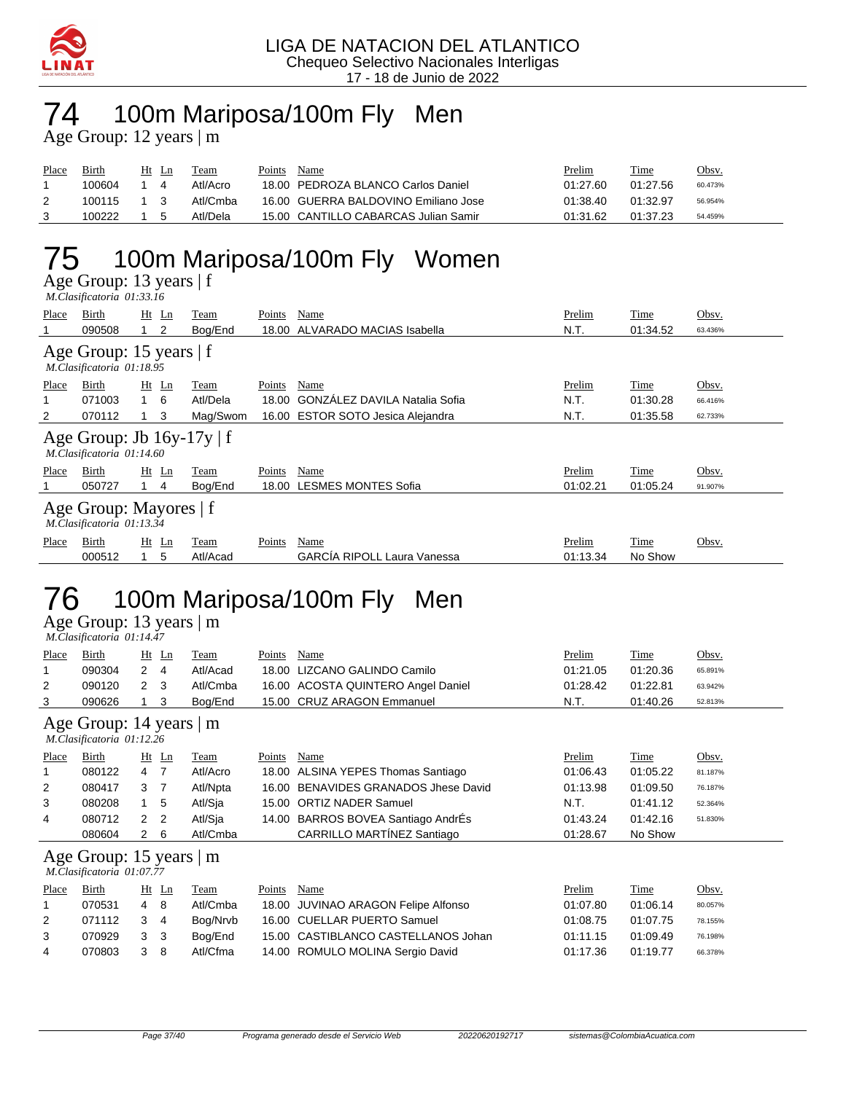

### 74 100m Mariposa/100m Fly Men

Age Group: 12 years | m

| Place | Birth  | Ht | Ln | Team     | Points | Name                                 | Prelim   | Time     | <u>Obsv.</u> |
|-------|--------|----|----|----------|--------|--------------------------------------|----------|----------|--------------|
|       | 100604 |    |    | Atl/Acro |        | 18.00 PEDROZA BLANCO Carlos Daniel   | 01:27.60 | 01:27.56 | 60.473%      |
|       | 100115 |    |    | Atl/Cmba |        | 16.00 GUERRA BALDOVINO Emiliano Jose | 01:38.40 | 01:32.97 | 56.954%      |
|       | 100222 |    |    | Atl/Dela |        | 15.00 CANTILLO CABARCAS Julian Samir | 01:31.62 | 01:37.23 | 54.459%      |

## 75 100m Mariposa/100m Fly Women

Age Group: 13 years | f  *M.Clasificatoria 01:33.16* 

| Place | Birth                                                                 |     | $Ht$ Ln        | Team     | Points | Name                               | Prelim   | Time     | Obsv.   |  |  |  |  |
|-------|-----------------------------------------------------------------------|-----|----------------|----------|--------|------------------------------------|----------|----------|---------|--|--|--|--|
|       | 090508                                                                |     | $\overline{2}$ | Bog/End  | 18.00  | ALVARADO MACIAS Isabella           | N.T.     | 01:34.52 | 63.436% |  |  |  |  |
|       | Age Group: 15 years $ f $<br>M.Clasificatoria 01:18.95                |     |                |          |        |                                    |          |          |         |  |  |  |  |
| Place | Obsv.<br>Birth<br>$Ht$ Ln<br>Name<br>Prelim<br>Time<br>Team<br>Points |     |                |          |        |                                    |          |          |         |  |  |  |  |
|       | 071003                                                                | 1 6 |                | Atl/Dela | 18.00  | GONZÁLEZ DAVILA Natalia Sofia      | N.T.     | 01:30.28 | 66.416% |  |  |  |  |
| 2     | 070112                                                                |     | 3              | Mag/Swom |        | 16.00 ESTOR SOTO Jesica Alejandra  | N.T.     | 01:35.58 | 62.733% |  |  |  |  |
|       | Age Group: Jb $16y-17y \mid f$<br>M.Clasificatoria 01:14.60           |     |                |          |        |                                    |          |          |         |  |  |  |  |
| Place | Birth                                                                 |     | $Ht$ Ln        | Team     | Points | Name                               | Prelim   | Time     | Obsv.   |  |  |  |  |
|       | 050727                                                                |     | 4              | Bog/End  |        | 18.00 LESMES MONTES Sofia          | 01:02.21 | 01:05.24 | 91.907% |  |  |  |  |
|       | Age Group: Mayores   f<br>M.Clasificatoria 01:13.34                   |     |                |          |        |                                    |          |          |         |  |  |  |  |
| Place | Birth                                                                 |     | $Ht$ Ln        | Team     | Points | Name                               | Prelim   | Time     | Obsv.   |  |  |  |  |
|       | 000512                                                                |     | 5              | Atl/Acad |        | <b>GARCIA RIPOLL Laura Vanessa</b> | 01:13.34 | No Show  |         |  |  |  |  |
|       |                                                                       |     |                |          |        |                                    |          |          |         |  |  |  |  |

## 76 100m Mariposa/100m Fly Men

Age Group: 13 years | m  *M.Clasificatoria 01:14.47* 

| Place                                                | Birth                                                |                      | $Ht$ Ln | <b>Team</b> | <b>Points</b> | Name                                  | Prelim   | <u>Time</u> | Obsv.   |  |  |
|------------------------------------------------------|------------------------------------------------------|----------------------|---------|-------------|---------------|---------------------------------------|----------|-------------|---------|--|--|
| 1                                                    | 090304                                               | $\mathbf{2}^{\circ}$ | 4       | Atl/Acad    | 18.00         | LIZCANO GALINDO Camilo                | 01:21.05 | 01:20.36    | 65.891% |  |  |
| 2                                                    | 090120                                               | $\mathbf{2}$         | 3       | Atl/Cmba    | 16.00         | <b>ACOSTA QUINTERO Angel Daniel</b>   | 01:28.42 | 01:22.81    | 63.942% |  |  |
| 3                                                    | 090626                                               |                      | 3       | Bog/End     |               | 15.00 CRUZ ARAGON Emmanuel            | N.T.     | 01:40.26    | 52.813% |  |  |
| Age Group: 14 years   m<br>M.Clasificatoria 01:12.26 |                                                      |                      |         |             |               |                                       |          |             |         |  |  |
| Place                                                | Birth                                                |                      | $Ht$ Ln | Team        | Points        | Name                                  | Prelim   | Time        | Obsv.   |  |  |
| 1                                                    | 080122                                               | 4                    | - 7     | Atl/Acro    | 18.00         | ALSINA YEPES Thomas Santiago          | 01:06.43 | 01:05.22    | 81.187% |  |  |
| 2                                                    | 080417                                               | 3                    | - 7     | Atl/Npta    | 16.00         | <b>BENAVIDES GRANADOS Jhese David</b> | 01:13.98 | 01:09.50    | 76.187% |  |  |
| 3                                                    | 080208                                               | 1                    | 5       | Atl/Sja     | 15.00         | <b>ORTIZ NADER Samuel</b>             | N.T.     | 01:41.12    | 52.364% |  |  |
| 4                                                    | 080712                                               | $\overline{2}$       | 2       | Atl/Sja     | 14.00         | BARROS BOVEA Santiago AndrEs          | 01:43.24 | 01:42.16    | 51.830% |  |  |
|                                                      | 080604                                               | $\mathbf{2}^{\circ}$ | - 6     | Atl/Cmba    |               | CARRILLO MARTÍNEZ Santiago            | 01:28.67 | No Show     |         |  |  |
|                                                      | Age Group: 15 years   m<br>M.Clasificatoria 01:07.77 |                      |         |             |               |                                       |          |             |         |  |  |
| Place                                                | Birth                                                |                      | $Ht$ Ln | Team        | Points        | Name                                  | Prelim   | Time        | Obsv.   |  |  |
| 1                                                    | 070531                                               | $\overline{4}$       | -8      | Atl/Cmba    | 18.00         | JUVINAO ARAGON Felipe Alfonso         | 01:07.80 | 01:06.14    | 80.057% |  |  |
| 2                                                    | 071112                                               | 3                    | 4       | Bog/Nrvb    | 16.00         | <b>CUELLAR PUERTO Samuel</b>          | 01:08.75 | 01:07.75    | 78.155% |  |  |
| 3                                                    | 070929                                               | 3                    | 3       | Bog/End     |               | 15.00 CASTIBLANCO CASTELLANOS Johan   | 01:11.15 | 01:09.49    | 76.198% |  |  |

4 070803 3 8 Atl/Cfma 14.00 ROMULO MOLINA Sergio David 01:17.36 01:19.77 66.378%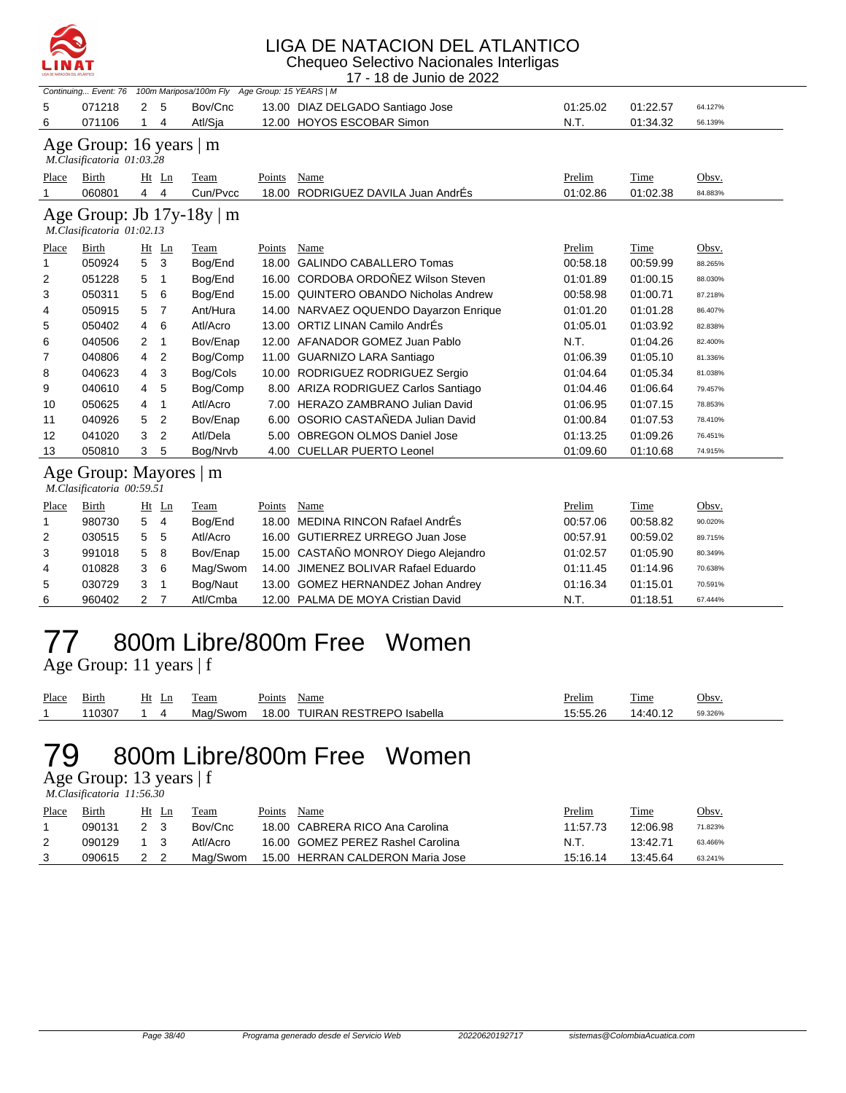

Chequeo Selectivo Nacionales Interligas 17 - 18 de Junio de 2022

|                                                             |                                                   |              |                | Continuing Event: 76 100m Mariposa/100m Fly Age Group: 15 YEARS   M |               |                                        |          |          |         |  |  |  |
|-------------------------------------------------------------|---------------------------------------------------|--------------|----------------|---------------------------------------------------------------------|---------------|----------------------------------------|----------|----------|---------|--|--|--|
| 5                                                           | 071218                                            | 2            | 5              | Bov/Cnc                                                             |               | 13.00 DIAZ DELGADO Santiago Jose       | 01:25.02 | 01:22.57 | 64.127% |  |  |  |
| 6                                                           | 071106                                            | $\mathbf{1}$ | 4              | Atl/Sja                                                             |               | 12.00 HOYOS ESCOBAR Simon              | N.T.     | 01:34.32 | 56.139% |  |  |  |
| Age Group: 16 years $ m $<br>M.Clasificatoria 01:03.28      |                                                   |              |                |                                                                     |               |                                        |          |          |         |  |  |  |
| Place                                                       | Birth                                             |              | $Ht$ Ln        | Team                                                                | Points        | Name                                   | Prelim   | Time     | Obsv.   |  |  |  |
|                                                             | 060801                                            | 4            | $\overline{4}$ | Cun/Pvcc                                                            | 18.00         | RODRIGUEZ DAVILA Juan AndrÉs           | 01:02.86 | 01:02.38 | 84.883% |  |  |  |
| Age Group: Jb $17y-18y \mid m$<br>M.Clasificatoria 01:02.13 |                                                   |              |                |                                                                     |               |                                        |          |          |         |  |  |  |
| Place                                                       | Birth                                             |              | $Ht$ Ln        | <b>Team</b>                                                         | <b>Points</b> | Name                                   | Prelim   | Time     | Obsv.   |  |  |  |
| 1                                                           | 050924                                            | 5            | 3              | Bog/End                                                             | 18.00         | <b>GALINDO CABALLERO Tomas</b>         | 00:58.18 | 00:59.99 | 88.265% |  |  |  |
| 2                                                           | 051228                                            | 5            | 1              | Bog/End                                                             |               | 16.00 CORDOBA ORDOÑEZ Wilson Steven    | 01:01.89 | 01:00.15 | 88.030% |  |  |  |
| 3                                                           | 050311                                            | 5            | 6              | Bog/End                                                             |               | 15.00 QUINTERO OBANDO Nicholas Andrew  | 00:58.98 | 01:00.71 | 87.218% |  |  |  |
| 4                                                           | 050915                                            | 5            | 7              | Ant/Hura                                                            |               | 14.00 NARVAEZ OQUENDO Dayarzon Enrique | 01:01.20 | 01:01.28 | 86.407% |  |  |  |
| 5                                                           | 050402                                            | 4            | 6              | Atl/Acro                                                            |               | 13.00 ORTIZ LINAN Camilo AndrÉs        | 01:05.01 | 01:03.92 | 82.838% |  |  |  |
| 6                                                           | 040506                                            | 2            | $\overline{1}$ | Bov/Enap                                                            |               | 12.00 AFANADOR GOMEZ Juan Pablo        | N.T.     | 01:04.26 | 82.400% |  |  |  |
| 7                                                           | 040806                                            | 4            | $\overline{2}$ | Bog/Comp                                                            |               | 11.00 GUARNIZO LARA Santiago           | 01:06.39 | 01:05.10 | 81.336% |  |  |  |
| 8                                                           | 040623                                            | 4            | 3              | Bog/Cols                                                            |               | 10.00 RODRIGUEZ RODRIGUEZ Sergio       | 01:04.64 | 01:05.34 | 81.038% |  |  |  |
| 9                                                           | 040610                                            | 4            | 5              | Bog/Comp                                                            |               | 8.00 ARIZA RODRIGUEZ Carlos Santiago   | 01:04.46 | 01:06.64 | 79.457% |  |  |  |
| 10                                                          | 050625                                            | 4            | 1              | Atl/Acro                                                            |               | 7.00 HERAZO ZAMBRANO Julian David      | 01:06.95 | 01:07.15 | 78.853% |  |  |  |
| 11                                                          | 040926                                            | 5            | 2              | Bov/Enap                                                            |               | 6.00 OSORIO CASTAÑEDA Julian David     | 01:00.84 | 01:07.53 | 78.410% |  |  |  |
| 12                                                          | 041020                                            | 3            | $\overline{2}$ | Atl/Dela                                                            |               | 5.00 OBREGON OLMOS Daniel Jose         | 01:13.25 | 01:09.26 | 76.451% |  |  |  |
| 13                                                          | 050810                                            | 3            | 5              | Bog/Nrvb                                                            |               | 4.00 CUELLAR PUERTO Leonel             | 01:09.60 | 01:10.68 | 74.915% |  |  |  |
|                                                             | Age Group: Mayores  <br>M.Clasificatoria 00:59.51 |              |                | m                                                                   |               |                                        |          |          |         |  |  |  |
| Place                                                       | Birth                                             |              | $Ht$ Ln        | Team                                                                | Points        | Name                                   | Prelim   | Time     | Obsv.   |  |  |  |
| 1                                                           | 980730                                            | 5            | 4              | Bog/End                                                             | 18.00         | MEDINA RINCON Rafael AndrÉs            | 00:57.06 | 00:58.82 | 90.020% |  |  |  |
| 2                                                           | 030515                                            | 5            | 5              | Atl/Acro                                                            |               | 16.00 GUTIERREZ URREGO Juan Jose       | 00:57.91 | 00:59.02 | 89.715% |  |  |  |
| 3                                                           | 991018                                            | 5            | 8              | Bov/Enap                                                            |               | 15.00 CASTAÑO MONROY Diego Alejandro   | 01:02.57 | 01:05.90 | 80.349% |  |  |  |
| 4                                                           | 010828                                            | 3            | 6              | Mag/Swom                                                            | 14.00         | JIMENEZ BOLIVAR Rafael Eduardo         | 01:11.45 | 01:14.96 | 70.638% |  |  |  |
| 5                                                           | 030729                                            | 3            | $\mathbf 1$    | Bog/Naut                                                            |               | 13.00 GOMEZ HERNANDEZ Johan Andrey     | 01:16.34 | 01:15.01 | 70.591% |  |  |  |
| 6                                                           | 960402                                            | 2            | 7              | Atl/Cmba                                                            |               | 12.00 PALMA DE MOYA Cristian David     | N.T.     | 01:18.51 | 67.444% |  |  |  |
|                                                             |                                                   |              |                |                                                                     |               |                                        |          |          |         |  |  |  |

#### 77 800m Libre/800m Free Women

Age Group: 11 years | f

| Place | Birth  | Ht | eam      | Points | Name                     | <u>Prelim</u> | 1 <sub>me</sub> | Obsv.   |
|-------|--------|----|----------|--------|--------------------------|---------------|-----------------|---------|
|       | 110307 |    | Mag/Swom | 18.00  | TUIRAN RESTREPO Isabella | 15:55.26      | 14:40.12        | 59.326% |

### 79 800m Libre/800m Free Women

Age Group: 13 years | f

 *M.Clasificatoria 11:56.30* 

| Place | Birth  | Ht Ln | Team     | Points | Name                              | <u>Prelim</u> | Time     | Obsv.   |
|-------|--------|-------|----------|--------|-----------------------------------|---------------|----------|---------|
|       | 090131 | 2 3   | Bov/Cnc  |        | 18.00 CABRERA RICO Ana Carolina   | 11:57.73      | 12:06.98 | 71.823% |
| 2     | 090129 |       | Atl/Acro |        | 16.00 GOMEZ PEREZ Rashel Carolina | N.T.          | 13:42.71 | 63.466% |
|       | 090615 | 2 2   | Maq/Swom |        | 15.00 HERRAN CALDERON Maria Jose  | 15:16.14      | 13:45.64 | 63.241% |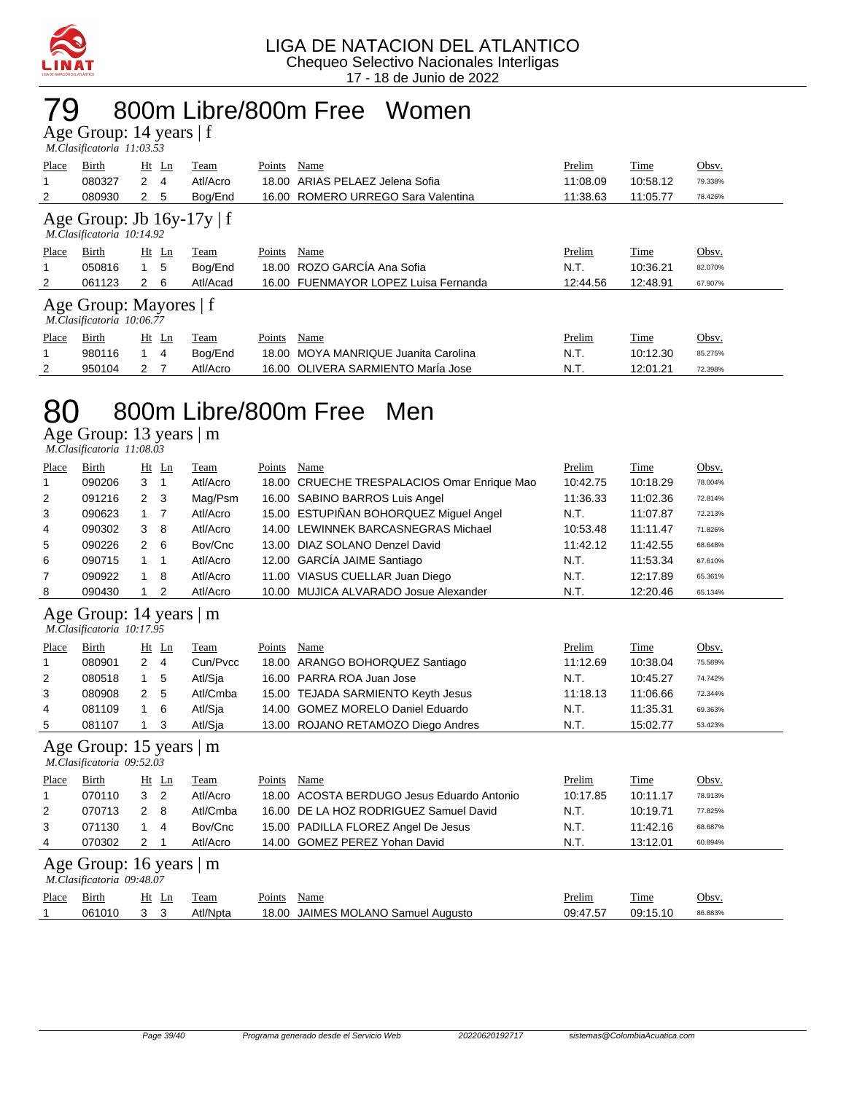

### 79 800m Libre/800m Free Women

Age Group: 14 years | f  *M.Clasificatoria 11:03.53* 

| Place                                                       | Birth  | $Ht$ Ln        | Team     | Points | Name                                 | Prelim   | Time     | Obsv.   |  |  |  |
|-------------------------------------------------------------|--------|----------------|----------|--------|--------------------------------------|----------|----------|---------|--|--|--|
|                                                             | 080327 | 2<br>-4        | Atl/Acro | 18.00  | ARIAS PELAEZ Jelena Sofia            | 11:08.09 | 10:58.12 | 79.338% |  |  |  |
| 2                                                           | 080930 | 2<br>5         | Bog/End  |        | 16.00 ROMERO URREGO Sara Valentina   | 11:38.63 | 11:05.77 | 78.426% |  |  |  |
| Age Group: Jb $16y-17y \mid f$<br>M.Clasificatoria 10:14.92 |        |                |          |        |                                      |          |          |         |  |  |  |
| Place                                                       | Birth  | $Ht$ Ln        | Team     | Points | Name                                 | Prelim   | Time     | Obsv.   |  |  |  |
|                                                             | 050816 | 5              | Bog/End  |        | 18.00 ROZO GARCÍA Ana Sofia          | N.T.     | 10:36.21 | 82.070% |  |  |  |
| $\overline{2}$                                              | 061123 | $2\quad 6$     | Atl/Acad |        | 16.00 FUENMAYOR LOPEZ Luisa Fernanda | 12:44.56 | 12:48.91 | 67.907% |  |  |  |
| Age Group: Mayores   f<br>M.Clasificatoria 10:06.77         |        |                |          |        |                                      |          |          |         |  |  |  |
| Place                                                       | Birth  | Ht Ln          | Team     | Points | Name                                 | Prelim   | Time     | Obsv.   |  |  |  |
|                                                             | 980116 | -4             | Bog/End  | 18.00  | MOYA MANRIQUE Juanita Carolina       | N.T.     | 10:12.30 | 85.275% |  |  |  |
| 2                                                           | 950104 | 2 <sub>7</sub> | Atl/Acro |        | 16.00 OLIVERA SARMIENTO María Jose   | N.T.     | 12:01.21 | 72.398% |  |  |  |

#### 80 800m Libre/800m Free Men

Age Group: 13 years | m

| M.Clasificatoria 11:08.03 |  |
|---------------------------|--|
|---------------------------|--|

| Place                                                | Birth                                                            |                | $Ht$ Ln | Team     | Points | Name                                   | Prelim   | <b>Time</b> | Obsv.   |  |  |
|------------------------------------------------------|------------------------------------------------------------------|----------------|---------|----------|--------|----------------------------------------|----------|-------------|---------|--|--|
|                                                      | 090206                                                           | 3              |         | Atl/Acro | 18.00  | CRUECHE TRESPALACIOS Omar Enrique Mao  | 10:42.75 | 10:18.29    | 78.004% |  |  |
| $\overline{2}$                                       | 091216                                                           | $\mathbf{2}$   | 3       | Mag/Psm  |        | 16.00 SABINO BARROS Luis Angel         | 11:36.33 | 11:02.36    | 72.814% |  |  |
| 3                                                    | 090623                                                           | $\overline{1}$ | 7       | Atl/Acro |        | 15.00 ESTUPIÑAN BOHORQUEZ Miguel Angel | N.T.     | 11:07.87    | 72.213% |  |  |
| 4                                                    | 090302                                                           | 3              | 8       | Atl/Acro | 14.00  | LEWINNEK BARCASNEGRAS Michael          | 10:53.48 | 11:11.47    | 71.826% |  |  |
| 5                                                    | 090226                                                           | $\overline{2}$ | 6       | Bov/Cnc  | 13.00  | DIAZ SOLANO Denzel David               | 11:42.12 | 11:42.55    | 68.648% |  |  |
| 6                                                    | 090715                                                           |                |         | Atl/Acro | 12.00  | <b>GARCÍA JAIME Santiago</b>           | N.T.     | 11:53.34    | 67.610% |  |  |
| 7                                                    | 090922                                                           |                | 8       | Atl/Acro | 11.00  | VIASUS CUELLAR Juan Diego              | N.T.     | 12:17.89    | 65.361% |  |  |
| 8                                                    | 090430                                                           |                | 2       | Atl/Acro | 10.00  | MUJICA ALVARADO Josue Alexander        | N.T.     | 12:20.46    | 65.134% |  |  |
| Age Group: 14 years   m<br>M.Clasificatoria 10:17.95 |                                                                  |                |         |          |        |                                        |          |             |         |  |  |
| Place                                                | Birth                                                            |                | $Ht$ Ln | Team     | Points | Name                                   | Prelim   | Time        | Obsv.   |  |  |
|                                                      | 080901                                                           | $\mathbf{2}$   | -4      | Cun/Pvcc | 18.00  | ARANGO BOHORQUEZ Santiago              | 11:12.69 | 10:38.04    | 75.589% |  |  |
| 2                                                    | 080518                                                           | 1.             | 5       | Atl/Sja  |        | 16.00 PARRA ROA Juan Jose              | N.T.     | 10:45.27    | 74.742% |  |  |
| 3                                                    | 080908                                                           | $\mathbf{2}$   | 5       | Atl/Cmba | 15.00  | <b>TEJADA SARMIENTO Keyth Jesus</b>    | 11:18.13 | 11:06.66    | 72.344% |  |  |
| 4                                                    | 081109                                                           |                | 6       | Atl/Sja  | 14.00  | <b>GOMEZ MORELO Daniel Eduardo</b>     | N.T.     | 11:35.31    | 69.363% |  |  |
| 5                                                    | 081107                                                           |                | 3       | Atl/Sia  | 13.00  | ROJANO RETAMOZO Diego Andres           | N.T.     | 15:02.77    | 53.423% |  |  |
|                                                      | Age Group: 15 years<br>$\mathsf{m}$<br>M.Clasificatoria 09:52.03 |                |         |          |        |                                        |          |             |         |  |  |

| Place | Birth                         |     | Ht Ln          | Team     | Points | Name                                       | Prelim   | Time     | Obsv.   |  |  |  |
|-------|-------------------------------|-----|----------------|----------|--------|--------------------------------------------|----------|----------|---------|--|--|--|
|       | 070110                        | 3   | $\overline{2}$ | Atl/Acro |        | 18.00 ACOSTA BERDUGO Jesus Eduardo Antonio | 10:17.85 | 10:11.17 | 78.913% |  |  |  |
| 2     | 070713                        | 2 8 |                | Atl/Cmba |        | 16.00 DE LA HOZ RODRIGUEZ Samuel David     | N.T.     | 10:19.71 | 77.825% |  |  |  |
| 3     | 071130                        |     | 4              | Bov/Cnc  |        | 15.00 PADILLA FLOREZ Angel De Jesus        | N.T.     | 11:42.16 | 68.687% |  |  |  |
| 4     | 070302                        | 2 1 |                | Atl/Acro |        | 14.00 GOMEZ PEREZ Yohan David              | N.T.     | 13:12.01 | 60.894% |  |  |  |
|       | Age Group: 16 years $\vert$ m |     |                |          |        |                                            |          |          |         |  |  |  |

|       | M.Clasificatoria 09:48.07 |       |          |        |                                    |          |          |         |
|-------|---------------------------|-------|----------|--------|------------------------------------|----------|----------|---------|
| Place | Birth                     | Ht Ln | Team     | Points | Name                               | Prelim   | Time     | Obsv.   |
|       | 061010                    |       | Atl/Npta |        | 18.00 JAIMES MOLANO Samuel Augusto | 09:47.57 | 09:15.10 | 86.883% |